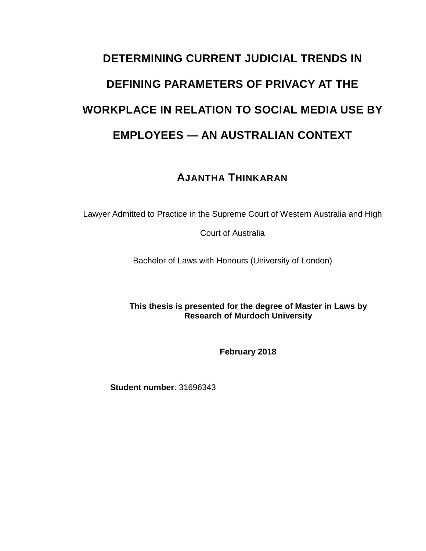# **DETERMINING CURRENT JUDICIAL TRENDS IN DEFINING PARAMETERS OF PRIVACY AT THE WORKPLACE IN RELATION TO SOCIAL MEDIA USE BY EMPLOYEES — AN AUSTRALIAN CONTEXT**

# **AJANTHA THINKARAN**

Lawyer Admitted to Practice in the Supreme Court of Western Australia and High

Court of Australia

Bachelor of Laws with Honours (University of London)

**This thesis is presented for the degree of Master in Laws by Research of Murdoch University**

**February 2018**

**Student number**: 31696343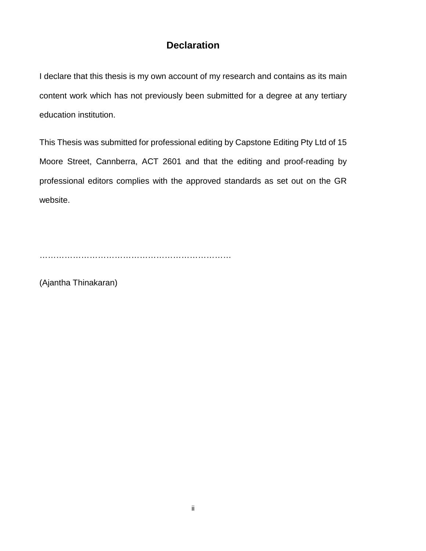# **Declaration**

I declare that this thesis is my own account of my research and contains as its main content work which has not previously been submitted for a degree at any tertiary education institution.

This Thesis was submitted for professional editing by Capstone Editing Pty Ltd of 15 Moore Street, Cannberra, ACT 2601 and that the editing and proof-reading by professional editors complies with the approved standards as set out on the GR website.

……………………………………………………………

(Ajantha Thinakaran)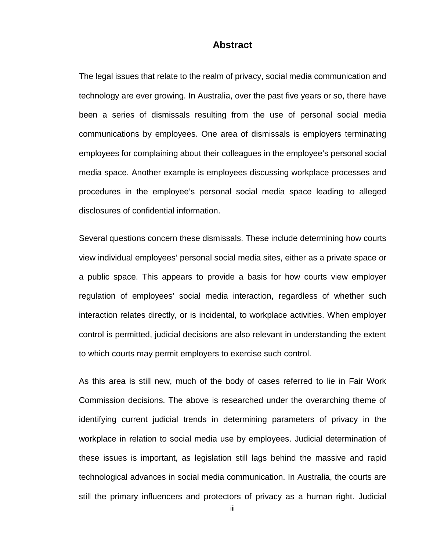#### **Abstract**

The legal issues that relate to the realm of privacy, social media communication and technology are ever growing. In Australia, over the past five years or so, there have been a series of dismissals resulting from the use of personal social media communications by employees. One area of dismissals is employers terminating employees for complaining about their colleagues in the employee's personal social media space. Another example is employees discussing workplace processes and procedures in the employee's personal social media space leading to alleged disclosures of confidential information.

Several questions concern these dismissals. These include determining how courts view individual employees' personal social media sites, either as a private space or a public space. This appears to provide a basis for how courts view employer regulation of employees' social media interaction, regardless of whether such interaction relates directly, or is incidental, to workplace activities. When employer control is permitted, judicial decisions are also relevant in understanding the extent to which courts may permit employers to exercise such control.

As this area is still new, much of the body of cases referred to lie in Fair Work Commission decisions. The above is researched under the overarching theme of identifying current judicial trends in determining parameters of privacy in the workplace in relation to social media use by employees. Judicial determination of these issues is important, as legislation still lags behind the massive and rapid technological advances in social media communication. In Australia, the courts are still the primary influencers and protectors of privacy as a human right. Judicial

iii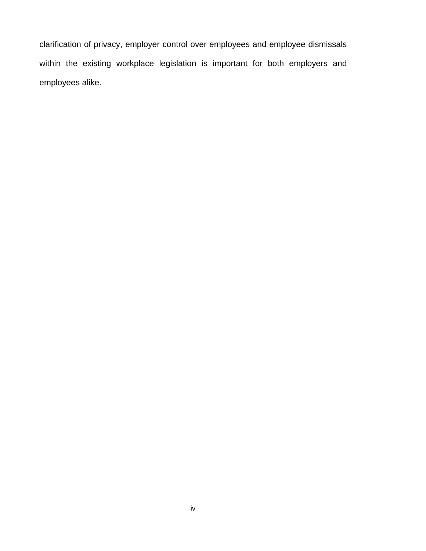clarification of privacy, employer control over employees and employee dismissals within the existing workplace legislation is important for both employers and employees alike.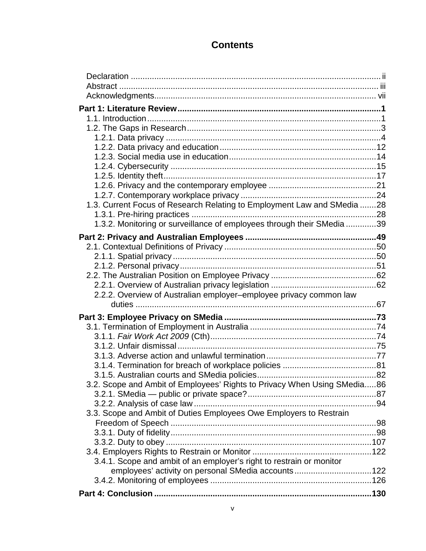# **Contents**

| 1.3. Current Focus of Research Relating to Employment Law and SMedia 28  |  |
|--------------------------------------------------------------------------|--|
|                                                                          |  |
| 1.3.2. Monitoring or surveillance of employees through their SMedia 39   |  |
|                                                                          |  |
|                                                                          |  |
|                                                                          |  |
|                                                                          |  |
|                                                                          |  |
| 2.2.2. Overview of Australian employer-employee privacy common law       |  |
|                                                                          |  |
|                                                                          |  |
|                                                                          |  |
|                                                                          |  |
|                                                                          |  |
|                                                                          |  |
|                                                                          |  |
|                                                                          |  |
| 3.2. Scope and Ambit of Employees' Rights to Privacy When Using SMedia86 |  |
|                                                                          |  |
|                                                                          |  |
| 3.3. Scope and Ambit of Duties Employees Owe Employers to Restrain       |  |
|                                                                          |  |
|                                                                          |  |
|                                                                          |  |
| 3.4.1. Scope and ambit of an employer's right to restrain or monitor     |  |
| employees' activity on personal SMedia accounts122                       |  |
|                                                                          |  |
|                                                                          |  |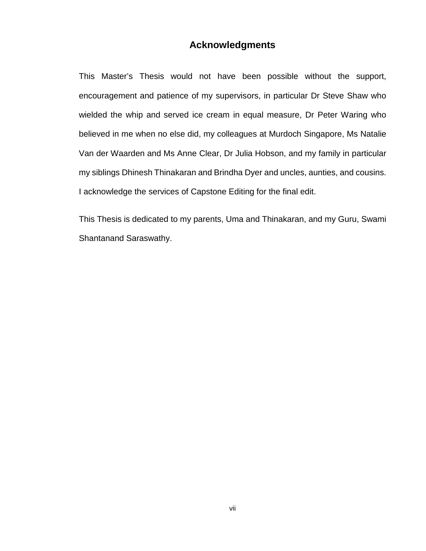# **Acknowledgments**

This Master's Thesis would not have been possible without the support, encouragement and patience of my supervisors, in particular Dr Steve Shaw who wielded the whip and served ice cream in equal measure, Dr Peter Waring who believed in me when no else did, my colleagues at Murdoch Singapore, Ms Natalie Van der Waarden and Ms Anne Clear, Dr Julia Hobson, and my family in particular my siblings Dhinesh Thinakaran and Brindha Dyer and uncles, aunties, and cousins. I acknowledge the services of Capstone Editing for the final edit.

This Thesis is dedicated to my parents, Uma and Thinakaran, and my Guru, Swami Shantanand Saraswathy.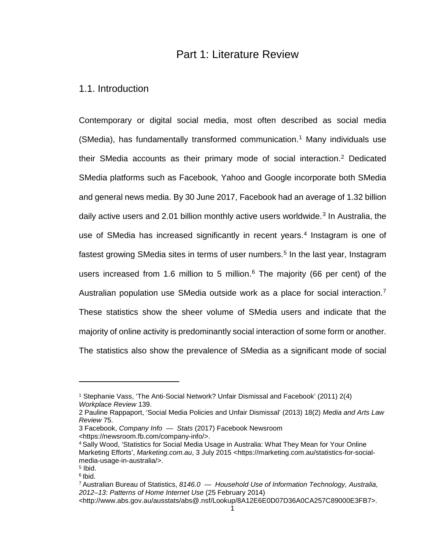# Part 1: Literature Review

## 1.1. Introduction

Contemporary or digital social media, most often described as social media (SMedia), has fundamentally transformed communication.<sup>[1](#page-8-0)</sup> Many individuals use their SMedia accounts as their primary mode of social interaction.[2](#page-8-1) Dedicated SMedia platforms such as Facebook, Yahoo and Google incorporate both SMedia and general news media. By 30 June 2017, Facebook had an average of 1.32 billion daily active users and 2.01 billion monthly active users worldwide.<sup>[3](#page-8-2)</sup> In Australia, the use of SMedia has increased significantly in recent years.<sup>[4](#page-8-3)</sup> Instagram is one of fastest growing SMedia sites in terms of user numbers.<sup>[5](#page-8-4)</sup> In the last year, Instagram users increased from 1.[6](#page-8-5) million to 5 million. $6$  The majority (66 per cent) of the Australian population use SMedia outside work as a place for social interaction.<sup>[7](#page-8-6)</sup> These statistics show the sheer volume of SMedia users and indicate that the majority of online activity is predominantly social interaction of some form or another. The statistics also show the prevalence of SMedia as a significant mode of social

<https://newsroom.fb.com/company-info/>.

<span id="page-8-0"></span><sup>1</sup> Stephanie Vass, 'The Anti-Social Network? Unfair Dismissal and Facebook' (2011) 2(4) *Workplace Review* 139.

<span id="page-8-1"></span><sup>2</sup> Pauline Rappaport, 'Social Media Policies and Unfair Dismissal' (2013) 18(2) *Media and Arts Law Review* 75.

<span id="page-8-2"></span><sup>3</sup> Facebook, *Company Info — Stats* (2017) Facebook Newsroom

<span id="page-8-3"></span><sup>4</sup> Sally Wood, 'Statistics for Social Media Usage in Australia: What They Mean for Your Online Marketing Efforts', *Marketing.com.au*, 3 July 2015 <https://marketing.com.au/statistics-for-socialmedia-usage-in-australia/>.

<span id="page-8-5"></span><span id="page-8-4"></span> $5$  Ibid. <sup>6</sup> Ibid.

<span id="page-8-6"></span><sup>7</sup> Australian Bureau of Statistics, *8146.0 — Household Use of Information Technology, Australia, 2012–13: Patterns of Home Internet Use* (25 February 2014)

<sup>&</sup>lt;http://www.abs.gov.au/ausstats/abs@.nsf/Lookup/8A12E6E0D07D36A0CA257C89000E3FB7>.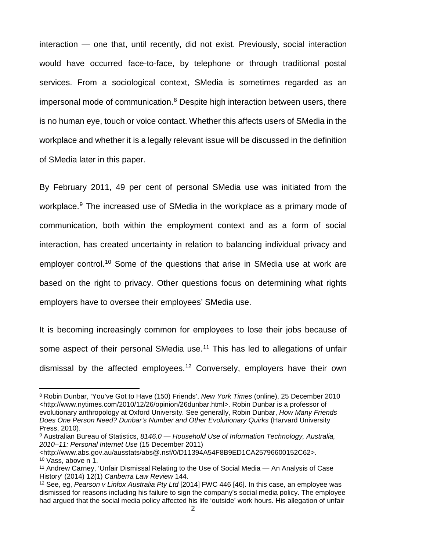interaction — one that, until recently, did not exist. Previously, social interaction would have occurred face-to-face, by telephone or through traditional postal services. From a sociological context, SMedia is sometimes regarded as an impersonal mode of communication. $8$  Despite high interaction between users, there is no human eye, touch or voice contact. Whether this affects users of SMedia in the workplace and whether it is a legally relevant issue will be discussed in the definition of SMedia later in this paper.

By February 2011, 49 per cent of personal SMedia use was initiated from the workplace.<sup>[9](#page-9-1)</sup> The increased use of SMedia in the workplace as a primary mode of communication, both within the employment context and as a form of social interaction, has created uncertainty in relation to balancing individual privacy and employer control.<sup>[10](#page-9-2)</sup> Some of the questions that arise in SMedia use at work are based on the right to privacy. Other questions focus on determining what rights employers have to oversee their employees' SMedia use.

It is becoming increasingly common for employees to lose their jobs because of some aspect of their personal SMedia use.<sup>[11](#page-9-3)</sup> This has led to allegations of unfair dismissal by the affected employees[.12](#page-9-4) Conversely, employers have their own

l

<span id="page-9-0"></span><sup>8</sup> Robin Dunbar, 'You've Got to Have (150) Friends', *New York Times* (online), 25 December 2010 <http://www.nytimes.com/2010/12/26/opinion/26dunbar.html>. Robin Dunbar is a professor of evolutionary anthropology at Oxford University. See generally, Robin Dunbar, *How Many Friends Does One Person Need? Dunbar's Number and Other Evolutionary Quirks* (Harvard University Press, 2010).

<span id="page-9-1"></span><sup>9</sup> Australian Bureau of Statistics, *8146.0 — Household Use of Information Technology, Australia, 2010–11: Personal Internet Use* (15 December 2011)

<span id="page-9-2"></span><sup>&</sup>lt;http://www.abs.gov.au/ausstats/abs@.nsf/0/D11394A54F8B9ED1CA25796600152C62>. <sup>10</sup> Vass, above n 1.

<span id="page-9-3"></span><sup>11</sup> Andrew Carney, 'Unfair Dismissal Relating to the Use of Social Media — An Analysis of Case History' (2014) 12(1) *Canberra Law Review* 144.

<span id="page-9-4"></span><sup>12</sup> See, eg, *Pearson v Linfox Australia Pty Ltd* [2014] FWC 446 [46]. In this case, an employee was dismissed for reasons including his failure to sign the company's social media policy. The employee had argued that the social media policy affected his life 'outside' work hours. His allegation of unfair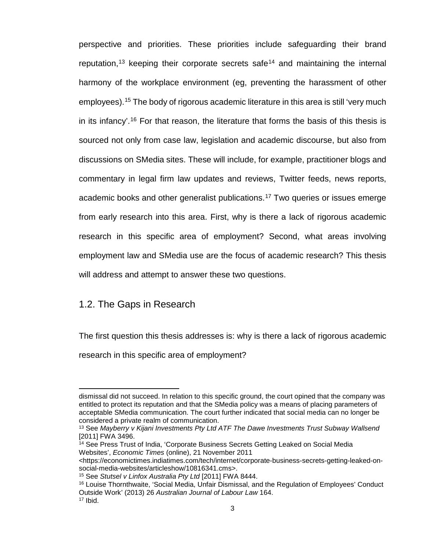perspective and priorities. These priorities include safeguarding their brand reputation,<sup>[13](#page-10-0)</sup> keeping their corporate secrets safe<sup>[14](#page-10-1)</sup> and maintaining the internal harmony of the workplace environment (eg, preventing the harassment of other employees).<sup>[15](#page-10-2)</sup> The body of rigorous academic literature in this area is still 'very much in its infancy'.<sup>[16](#page-10-3)</sup> For that reason, the literature that forms the basis of this thesis is sourced not only from case law, legislation and academic discourse, but also from discussions on SMedia sites. These will include, for example, practitioner blogs and commentary in legal firm law updates and reviews, Twitter feeds, news reports, academic books and other generalist publications.[17](#page-10-4) Two queries or issues emerge from early research into this area. First, why is there a lack of rigorous academic research in this specific area of employment? Second, what areas involving employment law and SMedia use are the focus of academic research? This thesis will address and attempt to answer these two questions.

### 1.2. The Gaps in Research

 $\overline{a}$ 

The first question this thesis addresses is: why is there a lack of rigorous academic

research in this specific area of employment?

dismissal did not succeed. In relation to this specific ground, the court opined that the company was entitled to protect its reputation and that the SMedia policy was a means of placing parameters of acceptable SMedia communication. The court further indicated that social media can no longer be considered a private realm of communication.

<span id="page-10-0"></span><sup>13</sup> See *Mayberry v Kijani Investments Pty Ltd ATF The Dawe Investments Trust Subway Wallsend*  [2011] FWA 3496.

<span id="page-10-1"></span><sup>&</sup>lt;sup>14</sup> See Press Trust of India, 'Corporate Business Secrets Getting Leaked on Social Media Websites', *Economic Times* (online), 21 November 2011

<sup>&</sup>lt;https://economictimes.indiatimes.com/tech/internet/corporate-business-secrets-getting-leaked-onsocial-media-websites/articleshow/10816341.cms>.

<sup>15</sup> See *Stutsel v Linfox Australia Pty Ltd* [2011] FWA 8444.

<span id="page-10-4"></span><span id="page-10-3"></span><span id="page-10-2"></span><sup>16</sup> Louise Thornthwaite, 'Social Media, Unfair Dismissal, and the Regulation of Employees' Conduct Outside Work' (2013) 26 *Australian Journal of Labour Law* 164.  $17$  Ibid.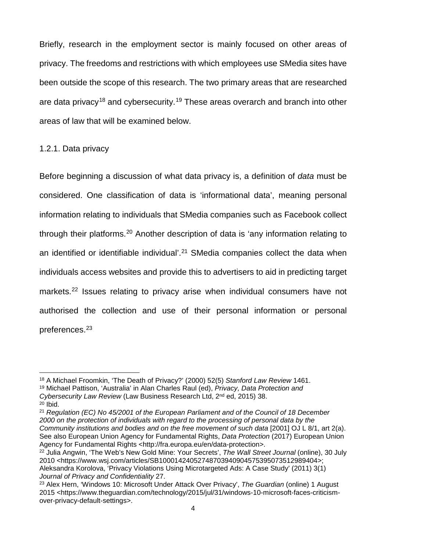Briefly, research in the employment sector is mainly focused on other areas of privacy. The freedoms and restrictions with which employees use SMedia sites have been outside the scope of this research. The two primary areas that are researched are data privacy<sup>[18](#page-11-0)</sup> and cybersecurity.<sup>[19](#page-11-1)</sup> These areas overarch and branch into other areas of law that will be examined below.

#### 1.2.1. Data privacy

Before beginning a discussion of what data privacy is, a definition of *data* must be considered. One classification of data is 'informational data', meaning personal information relating to individuals that SMedia companies such as Facebook collect through their platforms.[20](#page-11-2) Another description of data is 'any information relating to an identified or identifiable individual'.<sup>[21](#page-11-3)</sup> SMedia companies collect the data when individuals access websites and provide this to advertisers to aid in predicting target markets.<sup>[22](#page-11-4)</sup> Issues relating to privacy arise when individual consumers have not authorised the collection and use of their personal information or personal preferences.[23](#page-11-5)

 $\overline{\phantom{a}}$ 

<span id="page-11-0"></span><sup>18</sup> A Michael Froomkin, 'The Death of Privacy?' (2000) 52(5) *Stanford Law Review* 1461.

<span id="page-11-1"></span><sup>19</sup> Michael Pattison, 'Australia' in Alan Charles Raul (ed), *Privacy, Data Protection and Cybersecurity Law Review* (Law Business Research Ltd, 2nd ed, 2015) 38.

<span id="page-11-2"></span> $20$  Ibid.

<span id="page-11-3"></span><sup>21</sup> *Regulation (EC) No 45/2001 of the European Parliament and of the Council of 18 December 2000 on the protection of individuals with regard to the processing of personal data by the Community institutions and bodies and on the free movement of such data* [2001] OJ L 8/1, art 2(a). See also European Union Agency for Fundamental Rights, *Data Protection* (2017) European Union Agency for Fundamental Rights <http://fra.europa.eu/en/data-protection>.

<span id="page-11-4"></span><sup>22</sup> Julia Angwin, 'The Web's New Gold Mine: Your Secrets', *The Wall Street Journal* (online), 30 July 2010 <https://www.wsj.com/articles/SB10001424052748703940904575395073512989404>; Aleksandra Korolova, 'Privacy Violations Using Microtargeted Ads: A Case Study' (2011) 3(1) *Journal of Privacy and Confidentiality* 27.

<span id="page-11-5"></span><sup>23</sup> Alex Hern, 'Windows 10: Microsoft Under Attack Over Privacy', *The Guardian* (online) 1 August 2015 <https://www.theguardian.com/technology/2015/jul/31/windows-10-microsoft-faces-criticismover-privacy-default-settings>.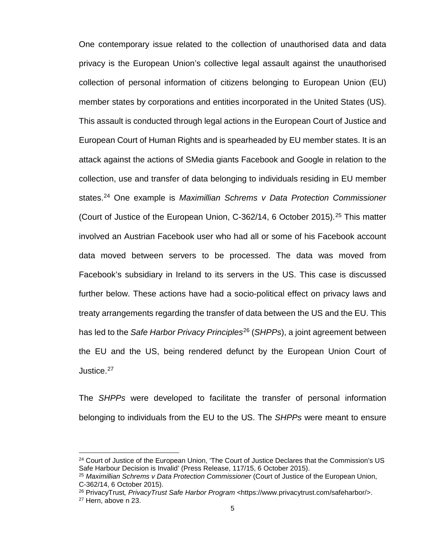One contemporary issue related to the collection of unauthorised data and data privacy is the European Union's collective legal assault against the unauthorised collection of personal information of citizens belonging to European Union (EU) member states by corporations and entities incorporated in the United States (US). This assault is conducted through legal actions in the European Court of Justice and European Court of Human Rights and is spearheaded by EU member states. It is an attack against the actions of SMedia giants Facebook and Google in relation to the collection, use and transfer of data belonging to individuals residing in EU member states.[24](#page-12-0) One example is *Maximillian Schrems v Data Protection Commissioner* (Court of Justice of the European Union, C-362/14, 6 October 2015). [25](#page-12-1) This matter involved an Austrian Facebook user who had all or some of his Facebook account data moved between servers to be processed. The data was moved from Facebook's subsidiary in Ireland to its servers in the US. This case is discussed further below. These actions have had a socio-political effect on privacy laws and treaty arrangements regarding the transfer of data between the US and the EU. This has led to the *Safe Harbor Privacy Principles*[26](#page-12-2) (*SHPPs*), a joint agreement between the EU and the US, being rendered defunct by the European Union Court of Justice.<sup>[27](#page-12-3)</sup>

The *SHPPs* were developed to facilitate the transfer of personal information belonging to individuals from the EU to the US. The *SHPPs* were meant to ensure

<span id="page-12-0"></span><sup>&</sup>lt;sup>24</sup> Court of Justice of the European Union, 'The Court of Justice Declares that the Commission's US Safe Harbour Decision is Invalid' (Press Release, 117/15, 6 October 2015).

<span id="page-12-1"></span><sup>25</sup> *Maximillian Schrems v Data Protection Commissioner* (Court of Justice of the European Union, C-362/14, 6 October 2015).

<span id="page-12-2"></span><sup>26</sup> PrivacyTrust*, PrivacyTrust Safe Harbor Program <*https://www.privacytrust.com/safeharbor/>.

<span id="page-12-3"></span><sup>27</sup> Hern, above n 23.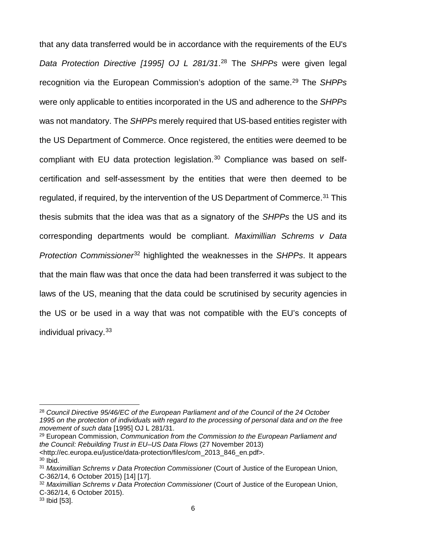that any data transferred would be in accordance with the requirements of the EU's *Data Protection Directive [1995] OJ L 281/31*. [28](#page-13-0) The *SHPPs* were given legal recognition via the European Commission's adoption of the same.<sup>[29](#page-13-1)</sup> The *SHPPs* were only applicable to entities incorporated in the US and adherence to the *SHPPs* was not mandatory. The *SHPPs* merely required that US-based entities register with the US Department of Commerce. Once registered, the entities were deemed to be compliant with EU data protection legislation.<sup>[30](#page-13-2)</sup> Compliance was based on selfcertification and self-assessment by the entities that were then deemed to be regulated, if required, by the intervention of the US Department of Commerce.<sup>[31](#page-13-3)</sup> This thesis submits that the idea was that as a signatory of the *SHPPs* the US and its corresponding departments would be compliant. *Maximillian Schrems v Data Protection Commissioner*[32](#page-13-4) highlighted the weaknesses in the *SHPPs*. It appears that the main flaw was that once the data had been transferred it was subject to the laws of the US, meaning that the data could be scrutinised by security agencies in the US or be used in a way that was not compatible with the EU's concepts of individual privacy.[33](#page-13-5)

 $\overline{\phantom{a}}$ 

<span id="page-13-0"></span><sup>28</sup> *Council Directive 95/46/EC of the European Parliament and of the Council of the 24 October 1995 on the protection of individuals with regard to the processing of personal data and on the free movement of such data* [1995] OJ L 281/31.

<span id="page-13-1"></span><sup>29</sup> European Commission, *Communication from the Commission to the European Parliament and the Council: Rebuilding Trust in EU–US Data Flows* (27 November 2013) <http://ec.europa.eu/justice/data-protection/files/com\_2013\_846\_en.pdf>.  $30$  Ibid.

<span id="page-13-3"></span><span id="page-13-2"></span><sup>31</sup> *Maximillian Schrems v Data Protection Commissioner* (Court of Justice of the European Union, C-362/14, 6 October 2015) [14] [17].

<span id="page-13-4"></span><sup>32</sup> *Maximillian Schrems v Data Protection Commissioner* (Court of Justice of the European Union, C-362/14, 6 October 2015).

<span id="page-13-5"></span><sup>33</sup> Ibid [53].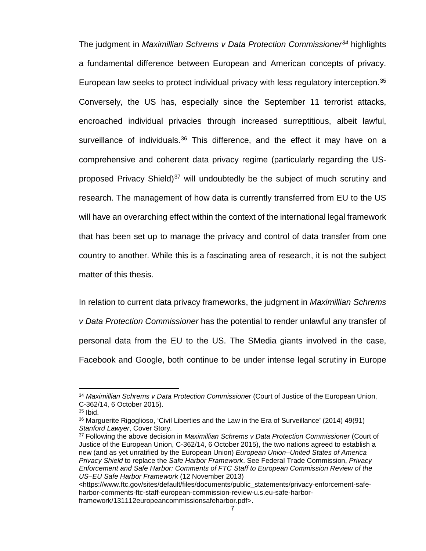The judgment in *Maximillian Schrems v Data Protection Commissioner[34](#page-14-0)* highlights a fundamental difference between European and American concepts of privacy. European law seeks to protect individual privacy with less regulatory interception.<sup>[35](#page-14-1)</sup> Conversely, the US has, especially since the September 11 terrorist attacks, encroached individual privacies through increased surreptitious, albeit lawful, surveillance of individuals.<sup>[36](#page-14-2)</sup> This difference, and the effect it may have on a comprehensive and coherent data privacy regime (particularly regarding the US-proposed Privacy Shield)<sup>[37](#page-14-3)</sup> will undoubtedly be the subject of much scrutiny and research. The management of how data is currently transferred from EU to the US will have an overarching effect within the context of the international legal framework that has been set up to manage the privacy and control of data transfer from one country to another. While this is a fascinating area of research, it is not the subject matter of this thesis.

In relation to current data privacy frameworks, the judgment in *Maximillian Schrems v Data Protection Commissioner* has the potential to render unlawful any transfer of personal data from the EU to the US. The SMedia giants involved in the case, Facebook and Google, both continue to be under intense legal scrutiny in Europe

<span id="page-14-0"></span><sup>34</sup> *Maximillian Schrems v Data Protection Commissioner* (Court of Justice of the European Union, C-362/14, 6 October 2015).

<span id="page-14-1"></span> $35$  Ibid.

<span id="page-14-2"></span><sup>36</sup> Marguerite Rigoglioso, 'Civil Liberties and the Law in the Era of Surveillance' (2014) 49(91) *Stanford Lawyer*, Cover Story.

<span id="page-14-3"></span><sup>37</sup> Following the above decision in *Maximillian Schrems v Data Protection Commissioner* (Court of Justice of the European Union, C-362/14, 6 October 2015), the two nations agreed to establish a new (and as yet unratified by the European Union) *European Union–United States of America Privacy Shield* to replace the *Safe Harbor Framework*. See Federal Trade Commission, *Privacy Enforcement and Safe Harbor: Comments of FTC Staff to European Commission Review of the US–EU Safe Harbor Framework* (12 November 2013)

<sup>&</sup>lt;https://www.ftc.gov/sites/default/files/documents/public\_statements/privacy-enforcement-safeharbor-comments-ftc-staff-european-commission-review-u.s.eu-safe-harborframework/131112europeancommissionsafeharbor.pdf>.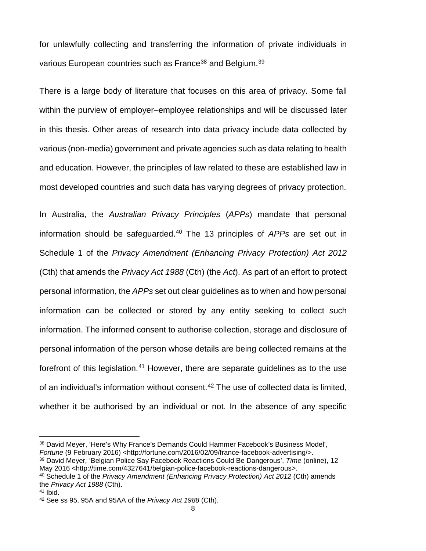for unlawfully collecting and transferring the information of private individuals in various European countries such as France<sup>[38](#page-15-0)</sup> and Belgium.<sup>39</sup>

There is a large body of literature that focuses on this area of privacy. Some fall within the purview of employer–employee relationships and will be discussed later in this thesis. Other areas of research into data privacy include data collected by various (non-media) government and private agencies such as data relating to health and education. However, the principles of law related to these are established law in most developed countries and such data has varying degrees of privacy protection.

In Australia, the *Australian Privacy Principles* (*APPs*) mandate that personal information should be safeguarded.[40](#page-15-2) The 13 principles of *APPs* are set out in Schedule 1 of the *Privacy Amendment (Enhancing Privacy Protection) Act 2012* (Cth) that amends the *Privacy Act 1988* (Cth) (the *Act*). As part of an effort to protect personal information, the *APPs* set out clear guidelines as to when and how personal information can be collected or stored by any entity seeking to collect such information. The informed consent to authorise collection, storage and disclosure of personal information of the person whose details are being collected remains at the forefront of this legislation.<sup>[41](#page-15-3)</sup> However, there are separate guidelines as to the use of an individual's information without consent.<sup>[42](#page-15-4)</sup> The use of collected data is limited, whether it be authorised by an individual or not. In the absence of any specific

l

<span id="page-15-0"></span><sup>38</sup> David Meyer, 'Here's Why France's Demands Could Hammer Facebook's Business Model', *Fortune* (9 February 2016) <http://fortune.com/2016/02/09/france-facebook-advertising/>. <sup>39</sup> David Meyer*,* 'Belgian Police Say Facebook Reactions Could Be Dangerous', *Time* (online), 12

<span id="page-15-1"></span>May 2016 <http://time.com/4327641/belgian-police-facebook-reactions-dangerous>.

<span id="page-15-2"></span><sup>40</sup> Schedule 1 of the *Privacy Amendment (Enhancing Privacy Protection) Act 2012* (Cth) amends the *Privacy Act 1988* (Cth).

<span id="page-15-3"></span> $41$  Ibid.

<span id="page-15-4"></span><sup>42</sup> See ss 95, 95A and 95AA of the *Privacy Act 1988* (Cth).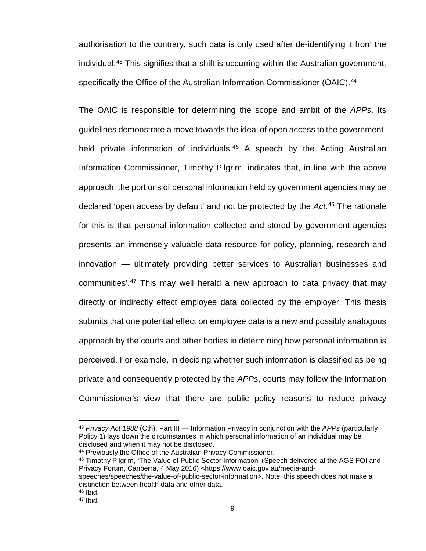authorisation to the contrary, such data is only used after de-identifying it from the individual.[43](#page-16-0) This signifies that a shift is occurring within the Australian government, specifically the Office of the Australian Information Commissioner (OAIC).<sup>[44](#page-16-1)</sup>

The OAIC is responsible for determining the scope and ambit of the *APPs*. Its guidelines demonstrate a move towards the ideal of open access to the government-held private information of individuals.<sup>[45](#page-16-2)</sup> A speech by the Acting Australian Information Commissioner, Timothy Pilgrim, indicates that, in line with the above approach, the portions of personal information held by government agencies may be declared 'open access by default' and not be protected by the *Act*. [46](#page-16-3) The rationale for this is that personal information collected and stored by government agencies presents 'an immensely valuable data resource for policy, planning, research and innovation — ultimately providing better services to Australian businesses and communities'.<sup>[47](#page-16-4)</sup> This may well herald a new approach to data privacy that may directly or indirectly effect employee data collected by the employer. This thesis submits that one potential effect on employee data is a new and possibly analogous approach by the courts and other bodies in determining how personal information is perceived. For example, in deciding whether such information is classified as being private and consequently protected by the *APPs*, courts may follow the Information Commissioner's view that there are public policy reasons to reduce privacy

<span id="page-16-0"></span><sup>43</sup> *Privacy Act 1988* (Cth), Part III — Information Privacy in conjunction with the *APPs* (particularly Policy 1) lays down the circumstances in which personal information of an individual may be disclosed and when it may not be disclosed.

<span id="page-16-1"></span><sup>44</sup> Previously the Office of the Australian Privacy Commissioner.

<span id="page-16-2"></span><sup>45</sup> Timothy Pilgrim, 'The Value of Public Sector Information' (Speech delivered at the AGS FOI and Privacy Forum, Canberra, 4 May 2016) [<https://www.oaic.gov.au/media-and-](https://www.oaic.gov.au/media-and-speeches/speeches/the-value-of-public-sector-information)

[speeches/speeches/the-value-of-public-sector-information>](https://www.oaic.gov.au/media-and-speeches/speeches/the-value-of-public-sector-information). Note, this speech does not make a distinction between health data and other data.

<span id="page-16-3"></span><sup>46</sup> Ibid.

<span id="page-16-4"></span> $47$  Ibid.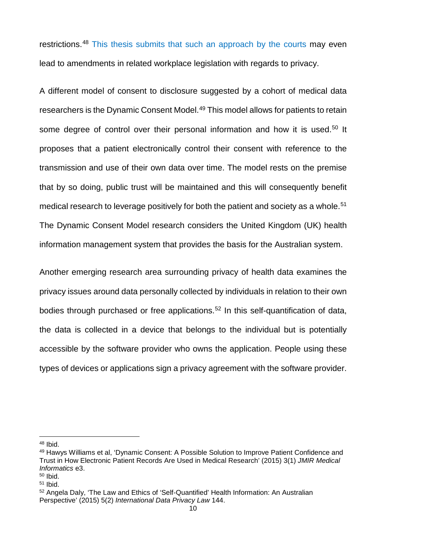restrictions.<sup>[48](#page-17-0)</sup> This thesis submits that such an approach by the courts may even lead to amendments in related workplace legislation with regards to privacy.

A different model of consent to disclosure suggested by a cohort of medical data researchers is the Dynamic Consent Model.<sup>49</sup> This model allows for patients to retain some degree of control over their personal information and how it is used.<sup>[50](#page-17-2)</sup> It proposes that a patient electronically control their consent with reference to the transmission and use of their own data over time. The model rests on the premise that by so doing, public trust will be maintained and this will consequently benefit medical research to leverage positively for both the patient and society as a whole.<sup>[51](#page-17-3)</sup> The Dynamic Consent Model research considers the United Kingdom (UK) health information management system that provides the basis for the Australian system.

Another emerging research area surrounding privacy of health data examines the privacy issues around data personally collected by individuals in relation to their own bodies through purchased or free applications.<sup>[52](#page-17-4)</sup> In this self-quantification of data, the data is collected in a device that belongs to the individual but is potentially accessible by the software provider who owns the application. People using these types of devices or applications sign a privacy agreement with the software provider.

l

<span id="page-17-0"></span><sup>48</sup> Ibid.

<span id="page-17-1"></span><sup>49</sup> Hawys Williams et al, 'Dynamic Consent: A Possible Solution to Improve Patient Confidence and Trust in How Electronic Patient Records Are Used in Medical Research' (2015) 3(1) *JMIR Medical Informatics* e3.

<span id="page-17-2"></span><sup>50</sup> Ibid.

<span id="page-17-3"></span> $51$  Ibid.

<span id="page-17-4"></span><sup>52</sup> Angela Daly, 'The Law and Ethics of 'Self-Quantified' Health Information: An Australian Perspective' (2015) 5(2) *International Data Privacy Law* 144.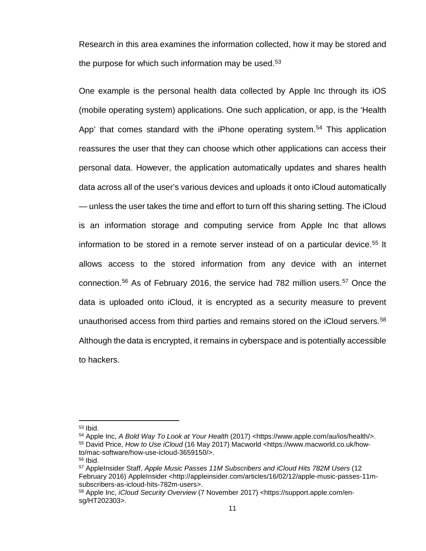Research in this area examines the information collected, how it may be stored and the purpose for which such information may be used. $53$ 

One example is the personal health data collected by Apple Inc through its iOS (mobile operating system) applications. One such application, or app, is the 'Health App' that comes standard with the iPhone operating system.<sup>54</sup> This application reassures the user that they can choose which other applications can access their personal data. However, the application automatically updates and shares health data across all of the user's various devices and uploads it onto iCloud automatically — unless the user takes the time and effort to turn off this sharing setting. The iCloud is an information storage and computing service from Apple Inc that allows information to be stored in a remote server instead of on a particular device.<sup>[55](#page-18-2)</sup> It allows access to the stored information from any device with an internet connection.<sup>[56](#page-18-3)</sup> As of February 2016, the service had 782 million users.<sup>[57](#page-18-4)</sup> Once the data is uploaded onto iCloud, it is encrypted as a security measure to prevent unauthorised access from third parties and remains stored on the iCloud servers.<sup>[58](#page-18-5)</sup> Although the data is encrypted, it remains in cyberspace and is potentially accessible to hackers.

<span id="page-18-0"></span><sup>53</sup> Ibid.

<span id="page-18-2"></span><span id="page-18-1"></span><sup>54</sup> Apple Inc, *A Bold Way To Look at Your Health* (2017) <https://www.apple.com/au/ios/health/>. <sup>55</sup> David Price, *How to Use iCloud* (16 May 2017) Macworld <https://www.macworld.co.uk/howto/mac-software/how-use-icloud-3659150/>.

<span id="page-18-3"></span><sup>56</sup> Ibid.

<span id="page-18-4"></span><sup>57</sup> AppleInsider Staff, *Apple Music Passes 11M Subscribers and iCloud Hits 782M Users* (12 February 2016) AppleInsider <http://appleinsider.com/articles/16/02/12/apple-music-passes-11msubscribers-as-icloud-hits-782m-users>.

<span id="page-18-5"></span><sup>58</sup> Apple Inc, *iCloud Security Overview* (7 November 2017) <https://support.apple.com/ensg/HT202303>.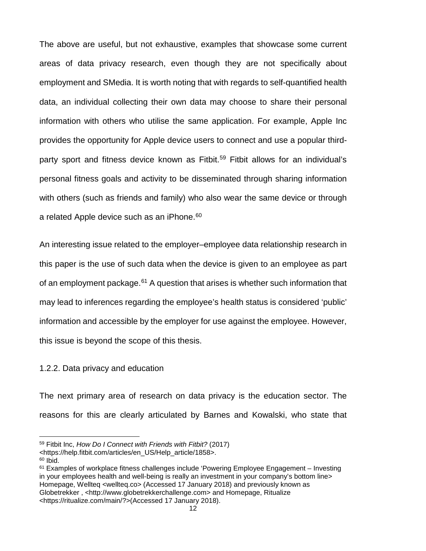The above are useful, but not exhaustive, examples that showcase some current areas of data privacy research, even though they are not specifically about employment and SMedia. It is worth noting that with regards to self-quantified health data, an individual collecting their own data may choose to share their personal information with others who utilise the same application. For example, Apple Inc provides the opportunity for Apple device users to connect and use a popular third-party sport and fitness device known as Fitbit.<sup>[59](#page-19-0)</sup> Fitbit allows for an individual's personal fitness goals and activity to be disseminated through sharing information with others (such as friends and family) who also wear the same device or through a related Apple device such as an iPhone.<sup>[60](#page-19-1)</sup>

An interesting issue related to the employer–employee data relationship research in this paper is the use of such data when the device is given to an employee as part of an employment package. $61$  A question that arises is whether such information that may lead to inferences regarding the employee's health status is considered 'public' information and accessible by the employer for use against the employee. However, this issue is beyond the scope of this thesis.

#### 1.2.2. Data privacy and education

The next primary area of research on data privacy is the education sector. The reasons for this are clearly articulated by Barnes and Kowalski, who state that

l

<span id="page-19-0"></span><sup>59</sup> Fitbit Inc, *How Do I Connect with Friends with Fitbit?* (2017)

<sup>&</sup>lt;https://help.fitbit.com/articles/en\_US/Help\_article/1858>.

<span id="page-19-1"></span> $60$  Ibid.

<span id="page-19-2"></span> $61$  Examples of workplace fitness challenges include 'Powering Employee Engagement – Investing in your employees health and well-being is really an investment in your company's bottom line> Homepage, Wellteq <wellteq.co> (Accessed 17 January 2018) and previously known as Globetrekker , <http://www.globetrekkerchallenge.com> and Homepage, Ritualize <https://ritualize.com/main/?>(Accessed 17 January 2018).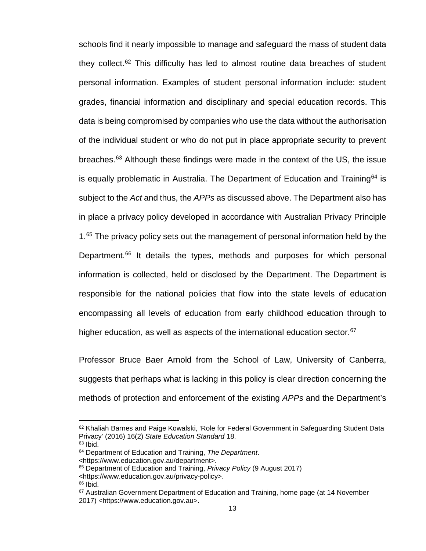schools find it nearly impossible to manage and safeguard the mass of student data they collect.[62](#page-20-0) This difficulty has led to almost routine data breaches of student personal information. Examples of student personal information include: student grades, financial information and disciplinary and special education records. This data is being compromised by companies who use the data without the authorisation of the individual student or who do not put in place appropriate security to prevent breaches.<sup>[63](#page-20-1)</sup> Although these findings were made in the context of the US, the issue is equally problematic in Australia. The Department of Education and Training<sup>[64](#page-20-2)</sup> is subject to the *Act* and thus, the *APPs* as discussed above. The Department also has in place a privacy policy developed in accordance with Australian Privacy Principle 1.<sup>[65](#page-20-3)</sup> The privacy policy sets out the management of personal information held by the Department.<sup>[66](#page-20-4)</sup> It details the types, methods and purposes for which personal information is collected, held or disclosed by the Department. The Department is responsible for the national policies that flow into the state levels of education encompassing all levels of education from early childhood education through to higher education, as well as aspects of the international education sector.<sup>[67](#page-20-5)</sup>

Professor Bruce Baer Arnold from the School of Law, University of Canberra, suggests that perhaps what is lacking in this policy is clear direction concerning the methods of protection and enforcement of the existing *APPs* and the Department's

<span id="page-20-0"></span><sup>&</sup>lt;sup>62</sup> Khaliah Barnes and Paige Kowalski, 'Role for Federal Government in Safeguarding Student Data Privacy' (2016) 16(2) *State Education Standard* 18.

<span id="page-20-1"></span> $63$  Ibid.

<span id="page-20-2"></span><sup>64</sup> Department of Education and Training, *The Department*.

<sup>&</sup>lt;https://www.education.gov.au/department>.

<span id="page-20-3"></span><sup>65</sup> Department of Education and Training, *Privacy Policy* (9 August 2017)

<sup>&</sup>lt;https://www.education.gov.au/privacy-policy>.

<sup>66</sup> Ibid.

<span id="page-20-5"></span><span id="page-20-4"></span><sup>67</sup> Australian Government Department of Education and Training, home page (at 14 November 2017) <https://www.education.gov.au>.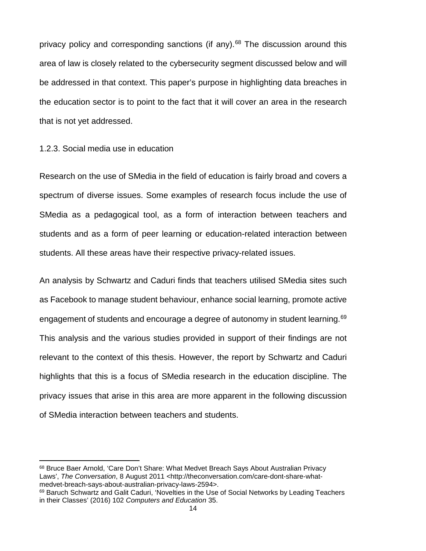privacy policy and corresponding sanctions (if any). $68$  The discussion around this area of law is closely related to the cybersecurity segment discussed below and will be addressed in that context. This paper's purpose in highlighting data breaches in the education sector is to point to the fact that it will cover an area in the research that is not yet addressed.

1.2.3. Social media use in education

l

Research on the use of SMedia in the field of education is fairly broad and covers a spectrum of diverse issues. Some examples of research focus include the use of SMedia as a pedagogical tool, as a form of interaction between teachers and students and as a form of peer learning or education-related interaction between students. All these areas have their respective privacy-related issues.

An analysis by Schwartz and Caduri finds that teachers utilised SMedia sites such as Facebook to manage student behaviour, enhance social learning, promote active engagement of students and encourage a degree of autonomy in student learning.<sup>[69](#page-21-1)</sup> This analysis and the various studies provided in support of their findings are not relevant to the context of this thesis. However, the report by Schwartz and Caduri highlights that this is a focus of SMedia research in the education discipline. The privacy issues that arise in this area are more apparent in the following discussion of SMedia interaction between teachers and students.

<span id="page-21-0"></span><sup>68</sup> Bruce Baer Arnold, 'Care Don't Share: What Medvet Breach Says About Australian Privacy Laws', *The Conversation*, 8 August 2011 <http://theconversation.com/care-dont-share-whatmedvet-breach-says-about-australian-privacy-laws-2594>.

<span id="page-21-1"></span><sup>&</sup>lt;sup>69</sup> Baruch Schwartz and Galit Caduri, 'Novelties in the Use of Social Networks by Leading Teachers in their Classes' (2016) 102 *Computers and Education* 35.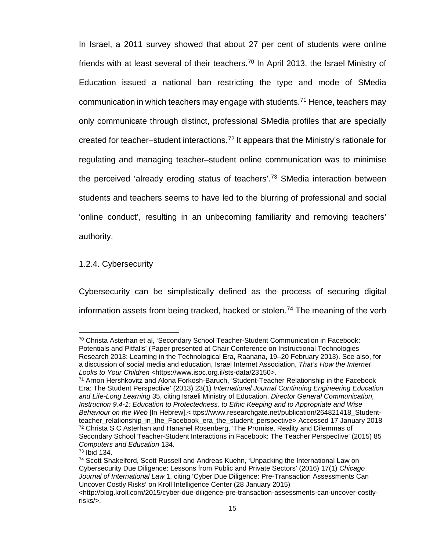In Israel, a 2011 survey showed that about 27 per cent of students were online friends with at least several of their teachers.<sup>[70](#page-22-0)</sup> In April 2013, the Israel Ministry of Education issued a national ban restricting the type and mode of SMedia communication in which teachers may engage with students.<sup>[71](#page-22-1)</sup> Hence, teachers may only communicate through distinct, professional SMedia profiles that are specially created for teacher–student interactions.[72](#page-22-2) It appears that the Ministry's rationale for regulating and managing teacher–student online communication was to minimise the perceived 'already eroding status of teachers'.<sup>[73](#page-22-3)</sup> SMedia interaction between students and teachers seems to have led to the blurring of professional and social 'online conduct', resulting in an unbecoming familiarity and removing teachers' authority.

1.2.4. Cybersecurity

Cybersecurity can be simplistically defined as the process of securing digital information assets from being tracked, hacked or stolen.<sup>[74](#page-22-4)</sup> The meaning of the verb

<span id="page-22-0"></span><sup>70</sup> Christa Asterhan et al, 'Secondary School Teacher-Student Communication in Facebook: Potentials and Pitfalls' (Paper presented at Chair Conference on Instructional Technologies Research 2013: Learning in the Technological Era, Raanana, 19–20 February 2013). See also, for a discussion of social media and education, Israel Internet Association, *That's How the Internet Looks to Your Children <*https://www.isoc.org.il/sts-data/23150>.

<span id="page-22-1"></span><sup>71</sup> Arnon Hershkovitz and Alona Forkosh-Baruch, 'Student-Teacher Relationship in the Facebook Era: The Student Perspective' (2013) 23(1) *International Journal Continuing Engineering Education and Life-Long Learning* 35, citing Israeli Ministry of Education, *Director General Communication, Instruction 9.4-1: Education to Protectedness, to Ethic Keeping and to Appropriate and Wise Behaviour on the Web* [In Hebrew].< ttps://www.researchgate.net/publication/264821418\_Studentteacher\_relationship\_in\_the\_Facebook\_era\_the\_student\_perspective> Accessed 17 January 2018 <sup>72</sup> Christa S C Asterhan and Hananel Rosenberg, 'The Promise, Reality and Dilemmas of Secondary School Teacher-Student Interactions in Facebook: The Teacher Perspective' (2015) 85 *Computers and Education* 134.

<span id="page-22-3"></span><span id="page-22-2"></span><sup>73</sup> Ibid 134.

<span id="page-22-4"></span><sup>74</sup> Scott Shakelford, Scott Russell and Andreas Kuehn, 'Unpacking the International Law on Cybersecurity Due Diligence: Lessons from Public and Private Sectors' (2016) 17(1) *Chicago Journal of International Law* 1, citing 'Cyber Due Diligence: Pre-Transaction Assessments Can Uncover Costly Risks' on Kroll Intelligence Center (28 January 2015)

[<sup>&</sup>lt;http://blog.kroll.com/2015/cyber-due-diligence-pre-transaction-assessments-can-uncover-costly](http://blog.kroll.com/2015/cyber-due-diligence-pre-transaction-assessments-can-uncover-costly-risks/)[risks/>](http://blog.kroll.com/2015/cyber-due-diligence-pre-transaction-assessments-can-uncover-costly-risks/).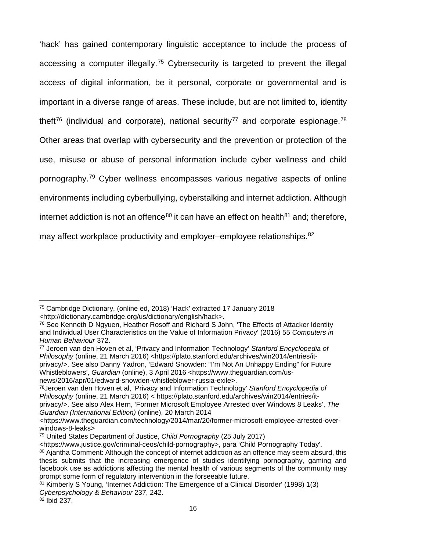'hack' has gained contemporary linguistic acceptance to include the process of accessing a computer illegally.[75](#page-23-0) Cybersecurity is targeted to prevent the illegal access of digital information, be it personal, corporate or governmental and is important in a diverse range of areas. These include, but are not limited to, identity theft<sup>[76](#page-23-1)</sup> (individual and corporate), national security<sup>[77](#page-23-2)</sup> and corporate espionage.<sup>[78](#page-23-3)</sup> Other areas that overlap with cybersecurity and the prevention or protection of the use, misuse or abuse of personal information include cyber wellness and child pornography.[79](#page-23-4) Cyber wellness encompasses various negative aspects of online environments including cyberbullying, cyberstalking and internet addiction. Although internet addiction is not an offence<sup>[80](#page-23-5)</sup> it can have an effect on health<sup>[81](#page-23-6)</sup> and; therefore, may affect workplace productivity and employer–employee relationships.<sup>[82](#page-23-7)</sup>

 $\overline{\phantom{a}}$ 

<span id="page-23-0"></span><sup>75</sup> Cambridge Dictionary, (online ed, 2018) 'Hack' extracted 17 January 2018 <http://dictionary.cambridge.org/us/dictionary/english/hack>.

<span id="page-23-1"></span><sup>&</sup>lt;sup>76</sup> See Kenneth D Ngyuen, Heather Rosoff and Richard S John, 'The Effects of Attacker Identity and Individual User Characteristics on the Value of Information Privacy' (2016) 55 *Computers in Human Behaviour* 372.

<span id="page-23-2"></span><sup>77</sup> Jeroen van den Hoven et al, 'Privacy and Information Technology' *Stanford Encyclopedia of Philosophy* (online, 21 March 2016) [<https://plato.stanford.edu/archives/win2014/entries/it](https://plato.stanford.edu/archives/win2014/entries/it-privacy/)[privacy/>](https://plato.stanford.edu/archives/win2014/entries/it-privacy/). See also Danny Yadron, 'Edward Snowden: "I'm Not An Unhappy Ending" for Future Whistleblowers', *Guardian* (online), 3 April 2016 <https://www.theguardian.com/usnews/2016/apr/01/edward-snowden-whistleblower-russia-exile>.

<span id="page-23-3"></span><sup>78</sup>Jeroen van den Hoven et al, 'Privacy and Information Technology' *Stanford Encyclopedia of Philosophy* (online, 21 March 2016) < [https://plato.stanford.edu/archives/win2014/entries/it](https://plato.stanford.edu/archives/win2014/entries/it-privacy/)[privacy/>](https://plato.stanford.edu/archives/win2014/entries/it-privacy/). See also Alex Hern, 'Former Microsoft Employee Arrested over Windows 8 Leaks', *The Guardian (International Edition)* (online), 20 March 2014

<sup>&</sup>lt;https://www.theguardian.com/technology/2014/mar/20/former-microsoft-employee-arrested-overwindows-8-leaks>

<span id="page-23-4"></span><sup>79</sup> United States Department of Justice, *Child Pornography* (25 July 2017)

<sup>&</sup>lt;https://www.justice.gov/criminal-ceos/child-pornography>, para 'Child Pornography Today'.

<span id="page-23-5"></span><sup>80</sup> Ajantha Comment: Although the concept of internet addiction as an offence may seem absurd, this thesis submits that the increasing emergence of studies identifying pornography, gaming and facebook use as addictions affecting the mental health of various segments of the community may prompt some form of regulatory intervention in the forseeable future.

<span id="page-23-6"></span><sup>81</sup> Kimberly S Young, 'Internet Addiction: The Emergence of a Clinical Disorder' (1998) 1(3) *Cyberpsychology & Behaviour* 237, 242.

<span id="page-23-7"></span><sup>82</sup> Ibid 237.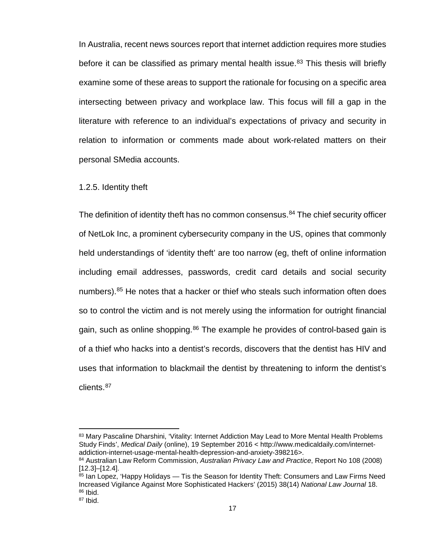In Australia, recent news sources report that internet addiction requires more studies before it can be classified as primary mental health issue.<sup>[83](#page-24-0)</sup> This thesis will briefly examine some of these areas to support the rationale for focusing on a specific area intersecting between privacy and workplace law. This focus will fill a gap in the literature with reference to an individual's expectations of privacy and security in relation to information or comments made about work-related matters on their personal SMedia accounts.

1.2.5. Identity theft

The definition of identity theft has no common consensus. $84$  The chief security officer of NetLok Inc, a prominent cybersecurity company in the US, opines that commonly held understandings of 'identity theft' are too narrow (eg, theft of online information including email addresses, passwords, credit card details and social security numbers). [85](#page-24-2) He notes that a hacker or thief who steals such information often does so to control the victim and is not merely using the information for outright financial gain, such as online shopping.<sup>[86](#page-24-3)</sup> The example he provides of control-based gain is of a thief who hacks into a dentist's records, discovers that the dentist has HIV and uses that information to blackmail the dentist by threatening to inform the dentist's clients.[87](#page-24-4)

<span id="page-24-0"></span><sup>83</sup> Mary Pascaline Dharshini, 'Vitality: Internet Addiction May Lead to More Mental Health Problems Study Finds', *Medical Daily* (online), 19 September 2016 < http://www.medicaldaily.com/internetaddiction-internet-usage-mental-health-depression-and-anxiety-398216>.

<span id="page-24-1"></span><sup>84</sup> Australian Law Reform Commission, *Australian Privacy Law and Practice*, Report No 108 (2008) [12.3]–[12.4].

<span id="page-24-2"></span><sup>85</sup> Ian Lopez, 'Happy Holidays — Tis the Season for Identity Theft: Consumers and Law Firms Need Increased Vigilance Against More Sophisticated Hackers' (2015) 38(14) *National Law Journal* 18. <sup>86</sup> Ibid.

<span id="page-24-4"></span><span id="page-24-3"></span><sup>87</sup> Ibid.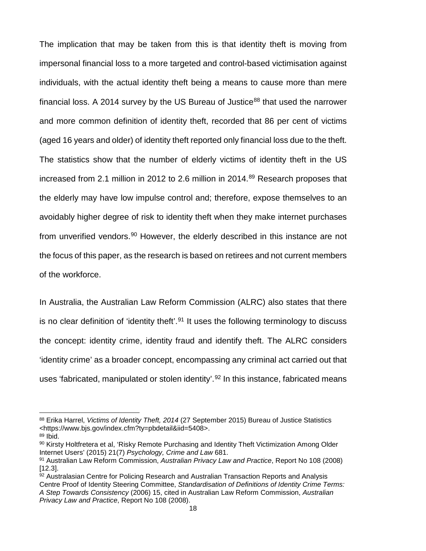The implication that may be taken from this is that identity theft is moving from impersonal financial loss to a more targeted and control-based victimisation against individuals, with the actual identity theft being a means to cause more than mere financial loss. A 2014 survey by the US Bureau of Justice<sup>[88](#page-25-0)</sup> that used the narrower and more common definition of identity theft, recorded that 86 per cent of victims (aged 16 years and older) of identity theft reported only financial loss due to the theft. The statistics show that the number of elderly victims of identity theft in the US increased from 2.1 million in 2012 to 2.6 million in 2014.<sup>[89](#page-25-1)</sup> Research proposes that the elderly may have low impulse control and; therefore, expose themselves to an avoidably higher degree of risk to identity theft when they make internet purchases from unverified vendors.<sup>[90](#page-25-2)</sup> However, the elderly described in this instance are not the focus of this paper, as the research is based on retirees and not current members of the workforce.

In Australia, the Australian Law Reform Commission (ALRC) also states that there is no clear definition of 'identity theft'.<sup>[91](#page-25-3)</sup> It uses the following terminology to discuss the concept: identity crime, identity fraud and identify theft. The ALRC considers 'identity crime' as a broader concept, encompassing any criminal act carried out that uses 'fabricated, manipulated or stolen identity'.<sup>[92](#page-25-4)</sup> In this instance, fabricated means

l

<span id="page-25-0"></span><sup>88</sup> Erika Harrel, *Victims of Identity Theft, 2014* (27 September 2015) Bureau of Justice Statistics <https://www.bjs.gov/index.cfm?ty=pbdetail&iid=5408>.

<span id="page-25-1"></span> $89$  Ibid.

<span id="page-25-2"></span><sup>90</sup> Kirsty Holtfretera et al, 'Risky Remote Purchasing and Identity Theft Victimization Among Older Internet Users' (2015) 21(7) *Psychology, Crime and Law* 681.

<span id="page-25-3"></span><sup>91</sup> Australian Law Reform Commission, *Australian Privacy Law and Practice*, Report No 108 (2008) [12.3].

<span id="page-25-4"></span><sup>92</sup> Australasian Centre for Policing Research and Australian Transaction Reports and Analysis Centre Proof of Identity Steering Committee, *Standardisation of Definitions of Identity Crime Terms: A Step Towards Consistency* (2006) 15, cited in Australian Law Reform Commission, *Australian Privacy Law and Practice*, Report No 108 (2008).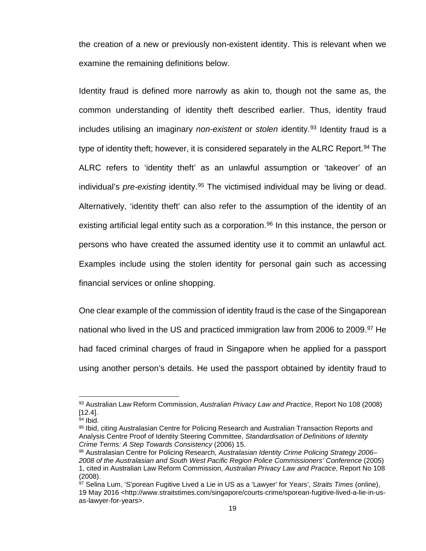the creation of a new or previously non-existent identity. This is relevant when we examine the remaining definitions below.

Identity fraud is defined more narrowly as akin to, though not the same as, the common understanding of identity theft described earlier. Thus, identity fraud includes utilising an imaginary *non-existent* or *stolen* identity.<sup>[93](#page-26-0)</sup> Identity fraud is a type of identity theft; however, it is considered separately in the ALRC Report.<sup>[94](#page-26-1)</sup> The ALRC refers to 'identity theft' as an unlawful assumption or 'takeover' of an individual's *pre-existing* identity.<sup>[95](#page-26-2)</sup> The victimised individual may be living or dead. Alternatively, 'identity theft' can also refer to the assumption of the identity of an existing artificial legal entity such as a corporation.<sup>96</sup> In this instance, the person or persons who have created the assumed identity use it to commit an unlawful act. Examples include using the stolen identity for personal gain such as accessing financial services or online shopping.

One clear example of the commission of identity fraud is the case of the Singaporean national who lived in the US and practiced immigration law from 2006 to 2009.<sup>[97](#page-26-4)</sup> He had faced criminal charges of fraud in Singapore when he applied for a passport using another person's details. He used the passport obtained by identity fraud to

<span id="page-26-0"></span><sup>93</sup> Australian Law Reform Commission, *Australian Privacy Law and Practice*, Report No 108 (2008) [12.4].

<span id="page-26-1"></span><sup>94</sup> Ibid.

<span id="page-26-2"></span><sup>95</sup> Ibid, citing Australasian Centre for Policing Research and Australian Transaction Reports and Analysis Centre Proof of Identity Steering Committee, *Standardisation of Definitions of Identity Crime Terms: A Step Towards Consistency* (2006) 15.

<span id="page-26-3"></span><sup>96</sup> Australasian Centre for Policing Research, *Australasian Identity Crime Policing Strategy 2006– 2008 of the Australasian and South West Pacific Region Police Commissioners' Conference* (2005) 1, cited in Australian Law Reform Commission, *Australian Privacy Law and Practice*, Report No 108 (2008).

<span id="page-26-4"></span><sup>97</sup> Selina Lum, 'S'porean Fugitive Lived a Lie in US as a 'Lawyer' for Years', *Straits Times* (online), 19 May 2016 <http://www.straitstimes.com/singapore/courts-crime/sporean-fugitive-lived-a-lie-in-usas-lawyer-for-years>.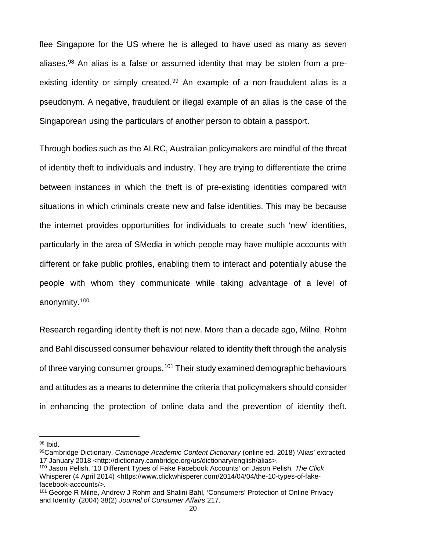flee Singapore for the US where he is alleged to have used as many as seven aliases. $98$  An alias is a false or assumed identity that may be stolen from a pre-existing identity or simply created.<sup>[99](#page-27-1)</sup> An example of a non-fraudulent alias is a pseudonym. A negative, fraudulent or illegal example of an alias is the case of the Singaporean using the particulars of another person to obtain a passport.

Through bodies such as the ALRC, Australian policymakers are mindful of the threat of identity theft to individuals and industry. They are trying to differentiate the crime between instances in which the theft is of pre-existing identities compared with situations in which criminals create new and false identities. This may be because the internet provides opportunities for individuals to create such 'new' identities, particularly in the area of SMedia in which people may have multiple accounts with different or fake public profiles, enabling them to interact and potentially abuse the people with whom they communicate while taking advantage of a level of anonymity.[100](#page-27-2)

Research regarding identity theft is not new. More than a decade ago, Milne, Rohm and Bahl discussed consumer behaviour related to identity theft through the analysis of three varying consumer groups.[101](#page-27-3) Their study examined demographic behaviours and attitudes as a means to determine the criteria that policymakers should consider in enhancing the protection of online data and the prevention of identity theft.

l

<span id="page-27-2"></span><sup>100</sup> Jason Pelish, '10 Different Types of Fake Facebook Accounts' on Jason Pelish, *The Click*  Whisperer (4 April 2014) <https://www.clickwhisperer.com/2014/04/04/the-10-types-of-fakefacebook-accounts/>.

<span id="page-27-0"></span><sup>98</sup> Ibid.

<span id="page-27-1"></span><sup>99</sup>Cambridge Dictionary, *Cambridge Academic Content Dictionary* (online ed, 2018) 'Alias' extracted 17 January 2018 <http://dictionary.cambridge.org/us/dictionary/english/alias>.

<span id="page-27-3"></span><sup>101</sup> George R Milne, Andrew J Rohm and Shalini Bahl, 'Consumers' Protection of Online Privacy and Identity' (2004) 38(2) *Journal of Consumer Affairs* 217.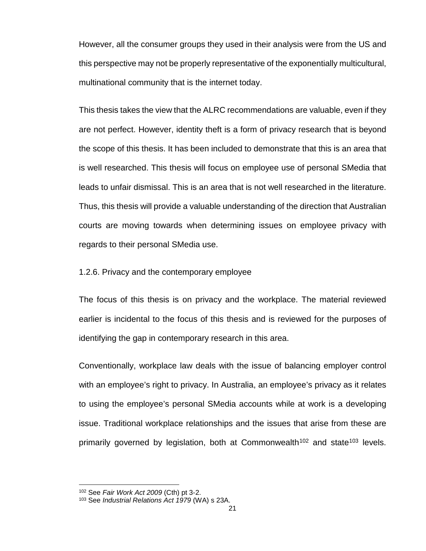However, all the consumer groups they used in their analysis were from the US and this perspective may not be properly representative of the exponentially multicultural, multinational community that is the internet today.

This thesis takes the view that the ALRC recommendations are valuable, even if they are not perfect. However, identity theft is a form of privacy research that is beyond the scope of this thesis. It has been included to demonstrate that this is an area that is well researched. This thesis will focus on employee use of personal SMedia that leads to unfair dismissal. This is an area that is not well researched in the literature. Thus, this thesis will provide a valuable understanding of the direction that Australian courts are moving towards when determining issues on employee privacy with regards to their personal SMedia use.

1.2.6. Privacy and the contemporary employee

The focus of this thesis is on privacy and the workplace. The material reviewed earlier is incidental to the focus of this thesis and is reviewed for the purposes of identifying the gap in contemporary research in this area.

Conventionally, workplace law deals with the issue of balancing employer control with an employee's right to privacy. In Australia, an employee's privacy as it relates to using the employee's personal SMedia accounts while at work is a developing issue. Traditional workplace relationships and the issues that arise from these are primarily governed by legislation, both at Commonwealth<sup>[102](#page-28-0)</sup> and state<sup>[103](#page-28-1)</sup> levels.

<sup>102</sup> See *Fair Work Act 2009* (Cth) pt 3-2.

<span id="page-28-1"></span><span id="page-28-0"></span><sup>103</sup> See *Industrial Relations Act 1979* (WA) s 23A.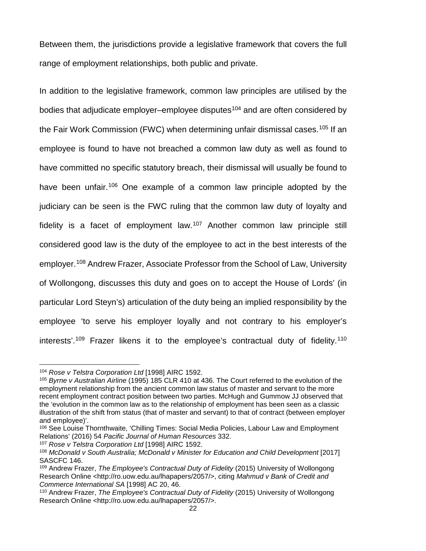Between them, the jurisdictions provide a legislative framework that covers the full range of employment relationships, both public and private.

In addition to the legislative framework, common law principles are utilised by the bodies that adjudicate employer–employee disputes<sup>[104](#page-29-0)</sup> and are often considered by the Fair Work Commission (FWC) when determining unfair dismissal cases.[105](#page-29-1) If an employee is found to have not breached a common law duty as well as found to have committed no specific statutory breach, their dismissal will usually be found to have been unfair.<sup>[106](#page-29-2)</sup> One example of a common law principle adopted by the judiciary can be seen is the FWC ruling that the common law duty of loyalty and fidelity is a facet of employment law.[107](#page-29-3) Another common law principle still considered good law is the duty of the employee to act in the best interests of the employer.[108](#page-29-4) Andrew Frazer, Associate Professor from the School of Law, University of Wollongong, discusses this duty and goes on to accept the House of Lords' (in particular Lord Steyn's) articulation of the duty being an implied responsibility by the employee 'to serve his employer loyally and not contrary to his employer's interests'.<sup>[109](#page-29-5)</sup> Frazer likens it to the employee's contractual duty of fidelity.<sup>[110](#page-29-6)</sup>

l

<span id="page-29-3"></span><sup>107</sup> *Rose v Telstra Corporation Ltd* [1998] AIRC 1592.

<span id="page-29-0"></span><sup>104</sup> *Rose v Telstra Corporation Ltd* [1998] AIRC 1592.

<span id="page-29-1"></span><sup>105</sup> *Byrne v Australian Airline* (1995) 185 CLR 410 at 436. The Court referred to the evolution of the employment relationship from the ancient common law status of master and servant to the more recent employment contract position between two parties. McHugh and Gummow JJ observed that the 'evolution in the common law as to the relationship of employment has been seen as a classic illustration of the shift from status (that of master and servant) to that of contract (between employer and employee)'.

<span id="page-29-2"></span><sup>106</sup> See Louise Thornthwaite, 'Chilling Times: Social Media Policies, Labour Law and Employment Relations' (2016) 54 *Pacific Journal of Human Resources* 332.

<span id="page-29-4"></span><sup>&</sup>lt;sup>108</sup> McDonald v South Australia; McDonald v Minister for Education and Child Development [2017] SASCFC 146.

<span id="page-29-5"></span><sup>109</sup> Andrew Frazer, *The Employee's Contractual Duty of Fidelity* (2015) University of Wollongong Research Online [<http://ro.uow.edu.au/lhapapers/2057/>](http://ro.uow.edu.au/lhapapers/2057/), citing *Mahmud v Bank of Credit and Commerce International SA* [1998] AC 20, 46.

<span id="page-29-6"></span><sup>110</sup> Andrew Frazer, *The Employee's Contractual Duty of Fidelity* (2015) University of Wollongong Research Online <http://ro.uow.edu.au/lhapapers/2057/>.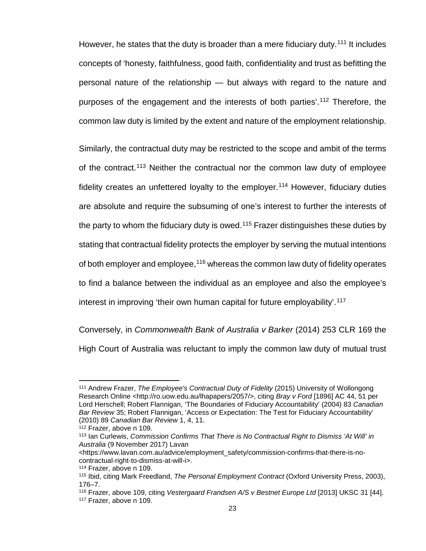However, he states that the duty is broader than a mere fiduciary duty.<sup>[111](#page-30-0)</sup> It includes concepts of 'honesty, faithfulness, good faith, confidentiality and trust as befitting the personal nature of the relationship — but always with regard to the nature and purposes of the engagement and the interests of both parties'. [112](#page-30-1) Therefore, the common law duty is limited by the extent and nature of the employment relationship.

Similarly, the contractual duty may be restricted to the scope and ambit of the terms of the contract.[113](#page-30-2) Neither the contractual nor the common law duty of employee fidelity creates an unfettered loyalty to the employer.<sup>[114](#page-30-3)</sup> However, fiduciary duties are absolute and require the subsuming of one's interest to further the interests of the party to whom the fiduciary duty is owed.<sup>[115](#page-30-4)</sup> Frazer distinguishes these duties by stating that contractual fidelity protects the employer by serving the mutual intentions of both employer and employee,<sup>[116](#page-30-5)</sup> whereas the common law duty of fidelity operates to find a balance between the individual as an employee and also the employee's interest in improving 'their own human capital for future employability'.<sup>[117](#page-30-6)</sup>

Conversely, in *Commonwealth Bank of Australia v Barker* (2014) 253 CLR 169 the High Court of Australia was reluctant to imply the common law duty of mutual trust

<span id="page-30-0"></span><sup>111</sup> Andrew Frazer, *The Employee's Contractual Duty of Fidelity* (2015) University of Wollongong Research Online [<http://ro.uow.edu.au/lhapapers/2057/>](http://ro.uow.edu.au/lhapapers/2057/), citing *Bray v Ford* [1896] AC 44, 51 per Lord Herschell; Robert Flannigan, 'The Boundaries of Fiduciary Accountability' (2004) 83 *Canadian Bar Review* 35; Robert Flannigan, 'Access or Expectation: The Test for Fiduciary Accountability' (2010) 89 *Canadian Bar Review* 1, 4, 11.

<sup>112</sup> Frazer, above n 109.

<span id="page-30-2"></span><span id="page-30-1"></span><sup>113</sup> Ian Curlewis, *Commission Confirms That There is No Contractual Right to Dismiss 'At Will' in Australia* (9 November 2017) Lavan

<sup>&</sup>lt;https://www.lavan.com.au/advice/employment\_safety/commission-confirms-that-there-is-nocontractual-right-to-dismiss-at-will-i>.

<span id="page-30-3"></span><sup>114</sup> Frazer, above n 109.

<span id="page-30-4"></span><sup>115</sup> Ibid, citing Mark Freedland, *The Personal Employment Contract* (Oxford University Press, 2003), 176–7.

<span id="page-30-5"></span><sup>116</sup> Frazer, above 109, citing *Vestergaard Frandsen A/S v Bestnet Europe Ltd* [2013] UKSC 31 [44].

<span id="page-30-6"></span><sup>117</sup> Frazer, above n 109.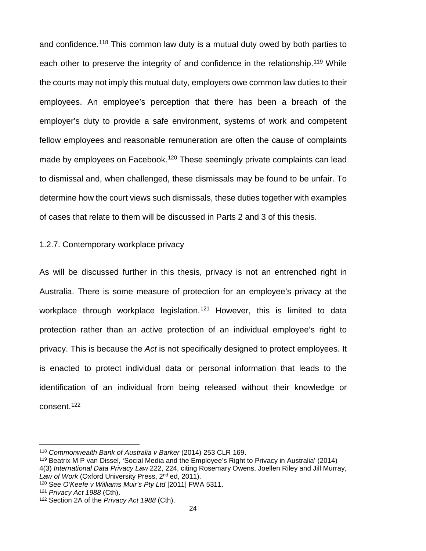and confidence.<sup>[118](#page-31-0)</sup> This common law duty is a mutual duty owed by both parties to each other to preserve the integrity of and confidence in the relationship.<sup>[119](#page-31-1)</sup> While the courts may not imply this mutual duty, employers owe common law duties to their employees. An employee's perception that there has been a breach of the employer's duty to provide a safe environment, systems of work and competent fellow employees and reasonable remuneration are often the cause of complaints made by employees on Facebook.<sup>[120](#page-31-2)</sup> These seemingly private complaints can lead to dismissal and, when challenged, these dismissals may be found to be unfair. To determine how the court views such dismissals, these duties together with examples of cases that relate to them will be discussed in Parts 2 and 3 of this thesis.

#### 1.2.7. Contemporary workplace privacy

As will be discussed further in this thesis, privacy is not an entrenched right in Australia. There is some measure of protection for an employee's privacy at the workplace through workplace legislation.<sup>[121](#page-31-3)</sup> However, this is limited to data protection rather than an active protection of an individual employee's right to privacy. This is because the *Act* is not specifically designed to protect employees. It is enacted to protect individual data or personal information that leads to the identification of an individual from being released without their knowledge or consent[.122](#page-31-4)

 $\overline{\phantom{a}}$ 

<span id="page-31-0"></span><sup>118</sup> *Commonwealth Bank of Australia v Barker* (2014) 253 CLR 169.

<span id="page-31-1"></span><sup>119</sup> Beatrix M P van Dissel, 'Social Media and the Employee's Right to Privacy in Australia' (2014) 4(3) *International Data Privacy Law* 222, 224, citing Rosemary Owens, Joellen Riley and Jill Murray, Law of Work (Oxford University Press, 2<sup>nd</sup> ed, 2011).

<span id="page-31-2"></span><sup>120</sup> See *O'Keefe v Williams Muir's Pty Ltd* [2011] FWA 5311.

<span id="page-31-3"></span><sup>121</sup> *Privacy Act 1988* (Cth).

<span id="page-31-4"></span><sup>122</sup> Section 2A of the *Privacy Act 1988* (Cth).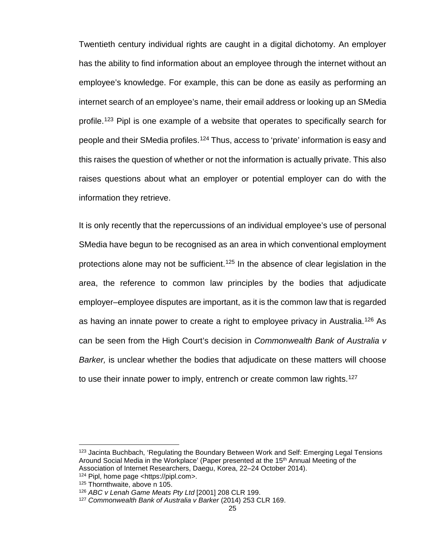Twentieth century individual rights are caught in a digital dichotomy. An employer has the ability to find information about an employee through the internet without an employee's knowledge. For example, this can be done as easily as performing an internet search of an employee's name, their email address or looking up an SMedia profile.[123](#page-32-0) Pipl is one example of a website that operates to specifically search for people and their SMedia profiles.<sup>[124](#page-32-1)</sup> Thus, access to 'private' information is easy and this raises the question of whether or not the information is actually private. This also raises questions about what an employer or potential employer can do with the information they retrieve.

It is only recently that the repercussions of an individual employee's use of personal SMedia have begun to be recognised as an area in which conventional employment protections alone may not be sufficient.<sup>[125](#page-32-2)</sup> In the absence of clear legislation in the area, the reference to common law principles by the bodies that adjudicate employer–employee disputes are important, as it is the common law that is regarded as having an innate power to create a right to employee privacy in Australia.[126](#page-32-3) As can be seen from the High Court's decision in *Commonwealth Bank of Australia v Barker,* is unclear whether the bodies that adjudicate on these matters will choose to use their innate power to imply, entrench or create common law rights.<sup>[127](#page-32-4)</sup>

<span id="page-32-0"></span><sup>&</sup>lt;sup>123</sup> Jacinta Buchbach, 'Regulating the Boundary Between Work and Self: Emerging Legal Tensions Around Social Media in the Workplace' (Paper presented at the 15th Annual Meeting of the Association of Internet Researchers, Daegu, Korea, 22–24 October 2014).

<span id="page-32-1"></span><sup>124</sup> Pipl, home page <https://pipl.com>.

<span id="page-32-2"></span><sup>125</sup> Thornthwaite, above n 105.

<span id="page-32-3"></span><sup>126</sup> *ABC v Lenah Game Meats Pty Ltd* [2001] 208 CLR 199.

<span id="page-32-4"></span><sup>127</sup> *Commonwealth Bank of Australia v Barker* (2014) 253 CLR 169.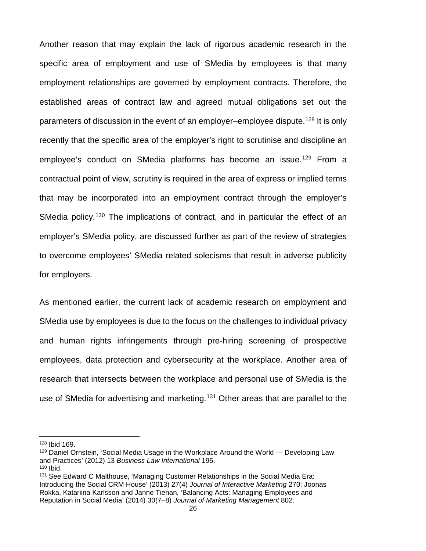Another reason that may explain the lack of rigorous academic research in the specific area of employment and use of SMedia by employees is that many employment relationships are governed by employment contracts. Therefore, the established areas of contract law and agreed mutual obligations set out the parameters of discussion in the event of an employer–employee dispute.<sup>[128](#page-33-0)</sup> It is only recently that the specific area of the employer's right to scrutinise and discipline an employee's conduct on SMedia platforms has become an issue.<sup>129</sup> From a contractual point of view, scrutiny is required in the area of express or implied terms that may be incorporated into an employment contract through the employer's SMedia policy.<sup>[130](#page-33-2)</sup> The implications of contract, and in particular the effect of an employer's SMedia policy, are discussed further as part of the review of strategies to overcome employees' SMedia related solecisms that result in adverse publicity for employers.

As mentioned earlier, the current lack of academic research on employment and SMedia use by employees is due to the focus on the challenges to individual privacy and human rights infringements through pre-hiring screening of prospective employees, data protection and cybersecurity at the workplace. Another area of research that intersects between the workplace and personal use of SMedia is the use of SMedia for advertising and marketing.<sup>[131](#page-33-3)</sup> Other areas that are parallel to the

l

<span id="page-33-0"></span><sup>128</sup> Ibid 169.

<span id="page-33-1"></span><sup>129</sup> Daniel Ornstein, 'Social Media Usage in the Workplace Around the World — Developing Law and Practices' (2012) 13 *Business Law International* 195. <sup>130</sup> Ibid.

<span id="page-33-3"></span><span id="page-33-2"></span><sup>&</sup>lt;sup>131</sup> See Edward C Malthouse, 'Managing Customer Relationships in the Social Media Era: Introducing the Social CRM House' (2013) 27(4) *Journal of Interactive Marketing* 270; Joonas Rokka, Katariina Karlsson and Janne Tienan, 'Balancing Acts: Managing Employees and Reputation in Social Media' (2014) 30(7–8) *Journal of Marketing Management* 802.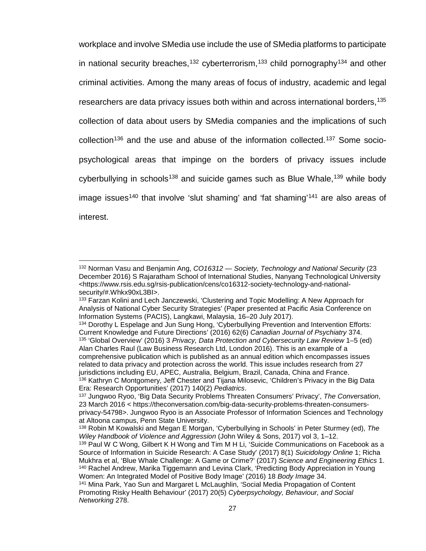workplace and involve SMedia use include the use of SMedia platforms to participate in national security breaches,<sup>[132](#page-34-0)</sup> cyberterrorism,<sup>[133](#page-34-1)</sup> child pornography<sup>[134](#page-34-2)</sup> and other criminal activities. Among the many areas of focus of industry, academic and legal researchers are data privacy issues both within and across international borders, <sup>[135](#page-34-3)</sup> collection of data about users by SMedia companies and the implications of such collection<sup>[136](#page-34-4)</sup> and the use and abuse of the information collected.<sup>[137](#page-34-5)</sup> Some sociopsychological areas that impinge on the borders of privacy issues include cyberbullying in schools<sup>[138](#page-34-6)</sup> and suicide games such as Blue Whale,<sup>[139](#page-34-7)</sup> while body image issues<sup>140</sup> that involve 'slut shaming' and 'fat shaming'<sup>[141](#page-34-9)</sup> are also areas of interest.

<span id="page-34-0"></span><sup>132</sup> Norman Vasu and Benjamin Ang, *CO16312 — Society, Technology and National Security* (23 December 2016) S Rajaratham School of International Studies, Nanyang Technological University <https://www.rsis.edu.sg/rsis-publication/cens/co16312-society-technology-and-nationalsecurity/#.Whkx90xL3BI>.

<span id="page-34-1"></span><sup>133</sup> Farzan Kolini and Lech Janczewski, 'Clustering and Topic Modelling: A New Approach for Analysis of National Cyber Security Strategies' (Paper presented at Pacific Asia Conference on Information Systems (PACIS), Langkawi, Malaysia, 16–20 July 2017).

<span id="page-34-3"></span><span id="page-34-2"></span><sup>134</sup> Dorothy L Espelage and Jun Sung Hong, 'Cyberbullying Prevention and Intervention Efforts: Current Knowledge and Future Directions' (2016) 62(6) *Canadian Journal of Psychiatry* 374. <sup>135</sup> 'Global Overview' (2016) 3 *Privacy, Data Protection and Cybersecurity Law Review* 1–5 (ed) Alan Charles Raul (Law Business Research Ltd, London 2016). This is an example of a comprehensive publication which is published as an annual edition which encompasses issues related to data privacy and protection across the world. This issue includes research from 27 jurisdictions including EU, APEC, Australia, Belgium, Brazil, Canada, China and France. <sup>136</sup> Kathryn C Montgomery, Jeff Chester and Tijana Milosevic, 'Children's Privacy in the Big Data Era: Research Opportunities' (2017) 140(2) *Pediatrics*.

<span id="page-34-5"></span><span id="page-34-4"></span><sup>137</sup> Jungwoo Ryoo, 'Big Data Security Problems Threaten Consumers' Privacy', *The Conversation*, 23 March 2016 < [https://theconversation.com/big-data-security-problems-threaten-consumers](https://theconversation.com/big-data-security-problems-threaten-consumers-privacy-54798)[privacy-54798>](https://theconversation.com/big-data-security-problems-threaten-consumers-privacy-54798). Jungwoo Ryoo is an Associate Professor of Information Sciences and Technology at Altoona campus, Penn State University.

<span id="page-34-6"></span><sup>138</sup> Robin M Kowalski and Megan E Morgan, 'Cyberbullying in Schools' in Peter Sturmey (ed), *The Wiley Handbook of Violence and Aggression* (John Wiley & Sons, 2017) vol 3, 1–12.

<span id="page-34-7"></span><sup>&</sup>lt;sup>139</sup> Paul W C Wong, Gilbert K H Wong and Tim M H Li, 'Suicide Communications on Facebook as a Source of Information in Suicide Research: A Case Study' (2017) 8(1) *Suicidology Online* 1; Richa Mukhra et al, 'Blue Whale Challenge: A Game or Crime?' (2017) *Science and Engineering Ethics* 1. <sup>140</sup> Rachel Andrew, Marika Tiggemann and Levina Clark, 'Predicting Body Appreciation in Young Women: An Integrated Model of Positive Body Image' (2016) 18 *Body Image* 34.

<span id="page-34-9"></span><span id="page-34-8"></span><sup>141</sup> Mina Park, Yao Sun and Margaret L McLaughlin, 'Social Media Propagation of Content Promoting Risky Health Behaviour' (2017) 20(5) *Cyberpsychology, Behaviour, and Social Networking* 278.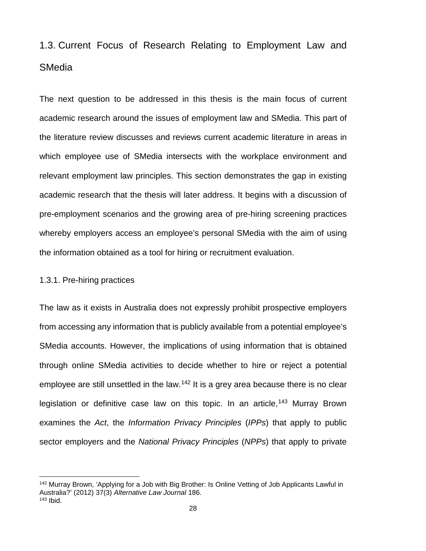# 1.3. Current Focus of Research Relating to Employment Law and SMedia

The next question to be addressed in this thesis is the main focus of current academic research around the issues of employment law and SMedia. This part of the literature review discusses and reviews current academic literature in areas in which employee use of SMedia intersects with the workplace environment and relevant employment law principles. This section demonstrates the gap in existing academic research that the thesis will later address. It begins with a discussion of pre-employment scenarios and the growing area of pre-hiring screening practices whereby employers access an employee's personal SMedia with the aim of using the information obtained as a tool for hiring or recruitment evaluation.

#### 1.3.1. Pre-hiring practices

l

The law as it exists in Australia does not expressly prohibit prospective employers from accessing any information that is publicly available from a potential employee's SMedia accounts. However, the implications of using information that is obtained through online SMedia activities to decide whether to hire or reject a potential employee are still unsettled in the law.<sup>[142](#page-35-0)</sup> It is a grey area because there is no clear legislation or definitive case law on this topic. In an article,  $143$  Murray Brown examines the *Act*, the *Information Privacy Principles* (*IPPs*) that apply to public sector employers and the *National Privacy Principles* (*NPPs*) that apply to private

<span id="page-35-1"></span><span id="page-35-0"></span><sup>&</sup>lt;sup>142</sup> Murray Brown, 'Applying for a Job with Big Brother: Is Online Vetting of Job Applicants Lawful in Australia?' (2012) 37(3) *Alternative Law Journal* 186.  $143$  Ibid.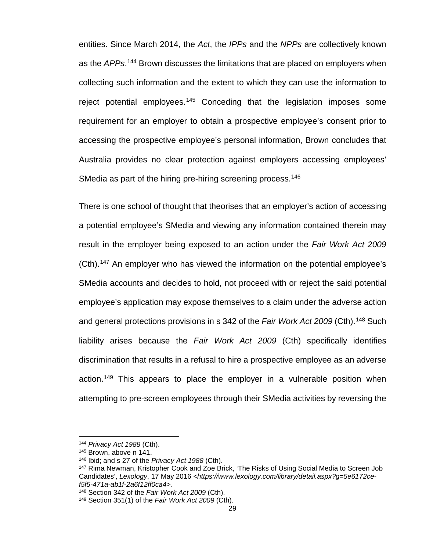entities. Since March 2014, the *Act*, the *IPPs* and the *NPPs* are collectively known as the *APPs*. [144](#page-36-0) Brown discusses the limitations that are placed on employers when collecting such information and the extent to which they can use the information to reject potential employees.<sup>[145](#page-36-1)</sup> Conceding that the legislation imposes some requirement for an employer to obtain a prospective employee's consent prior to accessing the prospective employee's personal information, Brown concludes that Australia provides no clear protection against employers accessing employees' SMedia as part of the hiring pre-hiring screening process.<sup>[146](#page-36-2)</sup>

There is one school of thought that theorises that an employer's action of accessing a potential employee's SMedia and viewing any information contained therein may result in the employer being exposed to an action under the *Fair Work Act 2009*  (Cth).[147](#page-36-3) An employer who has viewed the information on the potential employee's SMedia accounts and decides to hold, not proceed with or reject the said potential employee's application may expose themselves to a claim under the adverse action and general protections provisions in s 342 of the *Fair Work Act* 2009 (Cth).<sup>[148](#page-36-4)</sup> Such liability arises because the *Fair Work Act 2009* (Cth) specifically identifies discrimination that results in a refusal to hire a prospective employee as an adverse action.[149](#page-36-5) This appears to place the employer in a vulnerable position when attempting to pre-screen employees through their SMedia activities by reversing the

<sup>144</sup> *Privacy Act 1988* (Cth).

<span id="page-36-2"></span><span id="page-36-1"></span><span id="page-36-0"></span><sup>145</sup> Brown, above n 141.

<sup>146</sup> Ibid; and s 27 of the *Privacy Act 1988* (Cth).

<span id="page-36-3"></span><sup>147</sup> Rima Newman, Kristopher Cook and Zoe Brick, 'The Risks of Using Social Media to Screen Job Candidates', Lexology, 17 May 2016 <https://www.lexology.com/library/detail.aspx?g=5e6172ce*f5f5-471a-ab1f-2a6f12ff0ca4>.*

<span id="page-36-4"></span><sup>148</sup> Section 342 of the *Fair Work Act 2009* (Cth).

<span id="page-36-5"></span><sup>149</sup> Section 351(1) of the *Fair Work Act 2009* (Cth).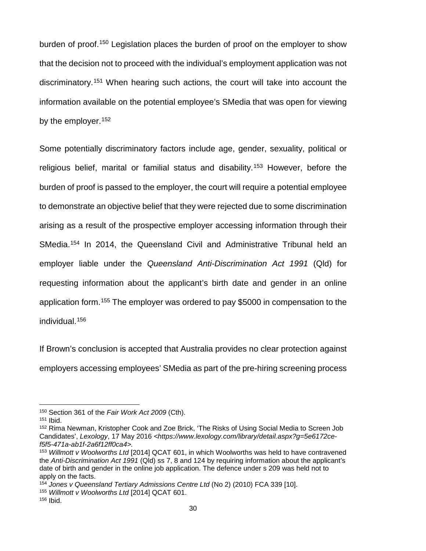burden of proof.[150](#page-37-0) Legislation places the burden of proof on the employer to show that the decision not to proceed with the individual's employment application was not discriminatory.[151](#page-37-1) When hearing such actions, the court will take into account the information available on the potential employee's SMedia that was open for viewing by the employer.<sup>[152](#page-37-2)</sup>

Some potentially discriminatory factors include age, gender, sexuality, political or religious belief, marital or familial status and disability.[153](#page-37-3) However, before the burden of proof is passed to the employer, the court will require a potential employee to demonstrate an objective belief that they were rejected due to some discrimination arising as a result of the prospective employer accessing information through their SMedia.<sup>[154](#page-37-4)</sup> In 2014, the Queensland Civil and Administrative Tribunal held an employer liable under the *Queensland Anti-Discrimination Act 1991* (Qld) for requesting information about the applicant's birth date and gender in an online application form.[155](#page-37-5) The employer was ordered to pay \$5000 in compensation to the individual.[156](#page-37-6)

If Brown's conclusion is accepted that Australia provides no clear protection against employers accessing employees' SMedia as part of the pre-hiring screening process

<span id="page-37-0"></span><sup>150</sup> Section 361 of the *Fair Work Act 2009* (Cth).

<span id="page-37-1"></span><sup>151</sup> Ibid.

<span id="page-37-2"></span><sup>152</sup> Rima Newman, Kristopher Cook and Zoe Brick, 'The Risks of Using Social Media to Screen Job Candidates', *Lexology*, 17 May 2016 *<https://www.lexology.com/library/detail.aspx?g=5e6172cef5f5-471a-ab1f-2a6f12ff0ca4>.*

<span id="page-37-3"></span><sup>153</sup> *Willmott v Woolworths Ltd* [2014] QCAT 601, in which Woolworths was held to have contravened the *Anti-Discrimination Act 1991* (Qld) ss 7, 8 and 124 by requiring information about the applicant's date of birth and gender in the online job application. The defence under s 209 was held not to apply on the facts.

<span id="page-37-5"></span><span id="page-37-4"></span><sup>154</sup> *Jones v Queensland Tertiary Admissions Centre Ltd* (No 2) (2010) FCA 339 [10]. <sup>155</sup> *Willmott v Woolworths Ltd* [2014] QCAT 601.

<span id="page-37-6"></span><sup>156</sup> Ibid.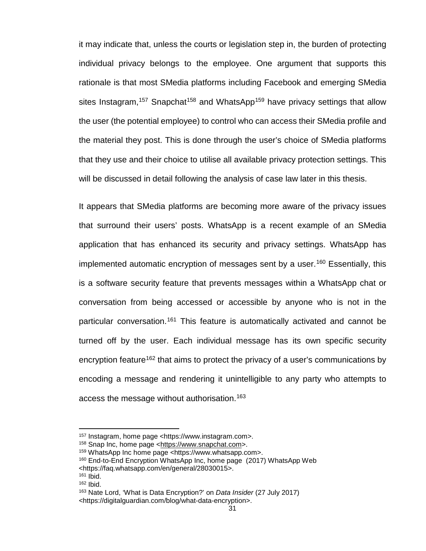it may indicate that, unless the courts or legislation step in, the burden of protecting individual privacy belongs to the employee. One argument that supports this rationale is that most SMedia platforms including Facebook and emerging SMedia sites Instagram,<sup>[157](#page-38-0)</sup> Snapchat<sup>[158](#page-38-1)</sup> and WhatsApp<sup>[159](#page-38-2)</sup> have privacy settings that allow the user (the potential employee) to control who can access their SMedia profile and the material they post. This is done through the user's choice of SMedia platforms that they use and their choice to utilise all available privacy protection settings. This will be discussed in detail following the analysis of case law later in this thesis.

It appears that SMedia platforms are becoming more aware of the privacy issues that surround their users' posts. WhatsApp is a recent example of an SMedia application that has enhanced its security and privacy settings. WhatsApp has implemented automatic encryption of messages sent by a user.<sup>[160](#page-38-3)</sup> Essentially, this is a software security feature that prevents messages within a WhatsApp chat or conversation from being accessed or accessible by anyone who is not in the particular conversation.<sup>[161](#page-38-4)</sup> This feature is automatically activated and cannot be turned off by the user. Each individual message has its own specific security encryption feature<sup>[162](#page-38-5)</sup> that aims to protect the privacy of a user's communications by encoding a message and rendering it unintelligible to any party who attempts to access the message without authorisation.<sup>[163](#page-38-6)</sup>

<span id="page-38-4"></span> $161$  Ibid.

<span id="page-38-0"></span><sup>157</sup> Instagram, home page <https://www.instagram.com>.

<span id="page-38-1"></span><sup>158</sup> Snap Inc, home page [<https://www.snapchat.com>](https://www.snapchat.com/).

<span id="page-38-2"></span><sup>159</sup> WhatsApp Inc home page <https://www.whatsapp.com>.

<span id="page-38-3"></span><sup>160</sup> End-to-End Encryption WhatsApp Inc, home page (2017) WhatsApp Web

<sup>&</sup>lt;https://faq.whatsapp.com/en/general/28030015>.

<sup>162</sup> Ibid.

<span id="page-38-6"></span><span id="page-38-5"></span><sup>163</sup> Nate Lord, 'What is Data Encryption?' on *Data Insider* (27 July 2017) <https://digitalguardian.com/blog/what-data-encryption>.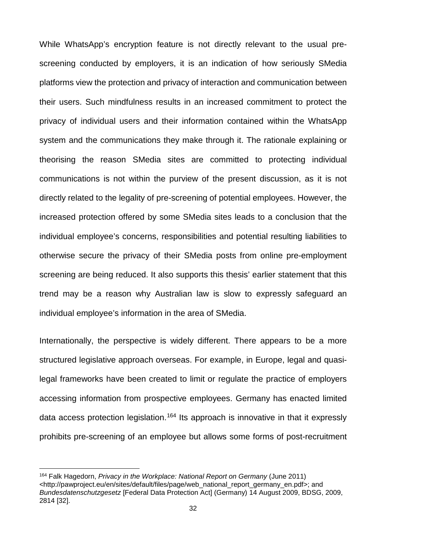While WhatsApp's encryption feature is not directly relevant to the usual prescreening conducted by employers, it is an indication of how seriously SMedia platforms view the protection and privacy of interaction and communication between their users. Such mindfulness results in an increased commitment to protect the privacy of individual users and their information contained within the WhatsApp system and the communications they make through it. The rationale explaining or theorising the reason SMedia sites are committed to protecting individual communications is not within the purview of the present discussion, as it is not directly related to the legality of pre-screening of potential employees. However, the increased protection offered by some SMedia sites leads to a conclusion that the individual employee's concerns, responsibilities and potential resulting liabilities to otherwise secure the privacy of their SMedia posts from online pre-employment screening are being reduced. It also supports this thesis' earlier statement that this trend may be a reason why Australian law is slow to expressly safeguard an individual employee's information in the area of SMedia.

Internationally, the perspective is widely different. There appears to be a more structured legislative approach overseas. For example, in Europe, legal and quasilegal frameworks have been created to limit or regulate the practice of employers accessing information from prospective employees. Germany has enacted limited data access protection legislation.<sup>[164](#page-39-0)</sup> Its approach is innovative in that it expressly prohibits pre-screening of an employee but allows some forms of post-recruitment

<span id="page-39-0"></span><sup>164</sup> Falk Hagedorn, *Privacy in the Workplace: National Report on Germany* (June 2011) <http://pawproject.eu/en/sites/default/files/page/web\_national\_report\_germany\_en.pdf>; and *Bundesdatenschutzgesetz* [Federal Data Protection Act] (Germany) 14 August 2009, BDSG, 2009, 2814 [32].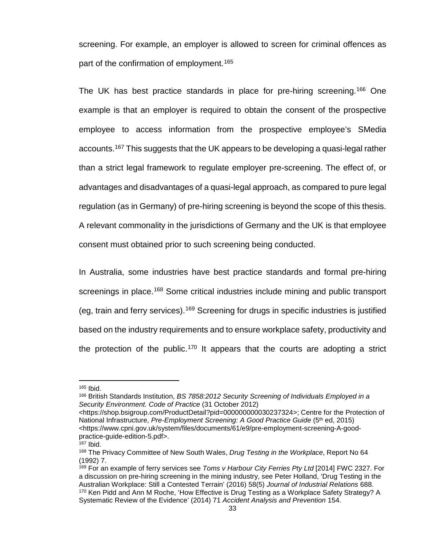screening. For example, an employer is allowed to screen for criminal offences as part of the confirmation of employment.<sup>[165](#page-40-0)</sup>

The UK has best practice standards in place for pre-hiring screening.<sup>[166](#page-40-1)</sup> One example is that an employer is required to obtain the consent of the prospective employee to access information from the prospective employee's SMedia accounts.<sup>[167](#page-40-2)</sup> This suggests that the UK appears to be developing a quasi-legal rather than a strict legal framework to regulate employer pre-screening. The effect of, or advantages and disadvantages of a quasi-legal approach, as compared to pure legal regulation (as in Germany) of pre-hiring screening is beyond the scope of this thesis. A relevant commonality in the jurisdictions of Germany and the UK is that employee consent must obtained prior to such screening being conducted.

In Australia, some industries have best practice standards and formal pre-hiring screenings in place.<sup>[168](#page-40-3)</sup> Some critical industries include mining and public transport (eg, train and ferry services). [169](#page-40-4) Screening for drugs in specific industries is justified based on the industry requirements and to ensure workplace safety, productivity and the protection of the public.<sup>[170](#page-40-5)</sup> It appears that the courts are adopting a strict

<span id="page-40-0"></span><sup>165</sup> Ibid.

<span id="page-40-1"></span><sup>166</sup> British Standards Institution, *BS 7858:2012 Security Screening of Individuals Employed in a Security Environment. Code of Practice* (31 October 2012)

<sup>&</sup>lt;https://shop.bsigroup.com/ProductDetail?pid=000000000030237324>; Centre for the Protection of National Infrastructure, *Pre-Employment Screening: A Good Practice Guide* (5<sup>th</sup> ed, 2015) <https://www.cpni.gov.uk/system/files/documents/61/e9/pre-employment-screening-A-goodpractice-guide-edition-5.pdf>.

 $167$  Ibid.

<span id="page-40-3"></span><span id="page-40-2"></span><sup>168</sup> The Privacy Committee of New South Wales, *Drug Testing in the Workplace*, Report No 64 (1992) 7.

<span id="page-40-5"></span><span id="page-40-4"></span><sup>169</sup> For an example of ferry services see *Toms v Harbour City Ferries Pty Ltd* [2014] FWC 2327. For a discussion on pre-hiring screening in the mining industry, see Peter Holland, 'Drug Testing in the Australian Workplace: Still a Contested Terrain' (2016) 58(5) *Journal of Industrial Relations* 688. 170 Ken Pidd and Ann M Roche, 'How Effective is Drug Testing as a Workplace Safety Strategy? A Systematic Review of the Evidence' (2014) 71 *Accident Analysis and Prevention* 154.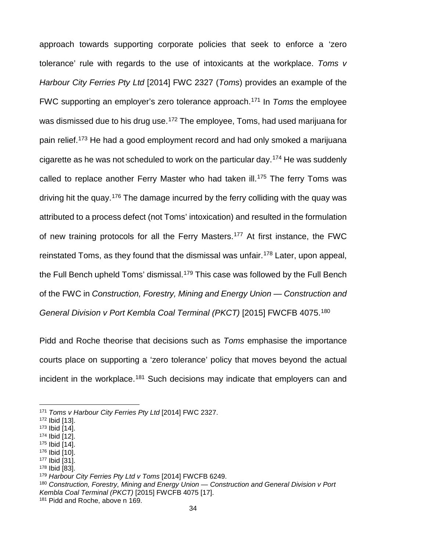approach towards supporting corporate policies that seek to enforce a 'zero tolerance' rule with regards to the use of intoxicants at the workplace. *Toms v Harbour City Ferries Pty Ltd* [2014] FWC 2327 (*Toms*) provides an example of the FWC supporting an employer's zero tolerance approach.[171](#page-41-0) In *Toms* the employee was dismissed due to his drug use.<sup>[172](#page-41-1)</sup> The employee, Toms, had used marijuana for pain relief.<sup>[173](#page-41-2)</sup> He had a good employment record and had only smoked a marijuana cigarette as he was not scheduled to work on the particular day.[174](#page-41-3) He was suddenly called to replace another Ferry Master who had taken ill.<sup>[175](#page-41-4)</sup> The ferry Toms was driving hit the quay.[176](#page-41-5) The damage incurred by the ferry colliding with the quay was attributed to a process defect (not Toms' intoxication) and resulted in the formulation of new training protocols for all the Ferry Masters.<sup>[177](#page-41-6)</sup> At first instance, the FWC reinstated Toms, as they found that the dismissal was unfair.<sup>[178](#page-41-7)</sup> Later, upon appeal, the Full Bench upheld Toms' dismissal.<sup>[179](#page-41-8)</sup> This case was followed by the Full Bench of the FWC in *Construction, Forestry, Mining and Energy Union — Construction and General Division v Port Kembla Coal Terminal (PKCT)* [2015] FWCFB 4075[.180](#page-41-9)

Pidd and Roche theorise that decisions such as *Toms* emphasise the importance courts place on supporting a 'zero tolerance' policy that moves beyond the actual incident in the workplace.<sup>[181](#page-41-10)</sup> Such decisions may indicate that employers can and

 $\overline{\phantom{a}}$ 

<span id="page-41-2"></span><sup>173</sup> Ibid [14].

- <span id="page-41-5"></span><sup>176</sup> Ibid [10].
- <span id="page-41-7"></span><span id="page-41-6"></span><sup>177</sup> Ibid [31]. <sup>178</sup> Ibid [83].

<span id="page-41-0"></span><sup>171</sup> *Toms v Harbour City Ferries Pty Ltd* [2014] FWC 2327.

<span id="page-41-1"></span><sup>172</sup> Ibid [13].

<span id="page-41-3"></span><sup>174</sup> Ibid [12].

<span id="page-41-4"></span><sup>175</sup> Ibid [14].

<span id="page-41-8"></span><sup>179</sup> *Harbour City Ferries Pty Ltd v Toms* [2014] FWCFB 6249.

<span id="page-41-9"></span><sup>180</sup> *Construction, Forestry, Mining and Energy Union — Construction and General Division v Port Kembla Coal Terminal (PKCT)* [2015] FWCFB 4075 [17].

<span id="page-41-10"></span><sup>181</sup> Pidd and Roche, above n 169.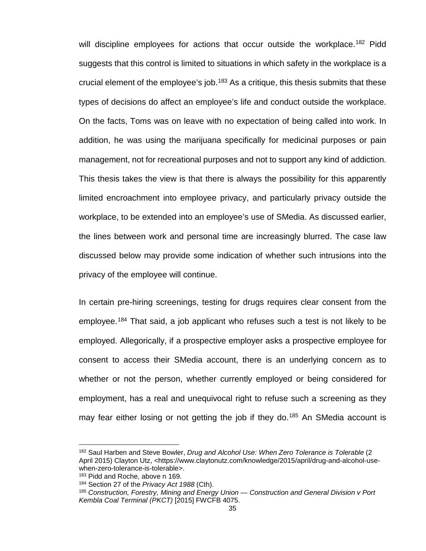will discipline employees for actions that occur outside the workplace.<sup>[182](#page-42-0)</sup> Pidd suggests that this control is limited to situations in which safety in the workplace is a crucial element of the employee's job.<sup>[183](#page-42-1)</sup> As a critique, this thesis submits that these types of decisions do affect an employee's life and conduct outside the workplace. On the facts, Toms was on leave with no expectation of being called into work. In addition, he was using the marijuana specifically for medicinal purposes or pain management, not for recreational purposes and not to support any kind of addiction. This thesis takes the view is that there is always the possibility for this apparently limited encroachment into employee privacy, and particularly privacy outside the workplace, to be extended into an employee's use of SMedia. As discussed earlier, the lines between work and personal time are increasingly blurred. The case law discussed below may provide some indication of whether such intrusions into the privacy of the employee will continue.

In certain pre-hiring screenings, testing for drugs requires clear consent from the employee.[184](#page-42-2) That said, a job applicant who refuses such a test is not likely to be employed. Allegorically, if a prospective employer asks a prospective employee for consent to access their SMedia account, there is an underlying concern as to whether or not the person, whether currently employed or being considered for employment, has a real and unequivocal right to refuse such a screening as they may fear either losing or not getting the job if they do.<sup>[185](#page-42-3)</sup> An SMedia account is

<span id="page-42-0"></span><sup>182</sup> Saul Harben and Steve Bowler, *Drug and Alcohol Use: When Zero Tolerance is Tolerable* (2 April 2015) Clayton Utz, <https://www.claytonutz.com/knowledge/2015/april/drug-and-alcohol-usewhen-zero-tolerance-is-tolerable>.

<span id="page-42-2"></span><span id="page-42-1"></span><sup>183</sup> Pidd and Roche, above n 169.

<sup>184</sup> Section 27 of the *Privacy Act 1988* (Cth).

<span id="page-42-3"></span><sup>185</sup> *Construction, Forestry, Mining and Energy Union — Construction and General Division v Port Kembla Coal Terminal (PKCT)* [2015] FWCFB 4075.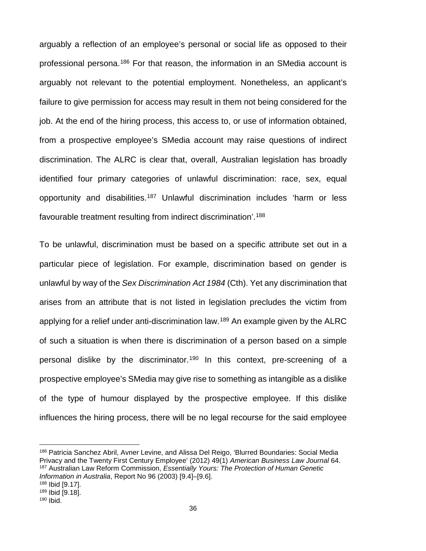arguably a reflection of an employee's personal or social life as opposed to their professional persona.[186](#page-43-0) For that reason, the information in an SMedia account is arguably not relevant to the potential employment. Nonetheless, an applicant's failure to give permission for access may result in them not being considered for the job. At the end of the hiring process, this access to, or use of information obtained, from a prospective employee's SMedia account may raise questions of indirect discrimination. The ALRC is clear that, overall, Australian legislation has broadly identified four primary categories of unlawful discrimination: race, sex, equal opportunity and disabilities.<sup>[187](#page-43-1)</sup> Unlawful discrimination includes 'harm or less favourable treatment resulting from indirect discrimination'.[188](#page-43-2)

To be unlawful, discrimination must be based on a specific attribute set out in a particular piece of legislation. For example, discrimination based on gender is unlawful by way of the *Sex Discrimination Act 1984* (Cth). Yet any discrimination that arises from an attribute that is not listed in legislation precludes the victim from applying for a relief under anti-discrimination law.<sup>[189](#page-43-3)</sup> An example given by the ALRC of such a situation is when there is discrimination of a person based on a simple personal dislike by the discriminator.<sup>[190](#page-43-4)</sup> In this context, pre-screening of a prospective employee's SMedia may give rise to something as intangible as a dislike of the type of humour displayed by the prospective employee. If this dislike influences the hiring process, there will be no legal recourse for the said employee

<span id="page-43-1"></span><span id="page-43-0"></span><sup>186</sup> Patricia Sanchez Abril, Avner Levine, and Alissa Del Reigo, 'Blurred Boundaries: Social Media Privacy and the Twenty First Century Employee' (2012) 49(1) *American Business Law Journal* 64. <sup>187</sup> Australian Law Reform Commission, *Essentially Yours: The Protection of Human Genetic Information in Australia*, Report No 96 (2003) [9.4]–[9.6].

<span id="page-43-3"></span><span id="page-43-2"></span><sup>188</sup> Ibid [9.17].

<sup>189</sup> Ibid [9.18].

<span id="page-43-4"></span><sup>190</sup> Ibid.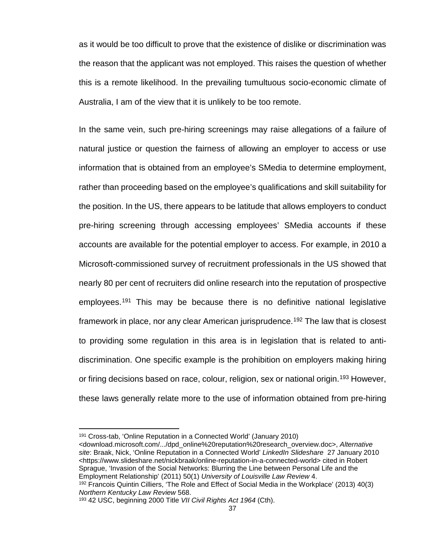as it would be too difficult to prove that the existence of dislike or discrimination was the reason that the applicant was not employed. This raises the question of whether this is a remote likelihood. In the prevailing tumultuous socio-economic climate of Australia, I am of the view that it is unlikely to be too remote.

In the same vein, such pre-hiring screenings may raise allegations of a failure of natural justice or question the fairness of allowing an employer to access or use information that is obtained from an employee's SMedia to determine employment, rather than proceeding based on the employee's qualifications and skill suitability for the position. In the US, there appears to be latitude that allows employers to conduct pre-hiring screening through accessing employees' SMedia accounts if these accounts are available for the potential employer to access. For example, in 2010 a Microsoft-commissioned survey of recruitment professionals in the US showed that nearly 80 per cent of recruiters did online research into the reputation of prospective employees.[191](#page-44-0) This may be because there is no definitive national legislative framework in place, nor any clear American jurisprudence.<sup>[192](#page-44-1)</sup> The law that is closest to providing some regulation in this area is in legislation that is related to antidiscrimination. One specific example is the prohibition on employers making hiring or firing decisions based on race, colour, religion, sex or national origin.<sup>[193](#page-44-2)</sup> However, these laws generally relate more to the use of information obtained from pre-hiring

<span id="page-44-0"></span><sup>191</sup> Cross-tab, 'Online Reputation in a Connected World' (January 2010)

<sup>&</sup>lt;download.microsoft.com/.../dpd\_online%20reputation%20research\_overview.doc>, *Alternative site*: Braak, Nick, 'Online Reputation in a Connected World' *LinkedIn Slideshare* 27 January 2010 <https://www.slideshare.net/nickbraak/online-reputation-in-a-connected-world> cited in Robert Sprague, 'Invasion of the Social Networks: Blurring the Line between Personal Life and the Employment Relationship' (2011) 50(1) *University of Louisville Law Review* 4.

<span id="page-44-1"></span><sup>192</sup> Francois Quintin Cilliers, 'The Role and Effect of Social Media in the Workplace' (2013) 40(3) *Northern Kentucky Law Review* 568.

<span id="page-44-2"></span><sup>193</sup> 42 USC, beginning 2000 Title *VII Civil Rights Act 1964* (Cth).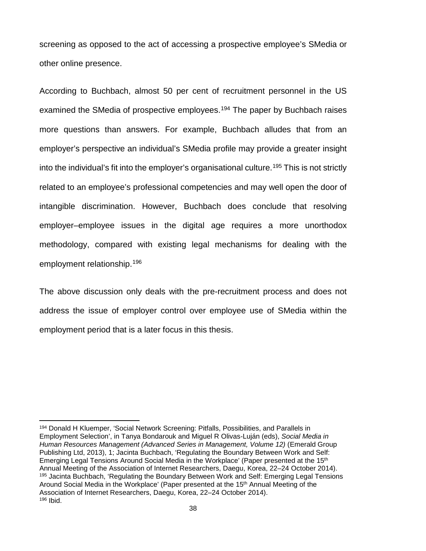screening as opposed to the act of accessing a prospective employee's SMedia or other online presence.

According to Buchbach, almost 50 per cent of recruitment personnel in the US examined the SMedia of prospective employees.<sup>[194](#page-45-0)</sup> The paper by Buchbach raises more questions than answers. For example, Buchbach alludes that from an employer's perspective an individual's SMedia profile may provide a greater insight into the individual's fit into the employer's organisational culture.[195](#page-45-1) This is not strictly related to an employee's professional competencies and may well open the door of intangible discrimination. However, Buchbach does conclude that resolving employer–employee issues in the digital age requires a more unorthodox methodology, compared with existing legal mechanisms for dealing with the employment relationship.[196](#page-45-2)

The above discussion only deals with the pre-recruitment process and does not address the issue of employer control over employee use of SMedia within the employment period that is a later focus in this thesis.

<span id="page-45-2"></span><span id="page-45-1"></span><span id="page-45-0"></span><sup>194</sup> Donald H Kluemper, 'Social Network Screening: Pitfalls, Possibilities, and Parallels in Employment Selection', in Tanya Bondarouk and Miguel R Olivas-Luján (eds), *Social Media in Human Resources Management (Advanced Series in Management, Volume 12)* (Emerald Group Publishing Ltd, 2013), 1; Jacinta Buchbach, 'Regulating the Boundary Between Work and Self: Emerging Legal Tensions Around Social Media in the Workplace' (Paper presented at the 15<sup>th</sup> Annual Meeting of the Association of Internet Researchers, Daegu, Korea, 22–24 October 2014). <sup>195</sup> Jacinta Buchbach, 'Regulating the Boundary Between Work and Self: Emerging Legal Tensions Around Social Media in the Workplace' (Paper presented at the 15th Annual Meeting of the Association of Internet Researchers, Daegu, Korea, 22–24 October 2014). <sup>196</sup> Ibid.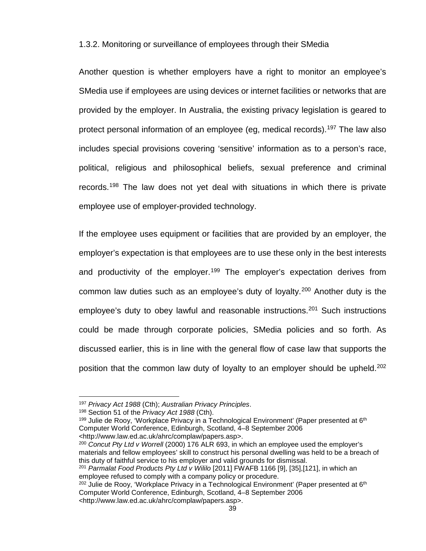1.3.2. Monitoring or surveillance of employees through their SMedia

Another question is whether employers have a right to monitor an employee's SMedia use if employees are using devices or internet facilities or networks that are provided by the employer. In Australia, the existing privacy legislation is geared to protect personal information of an employee (eg, medical records). [197](#page-46-0) The law also includes special provisions covering 'sensitive' information as to a person's race, political, religious and philosophical beliefs, sexual preference and criminal records.<sup>[198](#page-46-1)</sup> The law does not yet deal with situations in which there is private employee use of employer-provided technology.

If the employee uses equipment or facilities that are provided by an employer, the employer's expectation is that employees are to use these only in the best interests and productivity of the employer.<sup>[199](#page-46-2)</sup> The employer's expectation derives from common law duties such as an employee's duty of loyalty.<sup>[200](#page-46-3)</sup> Another duty is the employee's duty to obey lawful and reasonable instructions.<sup>[201](#page-46-4)</sup> Such instructions could be made through corporate policies, SMedia policies and so forth. As discussed earlier, this is in line with the general flow of case law that supports the position that the common law duty of loyalty to an employer should be upheld.<sup>[202](#page-46-5)</sup>

 $\overline{a}$ 

<http://www.law.ed.ac.uk/ahrc/complaw/papers.asp>.

<span id="page-46-3"></span><sup>200</sup> *Concut Pty Ltd v Worrell* (2000) 176 ALR 693, in which an employee used the employer's materials and fellow employees' skill to construct his personal dwelling was held to be a breach of this duty of faithful service to his employer and valid grounds for dismissal.

<span id="page-46-0"></span><sup>197</sup> *Privacy Act 1988* (Cth); *Australian Privacy Principles*.

<span id="page-46-1"></span><sup>198</sup> Section 51 of the *Privacy Act 1988* (Cth).

<span id="page-46-2"></span><sup>&</sup>lt;sup>199</sup> Julie de Rooy, 'Workplace Privacy in a Technological Environment' (Paper presented at  $6<sup>th</sup>$ Computer World Conference, Edinburgh, Scotland, 4–8 September 2006

<span id="page-46-4"></span><sup>201</sup> *[Parmalat Food Products Pty Ltd v Wililo](https://www.fwc.gov.au/documents/decisionssigned/html/2011fwafb1166.htm)* [2011] FWAFB 1166 [9], [35],[121], in which an employee refused to comply with a company policy or procedure.

<span id="page-46-5"></span> $202$  Julie de Rooy, 'Workplace Privacy in a Technological Environment' (Paper presented at  $6<sup>th</sup>$ Computer World Conference, Edinburgh, Scotland, 4–8 September 2006 <http://www.law.ed.ac.uk/ahrc/complaw/papers.asp>.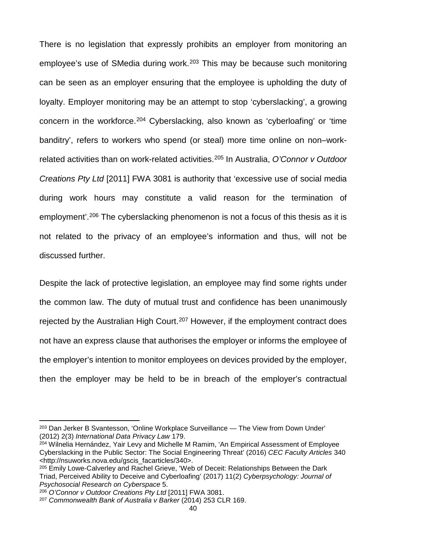There is no legislation that expressly prohibits an employer from monitoring an employee's use of SMedia during work.<sup>[203](#page-47-0)</sup> This may be because such monitoring can be seen as an employer ensuring that the employee is upholding the duty of loyalty. Employer monitoring may be an attempt to stop 'cyberslacking', a growing concern in the workforce.<sup>[204](#page-47-1)</sup> Cyberslacking, also known as 'cyberloafing' or 'time banditry', refers to workers who spend (or steal) more time online on non–workrelated activities than on work-related activities. [205](#page-47-2) In Australia, *O'Connor v Outdoor Creations Pty Ltd* [2011] FWA 3081 is authority that 'excessive use of social media during work hours may constitute a valid reason for the termination of employment'. [206](#page-47-3) The cyberslacking phenomenon is not a focus of this thesis as it is not related to the privacy of an employee's information and thus, will not be discussed further.

Despite the lack of protective legislation, an employee may find some rights under the common law. The duty of mutual trust and confidence has been unanimously rejected by the Australian High Court.<sup>[207](#page-47-4)</sup> However, if the employment contract does not have an express clause that authorises the employer or informs the employee of the employer's intention to monitor employees on devices provided by the employer, then the employer may be held to be in breach of the employer's contractual

<span id="page-47-0"></span><sup>203</sup> Dan Jerker B Svantesson, 'Online Workplace Surveillance — The View from Down Under' (2012) 2(3) *International Data Privacy Law* 179.

<span id="page-47-1"></span><sup>204</sup> Wilnelia Hernández, Yair Levy and Michelle M Ramim, 'An Empirical Assessment of Employee Cyberslacking in the Public Sector: The Social Engineering Threat' (2016) *CEC Faculty Articles* 340 <http://nsuworks.nova.edu/gscis\_facarticles/340>.

<span id="page-47-2"></span><sup>205</sup> Emily Lowe-Calverley and Rachel Grieve, 'Web of Deceit: Relationships Between the Dark Triad, Perceived Ability to Deceive and Cyberloafing' (2017) 11(2) *Cyberpsychology: Journal of Psychosocial Research on Cyberspace* 5.

<span id="page-47-3"></span><sup>206</sup> *O'Connor v Outdoor Creations Pty Ltd* [2011] FWA 3081.

<span id="page-47-4"></span><sup>207</sup> *Commonwealth Bank of Australia v Barker* (2014) 253 CLR 169.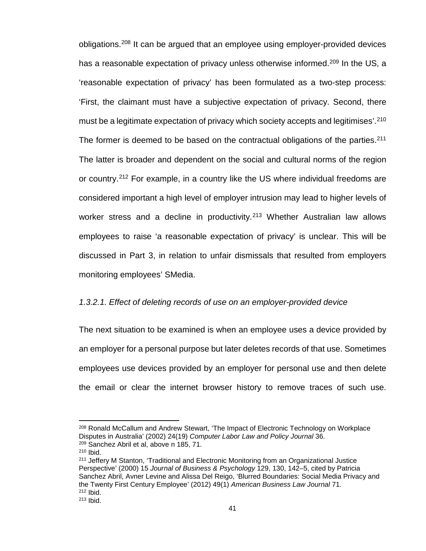obligations.[208](#page-48-0) It can be argued that an employee using employer-provided devices has a reasonable expectation of privacy unless otherwise informed.<sup>[209](#page-48-1)</sup> In the US, a 'reasonable expectation of privacy' has been formulated as a two-step process: 'First, the claimant must have a subjective expectation of privacy. Second, there must be a legitimate expectation of privacy which society accepts and legitimises'. [210](#page-48-2) The former is deemed to be based on the contractual obligations of the parties.<sup>[211](#page-48-3)</sup> The latter is broader and dependent on the social and cultural norms of the region or country.[212](#page-48-4) For example, in a country like the US where individual freedoms are considered important a high level of employer intrusion may lead to higher levels of worker stress and a decline in productivity.<sup>[213](#page-48-5)</sup> Whether Australian law allows employees to raise 'a reasonable expectation of privacy' is unclear. This will be discussed in Part 3, in relation to unfair dismissals that resulted from employers monitoring employees' SMedia.

## *1.3.2.1. Effect of deleting records of use on an employer-provided device*

The next situation to be examined is when an employee uses a device provided by an employer for a personal purpose but later deletes records of that use. Sometimes employees use devices provided by an employer for personal use and then delete the email or clear the internet browser history to remove traces of such use.

<span id="page-48-0"></span><sup>208</sup> Ronald McCallum and Andrew Stewart, 'The Impact of Electronic Technology on Workplace Disputes in Australia' (2002) 24(19) *Computer Labor Law and Policy Journal* 36. <sup>209</sup> Sanchez Abril et al, above n 185, 71.

<span id="page-48-1"></span><sup>210</sup> Ibid.

<span id="page-48-5"></span><span id="page-48-4"></span><span id="page-48-3"></span><span id="page-48-2"></span><sup>211</sup> Jeffery M Stanton, 'Traditional and Electronic Monitoring from an Organizational Justice Perspective' (2000) 15 *Journal of Business & Psychology* 129, 130, 142–5, cited by Patricia Sanchez Abril, Avner Levine and Alissa Del Reigo, 'Blurred Boundaries: Social Media Privacy and the Twenty First Century Employee' (2012) 49(1) *American Business Law Journal* 71. <sup>212</sup> Ibid.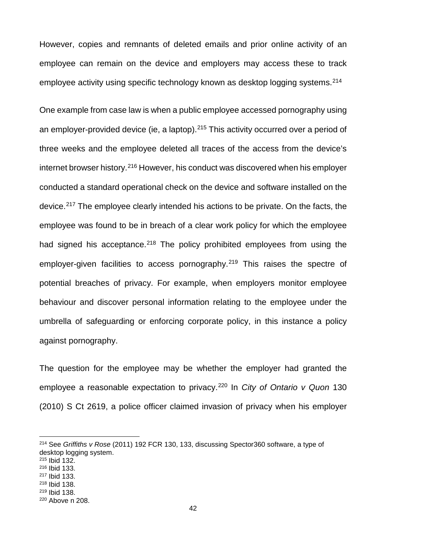However, copies and remnants of deleted emails and prior online activity of an employee can remain on the device and employers may access these to track employee activity using specific technology known as desktop logging systems.<sup>[214](#page-49-0)</sup>

One example from case law is when a public employee accessed pornography using an employer-provided device (ie, a laptop).<sup>[215](#page-49-1)</sup> This activity occurred over a period of three weeks and the employee deleted all traces of the access from the device's internet browser history.[216](#page-49-2) However, his conduct was discovered when his employer conducted a standard operational check on the device and software installed on the device.[217](#page-49-3) The employee clearly intended his actions to be private. On the facts, the employee was found to be in breach of a clear work policy for which the employee had signed his acceptance.<sup>[218](#page-49-4)</sup> The policy prohibited employees from using the employer-given facilities to access pornography.<sup>[219](#page-49-5)</sup> This raises the spectre of potential breaches of privacy. For example, when employers monitor employee behaviour and discover personal information relating to the employee under the umbrella of safeguarding or enforcing corporate policy, in this instance a policy against pornography.

The question for the employee may be whether the employer had granted the employee a reasonable expectation to privacy.<sup>[220](#page-49-6)</sup> In *City of Ontario v Quon* 130 (2010) S Ct 2619, a police officer claimed invasion of privacy when his employer

<span id="page-49-0"></span><sup>214</sup> See *Griffiths v Rose* (2011) 192 FCR 130, 133, discussing Spector360 software, a type of desktop logging system.

<span id="page-49-1"></span><sup>215</sup> Ibid 132.

<span id="page-49-2"></span><sup>216</sup> Ibid 133. <sup>217</sup> Ibid 133.

<span id="page-49-3"></span><sup>218</sup> Ibid 138.

<span id="page-49-5"></span><span id="page-49-4"></span><sup>219</sup> Ibid 138.

<span id="page-49-6"></span><sup>220</sup> Above n 208.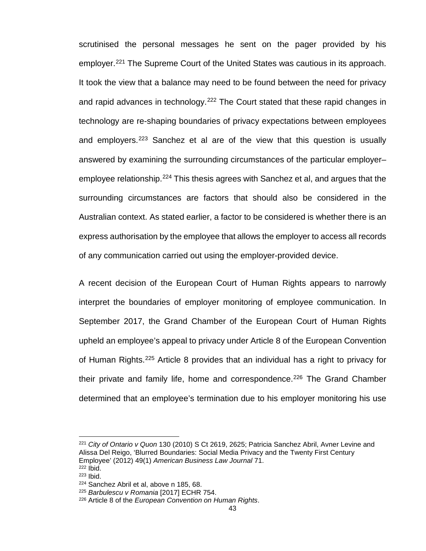scrutinised the personal messages he sent on the pager provided by his employer. [221](#page-50-0) The Supreme Court of the United States was cautious in its approach. It took the view that a balance may need to be found between the need for privacy and rapid advances in technology.<sup>[222](#page-50-1)</sup> The Court stated that these rapid changes in technology are re-shaping boundaries of privacy expectations between employees and employers.<sup>[223](#page-50-2)</sup> Sanchez et al are of the view that this question is usually answered by examining the surrounding circumstances of the particular employer– employee relationship.<sup>[224](#page-50-3)</sup> This thesis agrees with Sanchez et al, and argues that the surrounding circumstances are factors that should also be considered in the Australian context. As stated earlier, a factor to be considered is whether there is an express authorisation by the employee that allows the employer to access all records of any communication carried out using the employer-provided device.

A recent decision of the European Court of Human Rights appears to narrowly interpret the boundaries of employer monitoring of employee communication. In September 2017, the Grand Chamber of the European Court of Human Rights upheld an employee's appeal to privacy under Article 8 of the European Convention of Human Rights.[225](#page-50-4) Article 8 provides that an individual has a right to privacy for their private and family life, home and correspondence.<sup>[226](#page-50-5)</sup> The Grand Chamber determined that an employee's termination due to his employer monitoring his use

<span id="page-50-0"></span><sup>221</sup> *City of Ontario v Quon* 130 (2010) S Ct 2619, 2625; Patricia Sanchez Abril, Avner Levine and Alissa Del Reigo, 'Blurred Boundaries: Social Media Privacy and the Twenty First Century Employee' (2012) 49(1) *American Business Law Journal* 71. <sup>222</sup> Ibid.

<span id="page-50-2"></span><span id="page-50-1"></span><sup>223</sup> Ibid.

<span id="page-50-3"></span><sup>224</sup> Sanchez Abril et al, above n 185, 68.

<span id="page-50-4"></span><sup>225</sup> *Barbulescu v Romania* [2017] ECHR 754.

<span id="page-50-5"></span><sup>226</sup> Article 8 of the *European Convention on Human Rights*.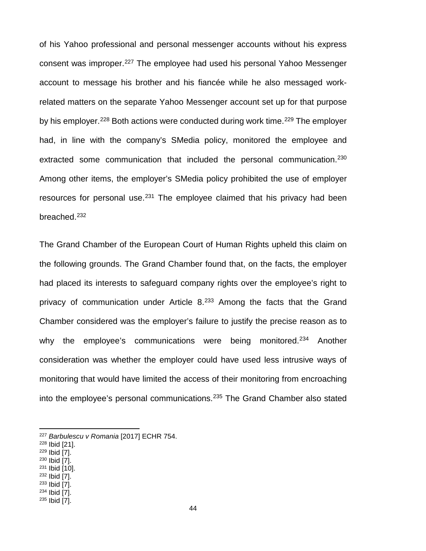of his Yahoo professional and personal messenger accounts without his express consent was improper.[227](#page-51-0) The employee had used his personal Yahoo Messenger account to message his brother and his fiancée while he also messaged workrelated matters on the separate Yahoo Messenger account set up for that purpose by his employer.<sup>[228](#page-51-1)</sup> Both actions were conducted during work time.<sup>[229](#page-51-2)</sup> The employer had, in line with the company's SMedia policy, monitored the employee and extracted some communication that included the personal communication.<sup>[230](#page-51-3)</sup> Among other items, the employer's SMedia policy prohibited the use of employer resources for personal use.<sup>[231](#page-51-4)</sup> The employee claimed that his privacy had been breached.[232](#page-51-5)

The Grand Chamber of the European Court of Human Rights upheld this claim on the following grounds. The Grand Chamber found that, on the facts, the employer had placed its interests to safeguard company rights over the employee's right to privacy of communication under Article  $8^{233}$  $8^{233}$  $8^{233}$  Among the facts that the Grand Chamber considered was the employer's failure to justify the precise reason as to why the employee's communications were being monitored.<sup>[234](#page-51-7)</sup> Another consideration was whether the employer could have used less intrusive ways of monitoring that would have limited the access of their monitoring from encroaching into the employee's personal communications.[235](#page-51-8) The Grand Chamber also stated

- <span id="page-51-2"></span><sup>229</sup> Ibid [7].
- <span id="page-51-3"></span><sup>230</sup> Ibid [7].
- <span id="page-51-4"></span><sup>231</sup> Ibid [10]. 232 Ibid [7].
- <span id="page-51-6"></span><span id="page-51-5"></span><sup>233</sup> Ibid [7].
- <span id="page-51-7"></span><sup>234</sup> Ibid [7].
- <span id="page-51-8"></span><sup>235</sup> Ibid [7].

<span id="page-51-0"></span><sup>227</sup> *Barbulescu v Romania* [2017] ECHR 754.

<span id="page-51-1"></span><sup>228</sup> Ibid [21].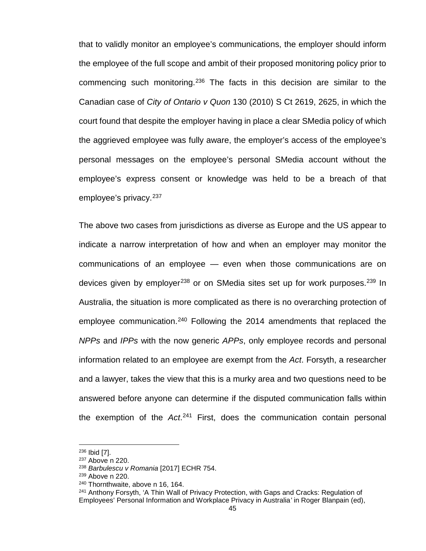that to validly monitor an employee's communications, the employer should inform the employee of the full scope and ambit of their proposed monitoring policy prior to commencing such monitoring.<sup>[236](#page-52-0)</sup> The facts in this decision are similar to the Canadian case of *City of Ontario v Quon* 130 (2010) S Ct 2619, 2625, in which the court found that despite the employer having in place a clear SMedia policy of which the aggrieved employee was fully aware, the employer's access of the employee's personal messages on the employee's personal SMedia account without the employee's express consent or knowledge was held to be a breach of that employee's privacy.<sup>[237](#page-52-1)</sup>

The above two cases from jurisdictions as diverse as Europe and the US appear to indicate a narrow interpretation of how and when an employer may monitor the communications of an employee — even when those communications are on devices given by employer<sup>[238](#page-52-2)</sup> or on SMedia sites set up for work purposes.<sup>[239](#page-52-3)</sup> In Australia, the situation is more complicated as there is no overarching protection of employee communication.<sup>[240](#page-52-4)</sup> Following the 2014 amendments that replaced the *NPPs* and *IPPs* with the now generic *APPs*, only employee records and personal information related to an employee are exempt from the *Act*. Forsyth, a researcher and a lawyer, takes the view that this is a murky area and two questions need to be answered before anyone can determine if the disputed communication falls within the exemption of the *Act*. [241](#page-52-5) First, does the communication contain personal

<span id="page-52-0"></span><sup>236</sup> Ibid [7].

<span id="page-52-1"></span><sup>&</sup>lt;sup>237</sup> Above n 220.

<span id="page-52-2"></span><sup>238</sup> *Barbulescu v Romania* [2017] ECHR 754.

<span id="page-52-3"></span><sup>239</sup> Above n 220.

<span id="page-52-4"></span><sup>240</sup> Thornthwaite, above n 16, 164.

<span id="page-52-5"></span><sup>241</sup> Anthony Forsyth, 'A Thin Wall of Privacy Protection, with Gaps and Cracks: Regulation of Employees' Personal Information and Workplace Privacy in Australia*'* in Roger Blanpain (ed),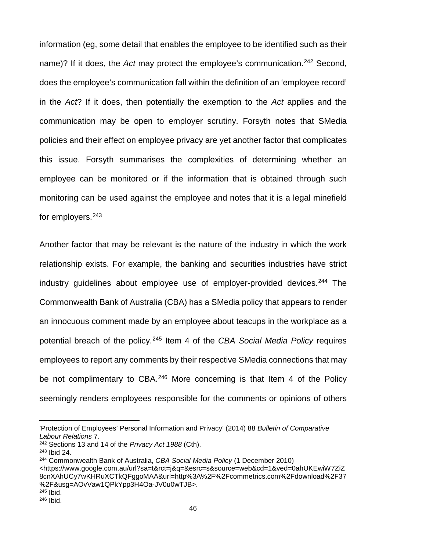information (eg, some detail that enables the employee to be identified such as their name)? If it does, the *Act* may protect the employee's communication.<sup>[242](#page-53-0)</sup> Second, does the employee's communication fall within the definition of an 'employee record' in the *Act*? If it does, then potentially the exemption to the *Act* applies and the communication may be open to employer scrutiny. Forsyth notes that SMedia policies and their effect on employee privacy are yet another factor that complicates this issue. Forsyth summarises the complexities of determining whether an employee can be monitored or if the information that is obtained through such monitoring can be used against the employee and notes that it is a legal minefield for employers.[243](#page-53-1)

Another factor that may be relevant is the nature of the industry in which the work relationship exists. For example, the banking and securities industries have strict industry guidelines about employee use of employer-provided devices.<sup>[244](#page-53-2)</sup> The Commonwealth Bank of Australia (CBA) has a SMedia policy that appears to render an innocuous comment made by an employee about teacups in the workplace as a potential breach of the policy.[245](#page-53-3) Item 4 of the *CBA Social Media Policy* requires employees to report any comments by their respective SMedia connections that may be not complimentary to CBA.<sup>[246](#page-53-4)</sup> More concerning is that Item 4 of the Policy seemingly renders employees responsible for the comments or opinions of others

<sup>&#</sup>x27;Protection of Employees' Personal Information and Privacy' (2014) 88 *Bulletin of Comparative Labour Relations* 7.

<span id="page-53-0"></span><sup>242</sup> Sections 13 and 14 of the *Privacy Act 1988* (Cth).

<span id="page-53-1"></span><sup>243</sup> Ibid 24.

<span id="page-53-4"></span><span id="page-53-3"></span><span id="page-53-2"></span><sup>244</sup> Commonwealth Bank of Australia, *CBA Social Media Policy* (1 December 2010) [<https://www.google.com.au/url?sa=t&rct=j&q=&esrc=s&source=web&cd=1&ved=0ahUKEwiW7ZiZ](https://www.google.com.au/url?sa=t&rct=j&q=&esrc=s&source=web&cd=1&ved=0ahUKEwiW7ZiZ8cnXAhUCy7wKHRuXCTkQFggoMAA&url=http%3A%2F%2Fcommetrics.com%2Fdownload%2F37%2F&usg=AOvVaw1QPkYpp3H4Oa-JV0u0wTJB) [8cnXAhUCy7wKHRuXCTkQFggoMAA&url=http%3A%2F%2Fcommetrics.com%2Fdownload%2F37](https://www.google.com.au/url?sa=t&rct=j&q=&esrc=s&source=web&cd=1&ved=0ahUKEwiW7ZiZ8cnXAhUCy7wKHRuXCTkQFggoMAA&url=http%3A%2F%2Fcommetrics.com%2Fdownload%2F37%2F&usg=AOvVaw1QPkYpp3H4Oa-JV0u0wTJB) [%2F&usg=AOvVaw1QPkYpp3H4Oa-JV0u0wTJB>](https://www.google.com.au/url?sa=t&rct=j&q=&esrc=s&source=web&cd=1&ved=0ahUKEwiW7ZiZ8cnXAhUCy7wKHRuXCTkQFggoMAA&url=http%3A%2F%2Fcommetrics.com%2Fdownload%2F37%2F&usg=AOvVaw1QPkYpp3H4Oa-JV0u0wTJB). <sup>245</sup> Ibid. <sup>246</sup> Ibid.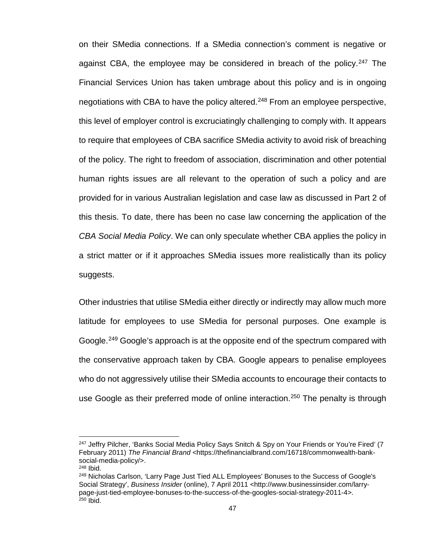on their SMedia connections. If a SMedia connection's comment is negative or against CBA, the employee may be considered in breach of the policy.<sup>[247](#page-54-0)</sup> The Financial Services Union has taken umbrage about this policy and is in ongoing negotiations with CBA to have the policy altered.<sup>[248](#page-54-1)</sup> From an employee perspective, this level of employer control is excruciatingly challenging to comply with. It appears to require that employees of CBA sacrifice SMedia activity to avoid risk of breaching of the policy. The right to freedom of association, discrimination and other potential human rights issues are all relevant to the operation of such a policy and are provided for in various Australian legislation and case law as discussed in Part 2 of this thesis. To date, there has been no case law concerning the application of the *CBA Social Media Policy*. We can only speculate whether CBA applies the policy in a strict matter or if it approaches SMedia issues more realistically than its policy suggests.

Other industries that utilise SMedia either directly or indirectly may allow much more latitude for employees to use SMedia for personal purposes. One example is Google.<sup>[249](#page-54-2)</sup> Google's approach is at the opposite end of the spectrum compared with the conservative approach taken by CBA. Google appears to penalise employees who do not aggressively utilise their SMedia accounts to encourage their contacts to use Google as their preferred mode of online interaction.<sup>[250](#page-54-3)</sup> The penalty is through

<span id="page-54-0"></span><sup>&</sup>lt;sup>247</sup> Jeffry Pilcher, 'Banks Social Media Policy Says Snitch & Spy on Your Friends or You're Fired' (7 February 2011) *The Financial Brand* <https://thefinancialbrand.com/16718/commonwealth-banksocial-media-policy/>.

<span id="page-54-1"></span><sup>248</sup> Ibid.

<span id="page-54-3"></span><span id="page-54-2"></span><sup>249</sup> Nicholas Carlson, 'Larry Page Just Tied ALL Employees' Bonuses to the Success of Google's Social Strategy', *Business Insider* (online), 7 April 2011 <http://www.businessinsider.com/larrypage-just-tied-employee-bonuses-to-the-success-of-the-googles-social-strategy-2011-4>.  $250$  Ibid.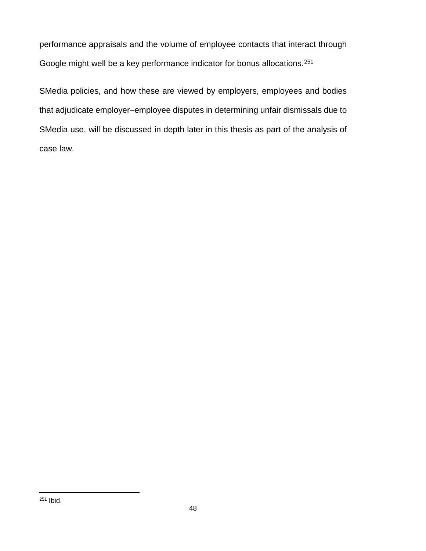performance appraisals and the volume of employee contacts that interact through Google might well be a key performance indicator for bonus allocations.<sup>[251](#page-55-0)</sup>

<span id="page-55-0"></span>SMedia policies, and how these are viewed by employers, employees and bodies that adjudicate employer–employee disputes in determining unfair dismissals due to SMedia use, will be discussed in depth later in this thesis as part of the analysis of case law.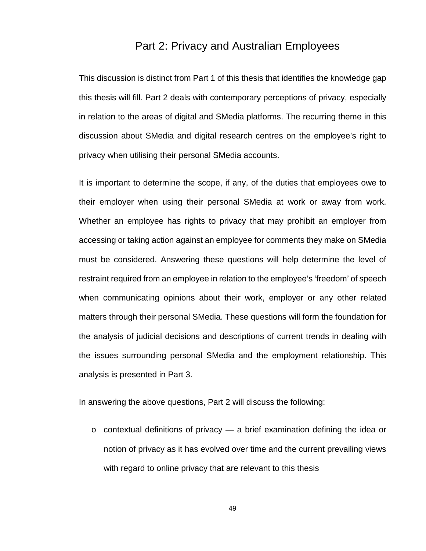# Part 2: Privacy and Australian Employees

This discussion is distinct from Part 1 of this thesis that identifies the knowledge gap this thesis will fill. Part 2 deals with contemporary perceptions of privacy, especially in relation to the areas of digital and SMedia platforms. The recurring theme in this discussion about SMedia and digital research centres on the employee's right to privacy when utilising their personal SMedia accounts.

It is important to determine the scope, if any, of the duties that employees owe to their employer when using their personal SMedia at work or away from work. Whether an employee has rights to privacy that may prohibit an employer from accessing or taking action against an employee for comments they make on SMedia must be considered. Answering these questions will help determine the level of restraint required from an employee in relation to the employee's 'freedom' of speech when communicating opinions about their work, employer or any other related matters through their personal SMedia. These questions will form the foundation for the analysis of judicial decisions and descriptions of current trends in dealing with the issues surrounding personal SMedia and the employment relationship. This analysis is presented in Part 3.

In answering the above questions, Part 2 will discuss the following:

 $\circ$  contextual definitions of privacy  $\sim$  a brief examination defining the idea or notion of privacy as it has evolved over time and the current prevailing views with regard to online privacy that are relevant to this thesis

49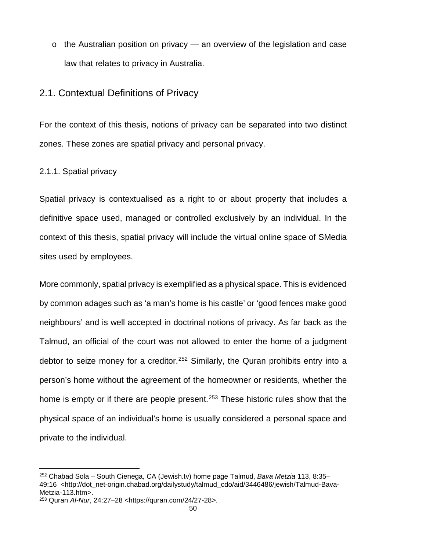o the Australian position on privacy — an overview of the legislation and case law that relates to privacy in Australia.

# 2.1. Contextual Definitions of Privacy

For the context of this thesis, notions of privacy can be separated into two distinct zones. These zones are spatial privacy and personal privacy.

## 2.1.1. Spatial privacy

Spatial privacy is contextualised as a right to or about property that includes a definitive space used, managed or controlled exclusively by an individual. In the context of this thesis, spatial privacy will include the virtual online space of SMedia sites used by employees.

More commonly, spatial privacy is exemplified as a physical space. This is evidenced by common adages such as 'a man's home is his castle' or 'good fences make good neighbours' and is well accepted in doctrinal notions of privacy. As far back as the Talmud, an official of the court was not allowed to enter the home of a judgment debtor to seize money for a creditor.<sup>[252](#page-57-0)</sup> Similarly, the Quran prohibits entry into a person's home without the agreement of the homeowner or residents, whether the home is empty or if there are people present.<sup>[253](#page-57-1)</sup> These historic rules show that the physical space of an individual's home is usually considered a personal space and private to the individual.

<span id="page-57-0"></span><sup>252</sup> Chabad Sola – South Cienega, CA (Jewish.tv) home page Talmud, *Bava Metzia* 113, 8:35– 49:16 [<http://dot\\_net-origin.chabad.org/dailystudy/talmud\\_cdo/aid/3446486/jewish/Talmud-Bava-](http://dot_net-origin.chabad.org/dailystudy/talmud_cdo/aid/3446486/jewish/Talmud-Bava-Metzia-113.htm)[Metzia-113.htm>](http://dot_net-origin.chabad.org/dailystudy/talmud_cdo/aid/3446486/jewish/Talmud-Bava-Metzia-113.htm).

<span id="page-57-1"></span><sup>253</sup> Quran *Al-Nur*, 24:27–28 [<https://quran.com/24/27-28>](https://quran.com/24/27-28).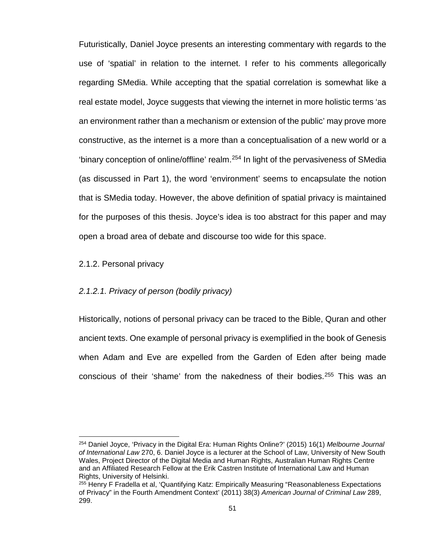Futuristically, Daniel Joyce presents an interesting commentary with regards to the use of 'spatial' in relation to the internet. I refer to his comments allegorically regarding SMedia. While accepting that the spatial correlation is somewhat like a real estate model, Joyce suggests that viewing the internet in more holistic terms 'as an environment rather than a mechanism or extension of the public' may prove more constructive, as the internet is a more than a conceptualisation of a new world or a 'binary conception of online/offline' realm.<sup>254</sup> In light of the pervasiveness of SMedia (as discussed in Part 1), the word 'environment' seems to encapsulate the notion that is SMedia today. However, the above definition of spatial privacy is maintained for the purposes of this thesis. Joyce's idea is too abstract for this paper and may open a broad area of debate and discourse too wide for this space.

2.1.2. Personal privacy

 $\overline{a}$ 

## *2.1.2.1. Privacy of person (bodily privacy)*

Historically, notions of personal privacy can be traced to the Bible, Quran and other ancient texts. One example of personal privacy is exemplified in the book of Genesis when Adam and Eve are expelled from the Garden of Eden after being made conscious of their 'shame' from the nakedness of their bodies.[255](#page-58-1) This was an

<span id="page-58-0"></span><sup>254</sup> Daniel Joyce, 'Privacy in the Digital Era: Human Rights Online?' (2015) 16(1) *Melbourne Journal of International Law* 270, 6. Daniel Joyce is a lecturer at the School of Law, University of New South Wales, Project Director of the Digital Media and Human Rights, Australian Human Rights Centre and an Affiliated Research Fellow at the Erik Castren Institute of International Law and Human Rights, University of Helsinki.

<span id="page-58-1"></span><sup>255</sup> Henry F Fradella et al, 'Quantifying Katz: Empirically Measuring "Reasonableness Expectations of Privacy" in the Fourth Amendment Context' (2011) 38(3) *American Journal of Criminal Law* 289, 299.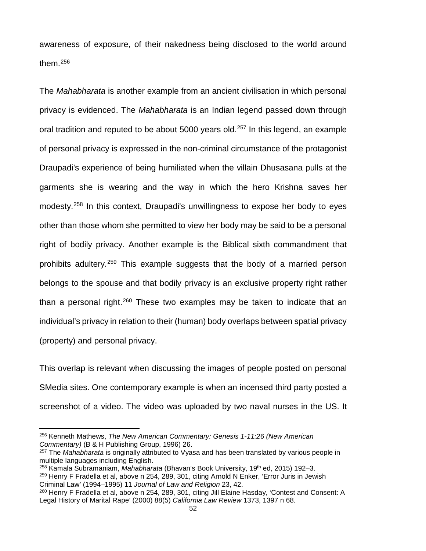awareness of exposure, of their nakedness being disclosed to the world around them.[256](#page-59-0)

The *Mahabharata* is another example from an ancient civilisation in which personal privacy is evidenced. The *Mahabharata* is an Indian legend passed down through oral tradition and reputed to be about 5000 years old.<sup>[257](#page-59-1)</sup> In this legend, an example of personal privacy is expressed in the non-criminal circumstance of the protagonist Draupadi's experience of being humiliated when the villain Dhusasana pulls at the garments she is wearing and the way in which the hero Krishna saves her modesty.[258](#page-59-2) In this context, Draupadi's unwillingness to expose her body to eyes other than those whom she permitted to view her body may be said to be a personal right of bodily privacy. Another example is the Biblical sixth commandment that prohibits adultery.[259](#page-59-3) This example suggests that the body of a married person belongs to the spouse and that bodily privacy is an exclusive property right rather than a personal right.<sup>[260](#page-59-4)</sup> These two examples may be taken to indicate that an individual's privacy in relation to their (human) body overlaps between spatial privacy (property) and personal privacy.

This overlap is relevant when discussing the images of people posted on personal SMedia sites. One contemporary example is when an incensed third party posted a screenshot of a video. The video was uploaded by two naval nurses in the US. It

<span id="page-59-0"></span><sup>256</sup> Kenneth Mathews, *The New American Commentary: Genesis 1-11:26 (New American Commentary)* (B & H Publishing Group, 1996) 26.

<span id="page-59-1"></span><sup>257</sup> The *Mahabharata* is originally attributed to Vyasa and has been translated by various people in multiple languages including English.

<span id="page-59-3"></span><span id="page-59-2"></span><sup>258</sup> Kamala Subramaniam, *Mahabharata* (Bhavan's Book University, 19th ed, 2015) 192–3. <sup>259</sup> Henry F Fradella et al, above n 254, 289, 301, citing Arnold N Enker, 'Error Juris in Jewish Criminal Law' (1994–1995) 11 *Journal of Law and Religion* 23, 42.

<span id="page-59-4"></span><sup>&</sup>lt;sup>260</sup> Henry F Fradella et al, above n 254, 289, 301, citing Jill Elaine Hasday, 'Contest and Consent: A Legal History of Marital Rape' (2000) 88(5) *California Law Review* 1373, 1397 n 68.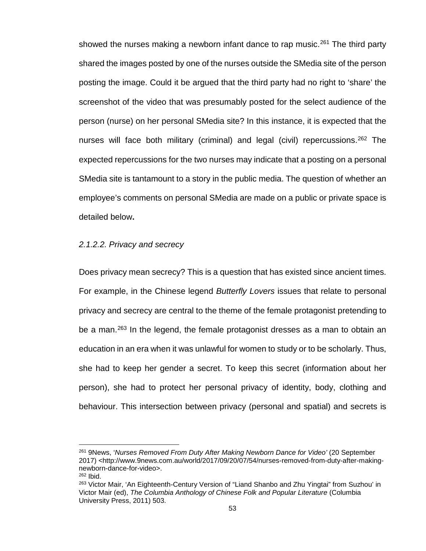showed the nurses making a newborn infant dance to rap music.<sup>[261](#page-60-0)</sup> The third party shared the images posted by one of the nurses outside the SMedia site of the person posting the image. Could it be argued that the third party had no right to 'share' the screenshot of the video that was presumably posted for the select audience of the person (nurse) on her personal SMedia site? In this instance, it is expected that the nurses will face both military (criminal) and legal (civil) repercussions.<sup>[262](#page-60-1)</sup> The expected repercussions for the two nurses may indicate that a posting on a personal SMedia site is tantamount to a story in the public media. The question of whether an employee's comments on personal SMedia are made on a public or private space is detailed below**.**

### *2.1.2.2. Privacy and secrecy*

Does privacy mean secrecy? This is a question that has existed since ancient times. For example, in the Chinese legend *Butterfly Lovers* issues that relate to personal privacy and secrecy are central to the theme of the female protagonist pretending to be a man.<sup>[263](#page-60-2)</sup> In the legend, the female protagonist dresses as a man to obtain an education in an era when it was unlawful for women to study or to be scholarly. Thus, she had to keep her gender a secret. To keep this secret (information about her person), she had to protect her personal privacy of identity, body, clothing and behaviour. This intersection between privacy (personal and spatial) and secrets is

<span id="page-60-0"></span><sup>261</sup> 9News, '*Nurses Removed From Duty After Making Newborn Dance for Video'* (20 September 2017) <http://www.9news.com.au/world/2017/09/20/07/54/nurses-removed-from-duty-after-makingnewborn-dance-for-video>.

<span id="page-60-1"></span><sup>262</sup> Ibid.

<span id="page-60-2"></span><sup>263</sup> Victor Mair, 'An Eighteenth-Century Version of "Liand Shanbo and Zhu Yingtai" from Suzhou' in Victor Mair (ed), *The Columbia Anthology of Chinese Folk and Popular Literature* (Columbia University Press, 2011) 503.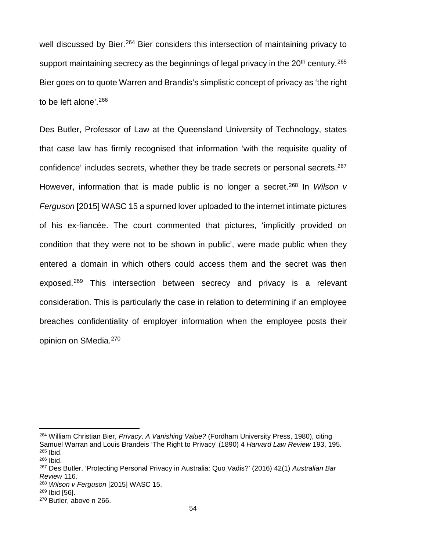well discussed by Bier.<sup>[264](#page-61-0)</sup> Bier considers this intersection of maintaining privacy to support maintaining secrecy as the beginnings of legal privacy in the  $20<sup>th</sup>$  century.<sup>[265](#page-61-1)</sup> Bier goes on to quote Warren and Brandis's simplistic concept of privacy as 'the right to be left alone'.[266](#page-61-2)

Des Butler, Professor of Law at the Queensland University of Technology, states that case law has firmly recognised that information 'with the requisite quality of confidence' includes secrets, whether they be trade secrets or personal secrets.<sup>[267](#page-61-3)</sup> However, information that is made public is no longer a secret.[268](#page-61-4) In *Wilson v Ferguson* [2015] WASC 15 a spurned lover uploaded to the internet intimate pictures of his ex-fiancée. The court commented that pictures, 'implicitly provided on condition that they were not to be shown in public', were made public when they entered a domain in which others could access them and the secret was then exposed.<sup>[269](#page-61-5)</sup> This intersection between secrecy and privacy is a relevant consideration. This is particularly the case in relation to determining if an employee breaches confidentiality of employer information when the employee posts their opinion on SMedia.[270](#page-61-6)

<span id="page-61-0"></span><sup>264</sup> William Christian Bier, *Privacy, A Vanishing Value?* (Fordham University Press, 1980), citing Samuel Warran and Louis Brandeis 'The Right to Privacy' (1890) 4 *Harvard Law Review* 193, 195. <sup>265</sup> Ibid.

<span id="page-61-2"></span><span id="page-61-1"></span><sup>266</sup> Ibid.

<span id="page-61-3"></span><sup>267</sup> Des Butler, 'Protecting Personal Privacy in Australia: Quo Vadis?' (2016) 42(1) *Australian Bar Review* 116.

<span id="page-61-4"></span><sup>268</sup> *Wilson v Ferguson* [2015] WASC 15.

<span id="page-61-5"></span><sup>269</sup> Ibid [56].

<span id="page-61-6"></span><sup>270</sup> Butler, above n 266.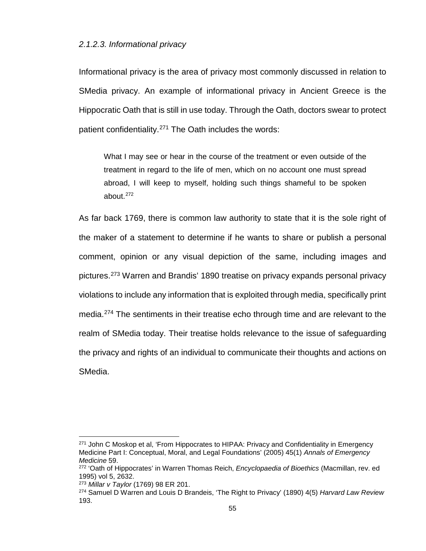#### *2.1.2.3. Informational privacy*

Informational privacy is the area of privacy most commonly discussed in relation to SMedia privacy. An example of informational privacy in Ancient Greece is the Hippocratic Oath that is still in use today. Through the Oath, doctors swear to protect patient confidentiality.<sup>[271](#page-62-0)</sup> The Oath includes the words:

What I may see or hear in the course of the treatment or even outside of the treatment in regard to the life of men, which on no account one must spread abroad, I will keep to myself, holding such things shameful to be spoken about. [272](#page-62-1)

As far back 1769, there is common law authority to state that it is the sole right of the maker of a statement to determine if he wants to share or publish a personal comment, opinion or any visual depiction of the same, including images and pictures.[273](#page-62-2) Warren and Brandis' 1890 treatise on privacy expands personal privacy violations to include any information that is exploited through media, specifically print media.[274](#page-62-3) The sentiments in their treatise echo through time and are relevant to the realm of SMedia today. Their treatise holds relevance to the issue of safeguarding the privacy and rights of an individual to communicate their thoughts and actions on SMedia.

<span id="page-62-0"></span><sup>&</sup>lt;sup>271</sup> John C Moskop et al, 'From Hippocrates to HIPAA: Privacy and Confidentiality in Emergency Medicine Part I: Conceptual, Moral, and Legal Foundations' (2005) 45(1) *Annals of Emergency Medicine* 59.

<span id="page-62-1"></span><sup>272</sup> 'Oath of Hippocrates' in Warren Thomas Reich, *Encyclopaedia of Bioethics* (Macmillan, rev. ed 1995) vol 5, 2632.

<sup>273</sup> *Millar v Taylor* (1769) 98 ER 201.

<span id="page-62-3"></span><span id="page-62-2"></span><sup>274</sup> Samuel D Warren and Louis D Brandeis, 'The Right to Privacy' (1890) 4(5) *Harvard Law Review* 193.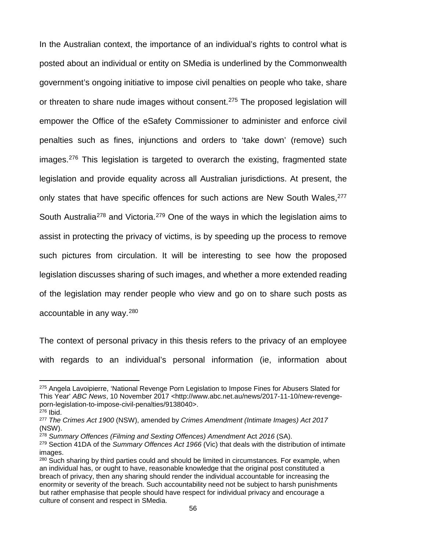In the Australian context, the importance of an individual's rights to control what is posted about an individual or entity on SMedia is underlined by the Commonwealth government's ongoing initiative to impose civil penalties on people who take, share or threaten to share nude images without consent.<sup>[275](#page-63-0)</sup> The proposed legislation will empower the Office of the eSafety Commissioner to administer and enforce civil penalties such as fines, injunctions and orders to 'take down' (remove) such images.<sup>[276](#page-63-1)</sup> This legislation is targeted to overarch the existing, fragmented state legislation and provide equality across all Australian jurisdictions. At present, the only states that have specific offences for such actions are New South Wales, <sup>[277](#page-63-2)</sup> South Australia<sup>[278](#page-63-3)</sup> and Victoria.<sup>[279](#page-63-4)</sup> One of the ways in which the legislation aims to assist in protecting the privacy of victims, is by speeding up the process to remove such pictures from circulation. It will be interesting to see how the proposed legislation discusses sharing of such images, and whether a more extended reading of the legislation may render people who view and go on to share such posts as accountable in any way.[280](#page-63-5)

The context of personal privacy in this thesis refers to the privacy of an employee with regards to an individual's personal information (ie, information about

<span id="page-63-0"></span><sup>275</sup> Angela Lavoipierre, 'National Revenge Porn Legislation to Impose Fines for Abusers Slated for This Year' *ABC News*, 10 November 2017 <http://www.abc.net.au/news/2017-11-10/new-revengeporn-legislation-to-impose-civil-penalties/9138040>. <sup>276</sup> Ibid.

<span id="page-63-2"></span><span id="page-63-1"></span><sup>277</sup> *The Crimes Act 1900* (NSW), amended by *Crimes Amendment (Intimate Images) Act 2017*  (NSW).

<span id="page-63-3"></span><sup>278</sup> *Summary Offences (Filming and Sexting Offences) Amendment* Act *2016* (SA).

<span id="page-63-4"></span><sup>279</sup> Section 41DA of the *Summary Offences Act 1966* (Vic) that deals with the distribution of intimate images.

<span id="page-63-5"></span><sup>&</sup>lt;sup>280</sup> Such sharing by third parties could and should be limited in circumstances. For example, when an individual has, or ought to have, reasonable knowledge that the original post constituted a breach of privacy, then any sharing should render the individual accountable for increasing the enormity or severity of the breach. Such accountability need not be subject to harsh punishments but rather emphasise that people should have respect for individual privacy and encourage a culture of consent and respect in SMedia.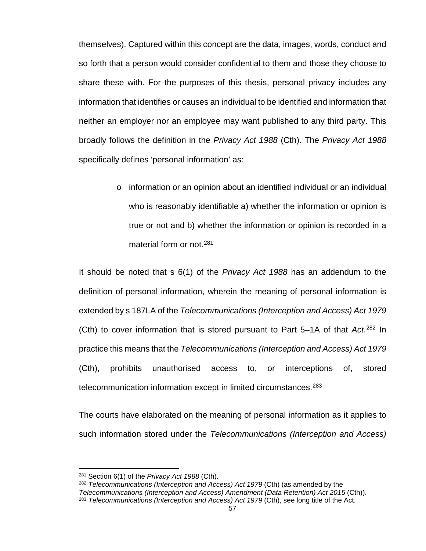themselves). Captured within this concept are the data, images, words, conduct and so forth that a person would consider confidential to them and those they choose to share these with. For the purposes of this thesis, personal privacy includes any information that identifies or causes an individual to be identified and information that neither an employer nor an employee may want published to any third party. This broadly follows the definition in the *Privacy Act 1988* (Cth). The *Privacy Act 1988* specifically defines 'personal information' as:

> $\circ$  information or an opinion about an identified individual or an individual who is reasonably identifiable a) whether the information or opinion is true or not and b) whether the information or opinion is recorded in a material form or not.<sup>[281](#page-64-0)</sup>

It should be noted that s 6(1) of the *Privacy Act 1988* has an addendum to the definition of personal information, wherein the meaning of personal information is extended by s 187LA of the *Telecommunications (Interception and Access) Act 1979*  (Cth) to cover information that is stored pursuant to Part 5–1A of that *Act*. [282](#page-64-1) In practice this means that the *Telecommunications (Interception and Access) Act 1979*  (Cth), prohibits unauthorised access to, or interceptions of, stored telecommunication information except in limited circumstances.<sup>[283](#page-64-2)</sup>

The courts have elaborated on the meaning of personal information as it applies to such information stored under the *Telecommunications (Interception and Access)*

 $\overline{a}$ 

<span id="page-64-2"></span><span id="page-64-1"></span><sup>282</sup> *Telecommunications (Interception and Access) Act 1979* (Cth) (as amended by the *Telecommunications (Interception and Access) Amendment (Data Retention) Act 2015* (Cth)). <sup>283</sup> *Telecommunications (Interception and Access) Act 1979* (Cth), see long title of the Act.

<span id="page-64-0"></span><sup>281</sup> Section 6(1) of the *Privacy Act 1988* (Cth).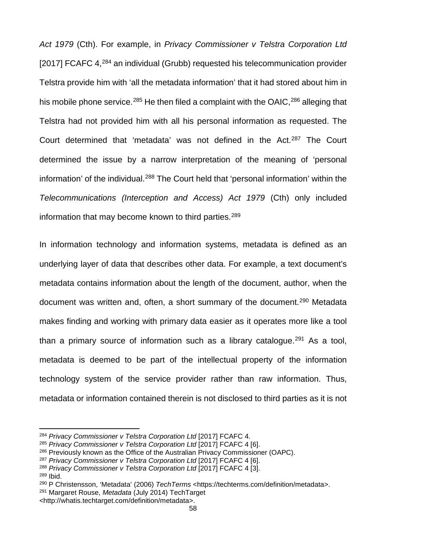*Act 1979* (Cth). For example, in *Privacy Commissioner v Telstra Corporation Ltd* [2017] FCAFC 4,<sup>[284](#page-65-0)</sup> an individual (Grubb) requested his telecommunication provider Telstra provide him with 'all the metadata information' that it had stored about him in his mobile phone service.<sup>[285](#page-65-1)</sup> He then filed a complaint with the OAIC,<sup>[286](#page-65-2)</sup> alleging that Telstra had not provided him with all his personal information as requested. The Court determined that 'metadata' was not defined in the Act. [287](#page-65-3) The Court determined the issue by a narrow interpretation of the meaning of 'personal information' of the individual.<sup>[288](#page-65-4)</sup> The Court held that 'personal information' within the *Telecommunications (Interception and Access) Act 1979* (Cth) only included information that may become known to third parties.<sup>[289](#page-65-5)</sup>

In information technology and information systems, metadata is defined as an underlying layer of data that describes other data. For example, a text document's metadata contains information about the length of the document, author, when the document was written and, often, a short summary of the document.<sup>[290](#page-65-6)</sup> Metadata makes finding and working with primary data easier as it operates more like a tool than a primary source of information such as a library catalogue.<sup>[291](#page-65-7)</sup> As a tool, metadata is deemed to be part of the intellectual property of the information technology system of the service provider rather than raw information. Thus, metadata or information contained therein is not disclosed to third parties as it is not

- <span id="page-65-3"></span><sup>287</sup> *Privacy Commissioner v Telstra Corporation Ltd* [2017] FCAFC 4 [6].
- <span id="page-65-4"></span><sup>288</sup> *Privacy Commissioner v Telstra Corporation Ltd* [2017] FCAFC 4 [3].
- <span id="page-65-5"></span><sup>289</sup> Ibid.

l

<span id="page-65-7"></span><sup>291</sup> Margaret Rouse, *Metadata* (July 2014) TechTarget

<span id="page-65-0"></span><sup>284</sup> *Privacy Commissioner v Telstra Corporation Ltd* [2017] FCAFC 4.

<span id="page-65-1"></span><sup>285</sup> *Privacy Commissioner v Telstra Corporation Ltd* [2017] FCAFC 4 [6].

<span id="page-65-2"></span> $286$  Previously known as the Office of the Australian Privacy Commissioner (OAPC).

<span id="page-65-6"></span><sup>290</sup> P Christensson, 'Metadata' (2006) *TechTerms* <https://techterms.com/definition/metadata>.

<sup>&</sup>lt;http://whatis.techtarget.com/definition/metadata>.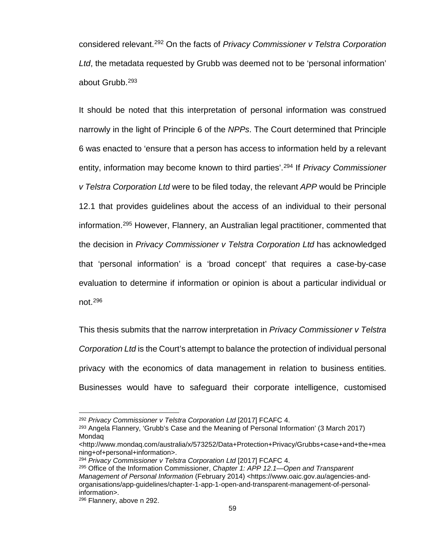considered relevant.[292](#page-66-0) On the facts of *Privacy Commissioner v Telstra Corporation Ltd*, the metadata requested by Grubb was deemed not to be 'personal information' about Grubb.[293](#page-66-1)

It should be noted that this interpretation of personal information was construed narrowly in the light of Principle 6 of the *NPPs*. The Court determined that Principle 6 was enacted to 'ensure that a person has access to information held by a relevant entity, information may become known to third parties'.[294](#page-66-2) If *Privacy Commissioner v Telstra Corporation Ltd* were to be filed today, the relevant *APP* would be Principle 12.1 that provides guidelines about the access of an individual to their personal information.[295](#page-66-3) However, Flannery, an Australian legal practitioner, commented that the decision in *Privacy Commissioner v Telstra Corporation Ltd* has acknowledged that 'personal information' is a 'broad concept' that requires a case-by-case evaluation to determine if information or opinion is about a particular individual or not.[296](#page-66-4)

This thesis submits that the narrow interpretation in *Privacy Commissioner v Telstra Corporation Ltd* is the Court's attempt to balance the protection of individual personal privacy with the economics of data management in relation to business entities. Businesses would have to safeguard their corporate intelligence, customised

<span id="page-66-0"></span><sup>292</sup> *Privacy Commissioner v Telstra Corporation Ltd* [2017] FCAFC 4.

<span id="page-66-1"></span><sup>293</sup> Angela Flannery, 'Grubb's Case and the Meaning of Personal Information' (3 March 2017) Mondaq

<sup>&</sup>lt;http://www.mondaq.com/australia/x/573252/Data+Protection+Privacy/Grubbs+case+and+the+mea ning+of+personal+information>.

<span id="page-66-2"></span><sup>294</sup> *Privacy Commissioner v Telstra Corporation Ltd* [2017] FCAFC 4.

<span id="page-66-3"></span><sup>295</sup> Office of the Information Commissioner, *Chapter 1: APP 12.1—Open and Transparent Management of Personal Information* (February 2014) [<https://www.oaic.gov.au/agencies-and](https://www.oaic.gov.au/agencies-and-organisations/app-guidelines/chapter-1-app-1-open-and-transparent-management-of-personal-information)[organisations/app-guidelines/chapter-1-app-1-open-and-transparent-management-of-personal](https://www.oaic.gov.au/agencies-and-organisations/app-guidelines/chapter-1-app-1-open-and-transparent-management-of-personal-information)[information>](https://www.oaic.gov.au/agencies-and-organisations/app-guidelines/chapter-1-app-1-open-and-transparent-management-of-personal-information).

<span id="page-66-4"></span><sup>296</sup> Flannery, above n 292.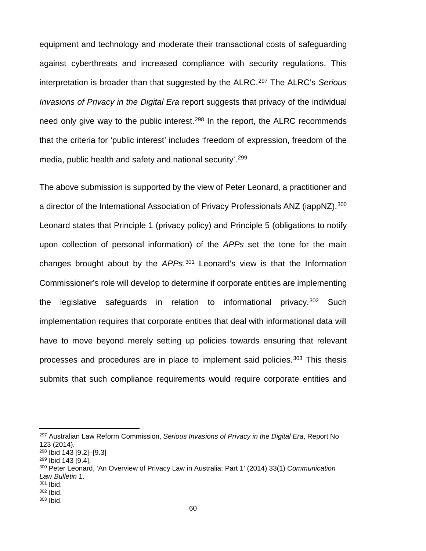equipment and technology and moderate their transactional costs of safeguarding against cyberthreats and increased compliance with security regulations. This interpretation is broader than that suggested by the ALRC. [297](#page-67-0) The ALRC's *Serious Invasions of Privacy in the Digital Era* report suggests that privacy of the individual need only give way to the public interest.<sup>[298](#page-67-1)</sup> In the report, the ALRC recommends that the criteria for 'public interest' includes 'freedom of expression, freedom of the media, public health and safety and national security'. [299](#page-67-2)

The above submission is supported by the view of Peter Leonard, a practitioner and a director of the International Association of Privacy Professionals ANZ (iappNZ).<sup>[300](#page-67-3)</sup> Leonard states that Principle 1 (privacy policy) and Principle 5 (obligations to notify upon collection of personal information) of the *APPs* set the tone for the main changes brought about by the *APPs*. [301](#page-67-4) Leonard's view is that the Information Commissioner's role will develop to determine if corporate entities are implementing the legislative safeguards in relation to informational privacy.  $302$  Such implementation requires that corporate entities that deal with informational data will have to move beyond merely setting up policies towards ensuring that relevant processes and procedures are in place to implement said policies.<sup>[303](#page-67-6)</sup> This thesis submits that such compliance requirements would require corporate entities and

<span id="page-67-0"></span><sup>297</sup> Australian Law Reform Commission, *Serious Invasions of Privacy in the Digital Era*, Report No 123 (2014).

<span id="page-67-1"></span><sup>298</sup> Ibid 143 [9.2]–[9.3]

<span id="page-67-2"></span><sup>299</sup> Ibid 143 [9.4].

<span id="page-67-3"></span><sup>300</sup> Peter Leonard, 'An Overview of Privacy Law in Australia: Part 1' (2014) 33(1) *Communication Law Bulletin* 1.

<span id="page-67-4"></span><sup>301</sup> Ibid.

<span id="page-67-5"></span><sup>302</sup> Ibid.

<span id="page-67-6"></span><sup>303</sup> Ibid.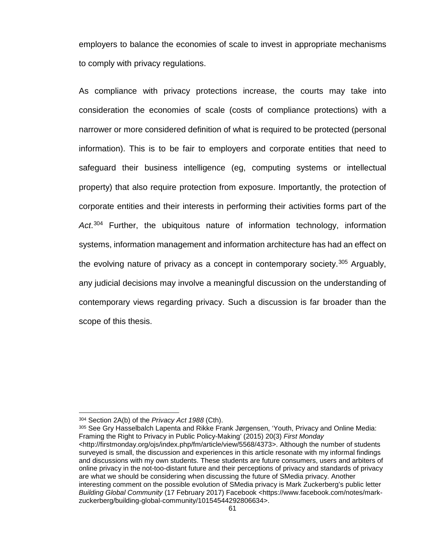employers to balance the economies of scale to invest in appropriate mechanisms to comply with privacy regulations.

As compliance with privacy protections increase, the courts may take into consideration the economies of scale (costs of compliance protections) with a narrower or more considered definition of what is required to be protected (personal information). This is to be fair to employers and corporate entities that need to safeguard their business intelligence (eg, computing systems or intellectual property) that also require protection from exposure. Importantly, the protection of corporate entities and their interests in performing their activities forms part of the *Act*. [304](#page-68-0) Further, the ubiquitous nature of information technology, information systems, information management and information architecture has had an effect on the evolving nature of privacy as a concept in contemporary society.<sup>[305](#page-68-1)</sup> Arguably, any judicial decisions may involve a meaningful discussion on the understanding of contemporary views regarding privacy. Such a discussion is far broader than the scope of this thesis.

<span id="page-68-0"></span><sup>304</sup> Section 2A(b) of the *Privacy Act 1988* (Cth).

<span id="page-68-1"></span><sup>305</sup> See Gry Hasselbalch Lapenta and Rikke Frank Jørgensen, 'Youth, Privacy and Online Media: Framing the Right to Privacy in Public Policy-Making' (2015) 20(3) *First Monday*  <http://firstmonday.org/ojs/index.php/fm/article/view/5568/4373>. Although the number of students surveyed is small, the discussion and experiences in this article resonate with my informal findings and discussions with my own students. These students are future consumers, users and arbiters of online privacy in the not-too-distant future and their perceptions of privacy and standards of privacy are what we should be considering when discussing the future of SMedia privacy. Another interesting comment on the possible evolution of SMedia privacy is Mark Zuckerberg's public letter *Building Global Community* (17 February 2017) Facebook <https://www.facebook.com/notes/markzuckerberg/building-global-community/10154544292806634>.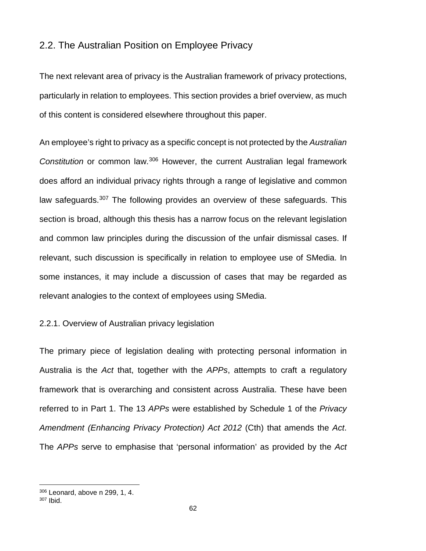# 2.2. The Australian Position on Employee Privacy

The next relevant area of privacy is the Australian framework of privacy protections, particularly in relation to employees. This section provides a brief overview, as much of this content is considered elsewhere throughout this paper.

An employee's right to privacy as a specific concept is not protected by the *Australian Constitution* or common law.[306](#page-69-0) However, the current Australian legal framework does afford an individual privacy rights through a range of legislative and common law safeguards.<sup>[307](#page-69-1)</sup> The following provides an overview of these safeguards. This section is broad, although this thesis has a narrow focus on the relevant legislation and common law principles during the discussion of the unfair dismissal cases. If relevant, such discussion is specifically in relation to employee use of SMedia. In some instances, it may include a discussion of cases that may be regarded as relevant analogies to the context of employees using SMedia.

### 2.2.1. Overview of Australian privacy legislation

The primary piece of legislation dealing with protecting personal information in Australia is the *Act* that, together with the *APPs*, attempts to craft a regulatory framework that is overarching and consistent across Australia. These have been referred to in Part 1. The 13 *APPs* were established by Schedule 1 of the *Privacy Amendment (Enhancing Privacy Protection) Act 2012* (Cth) that amends the *Act*. The *APPs* serve to emphasise that 'personal information' as provided by the *Act* 

<span id="page-69-0"></span><sup>306</sup> Leonard, above n 299, 1, 4.

<span id="page-69-1"></span><sup>307</sup> Ibid.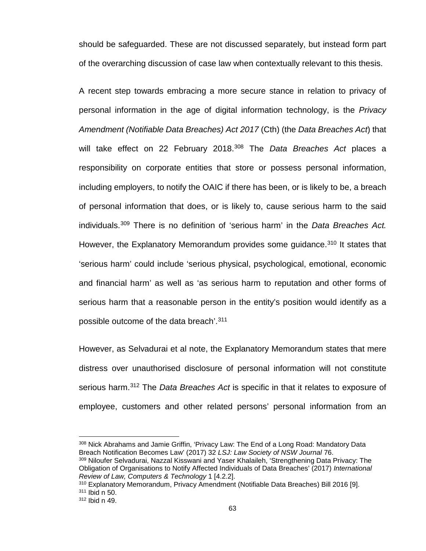should be safeguarded. These are not discussed separately, but instead form part of the overarching discussion of case law when contextually relevant to this thesis.

A recent step towards embracing a more secure stance in relation to privacy of personal information in the age of digital information technology, is the *Privacy Amendment (Notifiable Data Breaches) Act 2017* (Cth) (the *Data Breaches Act*) that will take effect on 22 February 2018.[308](#page-70-0) The *Data Breaches Act* places a responsibility on corporate entities that store or possess personal information, including employers, to notify the OAIC if there has been, or is likely to be, a breach of personal information that does, or is likely to, cause serious harm to the said individuals.[309](#page-70-1) There is no definition of 'serious harm' in the *Data Breaches Act.* However, the Explanatory Memorandum provides some guidance.<sup>[310](#page-70-2)</sup> It states that 'serious harm' could include 'serious physical, psychological, emotional, economic and financial harm' as well as 'as serious harm to reputation and other forms of serious harm that a reasonable person in the entity's position would identify as a possible outcome of the data breach'. [311](#page-70-3)

However, as Selvadurai et al note, the Explanatory Memorandum states that mere distress over unauthorised disclosure of personal information will not constitute serious harm.[312](#page-70-4) The *Data Breaches Act* is specific in that it relates to exposure of employee, customers and other related persons' personal information from an

<span id="page-70-0"></span><sup>308</sup> Nick Abrahams and Jamie Griffin, 'Privacy Law: The End of a Long Road: Mandatory Data Breach Notification Becomes Law' (2017) 32 *LSJ: Law Society of NSW Journal* 76.

<span id="page-70-1"></span>309 Niloufer Selvadurai, Nazzal Kisswani and Yaser Khalaileh, 'Strengthening Data Privacy: The Obligation of Organisations to Notify Affected Individuals of Data Breaches' (2017) *International Review of Law, Computers & Technology* 1 [4.2.2].

<span id="page-70-3"></span><span id="page-70-2"></span><sup>310</sup> Explanatory Memorandum, Privacy Amendment (Notifiable Data Breaches) Bill 2016 [9]. <sup>311</sup> Ibid n 50.

<span id="page-70-4"></span><sup>312</sup> Ibid n 49.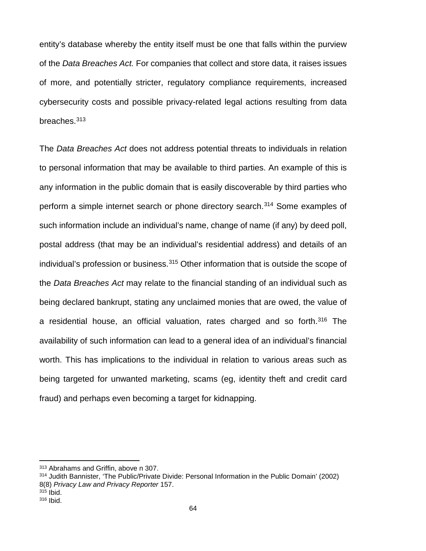entity's database whereby the entity itself must be one that falls within the purview of the *Data Breaches Act.* For companies that collect and store data, it raises issues of more, and potentially stricter, regulatory compliance requirements, increased cybersecurity costs and possible privacy-related legal actions resulting from data breaches.[313](#page-71-0)

The *Data Breaches Act* does not address potential threats to individuals in relation to personal information that may be available to third parties. An example of this is any information in the public domain that is easily discoverable by third parties who perform a simple internet search or phone directory search.<sup>[314](#page-71-1)</sup> Some examples of such information include an individual's name, change of name (if any) by deed poll, postal address (that may be an individual's residential address) and details of an individual's profession or business.<sup>[315](#page-71-2)</sup> Other information that is outside the scope of the *Data Breaches Act* may relate to the financial standing of an individual such as being declared bankrupt, stating any unclaimed monies that are owed, the value of a residential house, an official valuation, rates charged and so forth. [316](#page-71-3) The availability of such information can lead to a general idea of an individual's financial worth. This has implications to the individual in relation to various areas such as being targeted for unwanted marketing, scams (eg, identity theft and credit card fraud) and perhaps even becoming a target for kidnapping.

<span id="page-71-0"></span><sup>313</sup> Abrahams and Griffin, above n 307.

<span id="page-71-1"></span><sup>314</sup> Judith Bannister, 'The Public/Private Divide: Personal Information in the Public Domain' (2002) 8(8) *Privacy Law and Privacy Reporter* 157. <sup>315</sup> Ibid.

<span id="page-71-3"></span><span id="page-71-2"></span><sup>316</sup> Ibid.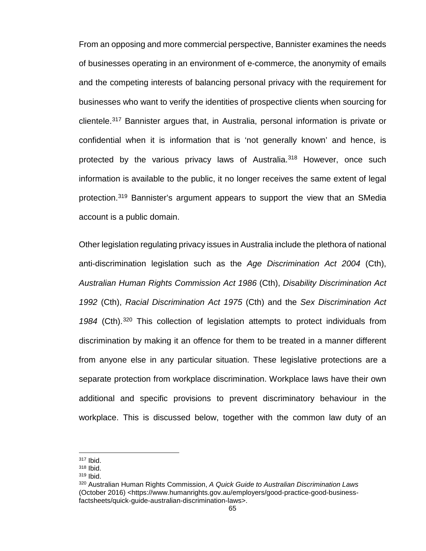From an opposing and more commercial perspective, Bannister examines the needs of businesses operating in an environment of e-commerce, the anonymity of emails and the competing interests of balancing personal privacy with the requirement for businesses who want to verify the identities of prospective clients when sourcing for clientele.[317](#page-72-0) Bannister argues that, in Australia, personal information is private or confidential when it is information that is 'not generally known' and hence, is protected by the various privacy laws of Australia.<sup>[318](#page-72-1)</sup> However, once such information is available to the public, it no longer receives the same extent of legal protection.[319](#page-72-2) Bannister's argument appears to support the view that an SMedia account is a public domain.

Other legislation regulating privacy issues in Australia include the plethora of national anti-discrimination legislation such as the *Age Discrimination Act 2004* (Cth), *Australian Human Rights Commission Act 1986* (Cth), *Disability Discrimination Act 1992* (Cth), *Racial Discrimination Act 1975* (Cth) and the *Sex Discrimination Act 1984* (Cth).[320](#page-72-3) This collection of legislation attempts to protect individuals from discrimination by making it an offence for them to be treated in a manner different from anyone else in any particular situation. These legislative protections are a separate protection from workplace discrimination. Workplace laws have their own additional and specific provisions to prevent discriminatory behaviour in the workplace. This is discussed below, together with the common law duty of an

<span id="page-72-0"></span><sup>317</sup> Ibid.

<span id="page-72-1"></span><sup>318</sup> Ibid.

<span id="page-72-2"></span><sup>319</sup> Ibid.

<span id="page-72-3"></span><sup>320</sup> Australian Human Rights Commission, *A Quick Guide to Australian Discrimination Laws* (October 2016) <https://www.humanrights.gov.au/employers/good-practice-good-businessfactsheets/quick-guide-australian-discrimination-laws>.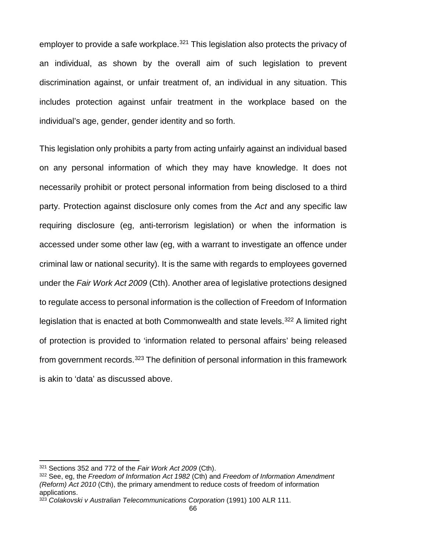employer to provide a safe workplace.<sup>[321](#page-73-0)</sup> This legislation also protects the privacy of an individual, as shown by the overall aim of such legislation to prevent discrimination against, or unfair treatment of, an individual in any situation. This includes protection against unfair treatment in the workplace based on the individual's age, gender, gender identity and so forth.

This legislation only prohibits a party from acting unfairly against an individual based on any personal information of which they may have knowledge. It does not necessarily prohibit or protect personal information from being disclosed to a third party. Protection against disclosure only comes from the *Act* and any specific law requiring disclosure (eg, anti-terrorism legislation) or when the information is accessed under some other law (eg, with a warrant to investigate an offence under criminal law or national security). It is the same with regards to employees governed under the *Fair Work Act 2009* (Cth). Another area of legislative protections designed to regulate access to personal information is the collection of Freedom of Information legislation that is enacted at both Commonwealth and state levels.<sup>[322](#page-73-1)</sup> A limited right of protection is provided to 'information related to personal affairs' being released from government records.[323](#page-73-2) The definition of personal information in this framework is akin to 'data' as discussed above.

<span id="page-73-0"></span><sup>321</sup> Sections 352 and 772 of the *Fair Work Act 2009* (Cth).

<span id="page-73-1"></span><sup>322</sup> See, eg, the *Freedom of Information Act 1982* (Cth) and *Freedom of Information Amendment (Reform) Act 2010* (Cth), the primary amendment to reduce costs of freedom of information applications.

<span id="page-73-2"></span><sup>323</sup> *Colakovski v Australian Telecommunications Corporation* (1991) 100 ALR 111.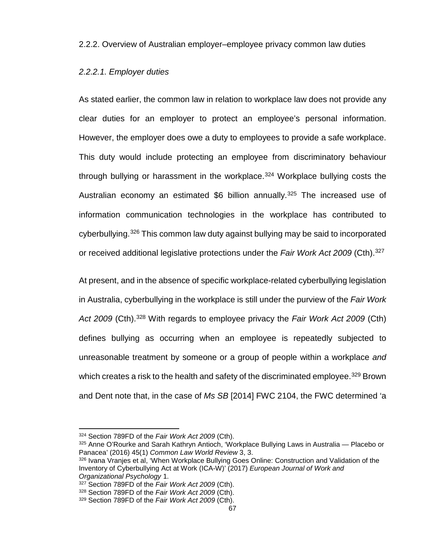2.2.2. Overview of Australian employer–employee privacy common law duties

#### *2.2.2.1. Employer duties*

As stated earlier, the common law in relation to workplace law does not provide any clear duties for an employer to protect an employee's personal information. However, the employer does owe a duty to employees to provide a safe workplace. This duty would include protecting an employee from discriminatory behaviour through bullying or harassment in the workplace.[324](#page-74-0) Workplace bullying costs the Australian economy an estimated \$6 billion annually.<sup>[325](#page-74-1)</sup> The increased use of information communication technologies in the workplace has contributed to cyberbullying.[326](#page-74-2) This common law duty against bullying may be said to incorporated or received additional legislative protections under the *Fair Work Act 2009* (Cth)[.327](#page-74-3)

At present, and in the absence of specific workplace-related cyberbullying legislation in Australia, cyberbullying in the workplace is still under the purview of the *Fair Work*  Act 2009 (Cth).<sup>[328](#page-74-4)</sup> With regards to employee privacy the *Fair Work Act 2009* (Cth) defines bullying as occurring when an employee is repeatedly subjected to unreasonable treatment by someone or a group of people within a workplace *and* which creates a risk to the health and safety of the discriminated employee.<sup>[329](#page-74-5)</sup> Brown and Dent note that, in the case of *Ms SB* [2014] FWC 2104, the FWC determined 'a

<span id="page-74-0"></span><sup>324</sup> Section 789FD of the *Fair Work Act 2009* (Cth).

<span id="page-74-1"></span><sup>325</sup> Anne O'Rourke and Sarah Kathryn Antioch, 'Workplace Bullying Laws in Australia — Placebo or Panacea' (2016) 45(1) *Common Law World Review* 3, 3.

<span id="page-74-2"></span><sup>326</sup> Ivana Vranjes et al, 'When Workplace Bullying Goes Online: Construction and Validation of the Inventory of Cyberbullying Act at Work (ICA-W)' (2017) *European Journal of Work and Organizational Psychology* 1.

<sup>327</sup> Section 789FD of the *Fair Work Act 2009* (Cth).

<span id="page-74-4"></span><span id="page-74-3"></span><sup>328</sup> Section 789FD of the *Fair Work Act 2009* (Cth).

<span id="page-74-5"></span><sup>329</sup> Section 789FD of the *Fair Work Act 2009* (Cth).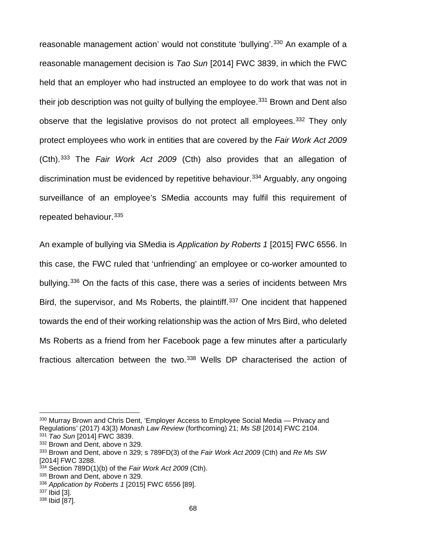reasonable management action' would not constitute 'bullying'.<sup>[330](#page-75-0)</sup> An example of a reasonable management decision is *Tao Sun* [2014] FWC 3839, in which the FWC held that an employer who had instructed an employee to do work that was not in their job description was not guilty of bullying the employee.<sup>331</sup> Brown and Dent also observe that the legislative provisos do not protect all employees.<sup>[332](#page-75-2)</sup> They only protect employees who work in entities that are covered by the *Fair Work Act 2009* (Cth).[333](#page-75-3) The *Fair Work Act 2009* (Cth) also provides that an allegation of discrimination must be evidenced by repetitive behaviour.<sup>[334](#page-75-4)</sup> Arguably, any ongoing surveillance of an employee's SMedia accounts may fulfil this requirement of repeated behaviour.[335](#page-75-5)

An example of bullying via SMedia is *Application by Roberts 1* [2015] FWC 6556. In this case, the FWC ruled that 'unfriending' an employee or co-worker amounted to bullving.<sup>[336](#page-75-6)</sup> On the facts of this case, there was a series of incidents between Mrs Bird, the supervisor, and Ms Roberts, the plaintiff.<sup>[337](#page-75-7)</sup> One incident that happened towards the end of their working relationship was the action of Mrs Bird, who deleted Ms Roberts as a friend from her Facebook page a few minutes after a particularly fractious altercation between the two.[338](#page-75-8) Wells DP characterised the action of

<span id="page-75-1"></span><sup>331</sup> *Tao Sun* [2014] FWC 3839. 332 Brown and Dent, above n 329.

<span id="page-75-0"></span><sup>330</sup> Murray Brown and Chris Dent, 'Employer Access to Employee Social Media — Privacy and Regulations' (2017) 43(3) *Monash Law Review* (forthcoming) 21; *Ms SB* [2014] FWC 2104.

<span id="page-75-3"></span><span id="page-75-2"></span><sup>333</sup> Brown and Dent, above n 329; s 789FD(3) of the *Fair Work Act 2009* (Cth) and *Re Ms SW* [2014] FWC 3288.

<span id="page-75-4"></span><sup>334</sup> Section 789D(1)(b) of the *Fair Work Act 2009* (Cth).

<span id="page-75-5"></span><sup>335</sup> Brown and Dent, above n 329.

<span id="page-75-6"></span><sup>336</sup> *Application by Roberts 1* [2015] FWC 6556 [89].

<span id="page-75-7"></span><sup>337</sup> Ibid [3].

<span id="page-75-8"></span><sup>338</sup> Ibid [87].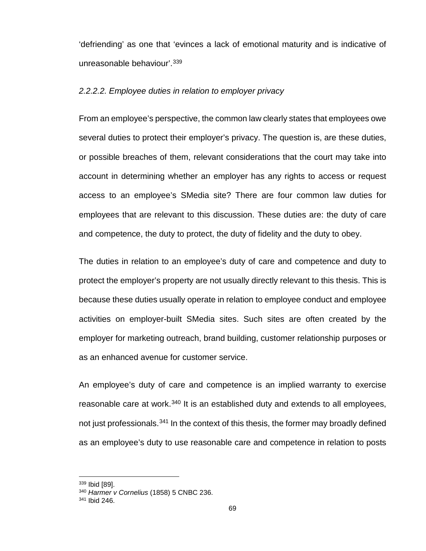'defriending' as one that 'evinces a lack of emotional maturity and is indicative of unreasonable behaviour<sup>'</sup>.<sup>[339](#page-76-0)</sup>

#### *2.2.2.2. Employee duties in relation to employer privacy*

From an employee's perspective, the common law clearly states that employees owe several duties to protect their employer's privacy. The question is, are these duties, or possible breaches of them, relevant considerations that the court may take into account in determining whether an employer has any rights to access or request access to an employee's SMedia site? There are four common law duties for employees that are relevant to this discussion. These duties are: the duty of care and competence, the duty to protect, the duty of fidelity and the duty to obey.

The duties in relation to an employee's duty of care and competence and duty to protect the employer's property are not usually directly relevant to this thesis. This is because these duties usually operate in relation to employee conduct and employee activities on employer-built SMedia sites. Such sites are often created by the employer for marketing outreach, brand building, customer relationship purposes or as an enhanced avenue for customer service.

An employee's duty of care and competence is an implied warranty to exercise reasonable care at work.<sup>[340](#page-76-1)</sup> It is an established duty and extends to all employees. not just professionals.<sup>[341](#page-76-2)</sup> In the context of this thesis, the former may broadly defined as an employee's duty to use reasonable care and competence in relation to posts

<sup>339</sup> Ibid [89].

<span id="page-76-1"></span><span id="page-76-0"></span><sup>340</sup> *Harmer v Cornelius* (1858) 5 CNBC 236.

<span id="page-76-2"></span><sup>341</sup> Ibid 246.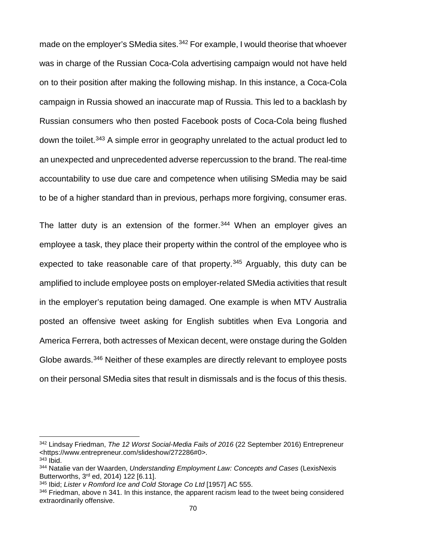made on the employer's SMedia sites.<sup>[342](#page-77-0)</sup> For example, I would theorise that whoever was in charge of the Russian Coca-Cola advertising campaign would not have held on to their position after making the following mishap. In this instance, a Coca-Cola campaign in Russia showed an inaccurate map of Russia. This led to a backlash by Russian consumers who then posted Facebook posts of Coca-Cola being flushed down the toilet.[343](#page-77-1) A simple error in geography unrelated to the actual product led to an unexpected and unprecedented adverse repercussion to the brand. The real-time accountability to use due care and competence when utilising SMedia may be said to be of a higher standard than in previous, perhaps more forgiving, consumer eras.

The latter duty is an extension of the former. $344$  When an employer gives an employee a task, they place their property within the control of the employee who is expected to take reasonable care of that property. $345$  Arguably, this duty can be amplified to include employee posts on employer-related SMedia activities that result in the employer's reputation being damaged. One example is when MTV Australia posted an offensive tweet asking for English subtitles when Eva Longoria and America Ferrera, both actresses of Mexican decent, were onstage during the Golden Globe awards.<sup>346</sup> Neither of these examples are directly relevant to employee posts on their personal SMedia sites that result in dismissals and is the focus of this thesis.

<span id="page-77-0"></span><sup>342</sup> Lindsay Friedman, *The 12 Worst Social-Media Fails of 2016* (22 September 2016) Entrepreneur <https://www.entrepreneur.com/slideshow/272286#0>.  $343$  lbid.

<span id="page-77-2"></span><span id="page-77-1"></span><sup>344</sup> Natalie van der Waarden, *Understanding Employment Law: Concepts and Cases* (LexisNexis Butterworths, 3rd ed, 2014) 122 [6.11].

<span id="page-77-3"></span><sup>345</sup> Ibid; *Lister v Romford Ice and Cold Storage Co Ltd* [1957] AC 555.

<span id="page-77-4"></span> $346$  Friedman, above n 341. In this instance, the apparent racism lead to the tweet being considered extraordinarily offensive.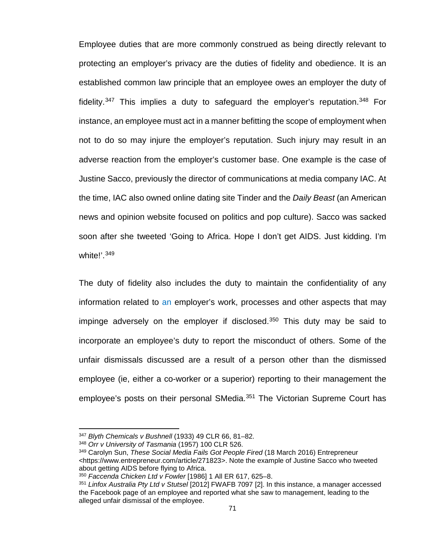Employee duties that are more commonly construed as being directly relevant to protecting an employer's privacy are the duties of fidelity and obedience. It is an established common law principle that an employee owes an employer the duty of fidelity.<sup>[347](#page-78-0)</sup> This implies a duty to safeguard the employer's reputation.<sup>348</sup> For instance, an employee must act in a manner befitting the scope of employment when not to do so may injure the employer's reputation. Such injury may result in an adverse reaction from the employer's customer base. One example is the case of Justine Sacco, previously the director of communications at media company IAC. At the time, IAC also owned online dating site Tinder and the *Daily Beast* (an American news and opinion website focused on politics and pop culture). Sacco was sacked soon after she tweeted 'Going to Africa. Hope I don't get AIDS. Just kidding. I'm white!'.<sup>[349](#page-78-2)</sup>

The duty of fidelity also includes the duty to maintain the confidentiality of any information related to an employer's work, processes and other aspects that may impinge adversely on the employer if disclosed.<sup>[350](#page-78-3)</sup> This duty may be said to incorporate an employee's duty to report the misconduct of others. Some of the unfair dismissals discussed are a result of a person other than the dismissed employee (ie, either a co-worker or a superior) reporting to their management the employee's posts on their personal SMedia.<sup>[351](#page-78-4)</sup> The Victorian Supreme Court has

<sup>347</sup> *Blyth Chemicals v Bushnell* (1933) 49 CLR 66, 81–82.

<span id="page-78-2"></span><span id="page-78-1"></span><span id="page-78-0"></span><sup>348</sup> *Orr v University of Tasmania* (1957) 100 CLR 526.

<sup>349</sup> Carolyn Sun, *These Social Media Fails Got People Fired* (18 March 2016) Entrepreneur [<https://www.entrepreneur.com/article/271823>](https://www.entrepreneur.com/article/271823). Note the example of Justine Sacco who tweeted about getting AIDS before flying to Africa.

<span id="page-78-3"></span><sup>350</sup> *Faccenda Chicken Ltd v Fowler* [1986] 1 All ER 617, 625–8.

<span id="page-78-4"></span><sup>351</sup> *Linfox Australia Pty Ltd v Stutsel* [2012] FWAFB 7097 [2]. In this instance, a manager accessed the Facebook page of an employee and reported what she saw to management, leading to the alleged unfair dismissal of the employee.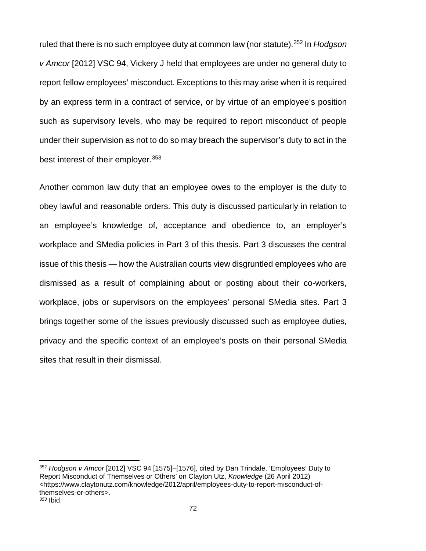ruled that there is no such employee duty at common law (nor statute).[352](#page-79-0) In *Hodgson v Amcor* [2012] VSC 94, Vickery J held that employees are under no general duty to report fellow employees' misconduct. Exceptions to this may arise when it is required by an express term in a contract of service, or by virtue of an employee's position such as supervisory levels, who may be required to report misconduct of people under their supervision as not to do so may breach the supervisor's duty to act in the best interest of their employer.[353](#page-79-1)

Another common law duty that an employee owes to the employer is the duty to obey lawful and reasonable orders. This duty is discussed particularly in relation to an employee's knowledge of, acceptance and obedience to, an employer's workplace and SMedia policies in Part 3 of this thesis. Part 3 discusses the central issue of this thesis — how the Australian courts view disgruntled employees who are dismissed as a result of complaining about or posting about their co-workers, workplace, jobs or supervisors on the employees' personal SMedia sites. Part 3 brings together some of the issues previously discussed such as employee duties, privacy and the specific context of an employee's posts on their personal SMedia sites that result in their dismissal.

<span id="page-79-1"></span><span id="page-79-0"></span><sup>352</sup> *Hodgson v Amcor* [2012] VSC 94 [1575]–[1576], cited by Dan Trindale, 'Employees' Duty to Report Misconduct of Themselves or Others' on Clayton Utz, *Knowledge* (26 April 2012) <https://www.claytonutz.com/knowledge/2012/april/employees-duty-to-report-misconduct-ofthemselves-or-others>. *<sup>353</sup>* Ibid.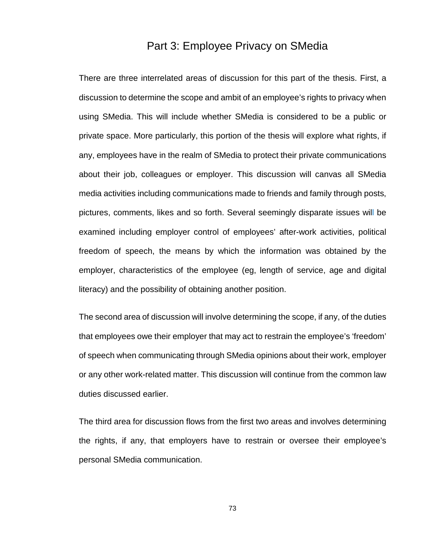## Part 3: Employee Privacy on SMedia

There are three interrelated areas of discussion for this part of the thesis. First, a discussion to determine the scope and ambit of an employee's rights to privacy when using SMedia. This will include whether SMedia is considered to be a public or private space. More particularly, this portion of the thesis will explore what rights, if any, employees have in the realm of SMedia to protect their private communications about their job, colleagues or employer. This discussion will canvas all SMedia media activities including communications made to friends and family through posts, pictures, comments, likes and so forth. Several seemingly disparate issues will be examined including employer control of employees' after-work activities, political freedom of speech, the means by which the information was obtained by the employer, characteristics of the employee (eg, length of service, age and digital literacy) and the possibility of obtaining another position.

The second area of discussion will involve determining the scope, if any, of the duties that employees owe their employer that may act to restrain the employee's 'freedom' of speech when communicating through SMedia opinions about their work, employer or any other work-related matter. This discussion will continue from the common law duties discussed earlier.

The third area for discussion flows from the first two areas and involves determining the rights, if any, that employers have to restrain or oversee their employee's personal SMedia communication.

73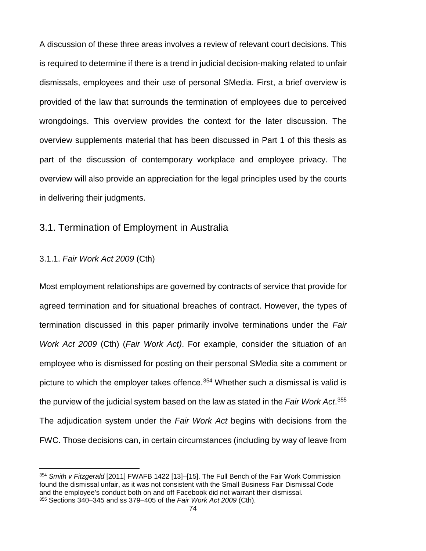A discussion of these three areas involves a review of relevant court decisions. This is required to determine if there is a trend in judicial decision-making related to unfair dismissals, employees and their use of personal SMedia. First, a brief overview is provided of the law that surrounds the termination of employees due to perceived wrongdoings. This overview provides the context for the later discussion. The overview supplements material that has been discussed in Part 1 of this thesis as part of the discussion of contemporary workplace and employee privacy. The overview will also provide an appreciation for the legal principles used by the courts in delivering their judgments.

### 3.1. Termination of Employment in Australia

#### 3.1.1. *Fair Work Act 2009* (Cth)

 $\overline{\phantom{a}}$ 

Most employment relationships are governed by contracts of service that provide for agreed termination and for situational breaches of contract. However, the types of termination discussed in this paper primarily involve terminations under the *Fair Work Act 2009* (Cth) (*Fair Work Act)*. For example, consider the situation of an employee who is dismissed for posting on their personal SMedia site a comment or picture to which the employer takes offence. [354](#page-81-0) Whether such a dismissal is valid is the purview of the judicial system based on the law as stated in the *Fair Work Act*. [355](#page-81-1) The adjudication system under the *Fair Work Act* begins with decisions from the FWC. Those decisions can, in certain circumstances (including by way of leave from

<span id="page-81-1"></span><span id="page-81-0"></span><sup>354</sup> *Smith v Fitzgerald* [2011] FWAFB 1422 [13]–[15]. The Full Bench of the Fair Work Commission found the dismissal unfair, as it was not consistent with the Small Business Fair Dismissal Code and the employee's conduct both on and off Facebook did not warrant their dismissal. <sup>355</sup> Sections 340–345 and ss 379–405 of the *Fair Work Act 2009* (Cth).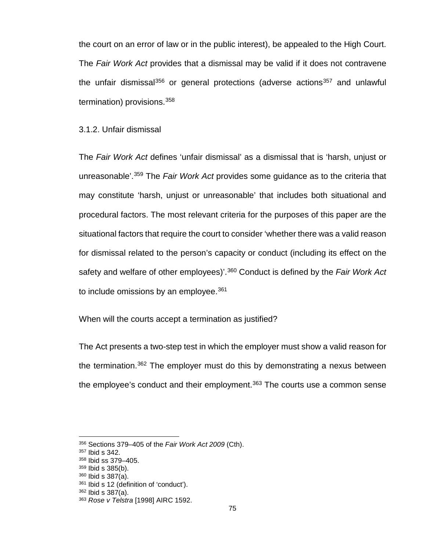the court on an error of law or in the public interest), be appealed to the High Court. The *Fair Work Act* provides that a dismissal may be valid if it does not contravene the unfair dismissal $356$  or general protections (adverse actions $357$  and unlawful termination) provisions.[358](#page-82-2)

#### 3.1.2. Unfair dismissal

The *Fair Work Act* defines 'unfair dismissal' as a dismissal that is 'harsh, unjust or unreasonable'.[359](#page-82-3) The *Fair Work Act* provides some guidance as to the criteria that may constitute 'harsh, unjust or unreasonable' that includes both situational and procedural factors. The most relevant criteria for the purposes of this paper are the situational factors that require the court to consider 'whether there was a valid reason for dismissal related to the person's capacity or conduct (including its effect on the safety and welfare of other employees)'.[360](#page-82-4) Conduct is defined by the *Fair Work Act* to include omissions by an employee.  $361$ 

When will the courts accept a termination as justified?

The Act presents a two-step test in which the employer must show a valid reason for the termination. [362](#page-82-6) The employer must do this by demonstrating a nexus between the employee's conduct and their employment.[363](#page-82-7) The courts use a common sense

 $\overline{a}$ 

<span id="page-82-4"></span><sup>360</sup> Ibid s 387(a).

<span id="page-82-0"></span><sup>356</sup> Sections 379–405 of the *Fair Work Act 2009* (Cth).

<span id="page-82-1"></span><sup>357</sup> Ibid s 342.

<span id="page-82-2"></span><sup>358</sup> Ibid ss 379–405.

<span id="page-82-3"></span><sup>359</sup> Ibid s 385(b).

<span id="page-82-5"></span><sup>361</sup> Ibid s 12 (definition of 'conduct').

<span id="page-82-6"></span><sup>362</sup> Ibid s 387(a).

<span id="page-82-7"></span><sup>363</sup> *Rose v Telstra* [1998] AIRC 1592.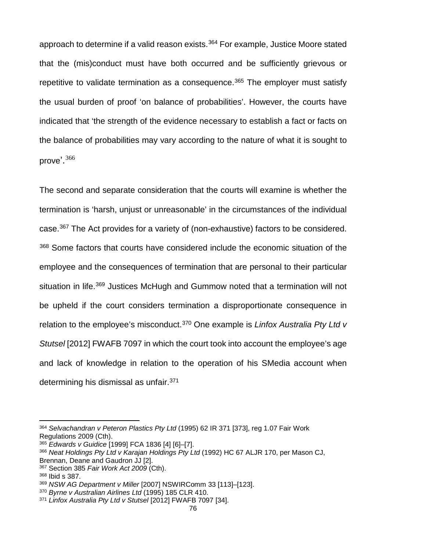approach to determine if a valid reason exists.<sup>[364](#page-83-0)</sup> For example, Justice Moore stated that the (mis)conduct must have both occurred and be sufficiently grievous or repetitive to validate termination as a consequence.<sup>[365](#page-83-1)</sup> The employer must satisfy the usual burden of proof 'on balance of probabilities'. However, the courts have indicated that 'the strength of the evidence necessary to establish a fact or facts on the balance of probabilities may vary according to the nature of what it is sought to prove'.<sup>[366](#page-83-2)</sup>

The second and separate consideration that the courts will examine is whether the termination is 'harsh, unjust or unreasonable' in the circumstances of the individual case.[367](#page-83-3) The Act provides for a variety of (non-exhaustive) factors to be considered. [368](#page-83-4) Some factors that courts have considered include the economic situation of the employee and the consequences of termination that are personal to their particular situation in life.<sup>[369](#page-83-5)</sup> Justices McHugh and Gummow noted that a termination will not be upheld if the court considers termination a disproportionate consequence in relation to the employee's misconduct.[370](#page-83-6) One example is *Linfox Australia Pty Ltd v Stutsel* [2012] FWAFB 7097 in which the court took into account the employee's age and lack of knowledge in relation to the operation of his SMedia account when determining his dismissal as unfair.[371](#page-83-7)

 $\overline{\phantom{a}}$ 

<span id="page-83-0"></span><sup>364</sup> *Selvachandran v Peteron Plastics Pty Ltd* (1995) 62 IR 371 [373], reg 1.07 Fair Work Regulations 2009 (Cth).

<span id="page-83-1"></span><sup>365</sup> *Edwards v Guidice* [1999] FCA 1836 [4] [6]–[7].

<span id="page-83-2"></span><sup>366</sup> *Neat Holdings Pty Ltd v Karajan Holdings Pty Ltd* (1992) HC 67 ALJR 170, per Mason CJ, Brennan, Deane and Gaudron JJ [2].

<span id="page-83-3"></span><sup>367</sup> Section 385 *Fair Work Act 2009* (Cth).

<span id="page-83-4"></span><sup>368</sup> Ibid s 387.

<span id="page-83-5"></span><sup>369</sup> *NSW AG Department v Miller* [2007] NSWIRComm 33 [113]–[123].

<span id="page-83-6"></span><sup>370</sup> *Byrne v Australian Airlines Ltd* (1995) 185 CLR 410.

<span id="page-83-7"></span><sup>371</sup> *Linfox Australia Pty Ltd v Stutsel* [2012] FWAFB 7097 [34].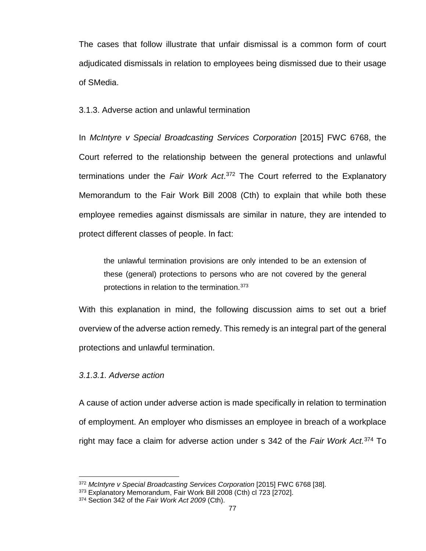The cases that follow illustrate that unfair dismissal is a common form of court adjudicated dismissals in relation to employees being dismissed due to their usage of SMedia.

3.1.3. Adverse action and unlawful termination

In *McIntyre v Special Broadcasting Services Corporation* [2015] FWC 6768, the Court referred to the relationship between the general protections and unlawful terminations under the *Fair Work Act*. [372](#page-84-0) The Court referred to the Explanatory Memorandum to the Fair Work Bill 2008 (Cth) to explain that while both these employee remedies against dismissals are similar in nature, they are intended to protect different classes of people. In fact:

the unlawful termination provisions are only intended to be an extension of these (general) protections to persons who are not covered by the general protections in relation to the termination. [373](#page-84-1)

With this explanation in mind, the following discussion aims to set out a brief overview of the adverse action remedy. This remedy is an integral part of the general protections and unlawful termination.

#### *3.1.3.1. Adverse action*

 $\overline{a}$ 

A cause of action under adverse action is made specifically in relation to termination of employment. An employer who dismisses an employee in breach of a workplace right may face a claim for adverse action under s 342 of the *Fair Work Act.*[374](#page-84-2) To

<sup>&</sup>lt;sup>372</sup> McIntyre v Special Broadcasting Services Corporation [2015] FWC 6768 [38].

<span id="page-84-1"></span><span id="page-84-0"></span><sup>373</sup> Explanatory Memorandum, Fair Work Bill 2008 (Cth) cl 723 [2702].

<span id="page-84-2"></span><sup>374</sup> Section 342 of the *Fair Work Act 2009* (Cth).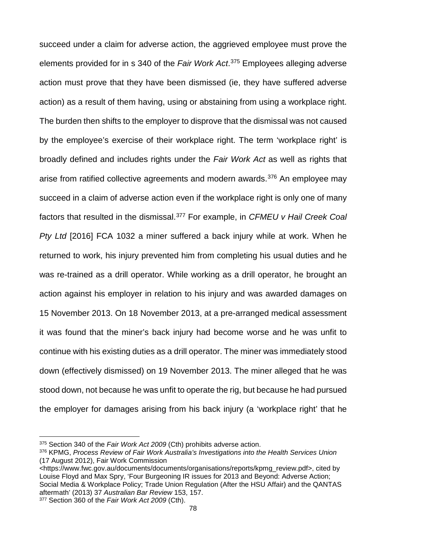succeed under a claim for adverse action, the aggrieved employee must prove the elements provided for in s 340 of the *Fair Work Act*. [375](#page-85-0) Employees alleging adverse action must prove that they have been dismissed (ie, they have suffered adverse action) as a result of them having, using or abstaining from using a workplace right. The burden then shifts to the employer to disprove that the dismissal was not caused by the employee's exercise of their workplace right. The term 'workplace right' is broadly defined and includes rights under the *Fair Work Act* as well as rights that arise from ratified collective agreements and modern awards.<sup>[376](#page-85-1)</sup> An employee may succeed in a claim of adverse action even if the workplace right is only one of many factors that resulted in the dismissal.[377](#page-85-2) For example, in *CFMEU v Hail Creek Coal Pty Ltd* [2016] FCA 1032 a miner suffered a back injury while at work. When he returned to work, his injury prevented him from completing his usual duties and he was re-trained as a drill operator. While working as a drill operator, he brought an action against his employer in relation to his injury and was awarded damages on 15 November 2013. On 18 November 2013, at a pre-arranged medical assessment it was found that the miner's back injury had become worse and he was unfit to continue with his existing duties as a drill operator. The miner was immediately stood down (effectively dismissed) on 19 November 2013. The miner alleged that he was stood down, not because he was unfit to operate the rig, but because he had pursued the employer for damages arising from his back injury (a 'workplace right' that he

[<https://www.fwc.gov.au/documents/documents/organisations/reports/kpmg\\_review.pdf>](https://www.fwc.gov.au/documents/documents/organisations/reports/kpmg_review.pdf), cited by Louise Floyd and Max Spry, 'Four Burgeoning IR issues for 2013 and Beyond: Adverse Action; Social Media & Workplace Policy; Trade Union Regulation (After the HSU Affair) and the QANTAS aftermath' (2013) 37 *Australian Bar Review* 153, 157.

<span id="page-85-2"></span><sup>377</sup> Section 360 of the *Fair Work Act 2009* (Cth).

<span id="page-85-0"></span><sup>375</sup> Section 340 of the *Fair Work Act 2009* (Cth) prohibits adverse action.

<span id="page-85-1"></span><sup>376</sup> KPMG, *Process Review of Fair Work Australia's Investigations into the Health Services Union* (17 August 2012), Fair Work Commission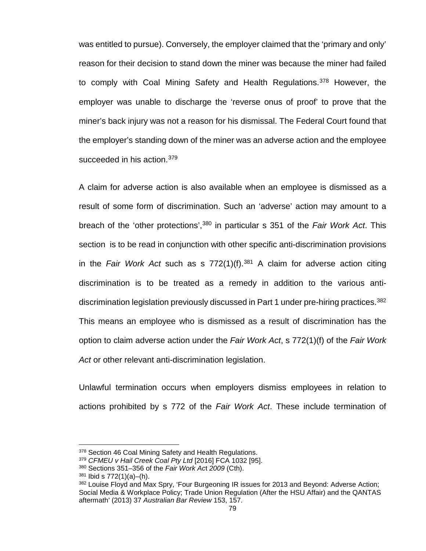was entitled to pursue). Conversely, the employer claimed that the 'primary and only' reason for their decision to stand down the miner was because the miner had failed to comply with Coal Mining Safety and Health Regulations.<sup>[378](#page-86-0)</sup> However, the employer was unable to discharge the 'reverse onus of proof' to prove that the miner's back injury was not a reason for his dismissal. The Federal Court found that the employer's standing down of the miner was an adverse action and the employee succeeded in his action. [379](#page-86-1)

A claim for adverse action is also available when an employee is dismissed as a result of some form of discrimination. Such an 'adverse' action may amount to a breach of the 'other protections', [380](#page-86-2) in particular s 351 of the *Fair Work Act*. This section is to be read in conjunction with other specific anti-discrimination provisions in the *Fair Work Act* such as s 772(1)(f).<sup>[381](#page-86-3)</sup> A claim for adverse action citing discrimination is to be treated as a remedy in addition to the various anti-discrimination legislation previously discussed in Part 1 under pre-hiring practices.<sup>[382](#page-86-4)</sup> This means an employee who is dismissed as a result of discrimination has the option to claim adverse action under the *Fair Work Act*, s 772(1)(f) of the *Fair Work Act* or other relevant anti-discrimination legislation.

Unlawful termination occurs when employers dismiss employees in relation to actions prohibited by s 772 of the *Fair Work Act*. These include termination of

<span id="page-86-0"></span><sup>378</sup> Section 46 Coal Mining Safety and Health Regulations.

<span id="page-86-1"></span><sup>379</sup> *CFMEU v Hail Creek Coal Pty Ltd* [2016] FCA 1032 [95].

<span id="page-86-2"></span><sup>380</sup> Sections 351–356 of the *Fair Work Ac*t *2009* (Cth).

<span id="page-86-3"></span><sup>381</sup> Ibid s 772(1)(a)–(h).

<span id="page-86-4"></span><sup>382</sup> Louise Floyd and Max Spry, 'Four Burgeoning IR issues for 2013 and Beyond: Adverse Action; Social Media & Workplace Policy; Trade Union Regulation (After the HSU Affair) and the QANTAS aftermath' (2013) 37 *Australian Bar Review* 153, 157.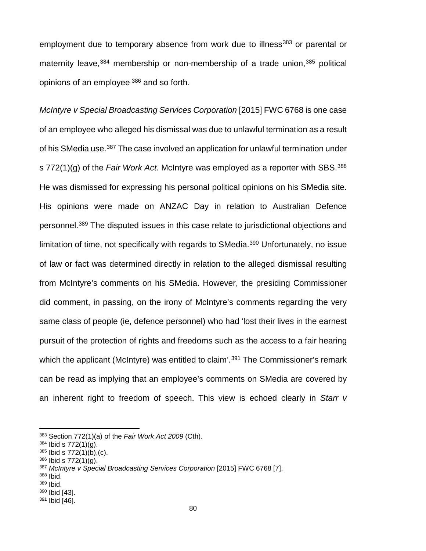employment due to temporary absence from work due to illness<sup>[383](#page-87-0)</sup> or parental or maternity leave, [384](#page-87-1) membership or non-membership of a trade union, [385](#page-87-2) political opinions of an employee [386](#page-87-3) and so forth.

*McIntyre v Special Broadcasting Services Corporation* [2015] FWC 6768 is one case of an employee who alleged his dismissal was due to unlawful termination as a result of his SMedia use.<sup>387</sup> The case involved an application for unlawful termination under s 772(1)(g) of the *Fair Work Act*. McIntyre was employed as a reporter with SBS.[388](#page-87-5) He was dismissed for expressing his personal political opinions on his SMedia site. His opinions were made on ANZAC Day in relation to Australian Defence personnel.[389](#page-87-6) The disputed issues in this case relate to jurisdictional objections and limitation of time, not specifically with regards to SMedia.<sup>[390](#page-87-7)</sup> Unfortunately, no issue of law or fact was determined directly in relation to the alleged dismissal resulting from McIntyre's comments on his SMedia. However, the presiding Commissioner did comment, in passing, on the irony of McIntyre's comments regarding the very same class of people (ie, defence personnel) who had 'lost their lives in the earnest pursuit of the protection of rights and freedoms such as the access to a fair hearing which the applicant (McIntyre) was entitled to claim'. [391](#page-87-8) The Commissioner's remark can be read as implying that an employee's comments on SMedia are covered by an inherent right to freedom of speech. This view is echoed clearly in *Starr v* 

<span id="page-87-0"></span><sup>383</sup> Section 772(1)(a) of the *Fair Work Act 2009* (Cth).

<span id="page-87-1"></span><sup>384</sup> Ibid s 772(1)(g).

<span id="page-87-2"></span> $385$  lbid s  $772(1)(b)$ , (c).

<span id="page-87-3"></span><sup>386</sup> Ibid s 772(1)(g).

<span id="page-87-4"></span><sup>387</sup> *McIntyre v Special Broadcasting Services Corporation* [2015] FWC 6768 [7].

<span id="page-87-5"></span><sup>388</sup> Ibid.

<span id="page-87-6"></span><sup>389</sup> Ibid.

<span id="page-87-7"></span><sup>390</sup> Ibid [43].

<span id="page-87-8"></span><sup>391</sup> Ibid [46].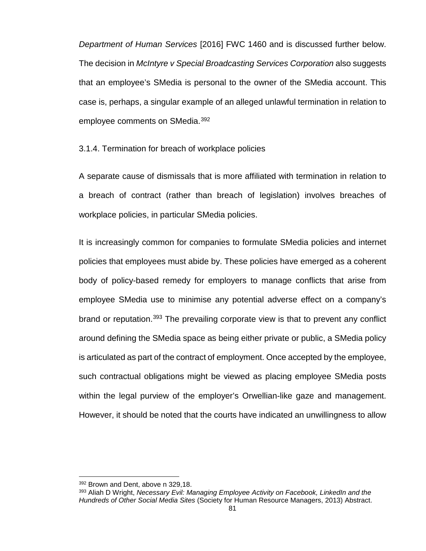*Department of Human Services* [2016] FWC 1460 and is discussed further below. The decision in *McIntyre v Special Broadcasting Services Corporation* also suggests that an employee's SMedia is personal to the owner of the SMedia account. This case is, perhaps, a singular example of an alleged unlawful termination in relation to employee comments on SMedia.<sup>[392](#page-88-0)</sup>

3.1.4. Termination for breach of workplace policies

A separate cause of dismissals that is more affiliated with termination in relation to a breach of contract (rather than breach of legislation) involves breaches of workplace policies, in particular SMedia policies.

It is increasingly common for companies to formulate SMedia policies and internet policies that employees must abide by. These policies have emerged as a coherent body of policy-based remedy for employers to manage conflicts that arise from employee SMedia use to minimise any potential adverse effect on a company's brand or reputation.<sup>[393](#page-88-1)</sup> The prevailing corporate view is that to prevent any conflict around defining the SMedia space as being either private or public, a SMedia policy is articulated as part of the contract of employment. Once accepted by the employee, such contractual obligations might be viewed as placing employee SMedia posts within the legal purview of the employer's Orwellian-like gaze and management. However, it should be noted that the courts have indicated an unwillingness to allow

<sup>392</sup> Brown and Dent, above n 329,18.

<span id="page-88-1"></span><span id="page-88-0"></span><sup>393</sup> Aliah D Wright, *Necessary Evil: Managing Employee Activity on Facebook, LinkedIn and the Hundreds of Other Social Media Sites* (Society for Human Resource Managers, 2013) Abstract.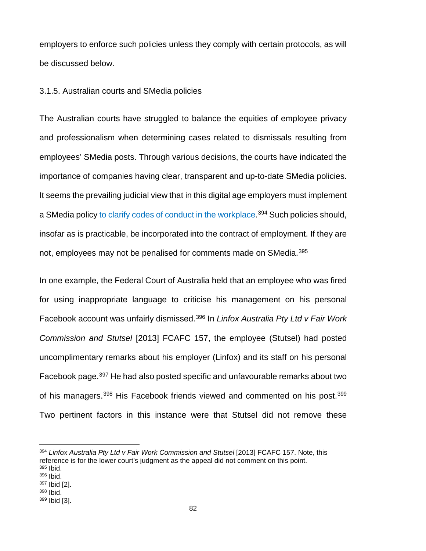employers to enforce such policies unless they comply with certain protocols, as will be discussed below.

#### 3.1.5. Australian courts and SMedia policies

The Australian courts have struggled to balance the equities of employee privacy and professionalism when determining cases related to dismissals resulting from employees' SMedia posts. Through various decisions, the courts have indicated the importance of companies having clear, transparent and up-to-date SMedia policies. It seems the prevailing judicial view that in this digital age employers must implement a SMedia policy to clarify codes of conduct in the workplace.<sup>[394](#page-89-0)</sup> Such policies should, insofar as is practicable, be incorporated into the contract of employment. If they are not, employees may not be penalised for comments made on SMedia.<sup>[395](#page-89-1)</sup>

In one example, the Federal Court of Australia held that an employee who was fired for using inappropriate language to criticise his management on his personal Facebook account was unfairly dismissed.[396](#page-89-2) In *Linfox Australia Pty Ltd v Fair Work Commission and Stutsel* [2013] FCAFC 157, the employee (Stutsel) had posted uncomplimentary remarks about his employer (Linfox) and its staff on his personal Facebook page.[397](#page-89-3) He had also posted specific and unfavourable remarks about two of his managers.<sup>[398](#page-89-4)</sup> His Facebook friends viewed and commented on his post.<sup>[399](#page-89-5)</sup> Two pertinent factors in this instance were that Stutsel did not remove these

 $\overline{\phantom{a}}$ 

<span id="page-89-1"></span><span id="page-89-0"></span><sup>394</sup> *Linfox Australia Pty Ltd v Fair Work Commission and Stutsel* [2013] FCAFC 157. Note, this reference is for the lower court's judgment as the appeal did not comment on this point. <sup>395</sup> Ibid. <sup>396</sup> Ibid. <sup>397</sup> Ibid [2].

<span id="page-89-4"></span><span id="page-89-3"></span><span id="page-89-2"></span><sup>398</sup> Ibid.

<span id="page-89-5"></span><sup>399</sup> Ibid [3].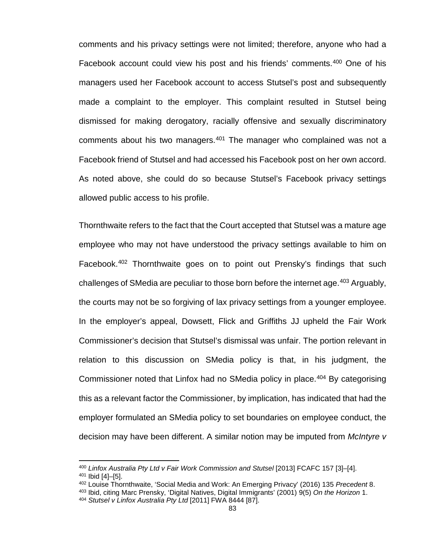comments and his privacy settings were not limited; therefore, anyone who had a Facebook account could view his post and his friends' comments.[400](#page-90-0) One of his managers used her Facebook account to access Stutsel's post and subsequently made a complaint to the employer. This complaint resulted in Stutsel being dismissed for making derogatory, racially offensive and sexually discriminatory comments about his two managers.<sup>[401](#page-90-1)</sup> The manager who complained was not a Facebook friend of Stutsel and had accessed his Facebook post on her own accord. As noted above, she could do so because Stutsel's Facebook privacy settings allowed public access to his profile.

Thornthwaite refers to the fact that the Court accepted that Stutsel was a mature age employee who may not have understood the privacy settings available to him on Facebook.[402](#page-90-2) Thornthwaite goes on to point out Prensky's findings that such challenges of SMedia are peculiar to those born before the internet age.<sup>[403](#page-90-3)</sup> Arguably, the courts may not be so forgiving of lax privacy settings from a younger employee. In the employer's appeal, Dowsett, Flick and Griffiths JJ upheld the Fair Work Commissioner's decision that Stutsel's dismissal was unfair. The portion relevant in relation to this discussion on SMedia policy is that, in his judgment, the Commissioner noted that Linfox had no SMedia policy in place.<sup>[404](#page-90-4)</sup> By categorising this as a relevant factor the Commissioner, by implication, has indicated that had the employer formulated an SMedia policy to set boundaries on employee conduct, the decision may have been different. A similar notion may be imputed from *McIntyre v* 

<span id="page-90-1"></span><span id="page-90-0"></span><sup>400</sup> *Linfox Australia Pty Ltd v Fair Work Commission and Stutsel* [2013] FCAFC 157 [3]–[4]. <sup>401</sup> Ibid [4]–[5].

<span id="page-90-2"></span><sup>402</sup> Louise Thornthwaite, 'Social Media and Work: An Emerging Privacy' (2016) 135 *Precedent* 8.

<span id="page-90-3"></span><sup>403</sup> Ibid, citing Marc Prensky, 'Digital Natives, Digital Immigrants' (2001) 9(5) *On the Horizon* 1.

<span id="page-90-4"></span><sup>404</sup> *Stutsel v Linfox Australia Pty Ltd* [2011] FWA 8444 [87].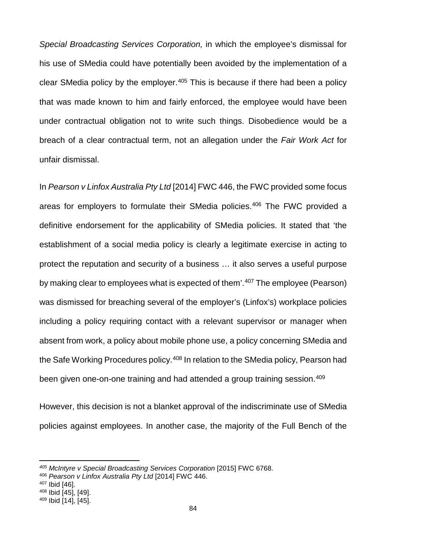*Special Broadcasting Services Corporation,* in which the employee's dismissal for his use of SMedia could have potentially been avoided by the implementation of a clear SMedia policy by the employer.  $405$  This is because if there had been a policy that was made known to him and fairly enforced, the employee would have been under contractual obligation not to write such things. Disobedience would be a breach of a clear contractual term, not an allegation under the *Fair Work Act* for unfair dismissal.

In *Pearson v Linfox Australia Pty Ltd* [2014] FWC 446, the FWC provided some focus areas for employers to formulate their SMedia policies.<sup>[406](#page-91-1)</sup> The FWC provided a definitive endorsement for the applicability of SMedia policies. It stated that 'the establishment of a social media policy is clearly a legitimate exercise in acting to protect the reputation and security of a business … it also serves a useful purpose by making clear to employees what is expected of them'. [407](#page-91-2) The employee (Pearson) was dismissed for breaching several of the employer's (Linfox's) workplace policies including a policy requiring contact with a relevant supervisor or manager when absent from work, a policy about mobile phone use, a policy concerning SMedia and the Safe Working Procedures policy.<sup>[408](#page-91-3)</sup> In relation to the SMedia policy, Pearson had been given one-on-one training and had attended a group training session.<sup>[409](#page-91-4)</sup>

However, this decision is not a blanket approval of the indiscriminate use of SMedia policies against employees. In another case, the majority of the Full Bench of the

<span id="page-91-0"></span>*<sup>405</sup> McIntyre v Special Broadcasting Services Corporation* [2015] FWC 6768.

<span id="page-91-1"></span><sup>406</sup> *Pearson v Linfox Australia Pty Ltd* [2014] FWC 446.

<span id="page-91-3"></span><span id="page-91-2"></span><sup>407</sup> Ibid [46].

<sup>408</sup> Ibid [45], [49].

<span id="page-91-4"></span><sup>409</sup> Ibid [14], [45].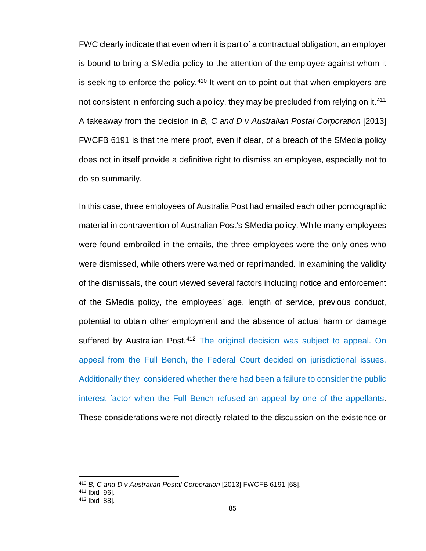FWC clearly indicate that even when it is part of a contractual obligation, an employer is bound to bring a SMedia policy to the attention of the employee against whom it is seeking to enforce the policy.<sup>[410](#page-92-0)</sup> It went on to point out that when employers are not consistent in enforcing such a policy, they may be precluded from relying on it.<sup>[411](#page-92-1)</sup> A takeaway from the decision in *B, C and D v Australian Postal Corporation* [2013] FWCFB 6191 is that the mere proof, even if clear, of a breach of the SMedia policy does not in itself provide a definitive right to dismiss an employee, especially not to do so summarily.

In this case, three employees of Australia Post had emailed each other pornographic material in contravention of Australian Post's SMedia policy. While many employees were found embroiled in the emails, the three employees were the only ones who were dismissed, while others were warned or reprimanded. In examining the validity of the dismissals, the court viewed several factors including notice and enforcement of the SMedia policy, the employees' age, length of service, previous conduct, potential to obtain other employment and the absence of actual harm or damage suffered by Australian Post.<sup>[412](#page-92-2)</sup> The original decision was subject to appeal. On appeal from the Full Bench, the Federal Court decided on jurisdictional issues. Additionally they considered whether there had been a failure to consider the public interest factor when the Full Bench refused an appeal by one of the appellants. These considerations were not directly related to the discussion on the existence or

<sup>410</sup> *B, C and D v Australian Postal Corporation* [2013] FWCFB 6191 [68].

<span id="page-92-1"></span><span id="page-92-0"></span><sup>411</sup> Ibid [96].

<span id="page-92-2"></span><sup>412</sup> Ibid [88].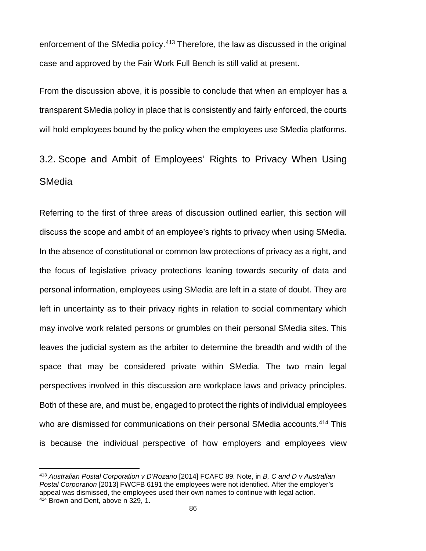enforcement of the SMedia policy.<sup>[413](#page-93-0)</sup> Therefore, the law as discussed in the original case and approved by the Fair Work Full Bench is still valid at present.

From the discussion above, it is possible to conclude that when an employer has a transparent SMedia policy in place that is consistently and fairly enforced, the courts will hold employees bound by the policy when the employees use SMedia platforms.

# 3.2. Scope and Ambit of Employees' Rights to Privacy When Using **SMedia**

Referring to the first of three areas of discussion outlined earlier, this section will discuss the scope and ambit of an employee's rights to privacy when using SMedia. In the absence of constitutional or common law protections of privacy as a right, and the focus of legislative privacy protections leaning towards security of data and personal information, employees using SMedia are left in a state of doubt. They are left in uncertainty as to their privacy rights in relation to social commentary which may involve work related persons or grumbles on their personal SMedia sites. This leaves the judicial system as the arbiter to determine the breadth and width of the space that may be considered private within SMedia. The two main legal perspectives involved in this discussion are workplace laws and privacy principles. Both of these are, and must be, engaged to protect the rights of individual employees who are dismissed for communications on their personal SMedia accounts. [414](#page-93-1) This is because the individual perspective of how employers and employees view

 $\overline{\phantom{a}}$ 

<span id="page-93-1"></span><span id="page-93-0"></span><sup>413</sup> *Australian Postal Corporation v D'Rozario* [2014] FCAFC 89. Note, in *B, C and D v Australian Postal Corporation* [2013] FWCFB 6191 the employees were not identified. After the employer's appeal was dismissed, the employees used their own names to continue with legal action. <sup>414</sup> Brown and Dent, above n 329, 1.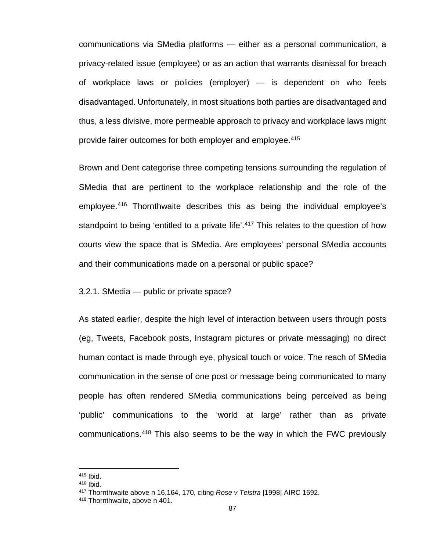communications via SMedia platforms — either as a personal communication, a privacy-related issue (employee) or as an action that warrants dismissal for breach of workplace laws or policies (employer) — is dependent on who feels disadvantaged. Unfortunately, in most situations both parties are disadvantaged and thus, a less divisive, more permeable approach to privacy and workplace laws might provide fairer outcomes for both employer and employee.<sup>[415](#page-94-0)</sup>

Brown and Dent categorise three competing tensions surrounding the regulation of SMedia that are pertinent to the workplace relationship and the role of the employee.[416](#page-94-1) Thornthwaite describes this as being the individual employee's standpoint to being 'entitled to a private life'.<sup>[417](#page-94-2)</sup> This relates to the question of how courts view the space that is SMedia. Are employees' personal SMedia accounts and their communications made on a personal or public space?

#### 3.2.1. SMedia — public or private space?

As stated earlier, despite the high level of interaction between users through posts (eg, Tweets, Facebook posts, Instagram pictures or private messaging) no direct human contact is made through eye, physical touch or voice. The reach of SMedia communication in the sense of one post or message being communicated to many people has often rendered SMedia communications being perceived as being 'public' communications to the 'world at large' rather than as private communications.[418](#page-94-3) This also seems to be the way in which the FWC previously

<span id="page-94-0"></span><sup>415</sup> Ibid.

<span id="page-94-1"></span><sup>416</sup> Ibid.

<span id="page-94-2"></span><sup>417</sup> Thornthwaite above n 16,164, 170, citing *Rose v Telstra* [1998] AIRC 1592.

<span id="page-94-3"></span><sup>418</sup> Thornthwaite, above n 401.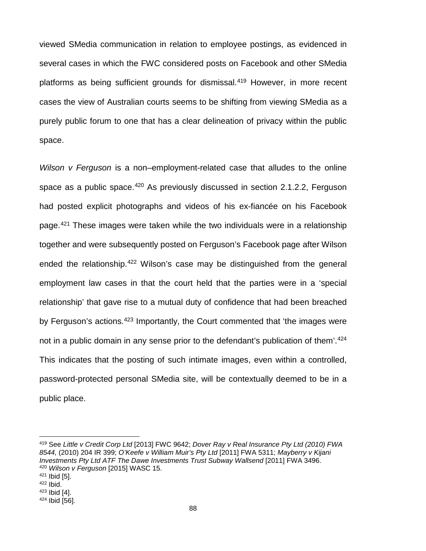viewed SMedia communication in relation to employee postings, as evidenced in several cases in which the FWC considered posts on Facebook and other SMedia platforms as being sufficient grounds for dismissal.<sup>[419](#page-95-0)</sup> However, in more recent cases the view of Australian courts seems to be shifting from viewing SMedia as a purely public forum to one that has a clear delineation of privacy within the public space.

*Wilson v Ferguson* is a non–employment-related case that alludes to the online space as a public space.<sup>[420](#page-95-1)</sup> As previously discussed in section 2.1.2.2, Ferguson had posted explicit photographs and videos of his ex-fiancée on his Facebook page.<sup>[421](#page-95-2)</sup> These images were taken while the two individuals were in a relationship together and were subsequently posted on Ferguson's Facebook page after Wilson ended the relationship.<sup>[422](#page-95-3)</sup> Wilson's case may be distinguished from the general employment law cases in that the court held that the parties were in a 'special relationship' that gave rise to a mutual duty of confidence that had been breached by Ferguson's actions.<sup>[423](#page-95-4)</sup> Importantly, the Court commented that 'the images were not in a public domain in any sense prior to the defendant's publication of them'.<sup>[424](#page-95-5)</sup> This indicates that the posting of such intimate images, even within a controlled, password-protected personal SMedia site, will be contextually deemed to be in a public place.

<span id="page-95-0"></span><sup>419</sup> See *Little v Credit Corp Ltd* [2013] FWC 9642; *Dover Ray v Real Insurance Pty Ltd (2010) FWA 8544,* (2010) 204 IR 399; *O'Keefe v William Muir's Pty Ltd* [2011] FWA 5311; *Mayberry v Kijani Investments Pty Ltd ATF The Dawe Investments Trust Subway Wallsend* [2011] FWA 3496. <sup>420</sup> *Wilson v Ferguson* [2015] WASC 15.

<span id="page-95-2"></span><span id="page-95-1"></span><sup>421</sup> Ibid [5].

<span id="page-95-3"></span><sup>422</sup> Ibid.

<span id="page-95-5"></span><span id="page-95-4"></span><sup>423</sup> Ibid [4]. <sup>424</sup> Ibid [56].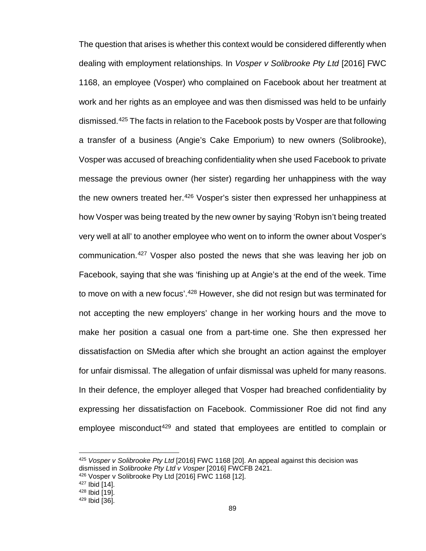The question that arises is whether this context would be considered differently when dealing with employment relationships. In *Vosper v Solibrooke Pty Ltd* [2016] FWC 1168, an employee (Vosper) who complained on Facebook about her treatment at work and her rights as an employee and was then dismissed was held to be unfairly dismissed.[425](#page-96-0) The facts in relation to the Facebook posts by Vosper are that following a transfer of a business (Angie's Cake Emporium) to new owners (Solibrooke), Vosper was accused of breaching confidentiality when she used Facebook to private message the previous owner (her sister) regarding her unhappiness with the way the new owners treated her.<sup>[426](#page-96-1)</sup> Vosper's sister then expressed her unhappiness at how Vosper was being treated by the new owner by saying 'Robyn isn't being treated very well at all' to another employee who went on to inform the owner about Vosper's communication.[427](#page-96-2) Vosper also posted the news that she was leaving her job on Facebook, saying that she was 'finishing up at Angie's at the end of the week. Time to move on with a new focus'.<sup>[428](#page-96-3)</sup> However, she did not resign but was terminated for not accepting the new employers' change in her working hours and the move to make her position a casual one from a part-time one. She then expressed her dissatisfaction on SMedia after which she brought an action against the employer for unfair dismissal. The allegation of unfair dismissal was upheld for many reasons. In their defence, the employer alleged that Vosper had breached confidentiality by expressing her dissatisfaction on Facebook. Commissioner Roe did not find any employee misconduct<sup>[429](#page-96-4)</sup> and stated that employees are entitled to complain or

<span id="page-96-0"></span><sup>425</sup> *Vosper v Solibrooke Pty Ltd* [2016] FWC 1168 [20]. An appeal against this decision was dismissed in *Solibrooke Pty Ltd v Vosper* [2016] FWCFB 2421.

<span id="page-96-1"></span><sup>426</sup> Vosper v Solibrooke Pty Ltd [2016] FWC 1168 [12].

<sup>427</sup> Ibid [14].

<span id="page-96-3"></span><span id="page-96-2"></span><sup>428</sup> Ibid [19].

<span id="page-96-4"></span><sup>429</sup> Ibid [36].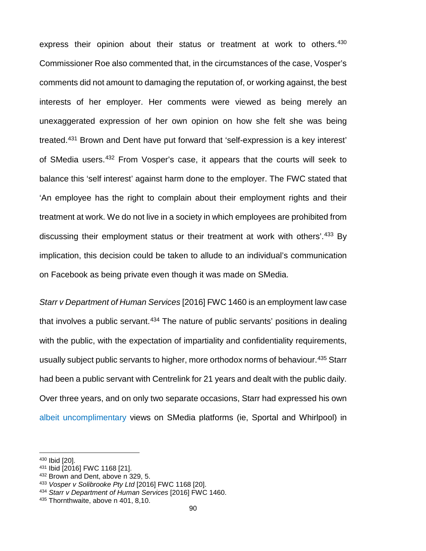express their opinion about their status or treatment at work to others.<sup>[430](#page-97-0)</sup> Commissioner Roe also commented that, in the circumstances of the case, Vosper's comments did not amount to damaging the reputation of, or working against, the best interests of her employer. Her comments were viewed as being merely an unexaggerated expression of her own opinion on how she felt she was being treated.[431](#page-97-1) Brown and Dent have put forward that 'self-expression is a key interest' of SMedia users.[432](#page-97-2) From Vosper's case, it appears that the courts will seek to balance this 'self interest' against harm done to the employer. The FWC stated that 'An employee has the right to complain about their employment rights and their treatment at work. We do not live in a society in which employees are prohibited from discussing their employment status or their treatment at work with others'.<sup>[433](#page-97-3)</sup> By implication, this decision could be taken to allude to an individual's communication on Facebook as being private even though it was made on SMedia.

*Starr v Department of Human Services* [2016] FWC 1460 is an employment law case that involves a public servant.<sup>[434](#page-97-4)</sup> The nature of public servants' positions in dealing with the public, with the expectation of impartiality and confidentiality requirements, usually subject public servants to higher, more orthodox norms of behaviour.[435](#page-97-5) Starr had been a public servant with Centrelink for 21 years and dealt with the public daily. Over three years, and on only two separate occasions, Starr had expressed his own albeit uncomplimentary views on SMedia platforms (ie, Sportal and Whirlpool) in

 $\overline{\phantom{a}}$ 

<span id="page-97-0"></span><sup>430</sup> Ibid [20].

<span id="page-97-1"></span><sup>431</sup> Ibid [2016] FWC 1168 [21].

<span id="page-97-2"></span><sup>432</sup> Brown and Dent, above n 329, 5.

<span id="page-97-3"></span><sup>433</sup> *Vosper v Solibrooke Pty Ltd* [2016] FWC 1168 [20].

<span id="page-97-4"></span><sup>434</sup> *Starr v Department of Human Services* [2016] FWC 1460.

<span id="page-97-5"></span><sup>435</sup> Thornthwaite, above n 401, 8,10.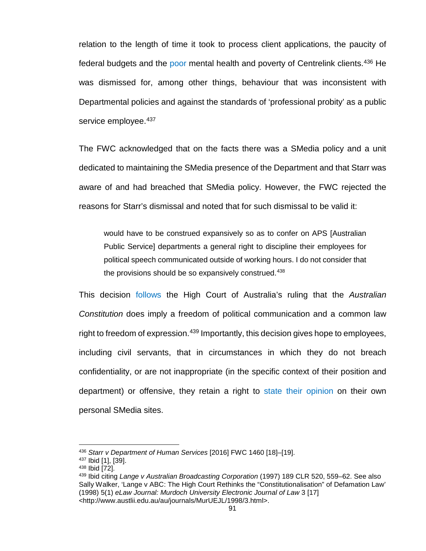relation to the length of time it took to process client applications, the paucity of federal budgets and the poor mental health and poverty of Centrelink clients.[436](#page-98-0) He was dismissed for, among other things, behaviour that was inconsistent with Departmental policies and against the standards of 'professional probity' as a public service employee.  $437$ 

The FWC acknowledged that on the facts there was a SMedia policy and a unit dedicated to maintaining the SMedia presence of the Department and that Starr was aware of and had breached that SMedia policy. However, the FWC rejected the reasons for Starr's dismissal and noted that for such dismissal to be valid it:

would have to be construed expansively so as to confer on APS [Australian Public Service] departments a general right to discipline their employees for political speech communicated outside of working hours. I do not consider that the provisions should be so expansively construed.<sup>[438](#page-98-2)</sup>

This decision follows the High Court of Australia's ruling that the *Australian Constitution* does imply a freedom of political communication and a common law right to freedom of expression.<sup>[439](#page-98-3)</sup> Importantly, this decision gives hope to employees, including civil servants, that in circumstances in which they do not breach confidentiality, or are not inappropriate (in the specific context of their position and department) or offensive, they retain a right to state their opinion on their own personal SMedia sites.

<span id="page-98-0"></span><sup>436</sup> *Starr v Department of Human Services* [2016] FWC 1460 [18]–[19].

<span id="page-98-1"></span><sup>437</sup> Ibid [1], [39].

<span id="page-98-2"></span><sup>438</sup> Ibid [72].

<span id="page-98-3"></span><sup>439</sup> Ibid citing *Lange v Australian Broadcasting Corporation* (1997) 189 CLR 520, 559–62. See also Sally Walker, 'Lange v ABC: The High Court Rethinks the "Constitutionalisation" of Defamation Law' (1998) 5(1) *eLaw Journal: Murdoch University Electronic Journal of Law* 3 [17] <http://www.austlii.edu.au/au/journals/MurUEJL/1998/3.html>.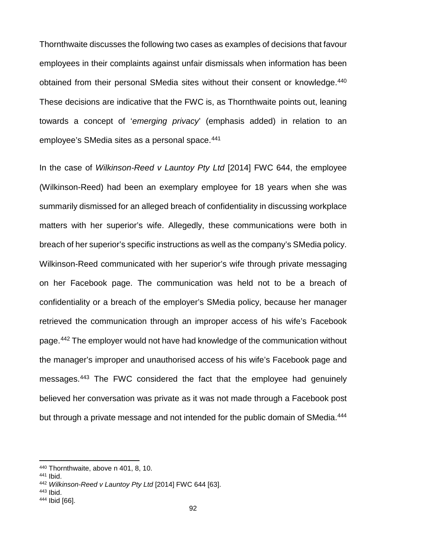Thornthwaite discusses the following two cases as examples of decisions that favour employees in their complaints against unfair dismissals when information has been obtained from their personal SMedia sites without their consent or knowledge.<sup>[440](#page-99-0)</sup> These decisions are indicative that the FWC is, as Thornthwaite points out, leaning towards a concept of '*emerging privacy*' (emphasis added) in relation to an employee's SMedia sites as a personal space.<sup>[441](#page-99-1)</sup>

In the case of *Wilkinson-Reed v Launtoy Pty Ltd* [2014] FWC 644, the employee (Wilkinson-Reed) had been an exemplary employee for 18 years when she was summarily dismissed for an alleged breach of confidentiality in discussing workplace matters with her superior's wife. Allegedly, these communications were both in breach of her superior's specific instructions as well as the company's SMedia policy. Wilkinson-Reed communicated with her superior's wife through private messaging on her Facebook page. The communication was held not to be a breach of confidentiality or a breach of the employer's SMedia policy, because her manager retrieved the communication through an improper access of his wife's Facebook page.<sup>[442](#page-99-2)</sup> The employer would not have had knowledge of the communication without the manager's improper and unauthorised access of his wife's Facebook page and messages.[443](#page-99-3) The FWC considered the fact that the employee had genuinely believed her conversation was private as it was not made through a Facebook post but through a private message and not intended for the public domain of SMedia.<sup>[444](#page-99-4)</sup>

<span id="page-99-0"></span><sup>440</sup> Thornthwaite, above n 401, 8, 10.

<span id="page-99-1"></span><sup>441</sup> Ibid.

<span id="page-99-2"></span><sup>442</sup> *Wilkinson-Reed v Launtoy Pty Ltd* [2014] FWC 644 [63].

<span id="page-99-4"></span><span id="page-99-3"></span><sup>443</sup> Ibid. <sup>444</sup> Ibid [66].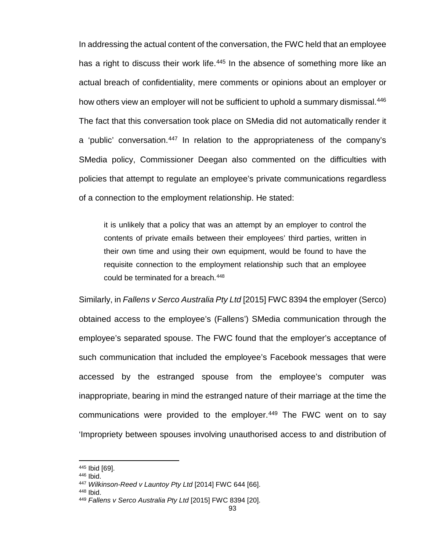In addressing the actual content of the conversation, the FWC held that an employee has a right to discuss their work life.<sup>[445](#page-100-0)</sup> In the absence of something more like an actual breach of confidentiality, mere comments or opinions about an employer or how others view an employer will not be sufficient to uphold a summary dismissal.<sup>[446](#page-100-1)</sup> The fact that this conversation took place on SMedia did not automatically render it a 'public' conversation.<sup>[447](#page-100-2)</sup> In relation to the appropriateness of the company's SMedia policy, Commissioner Deegan also commented on the difficulties with policies that attempt to regulate an employee's private communications regardless of a connection to the employment relationship. He stated:

it is unlikely that a policy that was an attempt by an employer to control the contents of private emails between their employees' third parties, written in their own time and using their own equipment, would be found to have the requisite connection to the employment relationship such that an employee could be terminated for a breach.<sup>[448](#page-100-3)</sup>

Similarly, in *Fallens v Serco Australia Pty Ltd* [2015] FWC 8394 the employer (Serco) obtained access to the employee's (Fallens') SMedia communication through the employee's separated spouse. The FWC found that the employer's acceptance of such communication that included the employee's Facebook messages that were accessed by the estranged spouse from the employee's computer was inappropriate, bearing in mind the estranged nature of their marriage at the time the communications were provided to the employer. $449$  The FWC went on to say 'Impropriety between spouses involving unauthorised access to and distribution of

<span id="page-100-1"></span><sup>446</sup> Ibid.

<span id="page-100-0"></span><sup>445</sup> Ibid [69].

<span id="page-100-2"></span><sup>447</sup> *Wilkinson-Reed v Launtoy Pty Ltd* [2014] FWC 644 [66].

<span id="page-100-3"></span><sup>448</sup> Ibid.

<span id="page-100-4"></span><sup>449</sup> *Fallens v Serco Australia Pty Ltd* [2015] FWC 8394 [20].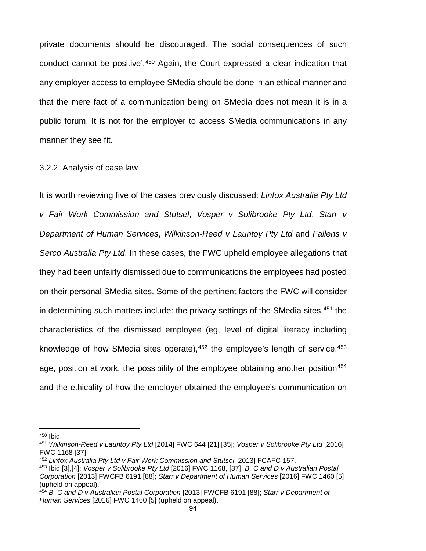private documents should be discouraged. The social consequences of such conduct cannot be positive'.[450](#page-101-0) Again, the Court expressed a clear indication that any employer access to employee SMedia should be done in an ethical manner and that the mere fact of a communication being on SMedia does not mean it is in a public forum. It is not for the employer to access SMedia communications in any manner they see fit.

#### 3.2.2. Analysis of case law

It is worth reviewing five of the cases previously discussed: *Linfox Australia Pty Ltd v Fair Work Commission and Stutsel*, *Vosper v Solibrooke Pty Ltd*, *Starr v Department of Human Services*, *Wilkinson-Reed v Launtoy Pty Ltd* and *Fallens v Serco Australia Pty Ltd*. In these cases, the FWC upheld employee allegations that they had been unfairly dismissed due to communications the employees had posted on their personal SMedia sites. Some of the pertinent factors the FWC will consider in determining such matters include: the privacy settings of the SMedia sites,<sup>[451](#page-101-1)</sup> the characteristics of the dismissed employee (eg, level of digital literacy including knowledge of how SMedia sites operate),<sup>[452](#page-101-2)</sup> the employee's length of service,<sup>[453](#page-101-3)</sup> age, position at work, the possibility of the employee obtaining another position<sup>[454](#page-101-4)</sup> and the ethicality of how the employer obtained the employee's communication on

<span id="page-101-0"></span><sup>450</sup> Ibid.

<span id="page-101-1"></span><sup>451</sup> *Wilkinson-Reed v Launtoy Pty Ltd* [2014] FWC 644 [21] [35]; *Vosper v Solibrooke Pty Ltd* [2016] FWC 1168 [37].

<span id="page-101-2"></span><sup>452</sup> *Linfox Australia Pty Ltd v Fair Work Commission and Stutsel* [2013] FCAFC 157.

<span id="page-101-3"></span><sup>453</sup> Ibid [3],[4]; *Vosper v Solibrooke Pty Ltd* [2016] FWC 1168, [37]; *B, C and D v Australian Postal Corporation* [2013] FWCFB 6191 [88]; *Starr v Department of Human Services* [2016] FWC 1460 [5] (upheld on appeal).

<span id="page-101-4"></span><sup>454</sup> *B, C and D v Australian Postal Corporation* [2013] FWCFB 6191 [88]; *Starr v Department of Human Services* [2016] FWC 1460 [5] (upheld on appeal).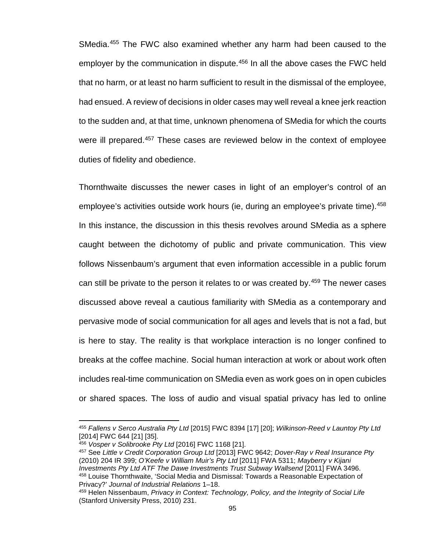SMedia.<sup>[455](#page-102-0)</sup> The FWC also examined whether any harm had been caused to the employer by the communication in dispute. [456](#page-102-1) In all the above cases the FWC held that no harm, or at least no harm sufficient to result in the dismissal of the employee, had ensued. A review of decisions in older cases may well reveal a knee jerk reaction to the sudden and, at that time, unknown phenomena of SMedia for which the courts were ill prepared.<sup>[457](#page-102-2)</sup> These cases are reviewed below in the context of employee duties of fidelity and obedience.

Thornthwaite discusses the newer cases in light of an employer's control of an employee's activities outside work hours (ie, during an employee's private time).<sup>[458](#page-102-3)</sup> In this instance, the discussion in this thesis revolves around SMedia as a sphere caught between the dichotomy of public and private communication. This view follows Nissenbaum's argument that even information accessible in a public forum can still be private to the person it relates to or was created by.<sup>[459](#page-102-4)</sup> The newer cases discussed above reveal a cautious familiarity with SMedia as a contemporary and pervasive mode of social communication for all ages and levels that is not a fad, but is here to stay. The reality is that workplace interaction is no longer confined to breaks at the coffee machine. Social human interaction at work or about work often includes real-time communication on SMedia even as work goes on in open cubicles or shared spaces. The loss of audio and visual spatial privacy has led to online

 $\overline{a}$ 

<span id="page-102-2"></span><sup>457</sup> See *Little v Credit Corporation Group Ltd* [2013] FWC 9642; *Dover-Ray v Real Insurance Pty* (2010) 204 IR 399; *O'Keefe v William Muir's Pty Ltd* [2011] FWA 5311; *Mayberry v Kijani Investments Pty Ltd ATF The Dawe Investments Trust Subway Wallsend* [2011] FWA 3496. <sup>458</sup> Louise Thornthwaite, 'Social Media and Dismissal: Towards a Reasonable Expectation of Privacy?' *Journal of Industrial Relations* 1–18.

<span id="page-102-0"></span><sup>455</sup> *Fallens v Serco Australia Pty Ltd* [2015] FWC 8394 [17] [20]; *Wilkinson-Reed v Launtoy Pty Ltd* [2014] FWC 644 [21] [35].

<span id="page-102-1"></span><sup>456</sup> *Vosper v Solibrooke Pty Ltd* [2016] FWC 1168 [21].

<span id="page-102-4"></span><span id="page-102-3"></span><sup>459</sup> Helen Nissenbaum, *Privacy in Context: Technology, Policy, and the Integrity of Social Life* (Stanford University Press, 2010) 231.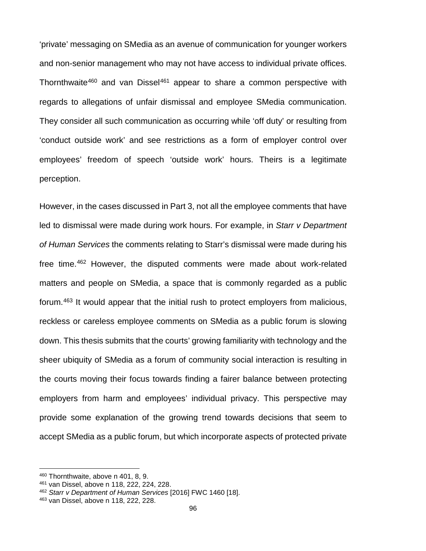'private' messaging on SMedia as an avenue of communication for younger workers and non-senior management who may not have access to individual private offices. Thornthwaite<sup>460</sup> and van Dissel<sup>[461](#page-103-1)</sup> appear to share a common perspective with regards to allegations of unfair dismissal and employee SMedia communication. They consider all such communication as occurring while 'off duty' or resulting from 'conduct outside work' and see restrictions as a form of employer control over employees' freedom of speech 'outside work' hours. Theirs is a legitimate perception.

However, in the cases discussed in Part 3, not all the employee comments that have led to dismissal were made during work hours. For example, in *Starr v Department of Human Services* the comments relating to Starr's dismissal were made during his free time.[462](#page-103-2) However, the disputed comments were made about work-related matters and people on SMedia, a space that is commonly regarded as a public forum.[463](#page-103-3) It would appear that the initial rush to protect employers from malicious, reckless or careless employee comments on SMedia as a public forum is slowing down. This thesis submits that the courts' growing familiarity with technology and the sheer ubiquity of SMedia as a forum of community social interaction is resulting in the courts moving their focus towards finding a fairer balance between protecting employers from harm and employees' individual privacy. This perspective may provide some explanation of the growing trend towards decisions that seem to accept SMedia as a public forum, but which incorporate aspects of protected private

 $\overline{\phantom{a}}$ 

<span id="page-103-0"></span><sup>460</sup> Thornthwaite, above n 401, 8, 9.

<span id="page-103-1"></span><sup>461</sup> van Dissel, above n 118, 222, 224, 228.

<span id="page-103-2"></span><sup>462</sup> *Starr v Department of Human Services* [2016] FWC 1460 [18].

<span id="page-103-3"></span><sup>463</sup> van Dissel, above n 118, 222, 228.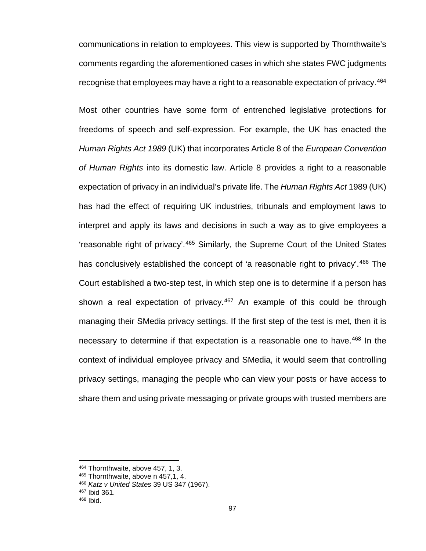communications in relation to employees. This view is supported by Thornthwaite's comments regarding the aforementioned cases in which she states FWC judgments recognise that employees may have a right to a reasonable expectation of privacy.<sup>[464](#page-104-0)</sup>

Most other countries have some form of entrenched legislative protections for freedoms of speech and self-expression. For example, the UK has enacted the *Human Rights Act 1989* (UK) that incorporates Article 8 of the *European Convention of Human Rights* into its domestic law. Article 8 provides a right to a reasonable expectation of privacy in an individual's private life. The *Human Rights Act* 1989 (UK) has had the effect of requiring UK industries, tribunals and employment laws to interpret and apply its laws and decisions in such a way as to give employees a 'reasonable right of privacy'.[465](#page-104-1) Similarly, the Supreme Court of the United States has conclusively established the concept of 'a reasonable right to privacy'.<sup>[466](#page-104-2)</sup> The Court established a two-step test, in which step one is to determine if a person has shown a real expectation of privacy.<sup>[467](#page-104-3)</sup> An example of this could be through managing their SMedia privacy settings. If the first step of the test is met, then it is necessary to determine if that expectation is a reasonable one to have.<sup>[468](#page-104-4)</sup> In the context of individual employee privacy and SMedia, it would seem that controlling privacy settings, managing the people who can view your posts or have access to share them and using private messaging or private groups with trusted members are

<span id="page-104-0"></span><sup>464</sup> Thornthwaite, above 457, 1, 3.

<span id="page-104-2"></span><span id="page-104-1"></span><sup>465</sup> Thornthwaite, above n 457,1, 4.

<sup>466</sup> *Katz v United States* 39 US 347 (1967).

<span id="page-104-3"></span><sup>467</sup> Ibid 361.

<span id="page-104-4"></span><sup>468</sup> Ibid.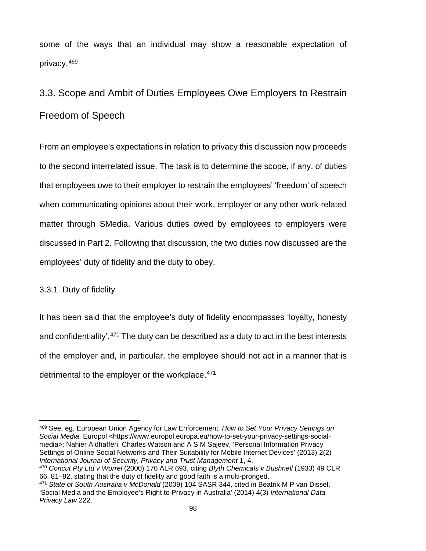some of the ways that an individual may show a reasonable expectation of privacy.[469](#page-105-0)

# 3.3. Scope and Ambit of Duties Employees Owe Employers to Restrain Freedom of Speech

From an employee's expectations in relation to privacy this discussion now proceeds to the second interrelated issue. The task is to determine the scope, if any, of duties that employees owe to their employer to restrain the employees' 'freedom' of speech when communicating opinions about their work, employer or any other work-related matter through SMedia. Various duties owed by employees to employers were discussed in Part 2. Following that discussion, the two duties now discussed are the employees' duty of fidelity and the duty to obey.

### 3.3.1. Duty of fidelity

It has been said that the employee's duty of fidelity encompasses 'loyalty, honesty and confidentiality'.<sup>[470](#page-105-1)</sup> The duty can be described as a duty to act in the best interests of the employer and, in particular, the employee should not act in a manner that is detrimental to the employer or the workplace.<sup>[471](#page-105-2)</sup>

<span id="page-105-0"></span> $\overline{\phantom{a}}$ <sup>469</sup> See, eg, European Union Agency for Law Enforcement, *How to Set Your Privacy Settings on Social Media*, Europol <https://www.europol.europa.eu/how-to-set-your-privacy-settings-socialmedia>; Nahier Aldhafferi, Charles Watson and A S M Sajeev, 'Personal Information Privacy Settings of Online Social Networks and Their Suitability for Mobile Internet Devices' (2013) 2(2) *International Journal of Security, Privacy and Trust Management* 1, 4.

<span id="page-105-1"></span><sup>470</sup> *Concut Pty Ltd v Worrel* (2000) 176 ALR 693, citing *Blyth Chemicals v Bushnell* (1933) 49 CLR 66, 81–82, stating that the duty of fidelity and good faith is a multi-pronged.

<span id="page-105-2"></span><sup>471</sup> *State of South Australia v McDonald* (2009) 104 SASR 344, cited in Beatrix M P van Dissel, 'Social Media and the Employee's Right to Privacy in Australia' (2014) 4(3) *International Data Privacy Law* 222.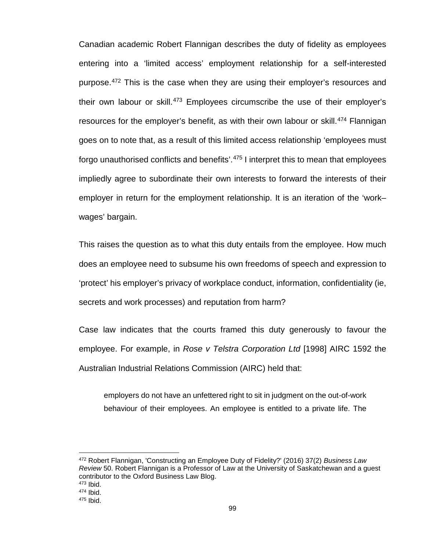Canadian academic Robert Flannigan describes the duty of fidelity as employees entering into a 'limited access' employment relationship for a self-interested purpose.<sup>[472](#page-106-0)</sup> This is the case when they are using their employer's resources and their own labour or skill.<sup>[473](#page-106-1)</sup> Employees circumscribe the use of their employer's resources for the employer's benefit, as with their own labour or skill.<sup>[474](#page-106-2)</sup> Flannigan goes on to note that, as a result of this limited access relationship 'employees must forgo unauthorised conflicts and benefits'.[475](#page-106-3) I interpret this to mean that employees impliedly agree to subordinate their own interests to forward the interests of their employer in return for the employment relationship. It is an iteration of the 'work– wages' bargain.

This raises the question as to what this duty entails from the employee. How much does an employee need to subsume his own freedoms of speech and expression to 'protect' his employer's privacy of workplace conduct, information, confidentiality (ie, secrets and work processes) and reputation from harm?

Case law indicates that the courts framed this duty generously to favour the employee. For example, in *Rose v Telstra Corporation Ltd* [1998] AIRC 1592 the Australian Industrial Relations Commission (AIRC) held that:

employers do not have an unfettered right to sit in judgment on the out-of-work behaviour of their employees. An employee is entitled to a private life. The

<span id="page-106-0"></span><sup>472</sup> Robert Flannigan, 'Constructing an Employee Duty of Fidelity?' (2016) 37(2) *Business Law Review* 50. Robert Flannigan is a Professor of Law at the University of Saskatchewan and a guest contributor to the Oxford Business Law Blog.

<span id="page-106-1"></span><sup>473</sup> Ibid.

<span id="page-106-2"></span><sup>474</sup> Ibid.

<span id="page-106-3"></span><sup>475</sup> Ibid.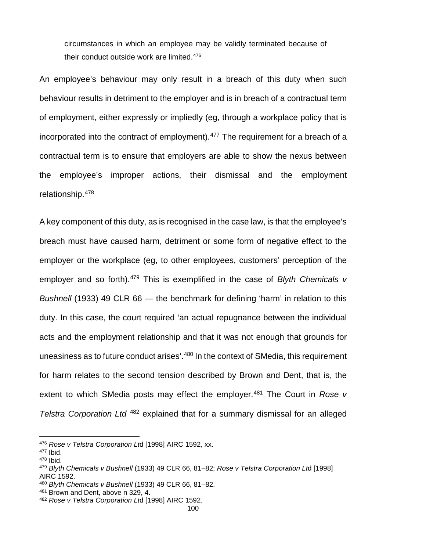circumstances in which an employee may be validly terminated because of their conduct outside work are limited.[476](#page-107-0)

An employee's behaviour may only result in a breach of this duty when such behaviour results in detriment to the employer and is in breach of a contractual term of employment, either expressly or impliedly (eg, through a workplace policy that is incorporated into the contract of employment). [477](#page-107-1) The requirement for a breach of a contractual term is to ensure that employers are able to show the nexus between the employee's improper actions, their dismissal and the employment relationship.[478](#page-107-2)

A key component of this duty, as is recognised in the case law, is that the employee's breach must have caused harm, detriment or some form of negative effect to the employer or the workplace (eg, to other employees, customers' perception of the employer and so forth).<sup>[479](#page-107-3)</sup> This is exemplified in the case of *Blyth Chemicals v Bushnell* (1933) 49 CLR 66 — the benchmark for defining 'harm' in relation to this duty. In this case, the court required 'an actual repugnance between the individual acts and the employment relationship and that it was not enough that grounds for uneasiness as to future conduct arises<sup>', 480</sup> In the context of SMedia, this requirement for harm relates to the second tension described by Brown and Dent, that is, the extent to which SMedia posts may effect the employer.<sup>[481](#page-107-5)</sup> The Court in *Rose v Telstra Corporation Ltd* [482](#page-107-6) explained that for a summary dismissal for an alleged

<span id="page-107-0"></span><sup>476</sup> *Rose v Telstra Corporation Lt*d [1998] AIRC 1592, xx.

<span id="page-107-1"></span><sup>477</sup> Ibid.

<span id="page-107-2"></span><sup>478</sup> Ibid.

<span id="page-107-3"></span><sup>479</sup> *Blyth Chemicals v Bushnell* (1933) 49 CLR 66, 81–82; *Rose v Telstra Corporation Lt*d [1998] AIRC 1592.

<span id="page-107-4"></span><sup>480</sup> *Blyth Chemicals v Bushnell* (1933) 49 CLR 66, 81–82.

<span id="page-107-5"></span><sup>481</sup> Brown and Dent, above n 329, 4.

<span id="page-107-6"></span><sup>482</sup> *Rose v Telstra Corporation Lt*d [1998] AIRC 1592.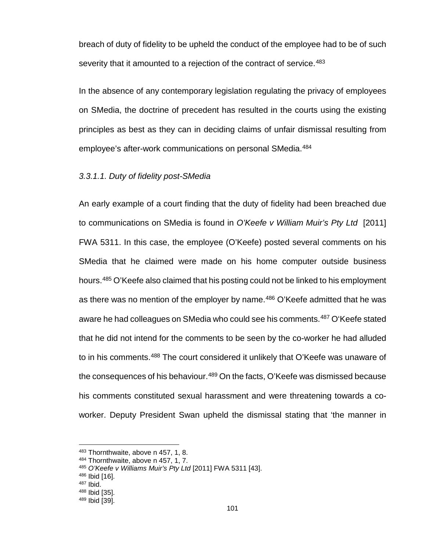breach of duty of fidelity to be upheld the conduct of the employee had to be of such severity that it amounted to a rejection of the contract of service.<sup>[483](#page-108-0)</sup>

In the absence of any contemporary legislation regulating the privacy of employees on SMedia, the doctrine of precedent has resulted in the courts using the existing principles as best as they can in deciding claims of unfair dismissal resulting from employee's after-work communications on personal SMedia.<sup>[484](#page-108-1)</sup>

### *3.3.1.1. Duty of fidelity post-SMedia*

An early example of a court finding that the duty of fidelity had been breached due to communications on SMedia is found in *O'Keefe v William Muir's Pty Ltd* [2011] FWA 5311. In this case, the employee (O'Keefe) posted several comments on his SMedia that he claimed were made on his home computer outside business hours.[485](#page-108-2) O'Keefe also claimed that his posting could not be linked to his employment as there was no mention of the employer by name.<sup>[486](#page-108-3)</sup> O'Keefe admitted that he was aware he had colleagues on SMedia who could see his comments.<sup>[487](#page-108-4)</sup> O'Keefe stated that he did not intend for the comments to be seen by the co-worker he had alluded to in his comments.<sup>[488](#page-108-5)</sup> The court considered it unlikely that O'Keefe was unaware of the consequences of his behaviour.<sup>489</sup> On the facts, O'Keefe was dismissed because his comments constituted sexual harassment and were threatening towards a coworker. Deputy President Swan upheld the dismissal stating that 'the manner in

<span id="page-108-0"></span><sup>483</sup> Thornthwaite, above n 457, 1, 8.

<span id="page-108-1"></span><sup>484</sup> Thornthwaite, above n 457, 1, 7.

<span id="page-108-2"></span><sup>485</sup> *O'Keefe v Williams Muir's Pty Ltd* [2011] FWA 5311 [43].

<span id="page-108-3"></span><sup>486</sup> Ibid [16].

<sup>487</sup> Ibid.

<span id="page-108-5"></span><span id="page-108-4"></span><sup>488</sup> Ibid [35].

<span id="page-108-6"></span><sup>489</sup> Ibid [39].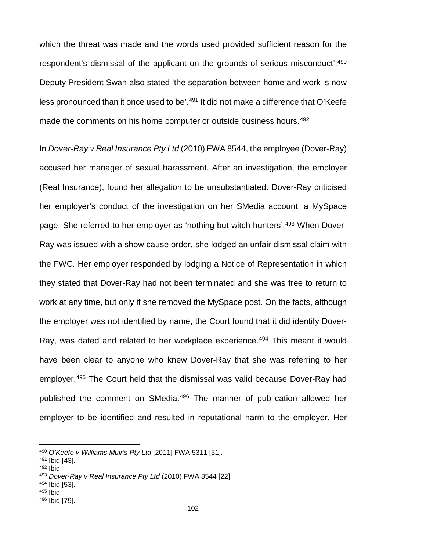which the threat was made and the words used provided sufficient reason for the respondent's dismissal of the applicant on the grounds of serious misconduct'.[490](#page-109-0) Deputy President Swan also stated 'the separation between home and work is now less pronounced than it once used to be'.<sup>[491](#page-109-1)</sup> It did not make a difference that O'Keefe made the comments on his home computer or outside business hours.<sup>[492](#page-109-2)</sup>

In *Dover-Ray v Real Insurance Pty Ltd* (2010) FWA 8544, the employee (Dover-Ray) accused her manager of sexual harassment. After an investigation, the employer (Real Insurance), found her allegation to be unsubstantiated. Dover-Ray criticised her employer's conduct of the investigation on her SMedia account, a MySpace page. She referred to her employer as 'nothing but witch hunters'.[493](#page-109-3) When Dover-Ray was issued with a show cause order, she lodged an unfair dismissal claim with the FWC. Her employer responded by lodging a Notice of Representation in which they stated that Dover-Ray had not been terminated and she was free to return to work at any time, but only if she removed the MySpace post. On the facts, although the employer was not identified by name, the Court found that it did identify Dover-Ray, was dated and related to her workplace experience.<sup>[494](#page-109-4)</sup> This meant it would have been clear to anyone who knew Dover-Ray that she was referring to her employer.[495](#page-109-5) The Court held that the dismissal was valid because Dover-Ray had published the comment on SMedia.[496](#page-109-6) The manner of publication allowed her employer to be identified and resulted in reputational harm to the employer. Her

- <span id="page-109-4"></span><sup>494</sup> Ibid [53].
- <span id="page-109-5"></span><sup>495</sup> Ibid.

<span id="page-109-0"></span><sup>490</sup> *O'Keefe v Williams Muir's Pty Ltd* [2011] FWA 5311 [51].

<span id="page-109-1"></span><sup>491</sup> Ibid [43].

<span id="page-109-2"></span><sup>492</sup> Ibid.

<span id="page-109-3"></span><sup>493</sup> *Dover-Ray v Real Insurance Pty Ltd* (2010) FWA 8544 [22].

<span id="page-109-6"></span><sup>496</sup> Ibid [79].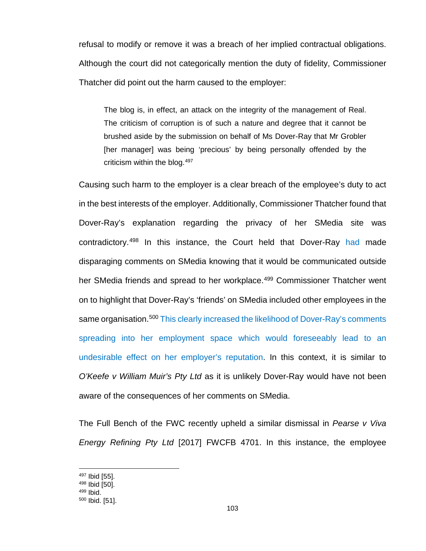refusal to modify or remove it was a breach of her implied contractual obligations. Although the court did not categorically mention the duty of fidelity, Commissioner Thatcher did point out the harm caused to the employer:

The blog is, in effect, an attack on the integrity of the management of Real. The criticism of corruption is of such a nature and degree that it cannot be brushed aside by the submission on behalf of Ms Dover-Ray that Mr Grobler [her manager] was being 'precious' by being personally offended by the criticism within the blog.[497](#page-110-0)

Causing such harm to the employer is a clear breach of the employee's duty to act in the best interests of the employer. Additionally, Commissioner Thatcher found that Dover-Ray's explanation regarding the privacy of her SMedia site was contradictory.[498](#page-110-1) In this instance, the Court held that Dover-Ray had made disparaging comments on SMedia knowing that it would be communicated outside her SMedia friends and spread to her workplace.<sup>[499](#page-110-2)</sup> Commissioner Thatcher went on to highlight that Dover-Ray's 'friends' on SMedia included other employees in the same organisation.<sup>[500](#page-110-3)</sup> This clearly increased the likelihood of Dover-Ray's comments spreading into her employment space which would foreseeably lead to an undesirable effect on her employer's reputation. In this context, it is similar to *O'Keefe v William Muir's Pty Ltd* as it is unlikely Dover-Ray would have not been aware of the consequences of her comments on SMedia.

The Full Bench of the FWC recently upheld a similar dismissal in *Pearse v Viva Energy Refining Pty Ltd* [2017] FWCFB 4701. In this instance, the employee

<span id="page-110-0"></span><sup>497</sup> Ibid [55].

<sup>498</sup> Ibid [50].

<span id="page-110-2"></span><span id="page-110-1"></span><sup>499</sup> Ibid.

<span id="page-110-3"></span><sup>500</sup> Ibid. [51].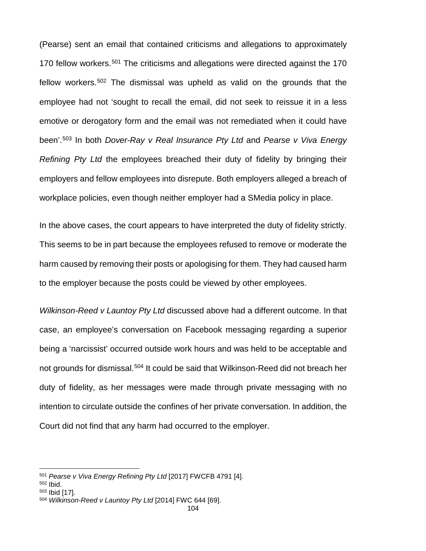(Pearse) sent an email that contained criticisms and allegations to approximately 170 fellow workers.<sup>[501](#page-111-0)</sup> The criticisms and allegations were directed against the 170 fellow workers.[502](#page-111-1) The dismissal was upheld as valid on the grounds that the employee had not 'sought to recall the email, did not seek to reissue it in a less emotive or derogatory form and the email was not remediated when it could have been'.[503](#page-111-2) In both *Dover-Ray v Real Insurance Pty Ltd* and *Pearse v Viva Energy Refining Pty Ltd* the employees breached their duty of fidelity by bringing their employers and fellow employees into disrepute. Both employers alleged a breach of workplace policies, even though neither employer had a SMedia policy in place.

In the above cases, the court appears to have interpreted the duty of fidelity strictly. This seems to be in part because the employees refused to remove or moderate the harm caused by removing their posts or apologising for them. They had caused harm to the employer because the posts could be viewed by other employees.

*Wilkinson-Reed v Launtoy Pty Ltd* discussed above had a different outcome. In that case, an employee's conversation on Facebook messaging regarding a superior being a 'narcissist' occurred outside work hours and was held to be acceptable and not grounds for dismissal.<sup>[504](#page-111-3)</sup> It could be said that Wilkinson-Reed did not breach her duty of fidelity, as her messages were made through private messaging with no intention to circulate outside the confines of her private conversation. In addition, the Court did not find that any harm had occurred to the employer.

<span id="page-111-0"></span><sup>501</sup> *Pearse v Viva Energy Refining Pty Ltd* [2017] FWCFB 4791 [4].

<span id="page-111-1"></span><sup>502</sup> Ibid.

<span id="page-111-2"></span><sup>503</sup> Ibid [17].

<span id="page-111-3"></span><sup>504</sup> *Wilkinson-Reed v Launtoy Pty Ltd* [2014] FWC 644 [69].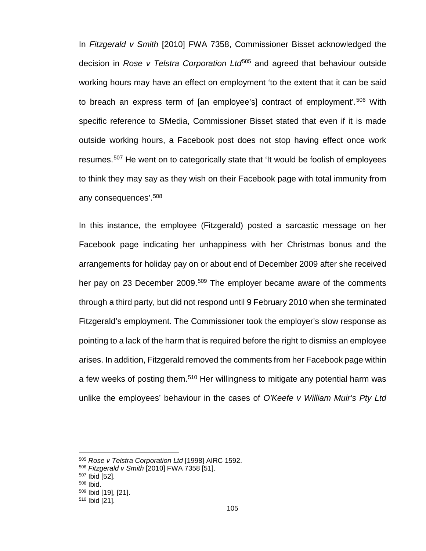In *Fitzgerald v Smith* [2010] FWA 7358, Commissioner Bisset acknowledged the decision in *Rose v Telstra Corporation Ltd*[505](#page-112-0) and agreed that behaviour outside working hours may have an effect on employment 'to the extent that it can be said to breach an express term of [an employee's] contract of employment'.[506](#page-112-1) With specific reference to SMedia, Commissioner Bisset stated that even if it is made outside working hours, a Facebook post does not stop having effect once work resumes.[507](#page-112-2) He went on to categorically state that 'It would be foolish of employees to think they may say as they wish on their Facebook page with total immunity from any consequences'. [508](#page-112-3)

In this instance, the employee (Fitzgerald) posted a sarcastic message on her Facebook page indicating her unhappiness with her Christmas bonus and the arrangements for holiday pay on or about end of December 2009 after she received her pay on 23 December 2009.<sup>[509](#page-112-4)</sup> The employer became aware of the comments through a third party, but did not respond until 9 February 2010 when she terminated Fitzgerald's employment. The Commissioner took the employer's slow response as pointing to a lack of the harm that is required before the right to dismiss an employee arises. In addition, Fitzgerald removed the comments from her Facebook page within a few weeks of posting them.[510](#page-112-5) Her willingness to mitigate any potential harm was unlike the employees' behaviour in the cases of *O'Keefe v William Muir's Pty Ltd* 

<span id="page-112-0"></span><sup>505</sup> *Rose v Telstra Corporation Ltd* [1998] AIRC 1592.

<span id="page-112-1"></span><sup>506</sup> *Fitzgerald v Smith* [2010] FWA 7358 [51].

<sup>507</sup> Ibid [52].

<span id="page-112-3"></span><span id="page-112-2"></span><sup>508</sup> Ibid.

<span id="page-112-4"></span><sup>509</sup> Ibid [19], [21].

<span id="page-112-5"></span><sup>510</sup> Ibid [21].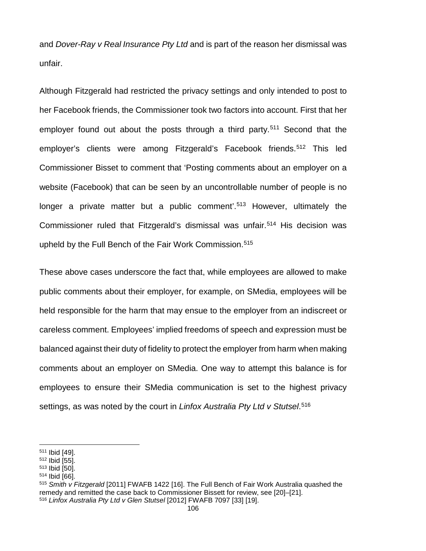and *Dover-Ray v Real Insurance Pty Ltd* and is part of the reason her dismissal was unfair.

Although Fitzgerald had restricted the privacy settings and only intended to post to her Facebook friends, the Commissioner took two factors into account. First that her employer found out about the posts through a third party.<sup>[511](#page-113-0)</sup> Second that the employer's clients were among Fitzgerald's Facebook friends.<sup>[512](#page-113-1)</sup> This led Commissioner Bisset to comment that 'Posting comments about an employer on a website (Facebook) that can be seen by an uncontrollable number of people is no longer a private matter but a public comment'.<sup>[513](#page-113-2)</sup> However, ultimately the Commissioner ruled that Fitzgerald's dismissal was unfair.[514](#page-113-3) His decision was upheld by the Full Bench of the Fair Work Commission.<sup>[515](#page-113-4)</sup>

These above cases underscore the fact that, while employees are allowed to make public comments about their employer, for example, on SMedia, employees will be held responsible for the harm that may ensue to the employer from an indiscreet or careless comment. Employees' implied freedoms of speech and expression must be balanced against their duty of fidelity to protect the employer from harm when making comments about an employer on SMedia. One way to attempt this balance is for employees to ensure their SMedia communication is set to the highest privacy settings, as was noted by the court in *Linfox Australia Pty Ltd v Stutsel*. [516](#page-113-5)

 $\overline{\phantom{a}}$ 

<span id="page-113-2"></span><sup>513</sup> Ibid [50].

<span id="page-113-0"></span><sup>511</sup> Ibid [49].

<span id="page-113-1"></span><sup>512</sup> Ibid [55].

<span id="page-113-3"></span><sup>514</sup> Ibid [66].

<span id="page-113-5"></span><span id="page-113-4"></span><sup>515</sup> *Smith v Fitzgerald* [2011] FWAFB 1422 [16]. The Full Bench of Fair Work Australia quashed the remedy and remitted the case back to Commissioner Bissett for review, see [20]–[21]. <sup>516</sup> *Linfox Australia Pty Ltd v Glen Stutsel* [2012] FWAFB 7097 [33] [19].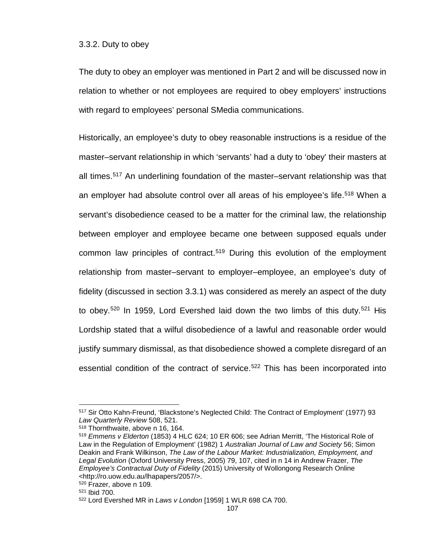#### 3.3.2. Duty to obey

The duty to obey an employer was mentioned in Part 2 and will be discussed now in relation to whether or not employees are required to obey employers' instructions with regard to employees' personal SMedia communications.

Historically, an employee's duty to obey reasonable instructions is a residue of the master–servant relationship in which 'servants' had a duty to 'obey' their masters at all times.[517](#page-114-0) An underlining foundation of the master–servant relationship was that an employer had absolute control over all areas of his employee's life.<sup>[518](#page-114-1)</sup> When a servant's disobedience ceased to be a matter for the criminal law, the relationship between employer and employee became one between supposed equals under common law principles of contract.<sup>[519](#page-114-2)</sup> During this evolution of the employment relationship from master–servant to employer–employee, an employee's duty of fidelity (discussed in section 3.3.1) was considered as merely an aspect of the duty to obey.<sup>[520](#page-114-3)</sup> In 1959, Lord Evershed laid down the two limbs of this duty.<sup>[521](#page-114-4)</sup> His Lordship stated that a wilful disobedience of a lawful and reasonable order would justify summary dismissal, as that disobedience showed a complete disregard of an essential condition of the contract of service.<sup>[522](#page-114-5)</sup> This has been incorporated into

<span id="page-114-1"></span><sup>518</sup> Thornthwaite, above n 16, 164.

<span id="page-114-0"></span><sup>517</sup> Sir Otto Kahn-Freund, 'Blackstone's Neglected Child: The Contract of Employment' (1977) 93 *Law Quarterly Review* 508, 521.

<span id="page-114-2"></span><sup>519</sup> *Emmens v Elderton* (1853) 4 HLC 624; 10 ER 606; see Adrian Merritt, 'The Historical Role of Law in the Regulation of Employment' (1982) 1 *Australian Journal of Law and Society* 56; Simon Deakin and Frank Wilkinson, *The Law of the Labour Market: Industrialization, Employment, and Legal Evolution* (Oxford University Press, 2005) 79, 107, cited in n 14 in Andrew Frazer, *The Employee's Contractual Duty of Fidelity* (2015) University of Wollongong Research Online [<http://ro.uow.edu.au/lhapapers/2057/>](http://ro.uow.edu.au/lhapapers/2057/).

<span id="page-114-3"></span><sup>520</sup> Frazer, above n 109*.*

<span id="page-114-4"></span><sup>521</sup> Ibid 700.

<span id="page-114-5"></span><sup>522</sup> Lord Evershed MR in *Laws v London* [1959] 1 WLR 698 CA 700.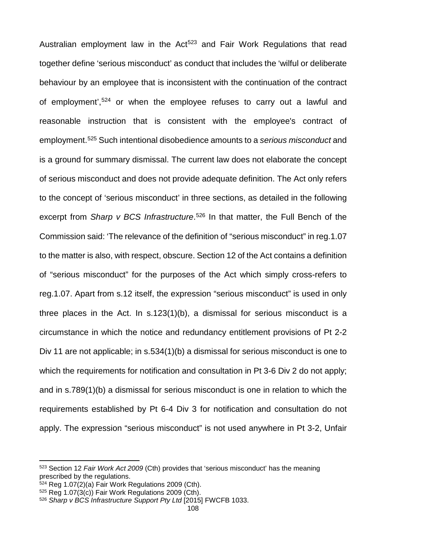Australian employment law in the  $Act<sup>523</sup>$  $Act<sup>523</sup>$  $Act<sup>523</sup>$  and Fair Work Regulations that read together define 'serious misconduct' as conduct that includes the 'wilful or deliberate behaviour by an employee that is inconsistent with the continuation of the contract of employment',<sup>[524](#page-115-1)</sup> or when the employee refuses to carry out a lawful and reasonable instruction that is consistent with the employee's contract of employment.[525](#page-115-2) Such intentional disobedience amounts to a *serious misconduct* and is a ground for summary dismissal. The current law does not elaborate the concept of serious misconduct and does not provide adequate definition. The Act only refers to the concept of 'serious misconduct' in three sections, as detailed in the following excerpt from *Sharp v BCS Infrastructure*. [526](#page-115-3) In that matter, the Full Bench of the Commission said: 'The relevance of the definition of "serious misconduct" in reg.1.07 to the matter is also, with respect, obscure. Section 12 of the Act contains a definition of "serious misconduct" for the purposes of the Act which simply cross-refers to reg.1.07. Apart from s.12 itself, the expression "serious misconduct" is used in only three places in the Act. In s.123(1)(b), a dismissal for serious misconduct is a circumstance in which the notice and redundancy entitlement provisions of Pt 2-2 Div 11 are not applicable; in s.534(1)(b) a dismissal for serious misconduct is one to which the requirements for notification and consultation in Pt 3-6 Div 2 do not apply; and in s.789(1)(b) a dismissal for serious misconduct is one in relation to which the requirements established by Pt 6-4 Div 3 for notification and consultation do not apply. The expression "serious misconduct" is not used anywhere in Pt 3-2, Unfair

l

<span id="page-115-0"></span><sup>523</sup> Section 12 *Fair Work Act 2009* (Cth) provides that 'serious misconduct' has the meaning prescribed by the regulations.

<span id="page-115-1"></span> $524$  Reg 1.07 $(2)(a)$  Fair Work Regulations 2009 (Cth).

<span id="page-115-2"></span><sup>525</sup> Reg 1.07(3(c)) Fair Work Regulations 2009 (Cth).

<span id="page-115-3"></span><sup>526</sup> *Sharp v BCS Infrastructure Support Pty Ltd* [2015] FWCFB 1033.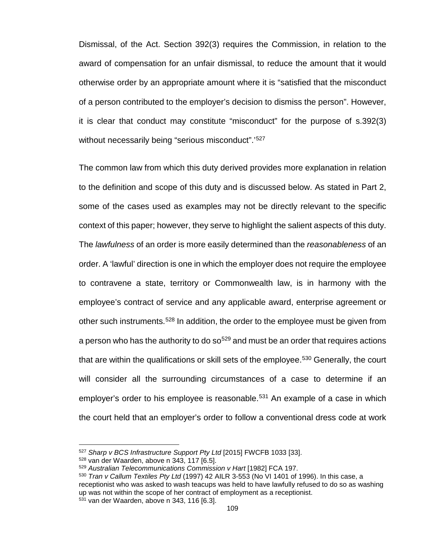Dismissal, of the Act. Section 392(3) requires the Commission, in relation to the award of compensation for an unfair dismissal, to reduce the amount that it would otherwise order by an appropriate amount where it is "satisfied that the misconduct of a person contributed to the employer's decision to dismiss the person". However, it is clear that conduct may constitute "misconduct" for the purpose of s.392(3) without necessarily being "serious misconduct".<sup>'[527](#page-116-0)</sup>

The common law from which this duty derived provides more explanation in relation to the definition and scope of this duty and is discussed below. As stated in Part 2, some of the cases used as examples may not be directly relevant to the specific context of this paper; however, they serve to highlight the salient aspects of this duty. The *lawfulness* of an order is more easily determined than the *reasonableness* of an order. A 'lawful' direction is one in which the employer does not require the employee to contravene a state, territory or Commonwealth law, is in harmony with the employee's contract of service and any applicable award, enterprise agreement or other such instruments.[528](#page-116-1) In addition, the order to the employee must be given from a person who has the authority to do  $\rm{so}^{529}$  $\rm{so}^{529}$  $\rm{so}^{529}$  and must be an order that requires actions that are within the qualifications or skill sets of the employee.<sup>530</sup> Generally, the court will consider all the surrounding circumstances of a case to determine if an employer's order to his employee is reasonable.<sup>[531](#page-116-4)</sup> An example of a case in which the court held that an employer's order to follow a conventional dress code at work

<span id="page-116-0"></span><sup>527</sup> *Sharp v BCS Infrastructure Support Pty Ltd* [2015] FWCFB 1033 [33].

<span id="page-116-1"></span><sup>528</sup> van der Waarden, above n 343, 117 [6.5].

<span id="page-116-2"></span><sup>529</sup> *Australian Telecommunications Commission v Hart* [1982] FCA 197.

<span id="page-116-4"></span><span id="page-116-3"></span><sup>530</sup> *Tran v Callum Textiles Pty Ltd* (1997) 42 AILR 3-553 (No VI 1401 of 1996). In this case, a receptionist who was asked to wash teacups was held to have lawfully refused to do so as washing up was not within the scope of her contract of employment as a receptionist. <sup>531</sup> van der Waarden, above n 343, 116 [6.3].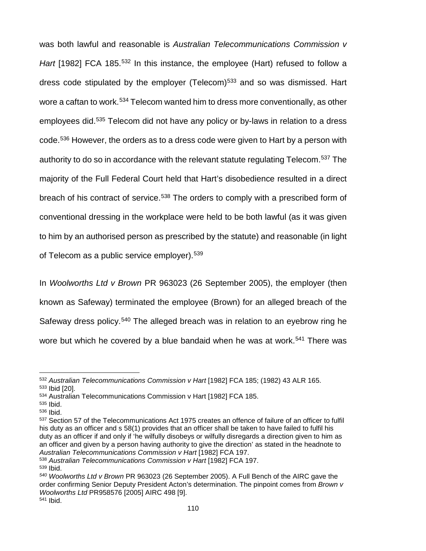was both lawful and reasonable is *Australian Telecommunications Commission v*  Hart [1982] FCA 185.<sup>[532](#page-117-0)</sup> In this instance, the employee (Hart) refused to follow a dress code stipulated by the employer (Telecom) $533$  and so was dismissed. Hart wore a caftan to work.<sup>[534](#page-117-2)</sup> Telecom wanted him to dress more conventionally, as other employees did.[535](#page-117-3) Telecom did not have any policy or by-laws in relation to a dress code.[536](#page-117-4) However, the orders as to a dress code were given to Hart by a person with authority to do so in accordance with the relevant statute regulating Telecom.<sup>[537](#page-117-5)</sup> The majority of the Full Federal Court held that Hart's disobedience resulted in a direct breach of his contract of service.<sup>[538](#page-117-6)</sup> The orders to comply with a prescribed form of conventional dressing in the workplace were held to be both lawful (as it was given to him by an authorised person as prescribed by the statute) and reasonable (in light of Telecom as a public service employer).<sup>[539](#page-117-7)</sup>

In *Woolworths Ltd v Brown* PR 963023 (26 September 2005), the employer (then known as Safeway) terminated the employee (Brown) for an alleged breach of the Safeway dress policy.<sup>[540](#page-117-8)</sup> The alleged breach was in relation to an eyebrow ring he wore but which he covered by a blue bandaid when he was at work.<sup>[541](#page-117-9)</sup> There was

<span id="page-117-0"></span><sup>532</sup> *Australian Telecommunications Commission v Hart* [1982] FCA 185; (1982) 43 ALR 165. <sup>533</sup> Ibid [20].

<span id="page-117-2"></span><span id="page-117-1"></span><sup>534</sup> Australian Telecommunications Commission v Hart [1982] FCA 185.

<span id="page-117-3"></span><sup>535</sup> Ibid.

<span id="page-117-4"></span><sup>536</sup> Ibid.

<span id="page-117-5"></span><sup>537</sup> Section 57 of the Telecommunications Act 1975 creates an offence of failure of an officer to fulfil his duty as an officer and s 58(1) provides that an officer shall be taken to have failed to fulfil his duty as an officer if and only if 'he wilfully disobeys or wilfully disregards a direction given to him as an officer and given by a person having authority to give the direction' as stated in the headnote to *Australian Telecommunications Commission v Hart* [1982] FCA 197.

<span id="page-117-7"></span><span id="page-117-6"></span><sup>538</sup> *Australian Telecommunications Commission v Hart* [1982] FCA 197. <sup>539</sup> Ibid.

<span id="page-117-9"></span><span id="page-117-8"></span>*<sup>540</sup> Woolworths Ltd v Brown* PR 963023 (26 September 2005). A Full Bench of the AIRC gave the order confirming Senior Deputy President Acton's determination. The pinpoint comes from *Brown v Woolworths Ltd* PR958576 [2005] AIRC 498 [9]. <sup>541</sup> Ibid.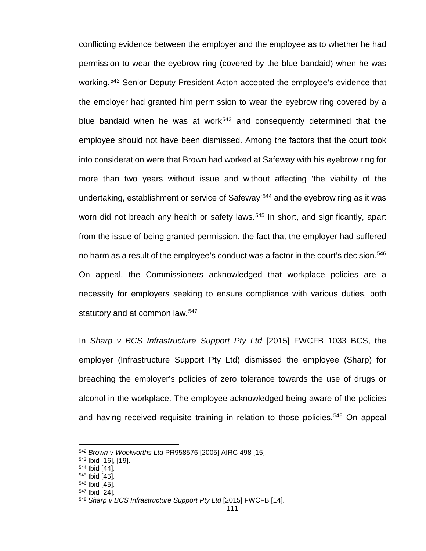conflicting evidence between the employer and the employee as to whether he had permission to wear the eyebrow ring (covered by the blue bandaid) when he was working.[542](#page-118-0) Senior Deputy President Acton accepted the employee's evidence that the employer had granted him permission to wear the eyebrow ring covered by a blue bandaid when he was at work<sup>[543](#page-118-1)</sup> and consequently determined that the employee should not have been dismissed. Among the factors that the court took into consideration were that Brown had worked at Safeway with his eyebrow ring for more than two years without issue and without affecting 'the viability of the undertaking, establishment or service of Safeway' [544](#page-118-2) and the eyebrow ring as it was worn did not breach any health or safety laws.<sup>[545](#page-118-3)</sup> In short, and significantly, apart from the issue of being granted permission, the fact that the employer had suffered no harm as a result of the employee's conduct was a factor in the court's decision.<sup>[546](#page-118-4)</sup> On appeal, the Commissioners acknowledged that workplace policies are a necessity for employers seeking to ensure compliance with various duties, both statutory and at common law.<sup>[547](#page-118-5)</sup>

In *Sharp v BCS Infrastructure Support Pty Ltd* [2015] FWCFB 1033 BCS, the employer (Infrastructure Support Pty Ltd) dismissed the employee (Sharp) for breaching the employer's policies of zero tolerance towards the use of drugs or alcohol in the workplace. The employee acknowledged being aware of the policies and having received requisite training in relation to those policies.<sup>[548](#page-118-6)</sup> On appeal

<span id="page-118-0"></span><sup>542</sup> *Brown v Woolworths Ltd* PR958576 [2005] AIRC 498 [15].

<span id="page-118-1"></span><sup>543</sup> Ibid [16], [19].

<span id="page-118-2"></span><sup>544</sup> Ibid [44].

<span id="page-118-3"></span><sup>545</sup> Ibid [45].

<span id="page-118-4"></span><sup>546</sup> Ibid [45].

<span id="page-118-5"></span><sup>547</sup> Ibid [24].

<span id="page-118-6"></span><sup>548</sup> *Sharp v BCS Infrastructure Support Pty Ltd* [2015] FWCFB [14].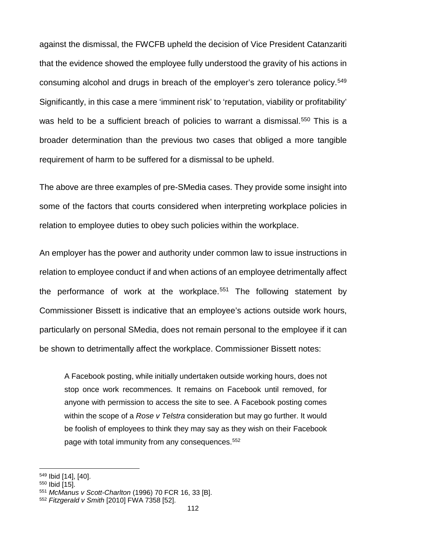against the dismissal, the FWCFB upheld the decision of Vice President Catanzariti that the evidence showed the employee fully understood the gravity of his actions in consuming alcohol and drugs in breach of the employer's zero tolerance policy.<sup>[549](#page-119-0)</sup> Significantly, in this case a mere 'imminent risk' to 'reputation, viability or profitability' was held to be a sufficient breach of policies to warrant a dismissal.<sup>[550](#page-119-1)</sup> This is a broader determination than the previous two cases that obliged a more tangible requirement of harm to be suffered for a dismissal to be upheld.

The above are three examples of pre-SMedia cases. They provide some insight into some of the factors that courts considered when interpreting workplace policies in relation to employee duties to obey such policies within the workplace.

An employer has the power and authority under common law to issue instructions in relation to employee conduct if and when actions of an employee detrimentally affect the performance of work at the workplace.<sup>[551](#page-119-2)</sup> The following statement by Commissioner Bissett is indicative that an employee's actions outside work hours, particularly on personal SMedia, does not remain personal to the employee if it can be shown to detrimentally affect the workplace. Commissioner Bissett notes:

A Facebook posting, while initially undertaken outside working hours, does not stop once work recommences. It remains on Facebook until removed, for anyone with permission to access the site to see. A Facebook posting comes within the scope of a *Rose v Telstra* consideration but may go further. It would be foolish of employees to think they may say as they wish on their Facebook page with total immunity from any consequences.<sup>[552](#page-119-3)</sup>

<span id="page-119-0"></span><sup>549</sup> Ibid [14], [40].

<span id="page-119-1"></span><sup>&</sup>lt;sup>550</sup> Ibid [15].

<span id="page-119-2"></span><sup>551</sup> *McManus v Scott-Charlton* (1996) 70 FCR 16, 33 [B].

<span id="page-119-3"></span><sup>552</sup> *Fitzgerald v Smith* [2010] FWA 7358 [52].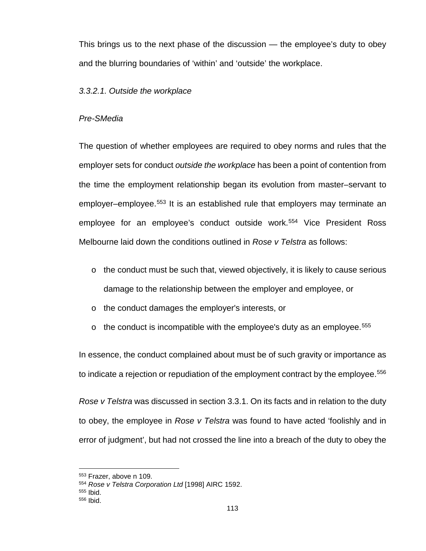This brings us to the next phase of the discussion — the employee's duty to obey and the blurring boundaries of 'within' and 'outside' the workplace.

## *3.3.2.1. Outside the workplace*

### *Pre-SMedia*

The question of whether employees are required to obey norms and rules that the employer sets for conduct *outside the workplace* has been a point of contention from the time the employment relationship began its evolution from master–servant to employer–employee. [553](#page-120-0) It is an established rule that employers may terminate an employee for an employee's conduct outside work.<sup>[554](#page-120-1)</sup> Vice President Ross Melbourne laid down the conditions outlined in *Rose v Telstra* as follows:

- $\circ$  the conduct must be such that, viewed objectively, it is likely to cause serious damage to the relationship between the employer and employee, or
- o the conduct damages the employer's interests, or
- $\circ$  the conduct is incompatible with the employee's duty as an employee.<sup>[555](#page-120-2)</sup>

In essence, the conduct complained about must be of such gravity or importance as to indicate a rejection or repudiation of the employment contract by the employee.<sup>[556](#page-120-3)</sup>

*Rose v Telstra* was discussed in section 3.3.1. On its facts and in relation to the duty to obey, the employee in *Rose v Telstra* was found to have acted 'foolishly and in error of judgment', but had not crossed the line into a breach of the duty to obey the

<span id="page-120-0"></span><sup>553</sup> Frazer, above n 109.

<span id="page-120-1"></span><sup>554</sup> *Rose v Telstra Corporation Ltd* [1998] AIRC 1592.

<span id="page-120-2"></span><sup>555</sup> Ibid.

<span id="page-120-3"></span><sup>556</sup> Ibid.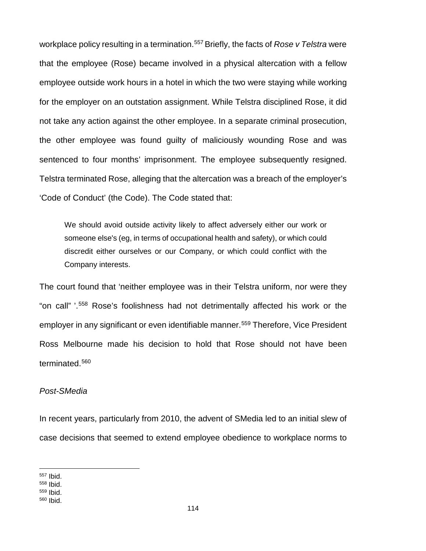workplace policy resulting in a termination.<sup>[557](#page-121-0)</sup> Briefly, the facts of *Rose v Telstra* were that the employee (Rose) became involved in a physical altercation with a fellow employee outside work hours in a hotel in which the two were staying while working for the employer on an outstation assignment. While Telstra disciplined Rose, it did not take any action against the other employee. In a separate criminal prosecution, the other employee was found guilty of maliciously wounding Rose and was sentenced to four months' imprisonment. The employee subsequently resigned. Telstra terminated Rose, alleging that the altercation was a breach of the employer's 'Code of Conduct' (the Code). The Code stated that:

We should avoid outside activity likely to affect adversely either our work or someone else's (eg, in terms of occupational health and safety), or which could discredit either ourselves or our Company, or which could conflict with the Company interests.

The court found that 'neither employee was in their Telstra uniform, nor were they "on call" '. [558](#page-121-1) Rose's foolishness had not detrimentally affected his work or the employer in any significant or even identifiable manner.<sup>[559](#page-121-2)</sup> Therefore, Vice President Ross Melbourne made his decision to hold that Rose should not have been terminated.[560](#page-121-3)

## *Post-SMedia*

In recent years, particularly from 2010, the advent of SMedia led to an initial slew of case decisions that seemed to extend employee obedience to workplace norms to

 $\overline{\phantom{a}}$ <sup>557</sup> Ibid.

<span id="page-121-1"></span><span id="page-121-0"></span><sup>558</sup> Ibid.

<span id="page-121-3"></span><span id="page-121-2"></span><sup>559</sup> Ibid. <sup>560</sup> Ibid.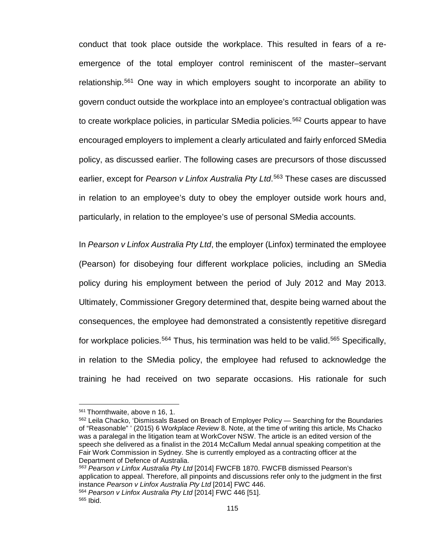conduct that took place outside the workplace. This resulted in fears of a reemergence of the total employer control reminiscent of the master–servant relationship.[561](#page-122-0) One way in which employers sought to incorporate an ability to govern conduct outside the workplace into an employee's contractual obligation was to create workplace policies, in particular SMedia policies.<sup>[562](#page-122-1)</sup> Courts appear to have encouraged employers to implement a clearly articulated and fairly enforced SMedia policy, as discussed earlier. The following cases are precursors of those discussed earlier, except for *Pearson v Linfox Australia Pty Ltd*. [563](#page-122-2) These cases are discussed in relation to an employee's duty to obey the employer outside work hours and, particularly, in relation to the employee's use of personal SMedia accounts.

In *Pearson v Linfox Australia Pty Ltd*, the employer (Linfox) terminated the employee (Pearson) for disobeying four different workplace policies, including an SMedia policy during his employment between the period of July 2012 and May 2013. Ultimately, Commissioner Gregory determined that, despite being warned about the consequences, the employee had demonstrated a consistently repetitive disregard for workplace policies.<sup>564</sup> Thus, his termination was held to be valid.<sup>[565](#page-122-4)</sup> Specifically, in relation to the SMedia policy, the employee had refused to acknowledge the training he had received on two separate occasions. His rationale for such

<span id="page-122-2"></span>*<sup>563</sup> Pearson v Linfox Australia Pty Ltd* [2014] FWCFB 1870. FWCFB dismissed Pearson's application to appeal. Therefore, all pinpoints and discussions refer only to the judgment in the first instance *Pearson v Linfox Australia Pty Ltd* [2014] FWC 446. <sup>564</sup> *Pearson v Linfox Australia Pty Ltd* [2014] FWC 446 [51].

<sup>561</sup> Thornthwaite, above n 16, 1.

<span id="page-122-1"></span><span id="page-122-0"></span><sup>562</sup> Leila Chacko, 'Dismissals Based on Breach of Employer Policy — Searching for the Boundaries of "Reasonable" ' (2015) 6 Wo*rkplace Review* 8. Note, at the time of writing this article, Ms Chacko was a paralegal in the litigation team at WorkCover NSW. The article is an edited version of the speech she delivered as a finalist in the 2014 McCallum Medal annual speaking competition at the Fair Work Commission in Sydney. She is currently employed as a contracting officer at the Department of Defence of Australia.

<span id="page-122-4"></span><span id="page-122-3"></span><sup>565</sup> Ibid.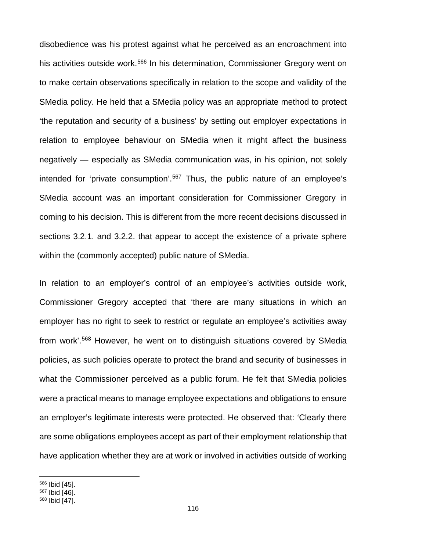disobedience was his protest against what he perceived as an encroachment into his activities outside work.<sup>[566](#page-123-0)</sup> In his determination, Commissioner Gregory went on to make certain observations specifically in relation to the scope and validity of the SMedia policy. He held that a SMedia policy was an appropriate method to protect 'the reputation and security of a business' by setting out employer expectations in relation to employee behaviour on SMedia when it might affect the business negatively — especially as SMedia communication was, in his opinion, not solely intended for 'private consumption'. [567](#page-123-1) Thus, the public nature of an employee's SMedia account was an important consideration for Commissioner Gregory in coming to his decision. This is different from the more recent decisions discussed in sections 3.2.1. and 3.2.2. that appear to accept the existence of a private sphere within the (commonly accepted) public nature of SMedia.

In relation to an employer's control of an employee's activities outside work, Commissioner Gregory accepted that 'there are many situations in which an employer has no right to seek to restrict or regulate an employee's activities away from work'. [568](#page-123-2) However, he went on to distinguish situations covered by SMedia policies, as such policies operate to protect the brand and security of businesses in what the Commissioner perceived as a public forum. He felt that SMedia policies were a practical means to manage employee expectations and obligations to ensure an employer's legitimate interests were protected. He observed that: 'Clearly there are some obligations employees accept as part of their employment relationship that have application whether they are at work or involved in activities outside of working

l <sup>566</sup> Ibid [45].

<span id="page-123-1"></span><span id="page-123-0"></span><sup>567</sup> Ibid [46].

<span id="page-123-2"></span><sup>568</sup> Ibid [47].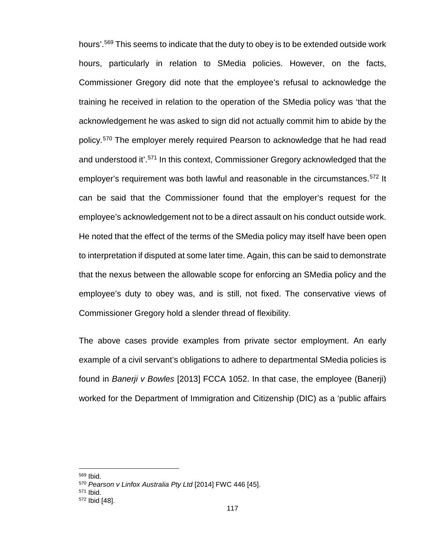hours'. [569](#page-124-0) This seems to indicate that the duty to obey is to be extended outside work hours, particularly in relation to SMedia policies. However, on the facts, Commissioner Gregory did note that the employee's refusal to acknowledge the training he received in relation to the operation of the SMedia policy was 'that the acknowledgement he was asked to sign did not actually commit him to abide by the policy.[570](#page-124-1) The employer merely required Pearson to acknowledge that he had read and understood it'. [571](#page-124-2) In this context, Commissioner Gregory acknowledged that the employer's requirement was both lawful and reasonable in the circumstances.<sup>572</sup> It can be said that the Commissioner found that the employer's request for the employee's acknowledgement not to be a direct assault on his conduct outside work. He noted that the effect of the terms of the SMedia policy may itself have been open to interpretation if disputed at some later time. Again, this can be said to demonstrate that the nexus between the allowable scope for enforcing an SMedia policy and the employee's duty to obey was, and is still, not fixed. The conservative views of Commissioner Gregory hold a slender thread of flexibility.

The above cases provide examples from private sector employment. An early example of a civil servant's obligations to adhere to departmental SMedia policies is found in *Banerji v Bowles* [2013] FCCA 1052. In that case, the employee (Banerji) worked for the Department of Immigration and Citizenship (DIC) as a 'public affairs

<span id="page-124-0"></span><sup>569</sup> Ibid.

<span id="page-124-2"></span><span id="page-124-1"></span><sup>570</sup> *Pearson v Linfox Australia Pty Ltd* [2014] FWC 446 [45].

<sup>571</sup> Ibid.

<span id="page-124-3"></span><sup>572</sup> Ibid [48].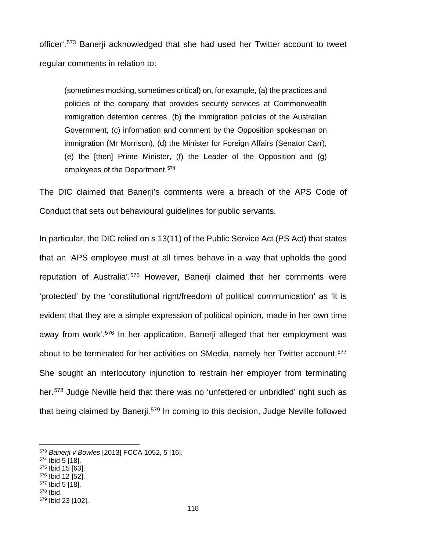officer'.[573](#page-125-0) Banerji acknowledged that she had used her Twitter account to tweet regular comments in relation to:

(sometimes mocking, sometimes critical) on, for example, (a) the practices and policies of the company that provides security services at Commonwealth immigration detention centres, (b) the immigration policies of the Australian Government, (c) information and comment by the Opposition spokesman on immigration (Mr Morrison), (d) the Minister for Foreign Affairs (Senator Carr), (e) the [then] Prime Minister, (f) the Leader of the Opposition and (g) employees of the Department.<sup>[574](#page-125-1)</sup>

The DIC claimed that Banerji's comments were a breach of the APS Code of Conduct that sets out behavioural guidelines for public servants.

In particular, the DIC relied on s 13(11) of the Public Service Act (PS Act) that states that an 'APS employee must at all times behave in a way that upholds the good reputation of Australia'.<sup>[575](#page-125-2)</sup> However, Banerji claimed that her comments were 'protected' by the 'constitutional right/freedom of political communication' as 'it is evident that they are a simple expression of political opinion, made in her own time away from work<sup>'.[576](#page-125-3)</sup> In her application, Banerji alleged that her employment was about to be terminated for her activities on SMedia, namely her Twitter account.<sup>[577](#page-125-4)</sup> She sought an interlocutory injunction to restrain her employer from terminating her.<sup>[578](#page-125-5)</sup> Judge Neville held that there was no 'unfettered or unbridled' right such as that being claimed by Banerji.[579](#page-125-6) In coming to this decision, Judge Neville followed

- <span id="page-125-2"></span><sup>575</sup> Ibid 15 [63].
- <span id="page-125-3"></span><sup>576</sup> Ibid 12 [52]. <sup>577</sup> Ibid 5 [18].
- <span id="page-125-5"></span><span id="page-125-4"></span><sup>578</sup> Ibid.

<span id="page-125-0"></span><sup>573</sup> *Banerji v Bowles* [2013] FCCA 1052, 5 [16].

<span id="page-125-1"></span><sup>574</sup> Ibid 5 [18].

<span id="page-125-6"></span><sup>579</sup> Ibid 23 [102].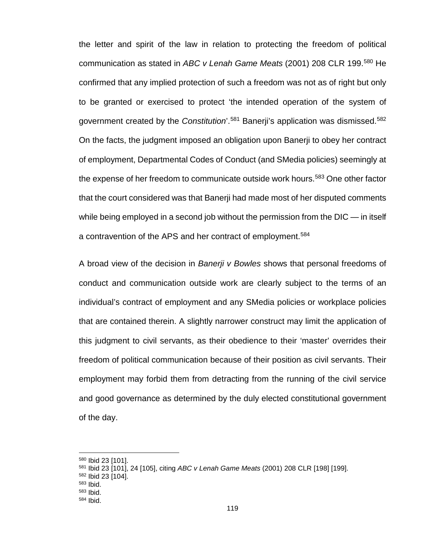the letter and spirit of the law in relation to protecting the freedom of political communication as stated in *ABC v Lenah Game Meats* [\(2001\) 208 CLR 199.](http://www.austlii.edu.au/cgi-bin/LawCite?cit=%282001%29%20208%20CLR%20199) [580](#page-126-0) He confirmed that any implied protection of such a freedom was not as of right but only to be granted or exercised to protect 'the intended operation of the system of government created by the *Constitution*'.[581](#page-126-1) Banerji's application was dismissed.[582](#page-126-2) On the facts, the judgment imposed an obligation upon Banerji to obey her contract of employment, Departmental Codes of Conduct (and SMedia policies) seemingly at the expense of her freedom to communicate outside work hours.<sup>[583](#page-126-3)</sup> One other factor that the court considered was that Banerji had made most of her disputed comments while being employed in a second job without the permission from the DIC — in itself a contravention of the APS and her contract of employment.<sup>[584](#page-126-4)</sup>

A broad view of the decision in *Banerji v Bowles* shows that personal freedoms of conduct and communication outside work are clearly subject to the terms of an individual's contract of employment and any SMedia policies or workplace policies that are contained therein. A slightly narrower construct may limit the application of this judgment to civil servants, as their obedience to their 'master' overrides their freedom of political communication because of their position as civil servants. Their employment may forbid them from detracting from the running of the civil service and good governance as determined by the duly elected constitutional government of the day.

<span id="page-126-0"></span><sup>580</sup> Ibid 23 [101].

<span id="page-126-1"></span><sup>581</sup> Ibid 23 [101], 24 [105], citing *ABC v Lenah Game Meats* (2001) 208 CLR [198] [199].

<sup>582</sup> Ibid 23 [104].

<span id="page-126-2"></span><sup>583</sup> Ibid.

<span id="page-126-4"></span><span id="page-126-3"></span><sup>583</sup> Ibid.

<sup>584</sup> Ibid.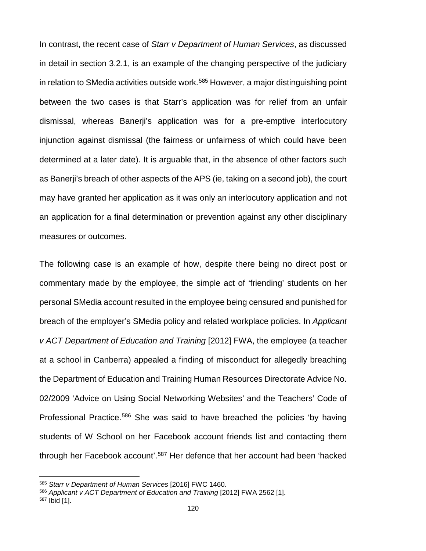In contrast, the recent case of *Starr v Department of Human Services*, as discussed in detail in section 3.2.1, is an example of the changing perspective of the judiciary in relation to SMedia activities outside work.<sup>[585](#page-127-0)</sup> However, a major distinguishing point between the two cases is that Starr's application was for relief from an unfair dismissal, whereas Banerji's application was for a pre-emptive interlocutory injunction against dismissal (the fairness or unfairness of which could have been determined at a later date). It is arguable that, in the absence of other factors such as Banerji's breach of other aspects of the APS (ie, taking on a second job), the court may have granted her application as it was only an interlocutory application and not an application for a final determination or prevention against any other disciplinary measures or outcomes.

The following case is an example of how, despite there being no direct post or commentary made by the employee, the simple act of 'friending' students on her personal SMedia account resulted in the employee being censured and punished for breach of the employer's SMedia policy and related workplace policies. In *Applicant v ACT Department of Education and Training* [2012] FWA, the employee (a teacher at a school in Canberra) appealed a finding of misconduct for allegedly breaching the Department of Education and Training Human Resources Directorate Advice No. 02/2009 'Advice on Using Social Networking Websites' and the Teachers' Code of Professional Practice.[586](#page-127-1) She was said to have breached the policies 'by having students of W School on her Facebook account friends list and contacting them through her Facebook account'.<sup>[587](#page-127-2)</sup> Her defence that her account had been 'hacked

l

<span id="page-127-0"></span><sup>585</sup> *Starr v Department of Human Services* [2016] FWC 1460.

<span id="page-127-1"></span><sup>586</sup> *Applicant v ACT Department of Education and Training* [2012] FWA 2562 [1].

<span id="page-127-2"></span><sup>587</sup> Ibid [1].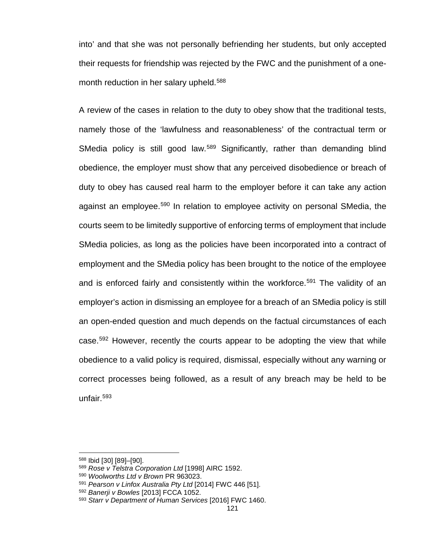into' and that she was not personally befriending her students, but only accepted their requests for friendship was rejected by the FWC and the punishment of a onemonth reduction in her salary upheld.<sup>588</sup>

A review of the cases in relation to the duty to obey show that the traditional tests, namely those of the 'lawfulness and reasonableness' of the contractual term or SMedia policy is still good law.<sup>[589](#page-128-1)</sup> Significantly, rather than demanding blind obedience, the employer must show that any perceived disobedience or breach of duty to obey has caused real harm to the employer before it can take any action against an employee.[590](#page-128-2) In relation to employee activity on personal SMedia, the courts seem to be limitedly supportive of enforcing terms of employment that include SMedia policies, as long as the policies have been incorporated into a contract of employment and the SMedia policy has been brought to the notice of the employee and is enforced fairly and consistently within the workforce.<sup>[591](#page-128-3)</sup> The validity of an employer's action in dismissing an employee for a breach of an SMedia policy is still an open-ended question and much depends on the factual circumstances of each case.[592](#page-128-4) However, recently the courts appear to be adopting the view that while obedience to a valid policy is required, dismissal, especially without any warning or correct processes being followed, as a result of any breach may be held to be unfair.[593](#page-128-5)

<span id="page-128-0"></span><sup>588</sup> Ibid [30] [89]–[90].

<span id="page-128-1"></span><sup>589</sup> *Rose v Telstra Corporation Ltd* [1998] AIRC 1592.

<span id="page-128-2"></span><sup>590</sup> *Woolworths Ltd v Brown* PR 963023.

<span id="page-128-3"></span><sup>591</sup> *Pearson v Linfox Australia Pty Ltd* [2014] FWC 446 [51].

<span id="page-128-4"></span><sup>592</sup> *Banerji v Bowles* [2013] FCCA 1052.

<span id="page-128-5"></span><sup>593</sup> *Starr v Department of Human Services* [2016] FWC 1460.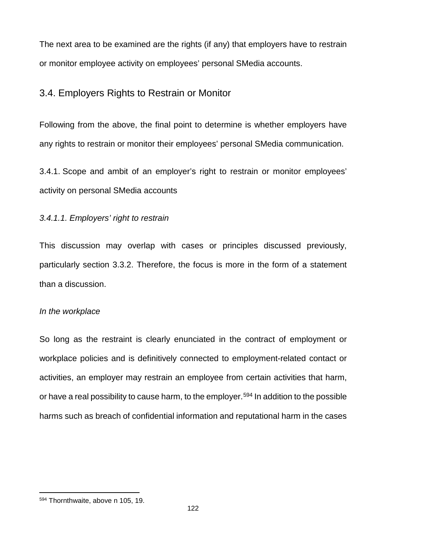The next area to be examined are the rights (if any) that employers have to restrain or monitor employee activity on employees' personal SMedia accounts.

## 3.4. Employers Rights to Restrain or Monitor

Following from the above, the final point to determine is whether employers have any rights to restrain or monitor their employees' personal SMedia communication.

3.4.1. Scope and ambit of an employer's right to restrain or monitor employees' activity on personal SMedia accounts

## *3.4.1.1. Employers' right to restrain*

This discussion may overlap with cases or principles discussed previously, particularly section 3.3.2. Therefore, the focus is more in the form of a statement than a discussion.

## *In the workplace*

So long as the restraint is clearly enunciated in the contract of employment or workplace policies and is definitively connected to employment-related contact or activities, an employer may restrain an employee from certain activities that harm, or have a real possibility to cause harm, to the employer.<sup>[594](#page-129-0)</sup> In addition to the possible harms such as breach of confidential information and reputational harm in the cases

<span id="page-129-0"></span><sup>594</sup> Thornthwaite, above n 105, 19.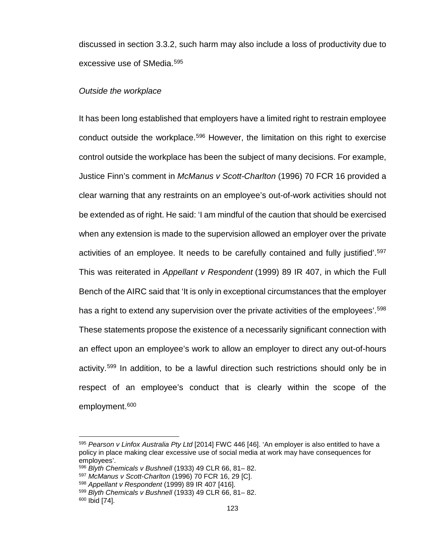discussed in section 3.3.2, such harm may also include a loss of productivity due to excessive use of SMedia. [595](#page-130-0)

#### *Outside the workplace*

It has been long established that employers have a limited right to restrain employee conduct outside the workplace.[596](#page-130-1) However, the limitation on this right to exercise control outside the workplace has been the subject of many decisions. For example, Justice Finn's comment in *McManus v Scott-Charlton* (1996) 70 FCR 16 provided a clear warning that any restraints on an employee's out-of-work activities should not be extended as of right. He said: 'I am mindful of the caution that should be exercised when any extension is made to the supervision allowed an employer over the private activities of an employee. It needs to be carefully contained and fully justified'. [597](#page-130-2) This was reiterated in *Appellant v Respondent* (1999) 89 IR 407, in which the Full Bench of the AIRC said that 'It is only in exceptional circumstances that the employer has a right to extend any supervision over the private activities of the employees'.<sup>[598](#page-130-3)</sup> These statements propose the existence of a necessarily significant connection with an effect upon an employee's work to allow an employer to direct any out-of-hours activity.[599](#page-130-4) In addition, to be a lawful direction such restrictions should only be in respect of an employee's conduct that is clearly within the scope of the employment.<sup>[600](#page-130-5)</sup>

<span id="page-130-0"></span><sup>595</sup> *Pearson v Linfox Australia Pty Ltd* [2014] FWC 446 [46]. 'An employer is also entitled to have a policy in place making clear excessive use of social media at work may have consequences for employees'.

<span id="page-130-1"></span><sup>596</sup> *Blyth Chemicals v Bushnell* (1933) 49 CLR 66, 81– 82.

<span id="page-130-2"></span><sup>597</sup> *McManus v Scott-Charlton* (1996) 70 FCR 16, 29 [C].

<span id="page-130-3"></span><sup>598</sup> *Appellant v Respondent* (1999) 89 IR 407 [416].

<span id="page-130-4"></span><sup>599</sup> *Blyth Chemicals v Bushnell* (1933) 49 CLR 66, 81– 82.

<span id="page-130-5"></span><sup>600</sup> Ibid [74].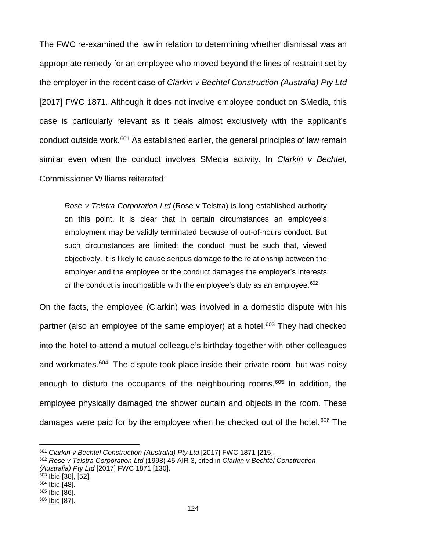The FWC re-examined the law in relation to determining whether dismissal was an appropriate remedy for an employee who moved beyond the lines of restraint set by the employer in the recent case of *Clarkin v Bechtel Construction (Australia) Pty Ltd*  [2017] FWC 1871. Although it does not involve employee conduct on SMedia, this case is particularly relevant as it deals almost exclusively with the applicant's conduct outside work.<sup>[601](#page-131-0)</sup> As established earlier, the general principles of law remain similar even when the conduct involves SMedia activity. In *Clarkin v Bechtel*, Commissioner Williams reiterated:

*Rose v Telstra Corporation Ltd* (Rose v Telstra) is long established authority on this point. It is clear that in certain circumstances an employee's employment may be validly terminated because of out-of-hours conduct. But such circumstances are limited: the conduct must be such that, viewed objectively, it is likely to cause serious damage to the relationship between the employer and the employee or the conduct damages the employer's interests or the conduct is incompatible with the employee's duty as an employee. $602$ 

On the facts, the employee (Clarkin) was involved in a domestic dispute with his partner (also an employee of the same employer) at a hotel.<sup>[603](#page-131-2)</sup> They had checked into the hotel to attend a mutual colleague's birthday together with other colleagues and workmates.<sup>604</sup> The dispute took place inside their private room, but was noisy enough to disturb the occupants of the neighbouring rooms.<sup>[605](#page-131-4)</sup> In addition, the employee physically damaged the shower curtain and objects in the room. These damages were paid for by the employee when he checked out of the hotel.<sup>[606](#page-131-5)</sup> The

<span id="page-131-0"></span><sup>&</sup>lt;sup>601</sup> Clarkin v Bechtel Construction (Australia) Pty Ltd [2017] FWC 1871 [215].

<span id="page-131-1"></span><sup>602</sup> *Rose v Telstra Corporation Ltd* (1998) 45 AIR 3, cited in *Clarkin v Bechtel Construction (Australia) Pty Ltd* [2017] FWC 1871 [130].

<span id="page-131-2"></span><sup>603</sup> Ibid [38], [52].

<span id="page-131-3"></span><sup>604</sup> Ibid [48]. <sup>605</sup> Ibid [86].

<span id="page-131-5"></span><span id="page-131-4"></span><sup>606</sup> Ibid [87].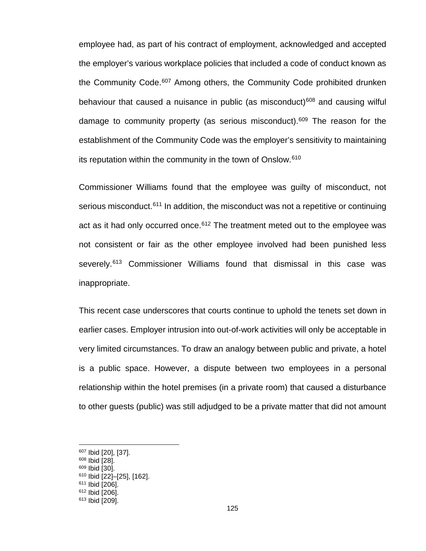employee had, as part of his contract of employment, acknowledged and accepted the employer's various workplace policies that included a code of conduct known as the Community Code.<sup>[607](#page-132-0)</sup> Among others, the Community Code prohibited drunken behaviour that caused a nuisance in public (as misconduct)<sup>[608](#page-132-1)</sup> and causing wilful damage to community property (as serious misconduct).[609](#page-132-2) The reason for the establishment of the Community Code was the employer's sensitivity to maintaining its reputation within the community in the town of Onslow.[610](#page-132-3)

Commissioner Williams found that the employee was guilty of misconduct, not serious misconduct.<sup>[611](#page-132-4)</sup> In addition, the misconduct was not a repetitive or continuing act as it had only occurred once.<sup>[612](#page-132-5)</sup> The treatment meted out to the employee was not consistent or fair as the other employee involved had been punished less severely.<sup>[613](#page-132-6)</sup> Commissioner Williams found that dismissal in this case was inappropriate.

This recent case underscores that courts continue to uphold the tenets set down in earlier cases. Employer intrusion into out-of-work activities will only be acceptable in very limited circumstances. To draw an analogy between public and private, a hotel is a public space. However, a dispute between two employees in a personal relationship within the hotel premises (in a private room) that caused a disturbance to other guests (public) was still adjudged to be a private matter that did not amount

 $\overline{a}$ 

<span id="page-132-2"></span><sup>609</sup> Ibid [30].

<span id="page-132-0"></span><sup>607</sup> Ibid [20], [37].

<span id="page-132-1"></span><sup>608</sup> Ibid [28].

<sup>610</sup> Ibid [22]–[25], [162].

<span id="page-132-4"></span><span id="page-132-3"></span><sup>&</sup>lt;sup>611</sup> Ibid [206].

<span id="page-132-5"></span><sup>612</sup> Ibid [206].

<span id="page-132-6"></span><sup>613</sup> Ibid [209].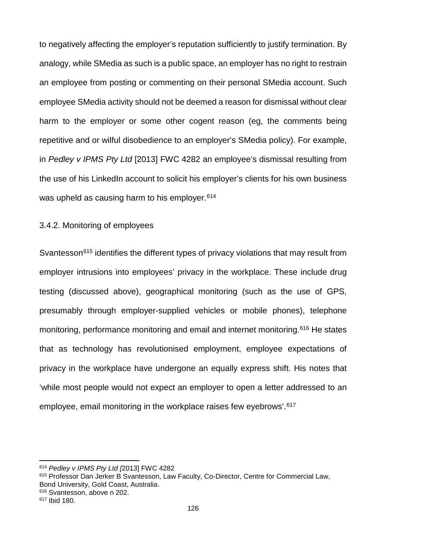to negatively affecting the employer's reputation sufficiently to justify termination. By analogy, while SMedia as such is a public space, an employer has no right to restrain an employee from posting or commenting on their personal SMedia account. Such employee SMedia activity should not be deemed a reason for dismissal without clear harm to the employer or some other cogent reason (eg, the comments being repetitive and or wilful disobedience to an employer's SMedia policy). For example, in *Pedley v IPMS Pty Ltd* [2013] FWC 4282 an employee's dismissal resulting from the use of his LinkedIn account to solicit his employer's clients for his own business was upheld as causing harm to his employer.<sup>[614](#page-133-0)</sup>

## 3.4.2. Monitoring of employees

Svantesson<sup>[615](#page-133-1)</sup> identifies the different types of privacy violations that may result from employer intrusions into employees' privacy in the workplace. These include drug testing (discussed above), geographical monitoring (such as the use of GPS, presumably through employer-supplied vehicles or mobile phones), telephone monitoring, performance monitoring and email and internet monitoring.<sup>[616](#page-133-2)</sup> He states that as technology has revolutionised employment, employee expectations of privacy in the workplace have undergone an equally express shift. His notes that 'while most people would not expect an employer to open a letter addressed to an employee, email monitoring in the workplace raises few eyebrows'.<sup>[617](#page-133-3)</sup>

l

<span id="page-133-0"></span><sup>614</sup> *Pedley v IPMS Pty Ltd [*2013] FWC 4282

<span id="page-133-1"></span><sup>615</sup> Professor Dan Jerker B Svantesson, Law Faculty, Co-Director, Centre for Commercial Law, Bond University, Gold Coast, Australia. <sup>616</sup> Svantesson, above n 202.

<span id="page-133-3"></span><span id="page-133-2"></span><sup>617</sup> Ibid 180.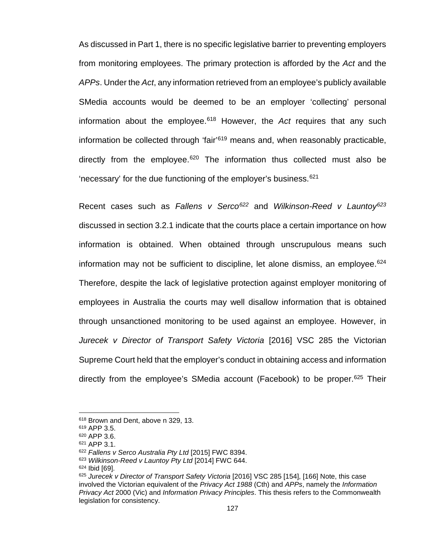As discussed in Part 1, there is no specific legislative barrier to preventing employers from monitoring employees. The primary protection is afforded by the *Act* and the *APPs*. Under the *Act*, any information retrieved from an employee's publicly available SMedia accounts would be deemed to be an employer 'collecting' personal information about the employee[.618](#page-134-0) However, the *Act* requires that any such information be collected through 'fair'[619](#page-134-1) means and, when reasonably practicable, directly from the employee.<sup>[620](#page-134-2)</sup> The information thus collected must also be 'necessary' for the due functioning of the employer's business.  $621$ 

Recent cases such as *Fallens v Serco[622](#page-134-4)* and *Wilkinson-Reed v Launtoy[623](#page-134-5)* discussed in section 3.2.1 indicate that the courts place a certain importance on how information is obtained. When obtained through unscrupulous means such information may not be sufficient to discipline, let alone dismiss, an employee.<sup>[624](#page-134-6)</sup> Therefore, despite the lack of legislative protection against employer monitoring of employees in Australia the courts may well disallow information that is obtained through unsanctioned monitoring to be used against an employee. However, in *Jurecek v Director of Transport Safety Victoria* [2016] VSC 285 the Victorian Supreme Court held that the employer's conduct in obtaining access and information directly from the employee's SMedia account (Facebook) to be proper.<sup>[625](#page-134-7)</sup> Their

<span id="page-134-1"></span><span id="page-134-0"></span><sup>618</sup> Brown and Dent, above n 329, 13.

<sup>619</sup> APP 3.5.

<span id="page-134-2"></span><sup>620</sup> APP 3.6.

<span id="page-134-3"></span><sup>621</sup> APP 3.1.

<span id="page-134-4"></span><sup>622</sup> *Fallens v Serco Australia Pty Ltd* [2015] FWC 8394.

<sup>623</sup> *Wilkinson-Reed v Launtoy Pty Ltd* [2014] FWC 644.

<span id="page-134-7"></span><span id="page-134-6"></span><span id="page-134-5"></span><sup>624</sup> Ibid [69].

<sup>625</sup> Jurecek v Director of Transport Safety Victoria [2016] VSC 285 [154], [166] Note, this case involved the Victorian equivalent of the *Privacy Act 1988* (Cth) and *APPs*, namely the *Information Privacy Act* 2000 (Vic) and *Information Privacy Principles*. This thesis refers to the Commonwealth legislation for consistency.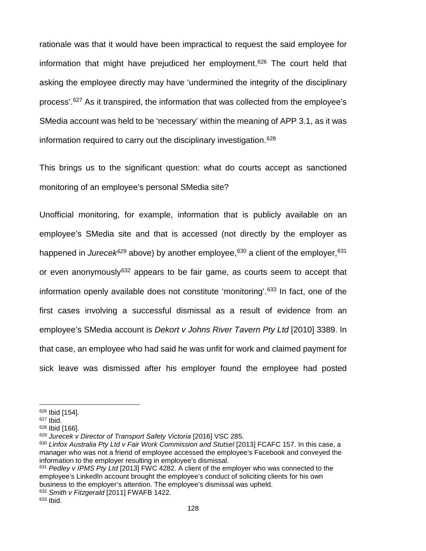rationale was that it would have been impractical to request the said employee for information that might have prejudiced her employment.[626](#page-135-0) The court held that asking the employee directly may have 'undermined the integrity of the disciplinary process'.[627](#page-135-1) As it transpired, the information that was collected from the employee's SMedia account was held to be 'necessary' within the meaning of APP 3.1, as it was information required to carry out the disciplinary investigation.[628](#page-135-2)

This brings us to the significant question: what do courts accept as sanctioned monitoring of an employee's personal SMedia site?

Unofficial monitoring, for example, information that is publicly available on an employee's SMedia site and that is accessed (not directly by the employer as happened in *Jurece[k629](#page-135-3)* above) by another employee, [630](#page-135-4) a client of the employer,[631](#page-135-5) or even anonymously<sup>[632](#page-135-6)</sup> appears to be fair game, as courts seem to accept that information openly available does not constitute 'monitoring'.<sup>[633](#page-135-7)</sup> In fact, one of the first cases involving a successful dismissal as a result of evidence from an employee's SMedia account is *Dekort v Johns River Tavern Pty Ltd* [2010] 3389. In that case, an employee who had said he was unfit for work and claimed payment for sick leave was dismissed after his employer found the employee had posted

<sup>626</sup> Ibid [154].

<span id="page-135-2"></span><span id="page-135-1"></span><span id="page-135-0"></span><sup>627</sup> Ibid.

<sup>628</sup> Ibid [166].

<span id="page-135-3"></span><sup>&</sup>lt;sup>629</sup> Jurecek v Director of Transport Safety Victoria [2016] VSC 285.

<span id="page-135-4"></span><sup>630</sup> *Linfox Australia Pty Ltd v Fair Work Commission and Stutsel* [2013] FCAFC 157. In this case, a manager who was not a friend of employee accessed the employee's Facebook and conveyed the information to the employer resulting in employee's dismissal.

<span id="page-135-5"></span><sup>631</sup> *Pedley v IPMS Pty Ltd* [2013] FWC 4282. A client of the employer who was connected to the employee's LinkedIn account brought the employee's conduct of soliciting clients for his own business to the employer's attention. The employee's dismissal was upheld. <sup>632</sup> *Smith v Fitzgerald* [2011] FWAFB 1422.

<span id="page-135-7"></span><span id="page-135-6"></span><sup>633</sup> Ibid.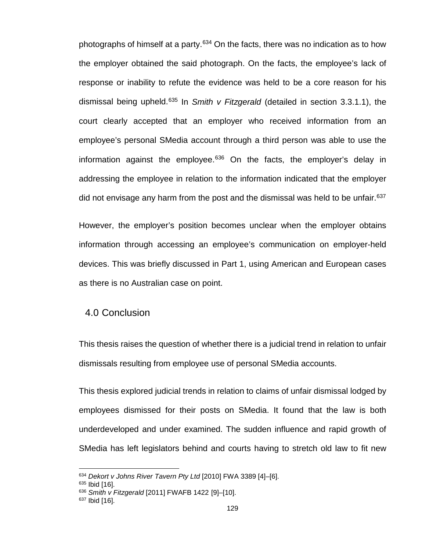photographs of himself at a party. $634$  On the facts, there was no indication as to how the employer obtained the said photograph. On the facts, the employee's lack of response or inability to refute the evidence was held to be a core reason for his dismissal being upheld.[635](#page-136-1) In *Smith v Fitzgerald* (detailed in section 3.3.1.1), the court clearly accepted that an employer who received information from an employee's personal SMedia account through a third person was able to use the information against the employee. $636$  On the facts, the employer's delay in addressing the employee in relation to the information indicated that the employer did not envisage any harm from the post and the dismissal was held to be unfair.<sup>[637](#page-136-3)</sup>

However, the employer's position becomes unclear when the employer obtains information through accessing an employee's communication on employer-held devices. This was briefly discussed in Part 1, using American and European cases as there is no Australian case on point.

## 4.0 Conclusion

This thesis raises the question of whether there is a judicial trend in relation to unfair dismissals resulting from employee use of personal SMedia accounts.

This thesis explored judicial trends in relation to claims of unfair dismissal lodged by employees dismissed for their posts on SMedia. It found that the law is both underdeveloped and under examined. The sudden influence and rapid growth of SMedia has left legislators behind and courts having to stretch old law to fit new

<span id="page-136-0"></span><sup>634</sup> *Dekort v Johns River Tavern Pty Ltd* [2010] FWA 3389 [4]–[6].

<span id="page-136-1"></span><sup>635</sup> Ibid [16].

<span id="page-136-2"></span><sup>636</sup> *Smith v Fitzgerald* [2011] FWAFB 1422 [9]–[10].

<span id="page-136-3"></span> $637$  Ibid [16].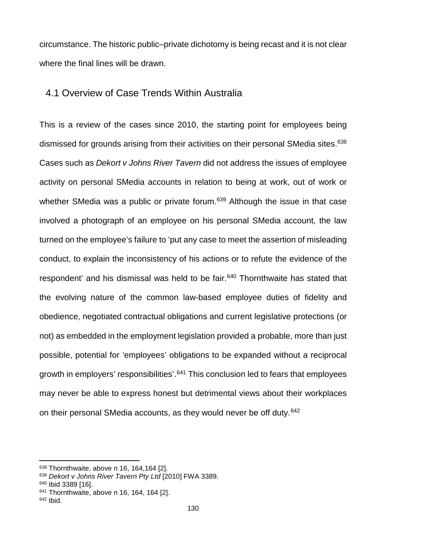circumstance. The historic public–private dichotomy is being recast and it is not clear where the final lines will be drawn.

## 4.1 Overview of Case Trends Within Australia

This is a review of the cases since 2010, the starting point for employees being dismissed for grounds arising from their activities on their personal SMedia sites.<sup>[638](#page-137-0)</sup> Cases such as *Dekort v Johns River Tavern* did not address the issues of employee activity on personal SMedia accounts in relation to being at work, out of work or whether SMedia was a public or private forum.<sup>[639](#page-137-1)</sup> Although the issue in that case involved a photograph of an employee on his personal SMedia account, the law turned on the employee's failure to 'put any case to meet the assertion of misleading conduct, to explain the inconsistency of his actions or to refute the evidence of the respondent' and his dismissal was held to be fair.<sup>[640](#page-137-2)</sup> Thornthwaite has stated that the evolving nature of the common law-based employee duties of fidelity and obedience, negotiated contractual obligations and current legislative protections (or not) as embedded in the employment legislation provided a probable, more than just possible, potential for 'employees' obligations to be expanded without a reciprocal growth in employers' responsibilities'.<sup>[641](#page-137-3)</sup> This conclusion led to fears that employees may never be able to express honest but detrimental views about their workplaces on their personal SMedia accounts, as they would never be off duty.<sup>[642](#page-137-4)</sup>

l

<span id="page-137-0"></span><sup>638</sup> Thornthwaite, above n 16, 164,164 [2].

<span id="page-137-1"></span><sup>639</sup> *Dekort v Johns River Tavern Pty Ltd* [2010] FWA 3389.

<span id="page-137-2"></span><sup>640</sup> Ibid 3389 [16].

<span id="page-137-3"></span><sup>641</sup> Thornthwaite, above n 16, 164, 164 [2].

<span id="page-137-4"></span> $642$  Ibid.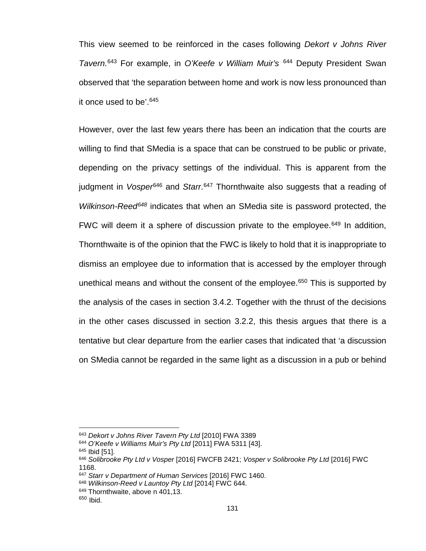This view seemed to be reinforced in the cases following *Dekort v Johns River Tavern.*[643](#page-138-0) For example, in *O'Keefe v William Muir's* [644](#page-138-1) Deputy President Swan observed that 'the separation between home and work is now less pronounced than it once used to be'. [645](#page-138-2)

However, over the last few years there has been an indication that the courts are willing to find that SMedia is a space that can be construed to be public or private, depending on the privacy settings of the individual. This is apparent from the judgment in *Vosper*[646](#page-138-3) and *Starr*. [647](#page-138-4) Thornthwaite also suggests that a reading of *Wilkinson-Reed[648](#page-138-5)* indicates that when an SMedia site is password protected, the FWC will deem it a sphere of discussion private to the employee.<sup>649</sup> In addition, Thornthwaite is of the opinion that the FWC is likely to hold that it is inappropriate to dismiss an employee due to information that is accessed by the employer through unethical means and without the consent of the employee.<sup>[650](#page-138-7)</sup> This is supported by the analysis of the cases in section 3.4.2. Together with the thrust of the decisions in the other cases discussed in section 3.2.2, this thesis argues that there is a tentative but clear departure from the earlier cases that indicated that 'a discussion on SMedia cannot be regarded in the same light as a discussion in a pub or behind

<span id="page-138-0"></span><sup>643</sup> *Dekort v Johns River Tavern Pty Ltd* [2010] FWA 3389

<span id="page-138-1"></span><sup>644</sup> *O'Keefe v Williams Muir's Pty Ltd* [2011] FWA 5311 [43].

<sup>645</sup> Ibid [51].

<span id="page-138-3"></span><span id="page-138-2"></span><sup>646</sup> *Solibrooke Pty Ltd v Vosper* [2016] FWCFB 2421; *Vosper v Solibrooke Pty Ltd* [2016] FWC 1168.

<span id="page-138-4"></span><sup>647</sup> *Starr v Department of Human Services* [2016] FWC 1460.

<span id="page-138-5"></span><sup>648</sup> *Wilkinson-Reed v Launtoy Pty Ltd* [2014] FWC 644.

<sup>&</sup>lt;sup>649</sup> Thornthwaite, above n 401,13.

<span id="page-138-7"></span><span id="page-138-6"></span><sup>650</sup> Ibid.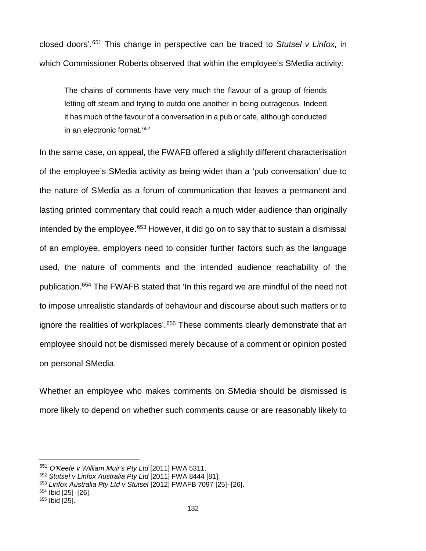closed doors'.[651](#page-139-0) This change in perspective can be traced to *Stutsel v Linfox,* in which Commissioner Roberts observed that within the employee's SMedia activity:

The chains of comments have very much the flavour of a group of friends letting off steam and trying to outdo one another in being outrageous. Indeed it has much of the favour of a conversation in a pub or cafe, although conducted in an electronic format.[652](#page-139-1)

In the same case, on appeal, the FWAFB offered a slightly different characterisation of the employee's SMedia activity as being wider than a 'pub conversation' due to the nature of SMedia as a forum of communication that leaves a permanent and lasting printed commentary that could reach a much wider audience than originally intended by the employee. $653$  However, it did go on to say that to sustain a dismissal of an employee, employers need to consider further factors such as the language used, the nature of comments and the intended audience reachability of the publication.[654](#page-139-3) The FWAFB stated that 'In this regard we are mindful of the need not to impose unrealistic standards of behaviour and discourse about such matters or to ignore the realities of workplaces'.<sup>[655](#page-139-4)</sup> These comments clearly demonstrate that an employee should not be dismissed merely because of a comment or opinion posted on personal SMedia.

Whether an employee who makes comments on SMedia should be dismissed is more likely to depend on whether such comments cause or are reasonably likely to

l

<span id="page-139-0"></span><sup>651</sup> *O'Keefe v William Muir's Pty Ltd* [2011] FWA 5311.

<span id="page-139-1"></span><sup>652</sup> *Stutsel v Linfox Australia Pty Ltd* [2011] FWA 8444 [81].

<span id="page-139-2"></span><sup>653</sup> *Linfox Australia Pty Ltd v Stutsel* [2012] FWAFB 7097 [25]–[26].

<span id="page-139-3"></span><sup>654</sup> Ibid [25]–[26].

<span id="page-139-4"></span><sup>655</sup> Ibid [25].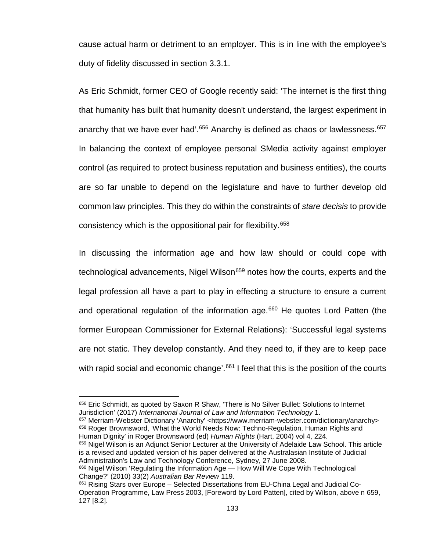cause actual harm or detriment to an employer. This is in line with the employee's duty of fidelity discussed in section 3.3.1.

As Eric Schmidt, former CEO of Google recently said: 'The internet is the first thing that humanity has built that humanity doesn't understand, the largest experiment in anarchy that we have ever had'.<sup>[656](#page-140-0)</sup> Anarchy is defined as chaos or lawlessness.<sup>[657](#page-140-1)</sup> In balancing the context of employee personal SMedia activity against employer control (as required to protect business reputation and business entities), the courts are so far unable to depend on the legislature and have to further develop old common law principles. This they do within the constraints of *stare decisis* to provide consistency which is the oppositional pair for flexibility.[658](#page-140-2)

In discussing the information age and how law should or could cope with technological advancements, Nigel Wilson<sup>[659](#page-140-3)</sup> notes how the courts, experts and the legal profession all have a part to play in effecting a structure to ensure a current and operational regulation of the information age.<sup>[660](#page-140-4)</sup> He quotes Lord Patten (the former European Commissioner for External Relations): 'Successful legal systems are not static. They develop constantly. And they need to, if they are to keep pace with rapid social and economic change'.<sup>[661](#page-140-5)</sup> I feel that this is the position of the courts

 $\overline{a}$ 

<span id="page-140-2"></span><span id="page-140-1"></span>657 Merriam-Webster Dictionary 'Anarchy' [<https://www.merriam-webster.com/dictionary/anarchy>](https://www.merriam-webster.com/dictionary/anarchy) <sup>658</sup> Roger Brownsword, 'What the World Needs Now: Techno-Regulation, Human Rights and Human Dignity' in Roger Brownsword (ed) *Human Rights* (Hart, 2004) vol 4, 224.

<span id="page-140-3"></span>659 Nigel Wilson is an Adjunct Senior Lecturer at the University of Adelaide Law School. This article is a revised and updated version of his paper delivered at the Australasian Institute of Judicial Administration's Law and Technology Conference, Sydney, 27 June 2008.

<span id="page-140-0"></span><sup>656</sup> Eric Schmidt, as quoted by Saxon R Shaw, 'There is No Silver Bullet: Solutions to Internet Jurisdiction' (2017) *International Journal of Law and Information Technology* 1.

<span id="page-140-4"></span><sup>&</sup>lt;sup>660</sup> Nigel Wilson 'Regulating the Information Age — How Will We Cope With Technological Change?' (2010) 33(2) *Australian Bar Review* 119.

<span id="page-140-5"></span><sup>661</sup> Rising Stars over Europe – Selected Dissertations from EU-China Legal and Judicial Co-Operation Programme, Law Press 2003, [Foreword by Lord Patten], cited by Wilson, above n 659, 127 [8.2].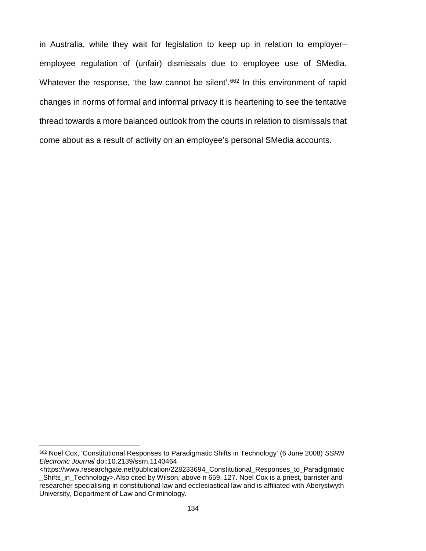in Australia, while they wait for legislation to keep up in relation to employer– employee regulation of (unfair) dismissals due to employee use of SMedia. Whatever the response, 'the law cannot be silent'.<sup>[662](#page-141-0)</sup> In this environment of rapid changes in norms of formal and informal privacy it is heartening to see the tentative thread towards a more balanced outlook from the courts in relation to dismissals that come about as a result of activity on an employee's personal SMedia accounts.

<span id="page-141-0"></span><sup>662</sup> Noel Cox, 'Constitutional Responses to Paradigmatic Shifts in Technology' (6 June 2008) *SSRN Electronic Journal* doi:10.2139/ssrn.1140464

[<sup>&</sup>lt;https://www.researchgate.net/publication/228233694\\_Constitutional\\_Responses\\_to\\_Paradigmatic](https://www.researchgate.net/publication/228233694_Constitutional_Responses_to_Paradigmatic_Shifts_in_Technology) [\\_Shifts\\_in\\_Technology>](https://www.researchgate.net/publication/228233694_Constitutional_Responses_to_Paradigmatic_Shifts_in_Technology).Also cited by Wilson, above n 659, 127. Noel Cox is a priest, barrister and researcher specialising in constitutional law and ecclesiastical law and is affiliated with Aberystwyth University, Department of Law and Criminology.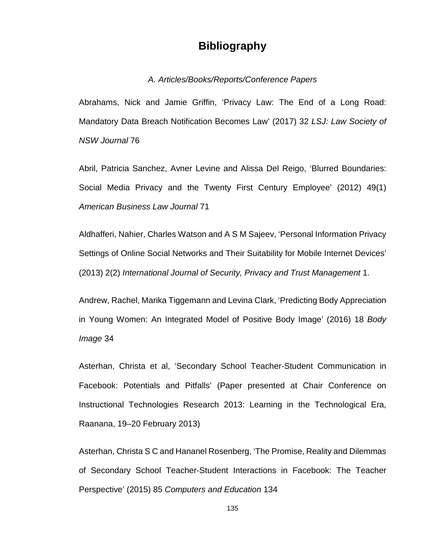# **Bibliography**

## *A. Articles/Books/Reports/Conference Papers*

Abrahams, Nick and Jamie Griffin, 'Privacy Law: The End of a Long Road: Mandatory Data Breach Notification Becomes Law' (2017) 32 *LSJ: Law Society of NSW Journal* 76

Abril, Patricia Sanchez, Avner Levine and Alissa Del Reigo, 'Blurred Boundaries: Social Media Privacy and the Twenty First Century Employee' (2012) 49(1) *American Business Law Journal* 71

Aldhafferi, Nahier, Charles Watson and A S M Sajeev, 'Personal Information Privacy Settings of Online Social Networks and Their Suitability for Mobile Internet Devices' (2013) 2(2) *International Journal of Security, Privacy and Trust Management* 1.

Andrew, Rachel, Marika Tiggemann and Levina Clark, 'Predicting Body Appreciation in Young Women: An Integrated Model of Positive Body Image' (2016) 18 *Body Image* 34

Asterhan, Christa et al, 'Secondary School Teacher-Student Communication in Facebook: Potentials and Pitfalls' (Paper presented at Chair Conference on Instructional Technologies Research 2013: Learning in the Technological Era, Raanana, 19–20 February 2013)

Asterhan, Christa S C and Hananel Rosenberg, 'The Promise, Reality and Dilemmas of Secondary School Teacher-Student Interactions in Facebook: The Teacher Perspective' (2015) 85 *Computers and Education* 134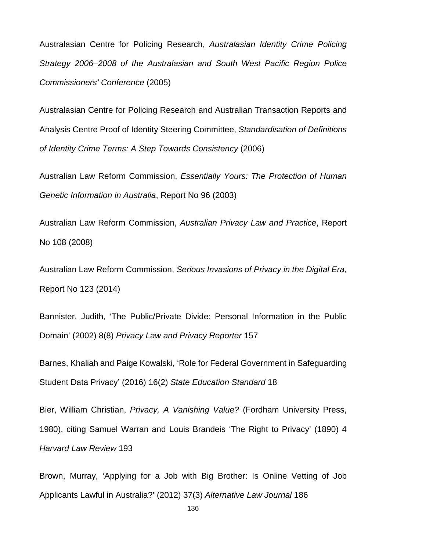Australasian Centre for Policing Research, *Australasian Identity Crime Policing Strategy 2006–2008 of the Australasian and South West Pacific Region Police Commissioners' Conference* (2005)

Australasian Centre for Policing Research and Australian Transaction Reports and Analysis Centre Proof of Identity Steering Committee, *Standardisation of Definitions of Identity Crime Terms: A Step Towards Consistency* (2006)

Australian Law Reform Commission, *Essentially Yours: The Protection of Human Genetic Information in Australia*, Report No 96 (2003)

Australian Law Reform Commission, *Australian Privacy Law and Practice*, Report No 108 (2008)

Australian Law Reform Commission, *Serious Invasions of Privacy in the Digital Era*, Report No 123 (2014)

Bannister, Judith, 'The Public/Private Divide: Personal Information in the Public Domain' (2002) 8(8) *Privacy Law and Privacy Reporter* 157

Barnes, Khaliah and Paige Kowalski, 'Role for Federal Government in Safeguarding Student Data Privacy' (2016) 16(2) *State Education Standard* 18

Bier, William Christian, *Privacy, A Vanishing Value?* (Fordham University Press, 1980), citing Samuel Warran and Louis Brandeis 'The Right to Privacy' (1890) 4 *Harvard Law Review* 193

Brown, Murray, 'Applying for a Job with Big Brother: Is Online Vetting of Job Applicants Lawful in Australia?' (2012) 37(3) *Alternative Law Journal* 186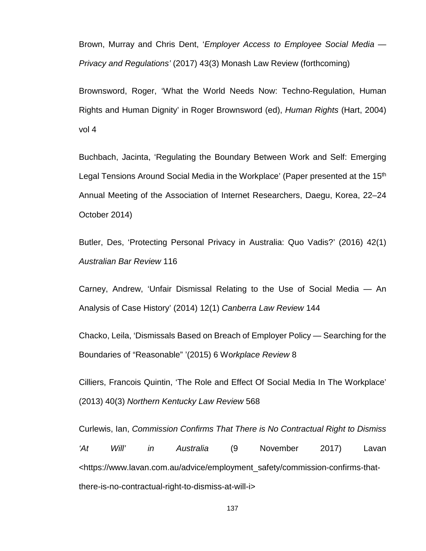Brown, Murray and Chris Dent, '*Employer Access to Employee Social Media — Privacy and Regulations'* (2017) 43(3) Monash Law Review (forthcoming)

Brownsword, Roger, 'What the World Needs Now: Techno-Regulation, Human Rights and Human Dignity' in Roger Brownsword (ed), *Human Rights* (Hart, 2004) vol 4

Buchbach, Jacinta, 'Regulating the Boundary Between Work and Self: Emerging Legal Tensions Around Social Media in the Workplace' (Paper presented at the 15<sup>th</sup> Annual Meeting of the Association of Internet Researchers, Daegu, Korea, 22–24 October 2014)

Butler, Des, 'Protecting Personal Privacy in Australia: Quo Vadis?' (2016) 42(1) *Australian Bar Review* 116

Carney, Andrew, 'Unfair Dismissal Relating to the Use of Social Media — An Analysis of Case History' (2014) 12(1) *Canberra Law Review* 144

Chacko, Leila, 'Dismissals Based on Breach of Employer Policy — Searching for the Boundaries of "Reasonable" '(2015) 6 Wo*rkplace Review* 8

Cilliers, Francois Quintin, 'The Role and Effect Of Social Media In The Workplace' (2013) 40(3) *Northern Kentucky Law Review* 568

Curlewis, Ian, *Commission Confirms That There is No Contractual Right to Dismiss 'At Will' in Australia* (9 November 2017) Lavan <https://www.lavan.com.au/advice/employment\_safety/commission-confirms-thatthere-is-no-contractual-right-to-dismiss-at-will-i>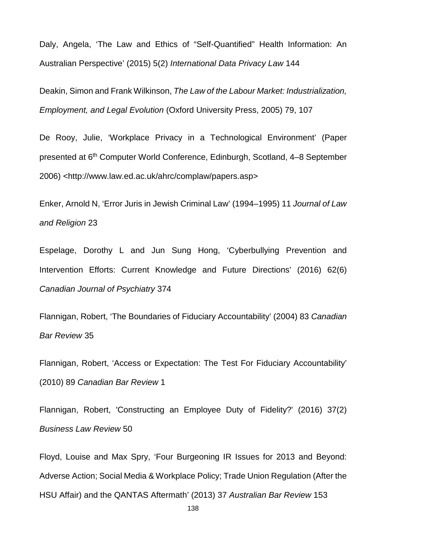Daly, Angela, 'The Law and Ethics of "Self-Quantified" Health Information: An Australian Perspective' (2015) 5(2) *International Data Privacy Law* 144

Deakin, Simon and Frank Wilkinson, *The Law of the Labour Market: Industrialization, Employment, and Legal Evolution* (Oxford University Press, 2005) 79, 107

De Rooy, Julie, 'Workplace Privacy in a Technological Environment' (Paper presented at 6th Computer World Conference, Edinburgh, Scotland, 4–8 September 2006) <http://www.law.ed.ac.uk/ahrc/complaw/papers.asp>

Enker, Arnold N, 'Error Juris in Jewish Criminal Law' (1994–1995) 11 *Journal of Law and Religion* 23

Espelage, Dorothy L and Jun Sung Hong, 'Cyberbullying Prevention and Intervention Efforts: Current Knowledge and Future Directions' (2016) 62(6) *Canadian Journal of Psychiatry* 374

Flannigan, Robert, 'The Boundaries of Fiduciary Accountability' (2004) 83 *Canadian Bar Review* 35

Flannigan, Robert, 'Access or Expectation: The Test For Fiduciary Accountability' (2010) 89 *Canadian Bar Review* 1

Flannigan, Robert, 'Constructing an Employee Duty of Fidelity?' (2016) 37(2) *Business Law Review* 50

Floyd, Louise and Max Spry, 'Four Burgeoning IR Issues for 2013 and Beyond: Adverse Action; Social Media & Workplace Policy; Trade Union Regulation (After the HSU Affair) and the QANTAS Aftermath' (2013) 37 *Australian Bar Review* 153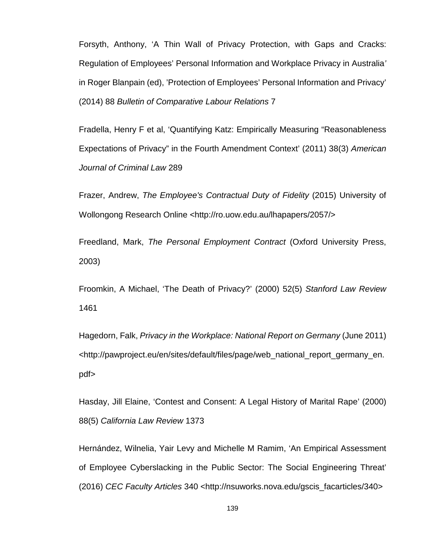Forsyth, Anthony, 'A Thin Wall of Privacy Protection, with Gaps and Cracks: Regulation of Employees' Personal Information and Workplace Privacy in Australia*'* in Roger Blanpain (ed), 'Protection of Employees' Personal Information and Privacy' (2014) 88 *Bulletin of Comparative Labour Relations* 7

Fradella, Henry F et al, 'Quantifying Katz: Empirically Measuring "Reasonableness Expectations of Privacy" in the Fourth Amendment Context' (2011) 38(3) *American Journal of Criminal Law* 289

Frazer, Andrew, *The Employee's Contractual Duty of Fidelity* (2015) University of Wollongong Research Online <http://ro.uow.edu.au/lhapapers/2057/>

Freedland, Mark, *The Personal Employment Contract* (Oxford University Press, 2003)

Froomkin, A Michael, 'The Death of Privacy?' (2000) 52(5) *Stanford Law Review* 1461

Hagedorn, Falk, *Privacy in the Workplace: National Report on Germany* (June 2011) [<http://pawproject.eu/en/sites/default/files/page/web\\_national\\_report\\_germany\\_en.](http://pawproject.eu/en/sites/default/files/page/web_national_report_germany_en.pdf) [pdf>](http://pawproject.eu/en/sites/default/files/page/web_national_report_germany_en.pdf)

Hasday, Jill Elaine, 'Contest and Consent: A Legal History of Marital Rape' (2000) 88(5) *California Law Review* 1373

Hernández, Wilnelia, Yair Levy and Michelle M Ramim, 'An Empirical Assessment of Employee Cyberslacking in the Public Sector: The Social Engineering Threat' (2016) *CEC Faculty Articles* 340 <http://nsuworks.nova.edu/gscis\_facarticles/340>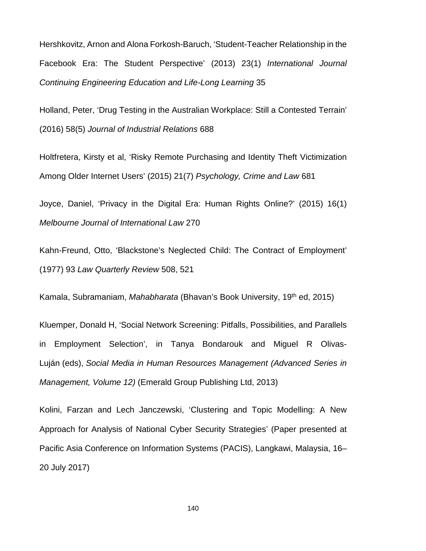Hershkovitz, Arnon and Alona Forkosh-Baruch, 'Student-Teacher Relationship in the Facebook Era: The Student Perspective' (2013) 23(1) *International Journal Continuing Engineering Education and Life-Long Learning* 35

Holland, Peter, 'Drug Testing in the Australian Workplace: Still a Contested Terrain' (2016) 58(5) *Journal of Industrial Relations* 688

Holtfretera, Kirsty et al, 'Risky Remote Purchasing and Identity Theft Victimization Among Older Internet Users' (2015) 21(7) *Psychology, Crime and Law* 681

Joyce, Daniel, 'Privacy in the Digital Era: Human Rights Online?' (2015) 16(1) *Melbourne Journal of International Law* 270

Kahn-Freund, Otto, 'Blackstone's Neglected Child: The Contract of Employment' (1977) 93 *Law Quarterly Review* 508, 521

Kamala, Subramaniam, *Mahabharata* (Bhavan's Book University, 19th ed, 2015)

Kluemper, Donald H, 'Social Network Screening: Pitfalls, Possibilities, and Parallels in Employment Selection', in Tanya Bondarouk and Miguel R Olivas-Luján (eds), *Social Media in Human Resources Management (Advanced Series in Management, Volume 12)* (Emerald Group Publishing Ltd, 2013)

Kolini, Farzan and Lech Janczewski, 'Clustering and Topic Modelling: A New Approach for Analysis of National Cyber Security Strategies' (Paper presented at Pacific Asia Conference on Information Systems (PACIS), Langkawi, Malaysia, 16– 20 July 2017)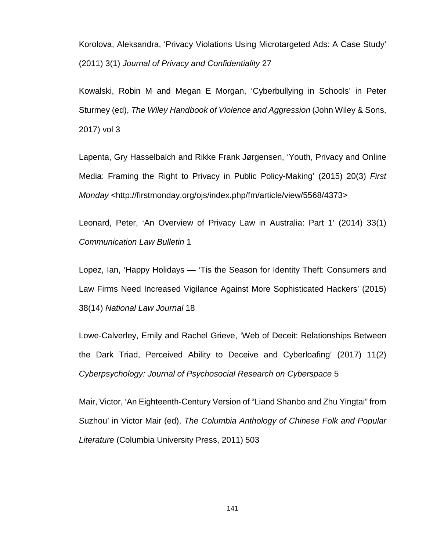Korolova, Aleksandra, 'Privacy Violations Using Microtargeted Ads: A Case Study' (2011) 3(1) *Journal of Privacy and Confidentiality* 27

Kowalski, Robin M and Megan E Morgan, 'Cyberbullying in Schools' in Peter Sturmey (ed), *The Wiley Handbook of Violence and Aggression* (John Wiley & Sons, 2017) vol 3

Lapenta, Gry Hasselbalch and Rikke Frank Jørgensen, 'Youth, Privacy and Online Media: Framing the Right to Privacy in Public Policy-Making' (2015) 20(3) *First Monday* <http://firstmonday.org/ojs/index.php/fm/article/view/5568/4373>

Leonard, Peter, 'An Overview of Privacy Law in Australia: Part 1' (2014) 33(1) *Communication Law Bulletin* 1

Lopez, Ian, 'Happy Holidays — 'Tis the Season for Identity Theft: Consumers and Law Firms Need Increased Vigilance Against More Sophisticated Hackers' (2015) 38(14) *National Law Journal* 18

Lowe-Calverley, Emily and Rachel Grieve, 'Web of Deceit: Relationships Between the Dark Triad, Perceived Ability to Deceive and Cyberloafing' (2017) 11(2) *Cyberpsychology: Journal of Psychosocial Research on Cyberspace* 5

Mair, Victor, 'An Eighteenth-Century Version of "Liand Shanbo and Zhu Yingtai" from Suzhou' in Victor Mair (ed), *The Columbia Anthology of Chinese Folk and Popular Literature* (Columbia University Press, 2011) 503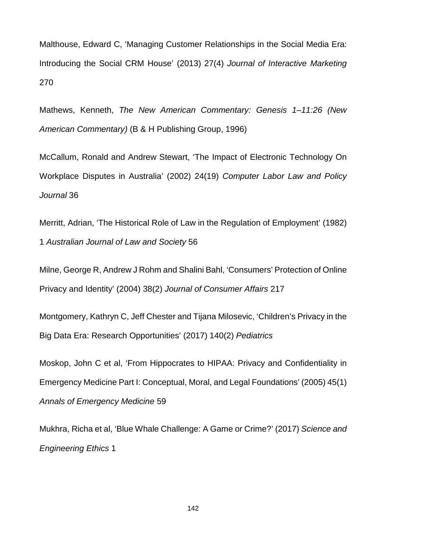Malthouse, Edward C, 'Managing Customer Relationships in the Social Media Era: Introducing the Social CRM House' (2013) 27(4) *Journal of Interactive Marketing* 270

Mathews, Kenneth, *The New American Commentary: Genesis 1–11:26 (New American Commentary)* (B & H Publishing Group, 1996)

McCallum, Ronald and Andrew Stewart, 'The Impact of Electronic Technology On Workplace Disputes in Australia' (2002) 24(19) *Computer Labor Law and Policy Journal* 36

Merritt, Adrian, 'The Historical Role of Law in the Regulation of Employment' (1982) 1 *Australian Journal of Law and Society* 56

Milne, George R, Andrew J Rohm and Shalini Bahl, 'Consumers' Protection of Online Privacy and Identity' (2004) 38(2) *Journal of Consumer Affairs* 217

Montgomery, Kathryn C, Jeff Chester and Tijana Milosevic, 'Children's Privacy in the Big Data Era: Research Opportunities' (2017) 140(2) *Pediatrics*

Moskop, John C et al, 'From Hippocrates to HIPAA: Privacy and Confidentiality in Emergency Medicine Part I: Conceptual, Moral, and Legal Foundations' (2005) 45(1) *Annals of Emergency Medicine* 59

Mukhra, Richa et al, 'Blue Whale Challenge: A Game or Crime?' (2017) *Science and Engineering Ethics* 1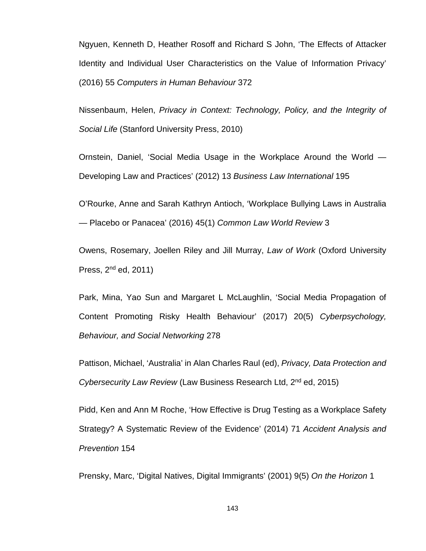Ngyuen, Kenneth D, Heather Rosoff and Richard S John, 'The Effects of Attacker Identity and Individual User Characteristics on the Value of Information Privacy' (2016) 55 *Computers in Human Behaviour* 372

Nissenbaum, Helen, *Privacy in Context: Technology, Policy, and the Integrity of Social Life* (Stanford University Press, 2010)

Ornstein, Daniel, 'Social Media Usage in the Workplace Around the World — Developing Law and Practices' (2012) 13 *Business Law International* 195

O'Rourke, Anne and Sarah Kathryn Antioch, 'Workplace Bullying Laws in Australia — Placebo or Panacea' (2016) 45(1) *Common Law World Review* 3

Owens, Rosemary, Joellen Riley and Jill Murray, *Law of Work* (Oxford University Press,  $2<sup>nd</sup>$  ed,  $2011$ )

Park, Mina, Yao Sun and Margaret L McLaughlin, 'Social Media Propagation of Content Promoting Risky Health Behaviour' (2017) 20(5) *Cyberpsychology, Behaviour, and Social Networking* 278

Pattison, Michael, 'Australia' in Alan Charles Raul (ed), *Privacy, Data Protection and Cybersecurity Law Review* (Law Business Research Ltd, 2nd ed, 2015)

Pidd, Ken and Ann M Roche, 'How Effective is Drug Testing as a Workplace Safety Strategy? A Systematic Review of the Evidence' (2014) 71 *Accident Analysis and Prevention* 154

Prensky, Marc, 'Digital Natives, Digital Immigrants' (2001) 9(5) *On the Horizon* 1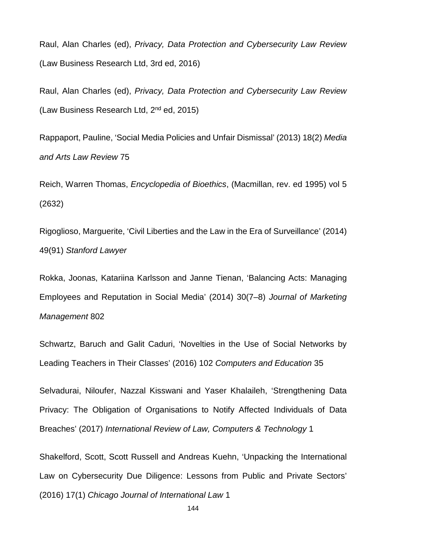Raul, Alan Charles (ed), *Privacy, Data Protection and Cybersecurity Law Review* (Law Business Research Ltd, 3rd ed, 2016)

Raul, Alan Charles (ed), *Privacy, Data Protection and Cybersecurity Law Review* (Law Business Research Ltd, 2<sup>nd</sup> ed, 2015)

Rappaport, Pauline, 'Social Media Policies and Unfair Dismissal' (2013) 18(2) *Media and Arts Law Review* 75

Reich, Warren Thomas, *Encyclopedia of Bioethics*, (Macmillan, rev. ed 1995) vol 5 (2632)

Rigoglioso, Marguerite, 'Civil Liberties and the Law in the Era of Surveillance' (2014) 49(91) *Stanford Lawyer*

Rokka, Joonas, Katariina Karlsson and Janne Tienan, 'Balancing Acts: Managing Employees and Reputation in Social Media' (2014) 30(7–8) *Journal of Marketing Management* 802

Schwartz, Baruch and Galit Caduri, 'Novelties in the Use of Social Networks by Leading Teachers in Their Classes' (2016) 102 *Computers and Education* 35

Selvadurai, Niloufer, Nazzal Kisswani and Yaser Khalaileh, 'Strengthening Data Privacy: The Obligation of Organisations to Notify Affected Individuals of Data Breaches' (2017) *International Review of Law, Computers & Technology* 1

Shakelford, Scott, Scott Russell and Andreas Kuehn, 'Unpacking the International Law on Cybersecurity Due Diligence: Lessons from Public and Private Sectors' (2016) 17(1) *Chicago Journal of International Law* 1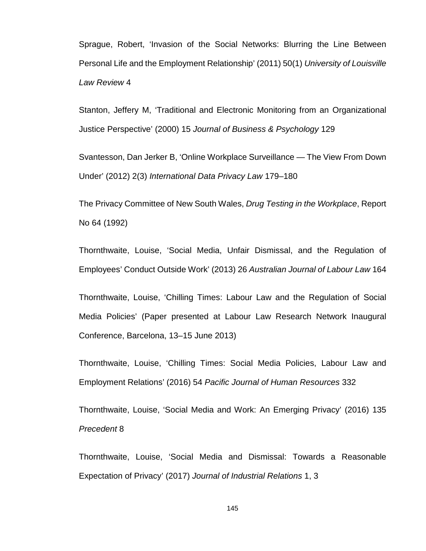Sprague, Robert, 'Invasion of the Social Networks: Blurring the Line Between Personal Life and the Employment Relationship' (2011) 50(1) *University of Louisville Law Review* 4

Stanton, Jeffery M, 'Traditional and Electronic Monitoring from an Organizational Justice Perspective' (2000) 15 *Journal of Business & Psychology* 129

Svantesson, Dan Jerker B, 'Online Workplace Surveillance — The View From Down Under' (2012) 2(3) *International Data Privacy Law* 179–180

The Privacy Committee of New South Wales, *Drug Testing in the Workplace*, Report No 64 (1992)

Thornthwaite, Louise, 'Social Media, Unfair Dismissal, and the Regulation of Employees' Conduct Outside Work' (2013) 26 *Australian Journal of Labour Law* 164

Thornthwaite, Louise, 'Chilling Times: Labour Law and the Regulation of Social Media Policies' (Paper presented at Labour Law Research Network Inaugural Conference, Barcelona, 13–15 June 2013)

Thornthwaite, Louise, 'Chilling Times: Social Media Policies, Labour Law and Employment Relations' (2016) 54 *Pacific Journal of Human Resources* 332

Thornthwaite, Louise, 'Social Media and Work: An Emerging Privacy' (2016) 135 *Precedent* 8

Thornthwaite, Louise, 'Social Media and Dismissal: Towards a Reasonable Expectation of Privacy' (2017) *Journal of Industrial Relations* 1, 3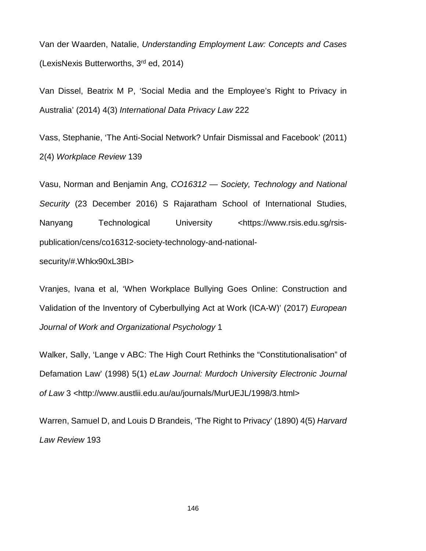Van der Waarden, Natalie, *Understanding Employment Law: Concepts and Cases* (LexisNexis Butterworths, 3rd ed, 2014)

Van Dissel, Beatrix M P, 'Social Media and the Employee's Right to Privacy in Australia' (2014) 4(3) *International Data Privacy Law* 222

Vass, Stephanie, 'The Anti-Social Network? Unfair Dismissal and Facebook' (2011) 2(4) *Workplace Review* 139

Vasu, Norman and Benjamin Ang, *CO16312 — Society, Technology and National Security* (23 December 2016) S Rajaratham School of International Studies, Nanyang Technological University <https://www.rsis.edu.sg/rsispublication/cens/co16312-society-technology-and-national-

security/#.Whkx90xL3BI>

Vranjes, Ivana et al, 'When Workplace Bullying Goes Online: Construction and Validation of the Inventory of Cyberbullying Act at Work (ICA-W)' (2017) *European Journal of Work and Organizational Psychology* 1

Walker, Sally, 'Lange v ABC: The High Court Rethinks the "Constitutionalisation" of Defamation Law' (1998) 5(1) *eLaw Journal: Murdoch University Electronic Journal of Law* 3 <http://www.austlii.edu.au/au/journals/MurUEJL/1998/3.html>

Warren, Samuel D, and Louis D Brandeis, 'The Right to Privacy' (1890) 4(5) *Harvard Law Review* 193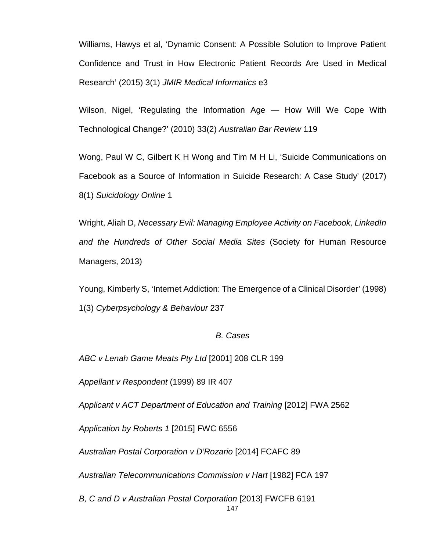Williams, Hawys et al, 'Dynamic Consent: A Possible Solution to Improve Patient Confidence and Trust in How Electronic Patient Records Are Used in Medical Research' (2015) 3(1) *JMIR Medical Informatics* e3

Wilson, Nigel, 'Regulating the Information Age — How Will We Cope With Technological Change?' (2010) 33(2) *Australian Bar Review* 119

Wong, Paul W C, Gilbert K H Wong and Tim M H Li, 'Suicide Communications on Facebook as a Source of Information in Suicide Research: A Case Study' (2017) 8(1) *Suicidology Online* 1

Wright, Aliah D, *Necessary Evil: Managing Employee Activity on Facebook, LinkedIn and the Hundreds of Other Social Media Sites* (Society for Human Resource Managers, 2013)

Young, Kimberly S, 'Internet Addiction: The Emergence of a Clinical Disorder' (1998) 1(3) *Cyberpsychology & Behaviour* 237

## *B. Cases*

*ABC v Lenah Game Meats Pty Ltd* [2001] 208 CLR 199

*Appellant v Respondent* (1999) 89 IR 407

*Applicant v ACT Department of Education and Training* [2012] FWA 2562

*Application by Roberts 1* [2015] FWC 6556

*Australian Postal Corporation v D'Rozario* [2014] FCAFC 89

*Australian Telecommunications Commission v Hart* [1982] FCA 197

*B, C and D v Australian Postal Corporation* [2013] FWCFB 6191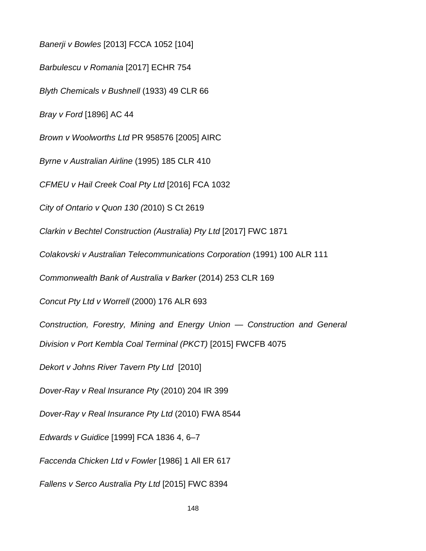*Banerji v Bowles* [2013] FCCA 1052 [104] *Barbulescu v Romania* [2017] ECHR 754 *Blyth Chemicals v Bushnell* (1933) 49 CLR 66 *Bray v Ford* [1896] AC 44 *Brown v Woolworths Ltd* PR 958576 [2005] AIRC *Byrne v Australian Airline* (1995) 185 CLR 410 *CFMEU v Hail Creek Coal Pty Ltd* [2016] FCA 1032 *City of Ontario v Quon 130 (*2010) S Ct 2619 *Clarkin v Bechtel Construction (Australia) Pty Ltd* [2017] FWC 1871 *Colakovski v Australian Telecommunications Corporation* (1991) 100 ALR 111 *Commonwealth Bank of Australia v Barker* (2014) 253 CLR 169 *Concut Pty Ltd v Worrell* (2000) 176 ALR 693 *Construction, Forestry, Mining and Energy Union — Construction and General Division v Port Kembla Coal Terminal (PKCT)* [2015] FWCFB 4075 *Dekort v Johns River Tavern Pty Ltd* [2010] *Dover-Ray v Real Insurance Pty* (2010) 204 IR 399 *Dover-Ray v Real Insurance Pty Ltd* (2010) FWA 8544 *Edwards v Guidice* [1999] FCA 1836 4, 6–7 *Faccenda Chicken Ltd v Fowler* [1986] 1 All ER 617 *Fallens v Serco Australia Pty Ltd* [2015] FWC 8394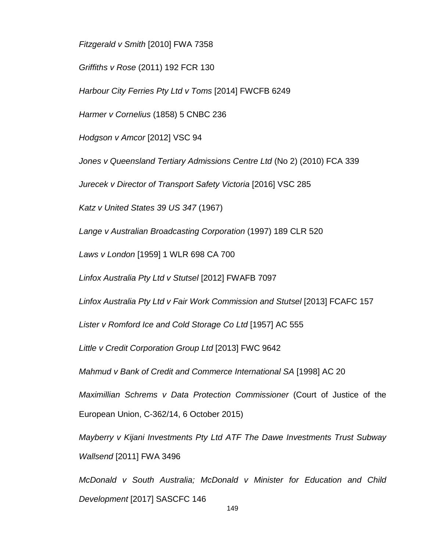*Fitzgerald v Smith* [2010] FWA 7358

*Griffiths v Rose* (2011) 192 FCR 130

*Harbour City Ferries Pty Ltd v Toms* [2014] FWCFB 6249

*Harmer v Cornelius* (1858) 5 CNBC 236

*Hodgson v Amcor* [2012] VSC 94

*Jones v Queensland Tertiary Admissions Centre Ltd* (No 2) (2010) FCA 339

*Jurecek v Director of Transport Safety Victoria* [2016] VSC 285

*Katz v United States 39 US 347* (1967)

*Lange v Australian Broadcasting Corporation* (1997) 189 CLR 520

*Laws v London* [1959] 1 WLR 698 CA 700

*Linfox Australia Pty Ltd v Stutsel* [2012] FWAFB 7097

*Linfox Australia Pty Ltd v Fair Work Commission and Stutsel* [2013] FCAFC 157

*Lister v Romford Ice and Cold Storage Co Ltd* [1957] AC 555

*Little v Credit Corporation Group Ltd* [2013] FWC 9642

*Mahmud v Bank of Credit and Commerce International SA* [1998] AC 20

*Maximillian Schrems v Data Protection Commissioner* (Court of Justice of the European Union, C-362/14, 6 October 2015)

*Mayberry v Kijani Investments Pty Ltd ATF The Dawe Investments Trust Subway Wallsend* [2011] FWA 3496

*McDonald v South Australia; McDonald v Minister for Education and Child Development* [2017] SASCFC 146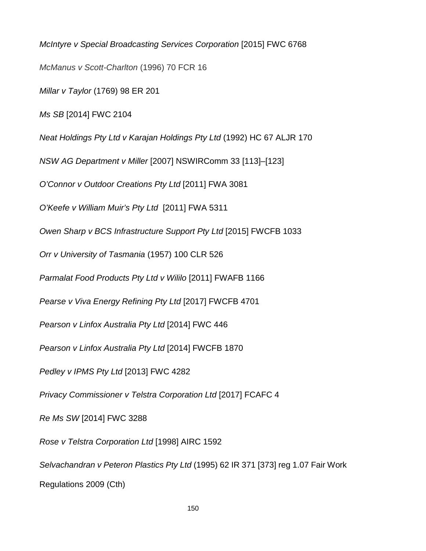*McIntyre v Special Broadcasting Services Corporation* [2015] FWC 6768 *McManus v Scott-Charlton* (1996) 70 FCR 16 *Millar v Taylor* (1769) 98 ER 201 *Ms SB* [2014] FWC 2104 *Neat Holdings Pty Ltd v Karajan Holdings Pty Ltd* (1992) HC 67 ALJR 170 *NSW AG Department v Miller* [2007] NSWIRComm 33 [113]–[123] *O'Connor v Outdoor Creations Pty Ltd* [2011] FWA 3081 *O'Keefe v William Muir's Pty Ltd* [2011] FWA 5311 *Owen Sharp v BCS Infrastructure Support Pty Ltd* [2015] FWCFB 1033 *Orr v University of Tasmania* (1957) 100 CLR 526 *[Parmalat Food Products Pty Ltd v Wililo](https://www.fwc.gov.au/documents/decisionssigned/html/2011fwafb1166.htm)* [2011] FWAFB 1166 *Pearse v Viva Energy Refining Pty Ltd* [2017] FWCFB 4701 *Pearson v Linfox Australia Pty Ltd* [2014] FWC 446 *Pearson v Linfox Australia Pty Ltd* [2014] FWCFB 1870 *Pedley v IPMS Pty Ltd* [2013] FWC 4282 *Privacy Commissioner v Telstra Corporation Ltd* [2017] FCAFC 4 *Re Ms SW* [2014] FWC 3288 *Rose v Telstra Corporation Ltd* [1998] AIRC 1592 *Selvachandran v Peteron Plastics Pty Ltd* (1995) 62 IR 371 [373] reg 1.07 Fair Work Regulations 2009 (Cth)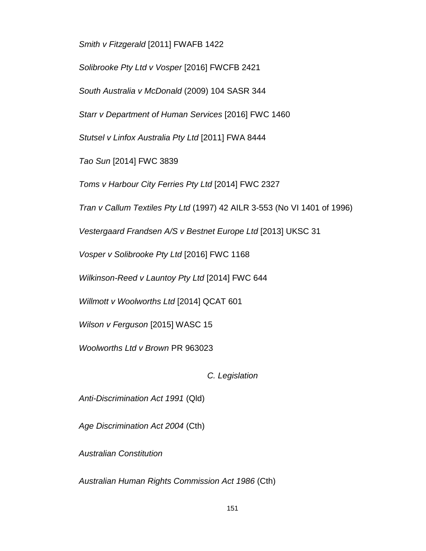*Smith v Fitzgerald* [2011] FWAFB 1422

*Solibrooke Pty Ltd v Vosper* [2016] FWCFB 2421

*South Australia v McDonald* (2009) 104 SASR 344

*Starr v Department of Human Services* [2016] FWC 1460

*Stutsel v Linfox Australia Pty Ltd* [2011] FWA 8444

*Tao Sun* [2014] FWC 3839

*Toms v Harbour City Ferries Pty Ltd* [2014] FWC 2327

*Tran v Callum Textiles Pty Ltd* (1997) 42 AILR 3-553 (No VI 1401 of 1996)

*Vestergaard Frandsen A/S v Bestnet Europe Ltd* [2013] UKSC 31

*Vosper v Solibrooke Pty Ltd* [2016] FWC 1168

*Wilkinson-Reed v Launtoy Pty Ltd* [2014] FWC 644

*Willmott v Woolworths Ltd* [2014] QCAT 601

*Wilson v Ferguson* [2015] WASC 15

*Woolworths Ltd v Brown* PR 963023

*C. Legislation*

*Anti-Discrimination Act 1991* (Qld)

*Age Discrimination Act 2004* (Cth)

*Australian Constitution*

*Australian Human Rights Commission Act 1986* (Cth)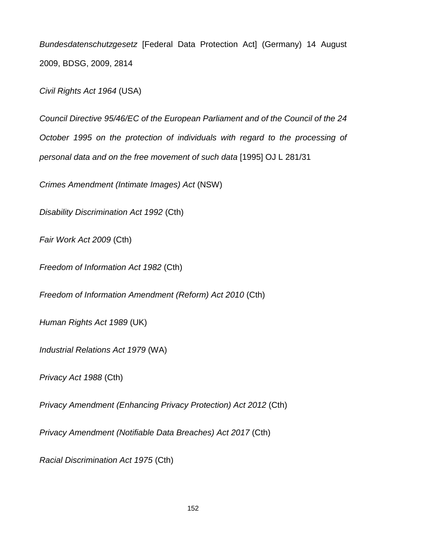*Bundesdatenschutzgesetz* [Federal Data Protection Act] (Germany) 14 August 2009, BDSG, 2009, 2814

*Civil Rights Act 1964* (USA)

*Council Directive 95/46/EC of the European Parliament and of the Council of the 24 October 1995 on the protection of individuals with regard to the processing of personal data and on the free movement of such data* [1995] OJ L 281/31

*Crimes Amendment (Intimate Images) Act* (NSW)

*Disability Discrimination Act 1992* (Cth)

*Fair Work Act 2009* (Cth)

*Freedom of Information Act 1982* (Cth)

*Freedom of Information Amendment (Reform) Act 2010* (Cth)

*Human Rights Act 1989* (UK)

*Industrial Relations Act 1979* (WA)

*Privacy Act 1988* (Cth)

*Privacy Amendment (Enhancing Privacy Protection) Act 2012* (Cth)

*Privacy Amendment (Notifiable Data Breaches) Act 2017* (Cth)

*Racial Discrimination Act 1975* (Cth)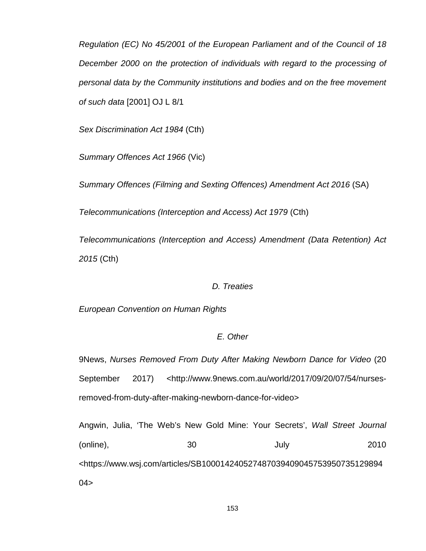*Regulation (EC) No 45/2001 of the European Parliament and of the Council of 18 December 2000 on the protection of individuals with regard to the processing of personal data by the Community institutions and bodies and on the free movement of such data* [2001] OJ L 8/1

*Sex Discrimination Act 1984* (Cth)

*Summary Offences Act 1966* (Vic)

*Summary Offences (Filming and Sexting Offences) Amendment Act 2016* (SA)

*Telecommunications (Interception and Access) Act 1979* (Cth)

*Telecommunications (Interception and Access) Amendment (Data Retention) Act 2015* (Cth)

## *D. Treaties*

*European Convention on Human Rights*

## *E. Other*

9News, *Nurses Removed From Duty After Making Newborn Dance for Video* (20 September 2017) <http://www.9news.com.au/world/2017/09/20/07/54/nursesremoved-from-duty-after-making-newborn-dance-for-video>

Angwin, Julia, 'The Web's New Gold Mine: Your Secrets', *Wall Street Journal* (online), 30 July 2010 <https://www.wsj.com/articles/SB100014240527487039409045753950735129894  $04>$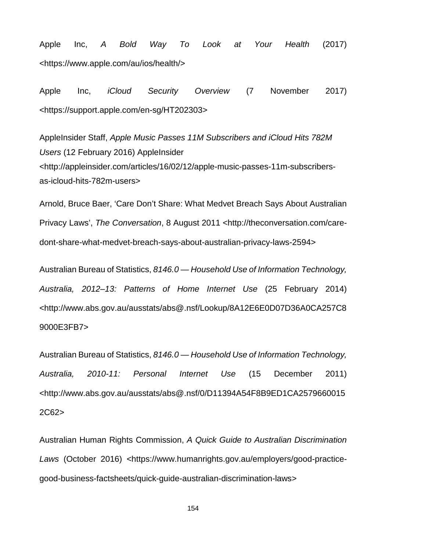Apple Inc, *A Bold Way To Look at Your Health* (2017) <https://www.apple.com/au/ios/health/>

Apple Inc, *iCloud Security Overview* (7 November 2017) <https://support.apple.com/en-sg/HT202303>

AppleInsider Staff, *Apple Music Passes 11M Subscribers and iCloud Hits 782M Users* (12 February 2016) AppleInsider <http://appleinsider.com/articles/16/02/12/apple-music-passes-11m-subscribersas-icloud-hits-782m-users>

Arnold, Bruce Baer, 'Care Don't Share: What Medvet Breach Says About Australian Privacy Laws', *The Conversation*, 8 August 2011 <http://theconversation.com/caredont-share-what-medvet-breach-says-about-australian-privacy-laws-2594>

Australian Bureau of Statistics, *8146.0 — Household Use of Information Technology, Australia, 2012–13: Patterns of Home Internet Use* (25 February 2014) <http://www.abs.gov.au/ausstats/abs@.nsf/Lookup/8A12E6E0D07D36A0CA257C8 9000E3FB7>

Australian Bureau of Statistics, *8146.0 — Household Use of Information Technology, Australia, 2010-11: Personal Internet Use* (15 December 2011) <http://www.abs.gov.au/ausstats/abs@.nsf/0/D11394A54F8B9ED1CA2579660015 2C62>

Australian Human Rights Commission, *A Quick Guide to Australian Discrimination Laws* (October 2016) <https://www.humanrights.gov.au/employers/good-practicegood-business-factsheets/quick-guide-australian-discrimination-laws>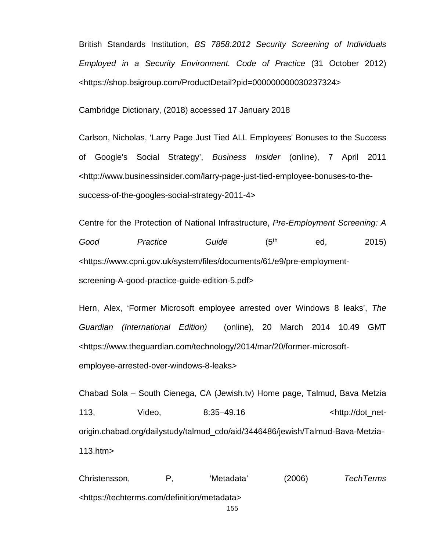British Standards Institution, *BS 7858:2012 Security Screening of Individuals Employed in a Security Environment. Code of Practice* (31 October 2012) <https://shop.bsigroup.com/ProductDetail?pid=000000000030237324>

Cambridge Dictionary, (2018) accessed 17 January 2018

Carlson, Nicholas, 'Larry Page Just Tied ALL Employees' Bonuses to the Success of Google's Social Strategy', *Business Insider* (online), 7 April 2011 <http://www.businessinsider.com/larry-page-just-tied-employee-bonuses-to-thesuccess-of-the-googles-social-strategy-2011-4>

Centre for the Protection of National Infrastructure, *Pre-Employment Screening: A*  Good Practice Guide (5<sup>th</sup> ed, 2015) <https://www.cpni.gov.uk/system/files/documents/61/e9/pre-employmentscreening-A-good-practice-guide-edition-5.pdf>

Hern, Alex, 'Former Microsoft employee arrested over Windows 8 leaks', *The Guardian (International Edition)* (online), 20 March 2014 10.49 GMT [<https://www.theguardian.com/technology/2014/mar/20/former-microsoft](https://www.theguardian.com/technology/2014/mar/20/former-microsoft-employee-arrested-over-windows-8-leaks)[employee-arrested-over-windows-8-leaks>](https://www.theguardian.com/technology/2014/mar/20/former-microsoft-employee-arrested-over-windows-8-leaks)

Chabad Sola – South Cienega, CA (Jewish.tv) Home page, Talmud, Bava Metzia 113, Video, 8:35–49.16 <http://dot\_netorigin.chabad.org/dailystudy/talmud\_cdo/aid/3446486/jewish/Talmud-Bava-Metzia-113.htm>

155 Christensson, P, 'Metadata' (2006) *TechTerms <*[https://techterms.com/definition/metadata>](https://techterms.com/definition/metadata)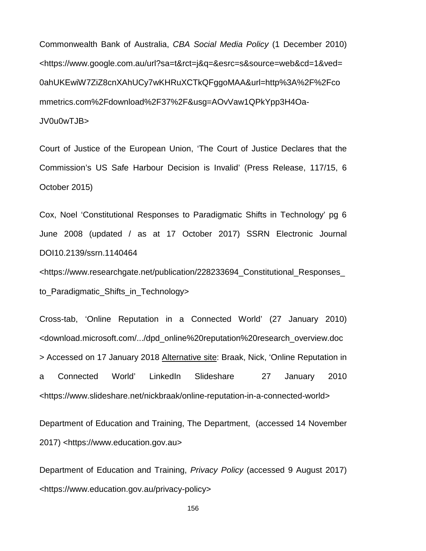Commonwealth Bank of Australia, *CBA Social Media Policy* (1 December 2010) <https://www.google.com.au/url?sa=t&rct=j&q=&esrc=s&source=web&cd=1&ved= 0ahUKEwiW7ZiZ8cnXAhUCy7wKHRuXCTkQFggoMAA&url=http%3A%2F%2Fco mmetrics.com%2Fdownload%2F37%2F&usg=AOvVaw1QPkYpp3H4Oa-JV0u0wTJB>

Court of Justice of the European Union, 'The Court of Justice Declares that the Commission's US Safe Harbour Decision is Invalid' (Press Release, 117/15, 6 October 2015)

Cox, Noel 'Constitutional Responses to Paradigmatic Shifts in Technology' pg 6 June 2008 (updated / as at 17 October 2017) SSRN Electronic Journal DOI10.2139/ssrn.1140464

<https://www.researchgate.net/publication/228233694\_Constitutional\_Responses\_ to Paradigmatic Shifts in Technology>

Cross-tab, 'Online Reputation in a Connected World' (27 January 2010) <download.microsoft.com/.../dpd\_online%20reputation%20research\_overview.doc > Accessed on 17 January 2018 Alternative site: Braak, Nick, 'Online Reputation in a Connected World' LinkedIn Slideshare 27 January 2010 [<https://www.slideshare.net/nickbraak/online-reputation-in-a-connected-world>](https://www.slideshare.net/nickbraak/online-reputation-in-a-connected-world)

Department of Education and Training, The Department, (accessed 14 November 2017) [<https://www.education.gov.au>](https://www.education.gov.au/)

Department of Education and Training, *Privacy Policy* (accessed 9 August 2017) <https://www.education.gov.au/privacy-policy>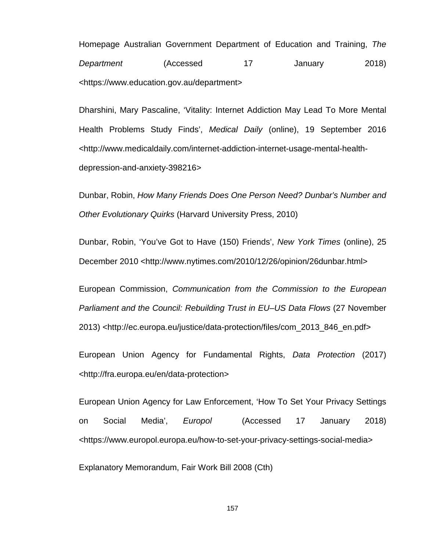Homepage Australian Government Department of Education and Training, *The*  **Department** (Accessed 17 January 2018) [<https://www.education.gov.au/department>](https://www.education.gov.au/department)

Dharshini, Mary Pascaline, 'Vitality: Internet Addiction May Lead To More Mental Health Problems Study Finds', *Medical Daily* (online), 19 September 2016 <http://www.medicaldaily.com/internet-addiction-internet-usage-mental-healthdepression-and-anxiety-398216>

Dunbar, Robin, *How Many Friends Does One Person Need? Dunbar's Number and Other Evolutionary Quirks* (Harvard University Press, 2010)

Dunbar, Robin, 'You've Got to Have (150) Friends', *New York Times* (online), 25 December 2010 <http://www.nytimes.com/2010/12/26/opinion/26dunbar.html>

European Commission, *Communication from the Commission to the European Parliament and the Council: Rebuilding Trust in EU–US Data Flows* (27 November 2013) <http://ec.europa.eu/justice/data-protection/files/com\_2013\_846\_en.pdf>

European Union Agency for Fundamental Rights, *Data Protection* (2017) <http://fra.europa.eu/en/data-protection>

European Union Agency for Law Enforcement, 'How To Set Your Privacy Settings on Social Media', *Europol* (Accessed 17 January 2018) <https://www.europol.europa.eu/how-to-set-your-privacy-settings-social-media>

Explanatory Memorandum, Fair Work Bill 2008 (Cth)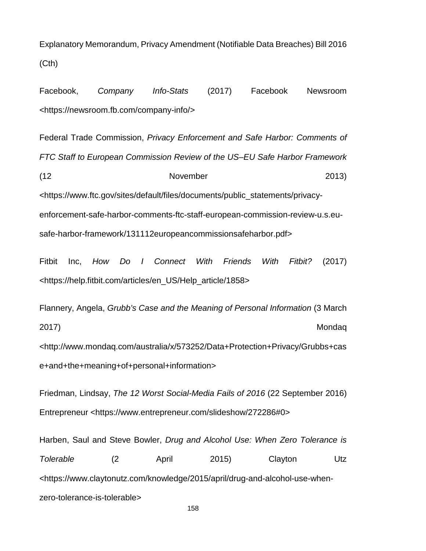Explanatory Memorandum, Privacy Amendment (Notifiable Data Breaches) Bill 2016 (Cth)

Facebook, *Company Info-Stats* (2017) Facebook Newsroom <https://newsroom.fb.com/company-info/>

Federal Trade Commission, *Privacy Enforcement and Safe Harbor: Comments of FTC Staff to European Commission Review of the US–EU Safe Harbor Framework* (12 November 2013) <https://www.ftc.gov/sites/default/files/documents/public\_statements/privacyenforcement-safe-harbor-comments-ftc-staff-european-commission-review-u.s.eusafe-harbor-framework/131112europeancommissionsafeharbor.pdf>

Fitbit Inc, *How Do I Connect With Friends With Fitbit?* (2017) <https://help.fitbit.com/articles/en\_US/Help\_article/1858>

Flannery, Angela, *Grubb's Case and the Meaning of Personal Information* (3 March 2017) Mondaq <http://www.mondaq.com/australia/x/573252/Data+Protection+Privacy/Grubbs+cas e+and+the+meaning+of+personal+information>

Friedman, Lindsay, *The 12 Worst Social-Media Fails of 2016* (22 September 2016) Entrepreneur <https://www.entrepreneur.com/slideshow/272286#0>

Harben, Saul and Steve Bowler, *Drug and Alcohol Use: When Zero Tolerance is Tolerable* (2 April 2015) Clayton Utz <https://www.claytonutz.com/knowledge/2015/april/drug-and-alcohol-use-whenzero-tolerance-is-tolerable>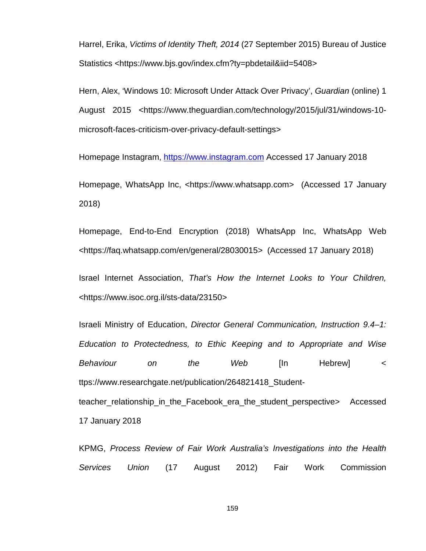Harrel, Erika, *Victims of Identity Theft, 2014* (27 September 2015) Bureau of Justice Statistics <https://www.bjs.gov/index.cfm?ty=pbdetail&iid=5408>

Hern, Alex, 'Windows 10: Microsoft Under Attack Over Privacy', *Guardian* (online) 1 August 2015 <https://www.theguardian.com/technology/2015/jul/31/windows-10 microsoft-faces-criticism-over-privacy-default-settings>

Homepage Instagram, [https://www.instagram.com](https://www.instagram.com/) Accessed 17 January 2018

Homepage, WhatsApp Inc, <https://www.whatsapp.com> (Accessed 17 January 2018)

Homepage, End-to-End Encryption (2018) WhatsApp Inc, WhatsApp Web <https://faq.whatsapp.com/en/general/28030015> (Accessed 17 January 2018)

Israel Internet Association, *That's How the Internet Looks to Your Children,* <https://www.isoc.org.il/sts-data/23150>

Israeli Ministry of Education, *Director General Communication, Instruction 9.4–1: Education to Protectedness, to Ethic Keeping and to Appropriate and Wise Behaviour on the Web* [In Hebrew] < ttps://www.researchgate.net/publication/264821418\_Studentteacher\_relationship\_in\_the\_Facebook\_era\_the\_student\_perspective> Accessed 17 January 2018

KPMG, *Process Review of Fair Work Australia's Investigations into the Health Services Union* (17 August 2012) Fair Work Commission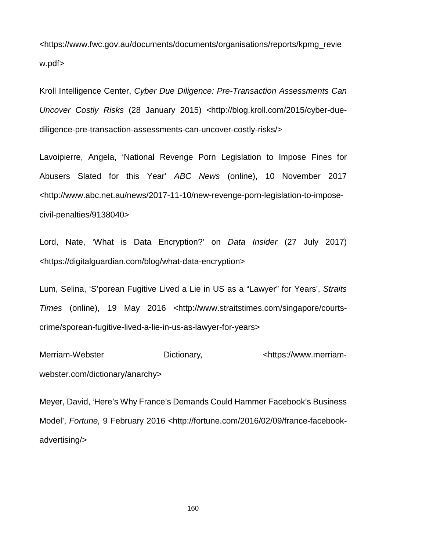[<https://www.fwc.gov.au/documents/documents/organisations/reports/kpmg\\_revie](https://www.fwc.gov.au/documents/documents/organisations/reports/kpmg_review.pdf) [w.pdf>](https://www.fwc.gov.au/documents/documents/organisations/reports/kpmg_review.pdf)

Kroll Intelligence Center, *Cyber Due Diligence: Pre-Transaction Assessments Can Uncover Costly Risks* (28 January 2015) <http://blog.kroll.com/2015/cyber-duediligence-pre-transaction-assessments-can-uncover-costly-risks/>

Lavoipierre, Angela, 'National Revenge Porn Legislation to Impose Fines for Abusers Slated for this Year' *ABC News* (online), 10 November 2017 <http://www.abc.net.au/news/2017-11-10/new-revenge-porn-legislation-to-imposecivil-penalties/9138040>

Lord, Nate, 'What is Data Encryption?' on *Data Insider* (27 July 2017) <https://digitalguardian.com/blog/what-data-encryption>

Lum, Selina, 'S'porean Fugitive Lived a Lie in US as a "Lawyer" for Years', *Straits Times* (online), 19 May 2016 [<http://www.straitstimes.com/singapore/courts](http://www.straitstimes.com/singapore/courts-crime/sporean-fugitive-lived-a-lie-in-us-as-lawyer-for-years)[crime/sporean-fugitive-lived-a-lie-in-us-as-lawyer-for-years>](http://www.straitstimes.com/singapore/courts-crime/sporean-fugitive-lived-a-lie-in-us-as-lawyer-for-years)

Merriam-Webster Dictionary, extending the Dictionary of the Dictionary of the Merriam[webster.com/dictionary/anarchy>](https://www.merriam-webster.com/dictionary/anarchy)

Meyer, David, 'Here's Why France's Demands Could Hammer Facebook's Business Model', *Fortune,* 9 February 2016 <http://fortune.com/2016/02/09/france-facebookadvertising/>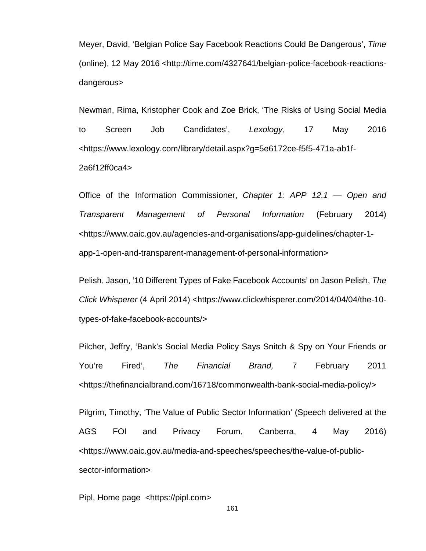Meyer, David, 'Belgian Police Say Facebook Reactions Could Be Dangerous', *Time*  (online), 12 May 2016 <http://time.com/4327641/belgian-police-facebook-reactionsdangerous>

Newman, Rima, Kristopher Cook and Zoe Brick, 'The Risks of Using Social Media to Screen Job Candidates', *Lexology*, 17 May 2016 <https://www.lexology.com/library/detail.aspx?g=5e6172ce-f5f5-471a-ab1f-2a6f12ff0ca4>

Office of the Information Commissioner, *Chapter 1: APP 12.1 — Open and Transparent Management of Personal Information* (February 2014) <https://www.oaic.gov.au/agencies-and-organisations/app-guidelines/chapter-1 app-1-open-and-transparent-management-of-personal-information>

Pelish, Jason, '10 Different Types of Fake Facebook Accounts' on Jason Pelish, *The Click Whisperer* (4 April 2014) <https://www.clickwhisperer.com/2014/04/04/the-10types-of-fake-facebook-accounts/>

Pilcher, Jeffry, 'Bank's Social Media Policy Says Snitch & Spy on Your Friends or You're Fired', *The Financial Brand,* 7 February 2011 <https://thefinancialbrand.com/16718/commonwealth-bank-social-media-policy/>

Pilgrim, Timothy, 'The Value of Public Sector Information' (Speech delivered at the AGS FOI and Privacy Forum, Canberra, 4 May 2016) <https://www.oaic.gov.au/media-and-speeches/speeches/the-value-of-publicsector-information>

Pipl, Home page [<https://pipl.com>](https://pipl.com/)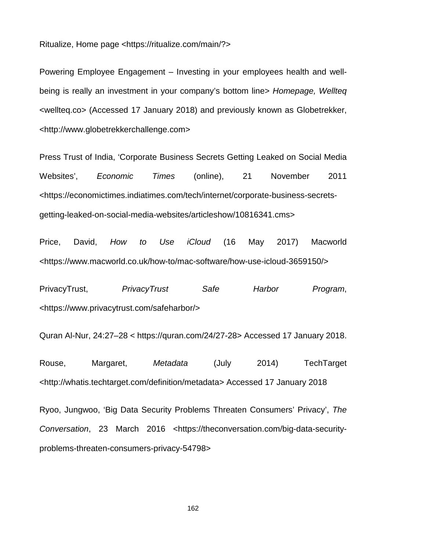Ritualize, Home page <https://ritualize.com/main/?>

Powering Employee Engagement – Investing in your employees health and wellbeing is really an investment in your company's bottom line> *Homepage, Wellteq* <wellteq.co> (Accessed 17 January 2018) and previously known as Globetrekker, <http://www.globetrekkerchallenge.com>

Press Trust of India, 'Corporate Business Secrets Getting Leaked on Social Media Websites', *Economic Times* (online), 21 November 2011 <https://economictimes.indiatimes.com/tech/internet/corporate-business-secretsgetting-leaked-on-social-media-websites/articleshow/10816341.cms>

Price, David, *How to Use iCloud* (16 May 2017) Macworld <https://www.macworld.co.uk/how-to/mac-software/how-use-icloud-3659150/>

PrivacyTrust, *PrivacyTrust Safe Harbor Program*, <https://www.privacytrust.com/safeharbor/>

Quran Al-Nur, 24:27–28 < https://quran.com/24/27-28> Accessed 17 January 2018.

Rouse, Margaret, *Metadata* (July 2014) TechTarget [<http://whatis.techtarget.com/definition/metadata>](http://whatis.techtarget.com/definition/metadata) Accessed 17 January 2018

Ryoo, Jungwoo, 'Big Data Security Problems Threaten Consumers' Privacy', *The Conversation*, 23 March 2016 [<https://theconversation.com/big-data-security](https://theconversation.com/big-data-security-problems-threaten-consumers-privacy-54798)[problems-threaten-consumers-privacy-54798>](https://theconversation.com/big-data-security-problems-threaten-consumers-privacy-54798)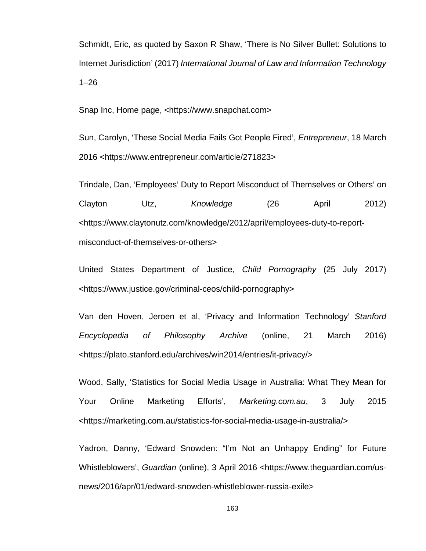Schmidt, Eric, as quoted by Saxon R Shaw, 'There is No Silver Bullet: Solutions to Internet Jurisdiction' (2017) *International Journal of Law and Information Technology* 1–26

Snap Inc, Home page, <https://www.snapchat.com>

Sun, Carolyn, 'These Social Media Fails Got People Fired', *Entrepreneur*, 18 March 2016 <https://www.entrepreneur.com/article/271823>

Trindale, Dan, 'Employees' Duty to Report Misconduct of Themselves or Others' on Clayton Utz, *Knowledge* (26 April 2012) [<https://www.claytonutz.com/knowledge/2012/april/employees-duty-to-report](https://www.claytonutz.com/knowledge/2012/april/employees-duty-to-report-misconduct-of-themselves-or-others)[misconduct-of-themselves-or-others>](https://www.claytonutz.com/knowledge/2012/april/employees-duty-to-report-misconduct-of-themselves-or-others)

United States Department of Justice, *Child Pornography* (25 July 2017) <https://www.justice.gov/criminal-ceos/child-pornography>

Van den Hoven, Jeroen et al, 'Privacy and Information Technology' *Stanford Encyclopedia of Philosophy Archive* (online, 21 March 2016) <https://plato.stanford.edu/archives/win2014/entries/it-privacy/>

Wood, Sally, 'Statistics for Social Media Usage in Australia: What They Mean for Your Online Marketing Efforts', *Marketing.com.au*, 3 July 2015 <https://marketing.com.au/statistics-for-social-media-usage-in-australia/>

Yadron, Danny, 'Edward Snowden: "I'm Not an Unhappy Ending" for Future Whistleblowers', *Guardian* (online), 3 April 2016 <https://www.theguardian.com/usnews/2016/apr/01/edward-snowden-whistleblower-russia-exile>